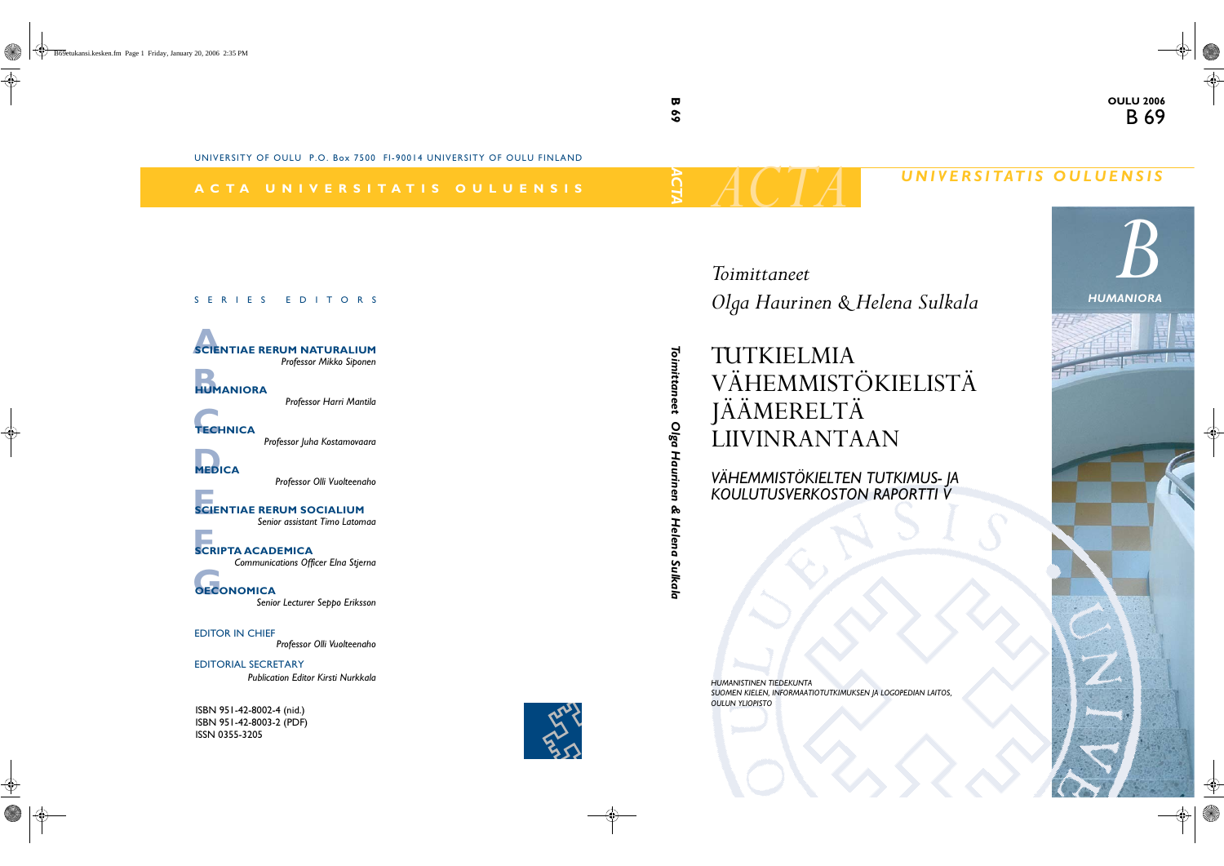# $ACTA$  *UNIVERSITATIS OULUENSIS*

*HUMANISTINEN TIEDEKUNTA SUOMEN KIELEN, INFORMAATIOTUTKIMUKSEN JA LOGOPEDIAN LAITOS, OULUN YLIOPISTO*

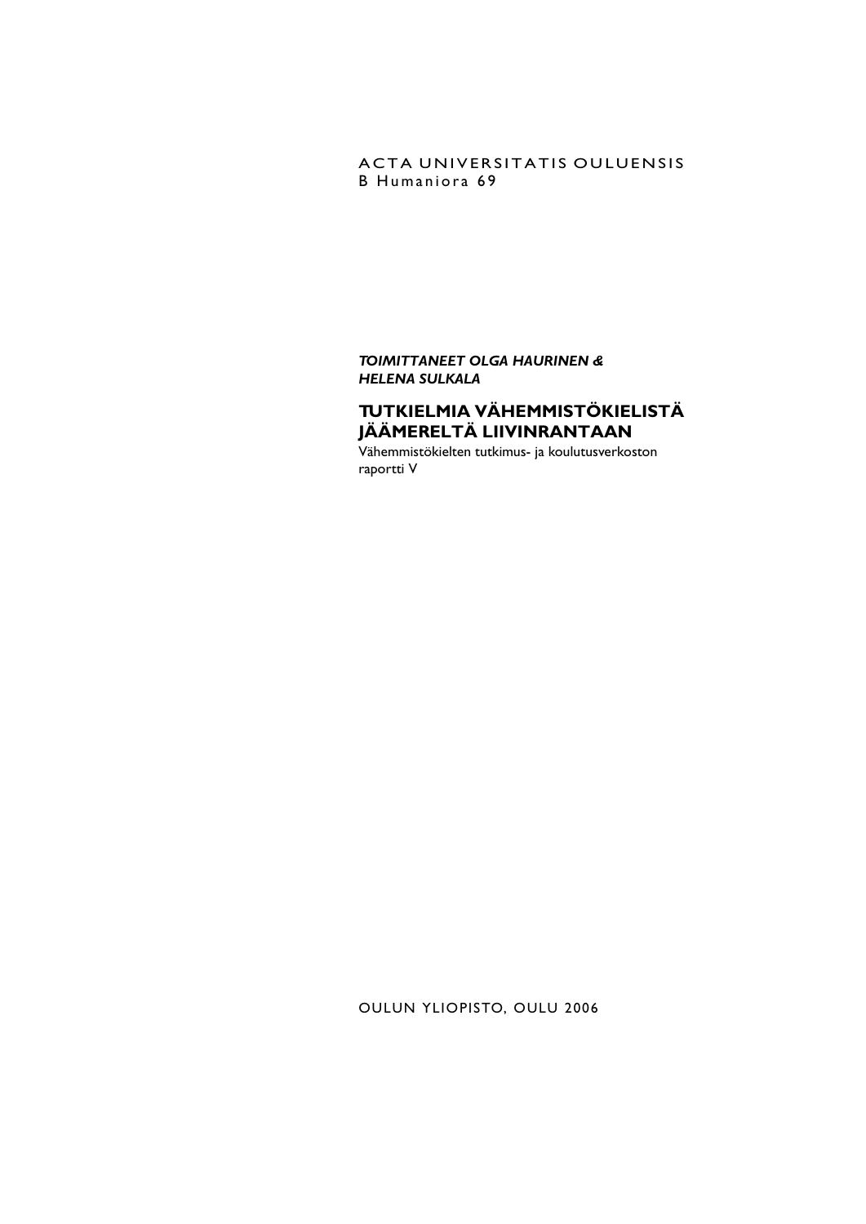## ACTA UNIVERSITATIS OULUENSIS B Humaniora 69

*TOIMITTANEET OLGA HAURINEN & HELENA SULKALA*

## **TUTKIELMIA VÄHEMMISTÖKIELISTÄ JÄÄMERELTÄ LIIVINRANTAAN**

Vähemmistökielten tutkimus- ja koulutusverkoston raportti V

OULUN YLIOPISTO, OULU 2006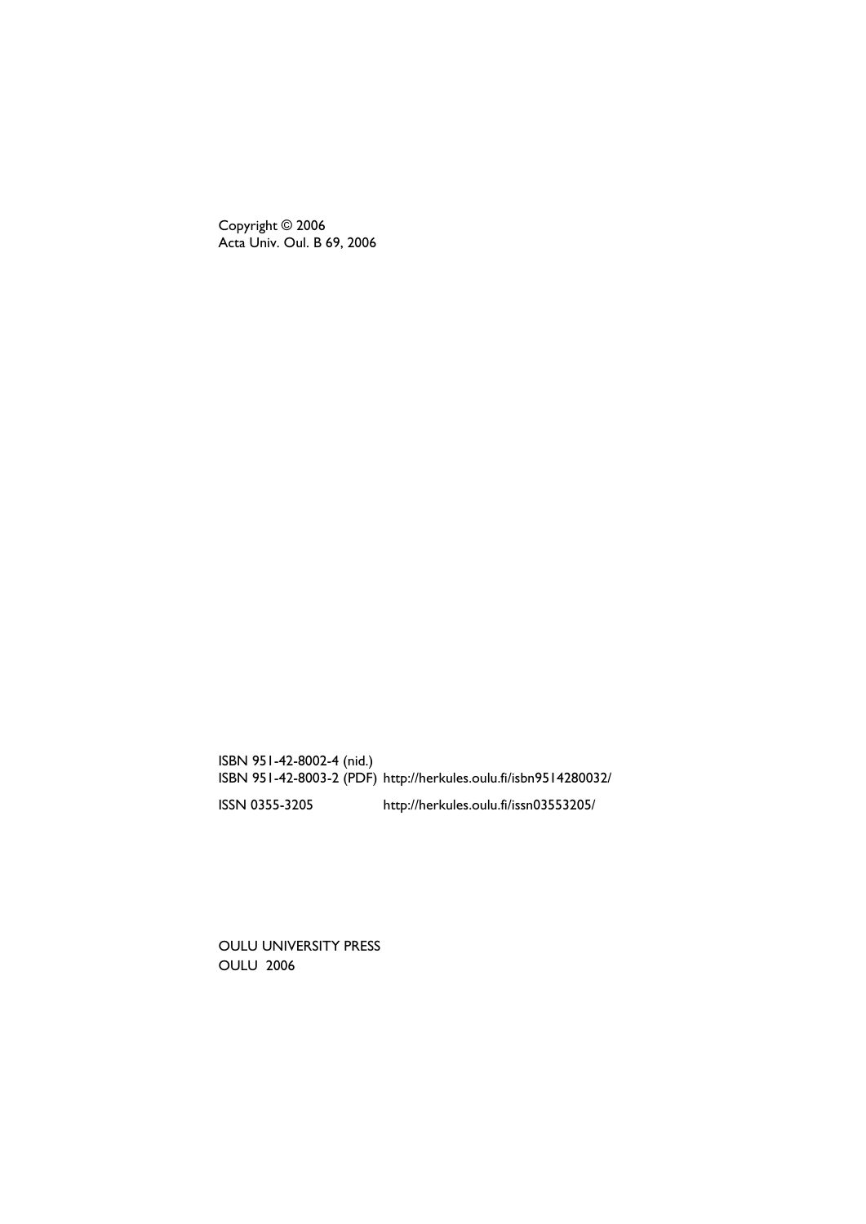Copyright © 2006 Acta Univ. Oul. B 69, 2006

ISBN 951-42-8002-4 (nid.) ISBN 951-42-8003-2 (PDF) http://herkules.oulu.fi/isbn9514280032/ ISSN 0355-3205 http://herkules.oulu.fi/issn03553205/

OULU UNIVERSITY PRESS OULU 2006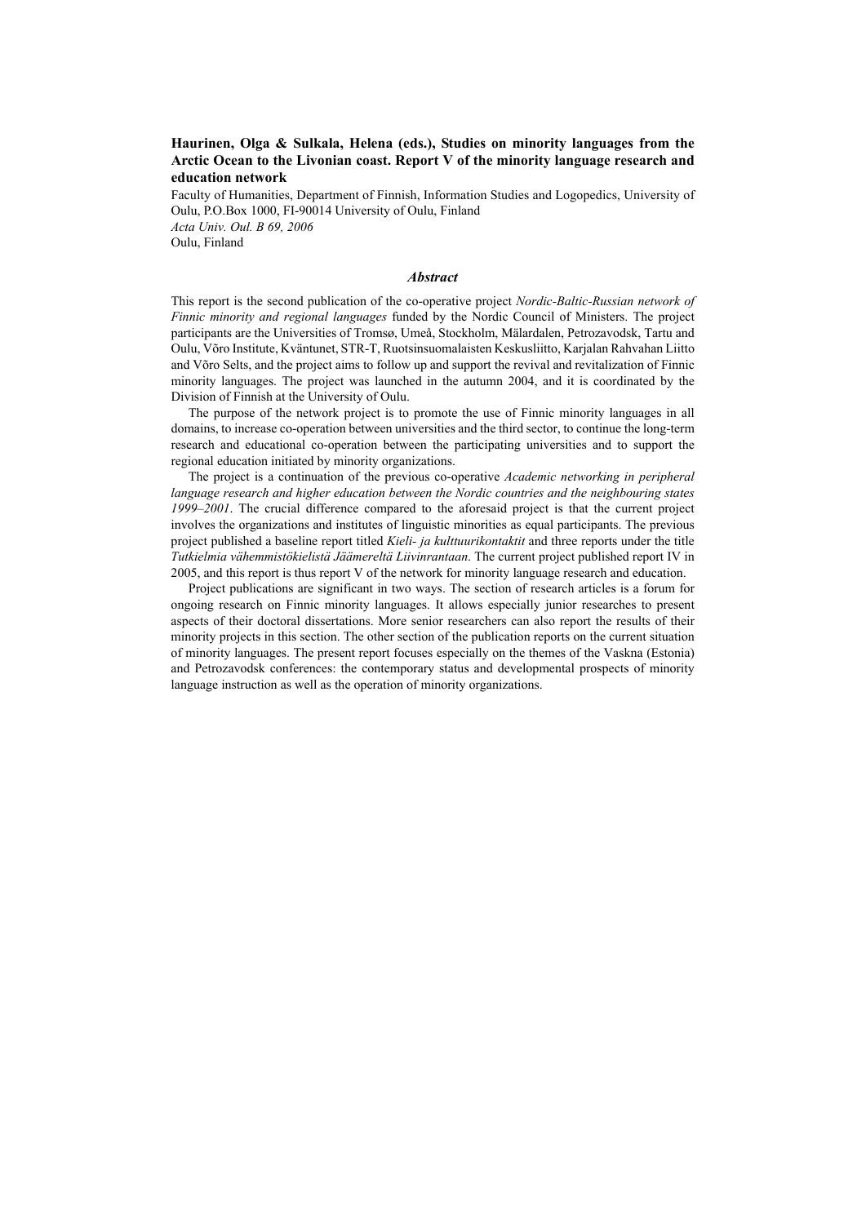#### **Haurinen, Olga & Sulkala, Helena (eds.), Studies on minority languages from the Arctic Ocean to the Livonian coast. Report V of the minority language research and education network**

Faculty of Humanities, Department of Finnish, Information Studies and Logopedics, University of Oulu, P.O.Box 1000, FI-90014 University of Oulu, Finland *Acta Univ. Oul. B 69, 2006* Oulu, Finland

#### *Abstract*

This report is the second publication of the co-operative project *Nordic-Baltic-Russian network of Finnic minority and regional languages* funded by the Nordic Council of Ministers. The project participants are the Universities of Tromsø, Umeå, Stockholm, Mälardalen, Petrozavodsk, Tartu and Oulu, Võro Institute, Kväntunet, STR-T, Ruotsinsuomalaisten Keskusliitto, Karjalan Rahvahan Liitto and Võro Selts, and the project aims to follow up and support the revival and revitalization of Finnic minority languages. The project was launched in the autumn 2004, and it is coordinated by the Division of Finnish at the University of Oulu.

The purpose of the network project is to promote the use of Finnic minority languages in all domains, to increase co-operation between universities and the third sector, to continue the long-term research and educational co-operation between the participating universities and to support the regional education initiated by minority organizations.

The project is a continuation of the previous co-operative *Academic networking in peripheral language research and higher education between the Nordic countries and the neighbouring states 1999–2001*. The crucial difference compared to the aforesaid project is that the current project involves the organizations and institutes of linguistic minorities as equal participants. The previous project published a baseline report titled *Kieli- ja kulttuurikontaktit* and three reports under the title *Tutkielmia vähemmistökielistä Jäämereltä Liivinrantaan*. The current project published report IV in 2005, and this report is thus report V of the network for minority language research and education.

Project publications are significant in two ways. The section of research articles is a forum for ongoing research on Finnic minority languages. It allows especially junior researches to present aspects of their doctoral dissertations. More senior researchers can also report the results of their minority projects in this section. The other section of the publication reports on the current situation of minority languages. The present report focuses especially on the themes of the Vaskna (Estonia) and Petrozavodsk conferences: the contemporary status and developmental prospects of minority language instruction as well as the operation of minority organizations.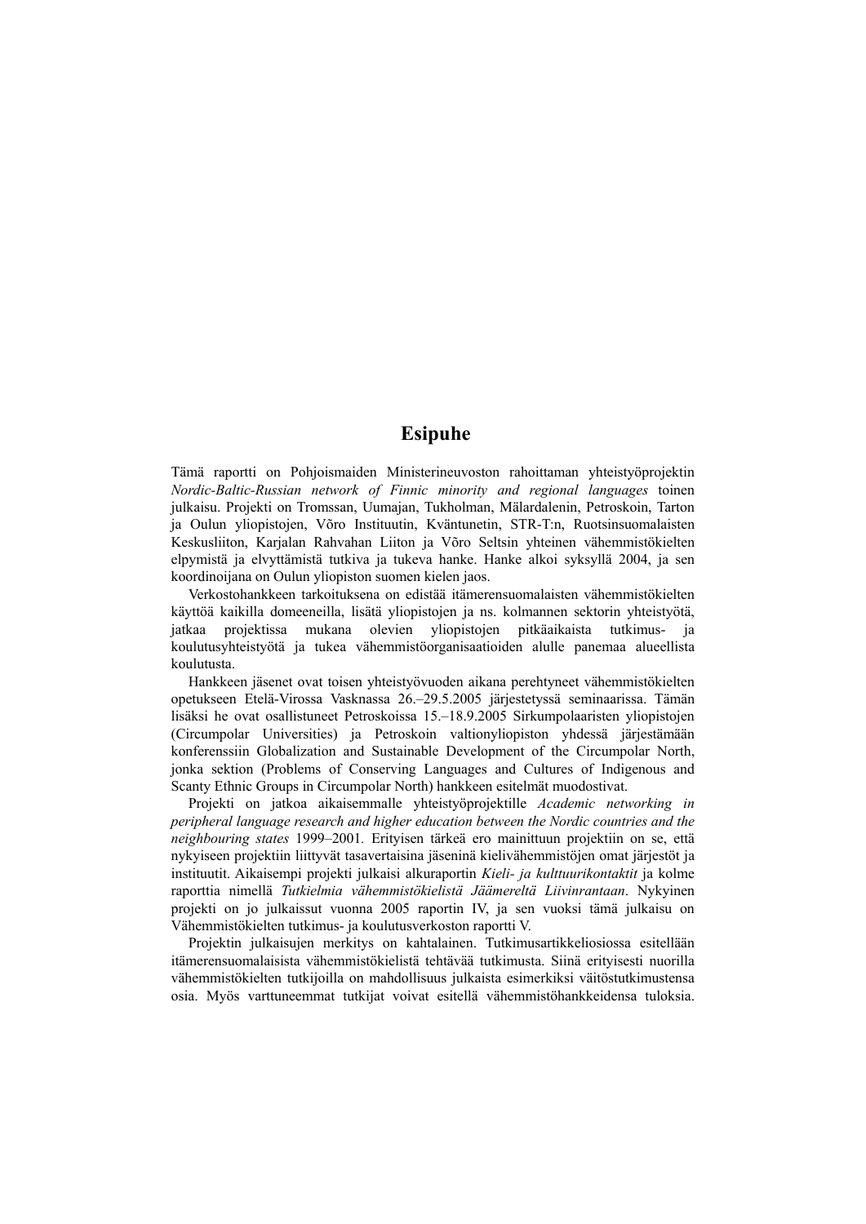## **Esipuhe**

Tämä raportti on Pohjoismaiden Ministerineuvoston rahoittaman yhteistyöprojektin *Nordic-Baltic-Russian network of Finnic minority and regional languages* toinen julkaisu. Projekti on Tromssan, Uumajan, Tukholman, Mälardalenin, Petroskoin, Tarton ja Oulun yliopistojen, Võro Instituutin, Kväntunetin, STR-T:n, Ruotsinsuomalaisten Keskusliiton, Karjalan Rahvahan Liiton ja Võro Seltsin yhteinen vähemmistökielten elpymistä ja elvyttämistä tutkiva ja tukeva hanke. Hanke alkoi syksyllä 2004, ja sen koordinoijana on Oulun yliopiston suomen kielen jaos.

Verkostohankkeen tarkoituksena on edistää itämerensuomalaisten vähemmistökielten käyttöä kaikilla domeeneilla, lisätä yliopistojen ja ns. kolmannen sektorin yhteistyötä, jatkaa projektissa mukana olevien yliopistojen pitkäaikaista tutkimus- ja koulutusyhteistyötä ja tukea vähemmistöorganisaatioiden alulle panemaa alueellista koulutusta.

Hankkeen jäsenet ovat toisen yhteistyövuoden aikana perehtyneet vähemmistökielten opetukseen Etelä-Virossa Vasknassa 26.–29.5.2005 järjestetyssä seminaarissa. Tämän lisäksi he ovat osallistuneet Petroskoissa 15.–18.9.2005 Sirkumpolaaristen yliopistojen (Circumpolar Universities) ja Petroskoin valtionyliopiston yhdessä järjestämään konferenssiin Globalization and Sustainable Development of the Circumpolar North, jonka sektion (Problems of Conserving Languages and Cultures of Indigenous and Scanty Ethnic Groups in Circumpolar North) hankkeen esitelmät muodostivat.

Projekti on jatkoa aikaisemmalle yhteistyöprojektille *Academic networking in peripheral language research and higher education between the Nordic countries and the neighbouring states* 1999–2001*.* Erityisen tärkeä ero mainittuun projektiin on se, että nykyiseen projektiin liittyvät tasavertaisina jäseninä kielivähemmistöjen omat järjestöt ja instituutit. Aikaisempi projekti julkaisi alkuraportin *Kieli- ja kulttuurikontaktit* ja kolme raporttia nimellä *Tutkielmia vähemmistökielistä Jäämereltä Liivinrantaan*. Nykyinen projekti on jo julkaissut vuonna 2005 raportin IV, ja sen vuoksi tämä julkaisu on Vähemmistökielten tutkimus- ja koulutusverkoston raportti V.

Projektin julkaisujen merkitys on kahtalainen. Tutkimusartikkeliosiossa esitellään itämerensuomalaisista vähemmistökielistä tehtävää tutkimusta. Siinä erityisesti nuorilla vähemmistökielten tutkijoilla on mahdollisuus julkaista esimerkiksi väitöstutkimustensa osia. Myös varttuneemmat tutkijat voivat esitellä vähemmistöhankkeidensa tuloksia.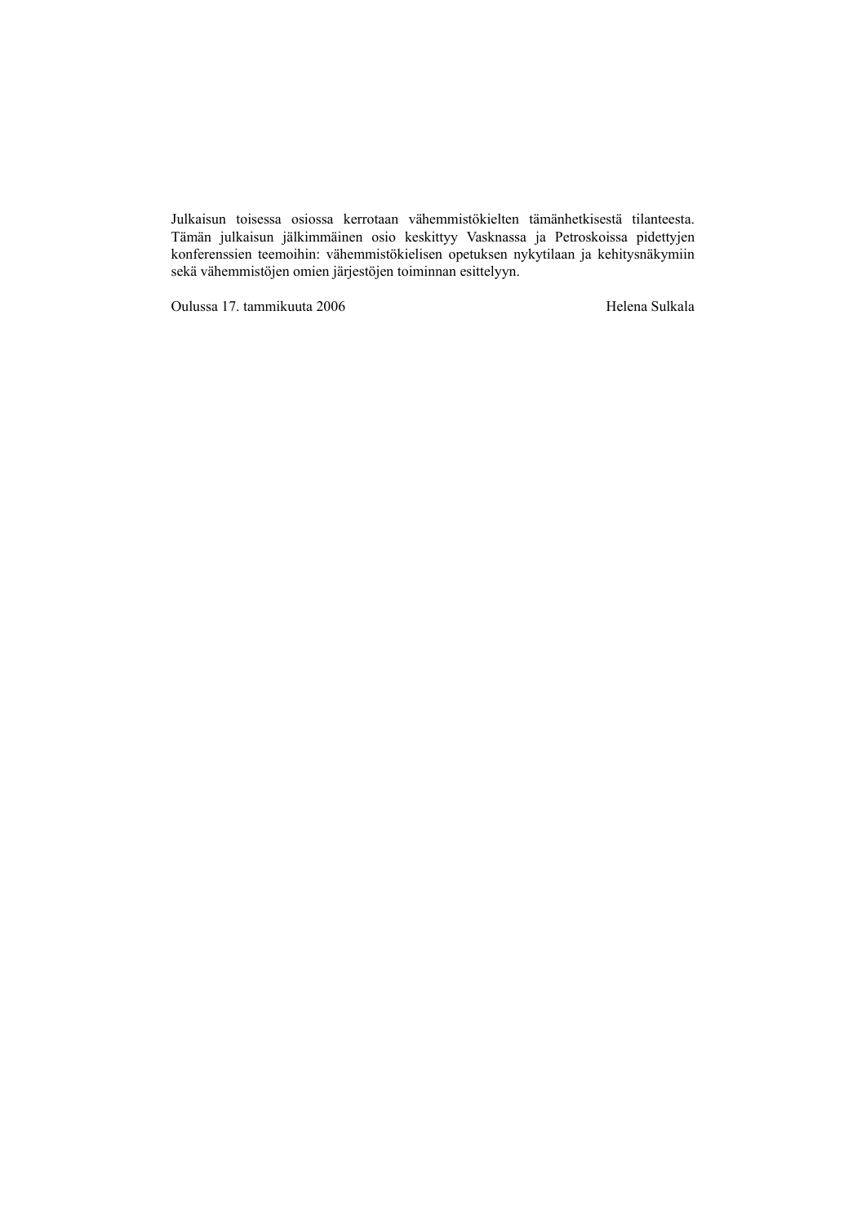Julkaisun toisessa osiossa kerrotaan vähemmistökielten tämänhetkisestä tilanteesta. Tämän julkaisun jälkimmäinen osio keskittyy Vasknassa ja Petroskoissa pidettyjen konferenssien teemoihin: vähemmistökielisen opetuksen nykytilaan ja kehitysnäkymiin sekä vähemmistöjen omien järjestöjen toiminnan esittelyyn.

Oulussa 17. tammikuuta 2006 Helena Sulkala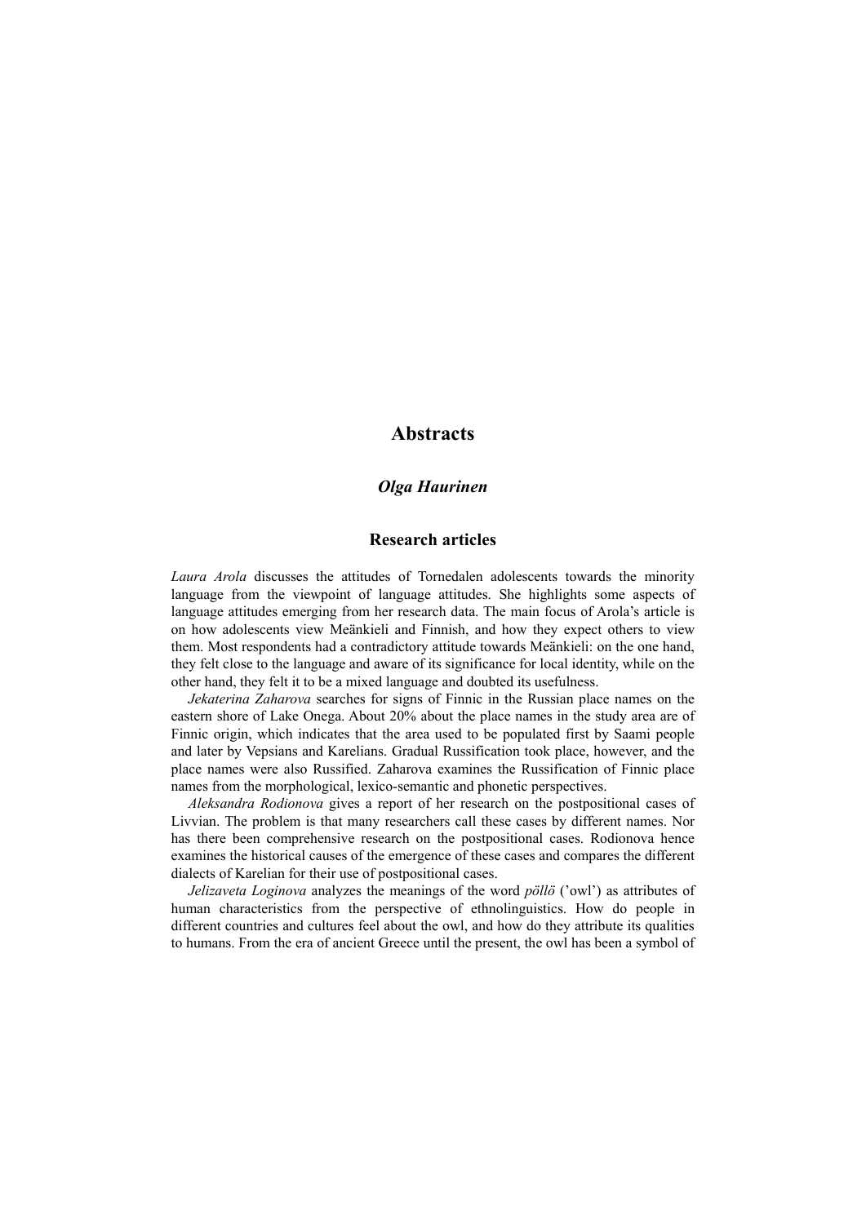## **Abstracts**

#### *Olga Haurinen*

#### **Research articles**

*Laura Arola* discusses the attitudes of Tornedalen adolescents towards the minority language from the viewpoint of language attitudes. She highlights some aspects of language attitudes emerging from her research data. The main focus of Arola's article is on how adolescents view Meänkieli and Finnish, and how they expect others to view them. Most respondents had a contradictory attitude towards Meänkieli: on the one hand, they felt close to the language and aware of its significance for local identity, while on the other hand, they felt it to be a mixed language and doubted its usefulness.

*Jekaterina Zaharova* searches for signs of Finnic in the Russian place names on the eastern shore of Lake Onega. About 20% about the place names in the study area are of Finnic origin, which indicates that the area used to be populated first by Saami people and later by Vepsians and Karelians. Gradual Russification took place, however, and the place names were also Russified. Zaharova examines the Russification of Finnic place names from the morphological, lexico-semantic and phonetic perspectives.

*Aleksandra Rodionova* gives a report of her research on the postpositional cases of Livvian. The problem is that many researchers call these cases by different names. Nor has there been comprehensive research on the postpositional cases. Rodionova hence examines the historical causes of the emergence of these cases and compares the different dialects of Karelian for their use of postpositional cases.

*Jelizaveta Loginova* analyzes the meanings of the word *pöllö* ('owl') as attributes of human characteristics from the perspective of ethnolinguistics. How do people in different countries and cultures feel about the owl, and how do they attribute its qualities to humans. From the era of ancient Greece until the present, the owl has been a symbol of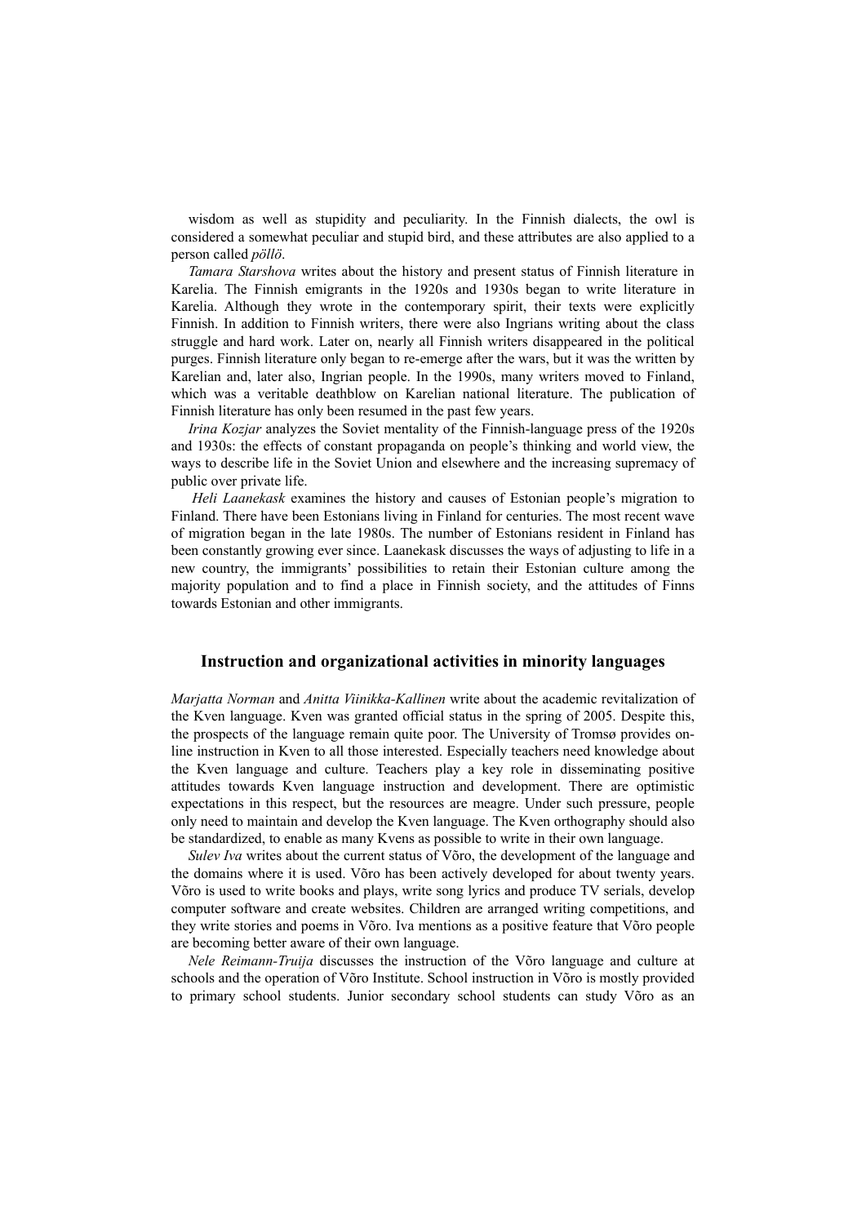wisdom as well as stupidity and peculiarity. In the Finnish dialects, the owl is considered a somewhat peculiar and stupid bird, and these attributes are also applied to a person called *pöllö*.

*Tamara Starshova* writes about the history and present status of Finnish literature in Karelia. The Finnish emigrants in the 1920s and 1930s began to write literature in Karelia. Although they wrote in the contemporary spirit, their texts were explicitly Finnish. In addition to Finnish writers, there were also Ingrians writing about the class struggle and hard work. Later on, nearly all Finnish writers disappeared in the political purges. Finnish literature only began to re-emerge after the wars, but it was the written by Karelian and, later also, Ingrian people. In the 1990s, many writers moved to Finland, which was a veritable deathblow on Karelian national literature. The publication of Finnish literature has only been resumed in the past few years.

*Irina Kozjar* analyzes the Soviet mentality of the Finnish-language press of the 1920s and 1930s: the effects of constant propaganda on people's thinking and world view, the ways to describe life in the Soviet Union and elsewhere and the increasing supremacy of public over private life.

*Heli Laanekask* examines the history and causes of Estonian people's migration to Finland. There have been Estonians living in Finland for centuries. The most recent wave of migration began in the late 1980s. The number of Estonians resident in Finland has been constantly growing ever since. Laanekask discusses the ways of adjusting to life in a new country, the immigrants' possibilities to retain their Estonian culture among the majority population and to find a place in Finnish society, and the attitudes of Finns towards Estonian and other immigrants.

#### **Instruction and organizational activities in minority languages**

*Marjatta Norman* and *Anitta Viinikka-Kallinen* write about the academic revitalization of the Kven language. Kven was granted official status in the spring of 2005. Despite this, the prospects of the language remain quite poor. The University of Tromsø provides online instruction in Kven to all those interested. Especially teachers need knowledge about the Kven language and culture. Teachers play a key role in disseminating positive attitudes towards Kven language instruction and development. There are optimistic expectations in this respect, but the resources are meagre. Under such pressure, people only need to maintain and develop the Kven language. The Kven orthography should also be standardized, to enable as many Kvens as possible to write in their own language.

*Sulev Iva* writes about the current status of Võro, the development of the language and the domains where it is used. Võro has been actively developed for about twenty years. Võro is used to write books and plays, write song lyrics and produce TV serials, develop computer software and create websites. Children are arranged writing competitions, and they write stories and poems in Võro. Iva mentions as a positive feature that Võro people are becoming better aware of their own language.

*Nele Reimann-Truija* discusses the instruction of the Võro language and culture at schools and the operation of Võro Institute. School instruction in Võro is mostly provided to primary school students. Junior secondary school students can study Võro as an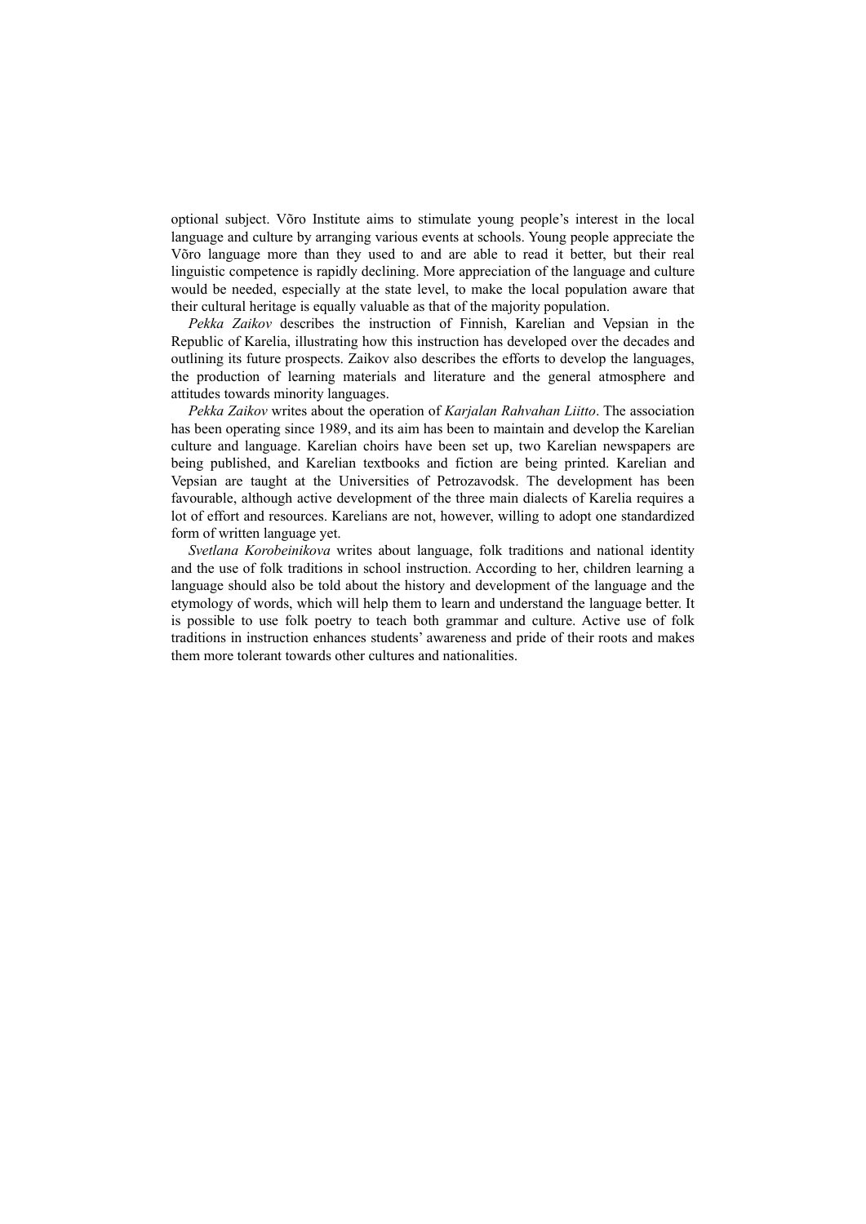optional subject. Võro Institute aims to stimulate young people's interest in the local language and culture by arranging various events at schools. Young people appreciate the Võro language more than they used to and are able to read it better, but their real linguistic competence is rapidly declining. More appreciation of the language and culture would be needed, especially at the state level, to make the local population aware that their cultural heritage is equally valuable as that of the majority population.

*Pekka Zaikov* describes the instruction of Finnish, Karelian and Vepsian in the Republic of Karelia, illustrating how this instruction has developed over the decades and outlining its future prospects. Zaikov also describes the efforts to develop the languages, the production of learning materials and literature and the general atmosphere and attitudes towards minority languages.

*Pekka Zaikov* writes about the operation of *Karjalan Rahvahan Liitto*. The association has been operating since 1989, and its aim has been to maintain and develop the Karelian culture and language. Karelian choirs have been set up, two Karelian newspapers are being published, and Karelian textbooks and fiction are being printed. Karelian and Vepsian are taught at the Universities of Petrozavodsk. The development has been favourable, although active development of the three main dialects of Karelia requires a lot of effort and resources. Karelians are not, however, willing to adopt one standardized form of written language yet.

*Svetlana Korobeinikova* writes about language, folk traditions and national identity and the use of folk traditions in school instruction. According to her, children learning a language should also be told about the history and development of the language and the etymology of words, which will help them to learn and understand the language better. It is possible to use folk poetry to teach both grammar and culture. Active use of folk traditions in instruction enhances students' awareness and pride of their roots and makes them more tolerant towards other cultures and nationalities.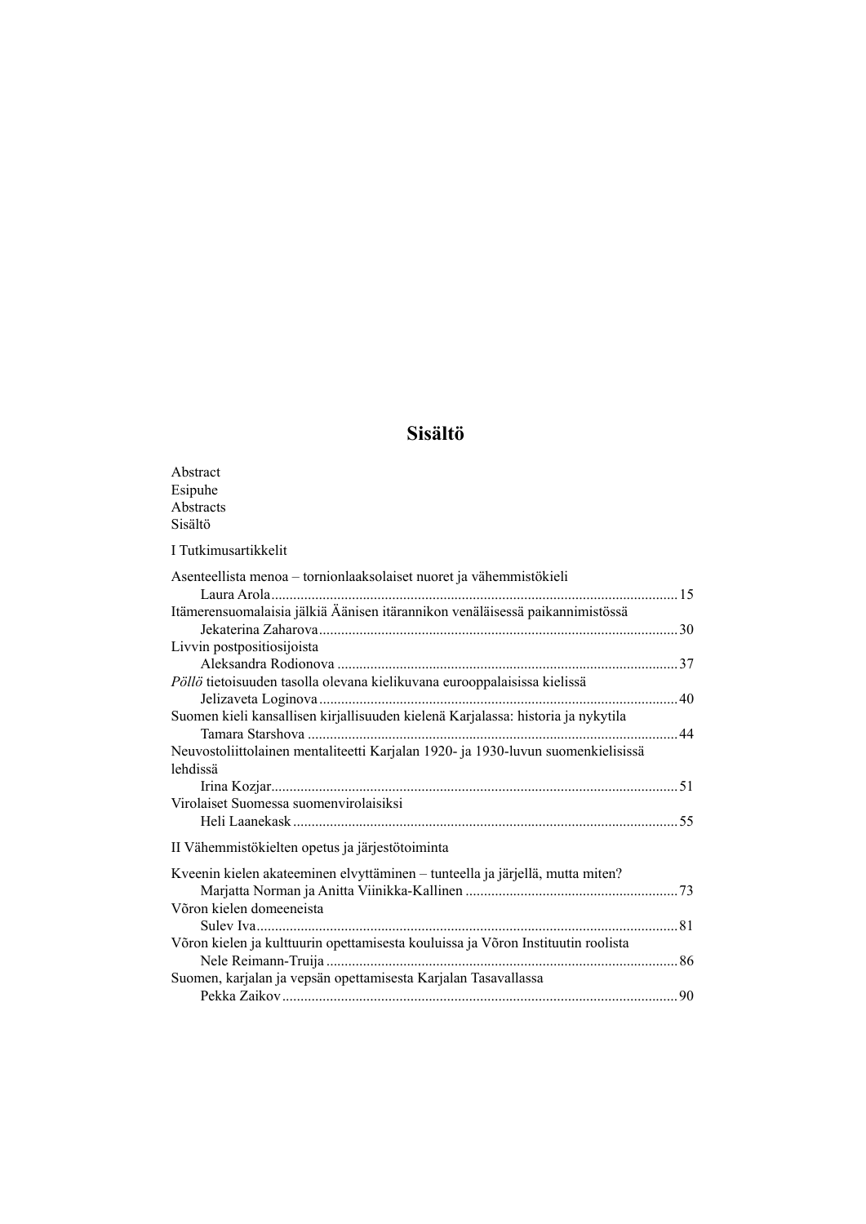# **Sisältö**

| Abstract                                                                         |  |
|----------------------------------------------------------------------------------|--|
| Esipuhe                                                                          |  |
| Abstracts                                                                        |  |
| Sisältö                                                                          |  |
| I Tutkimusartikkelit                                                             |  |
| Asenteellista menoa - tornionlaaksolaiset nuoret ja vähemmistökieli              |  |
|                                                                                  |  |
| Itämerensuomalaisia jälkiä Äänisen itärannikon venäläisessä paikannimistössä     |  |
|                                                                                  |  |
| Livvin postpositiosijoista                                                       |  |
|                                                                                  |  |
| Pöllö tietoisuuden tasolla olevana kielikuvana eurooppalaisissa kielissä         |  |
|                                                                                  |  |
| Suomen kieli kansallisen kirjallisuuden kielenä Karjalassa: historia ja nykytila |  |
|                                                                                  |  |
| Neuvostoliittolainen mentaliteetti Karjalan 1920- ja 1930-luvun suomenkielisissä |  |
| lehdissä                                                                         |  |
|                                                                                  |  |
| Virolaiset Suomessa suomenvirolaisiksi                                           |  |
|                                                                                  |  |
| II Vähemmistökielten opetus ja järjestötoiminta                                  |  |
| Kveenin kielen akateeminen elvyttäminen – tunteella ja järjellä, mutta miten?    |  |
|                                                                                  |  |
| Võron kielen domeeneista                                                         |  |
|                                                                                  |  |
| Võron kielen ja kulttuurin opettamisesta kouluissa ja Võron Instituutin roolista |  |
|                                                                                  |  |
| Suomen, karjalan ja vepsän opettamisesta Karjalan Tasavallassa                   |  |
|                                                                                  |  |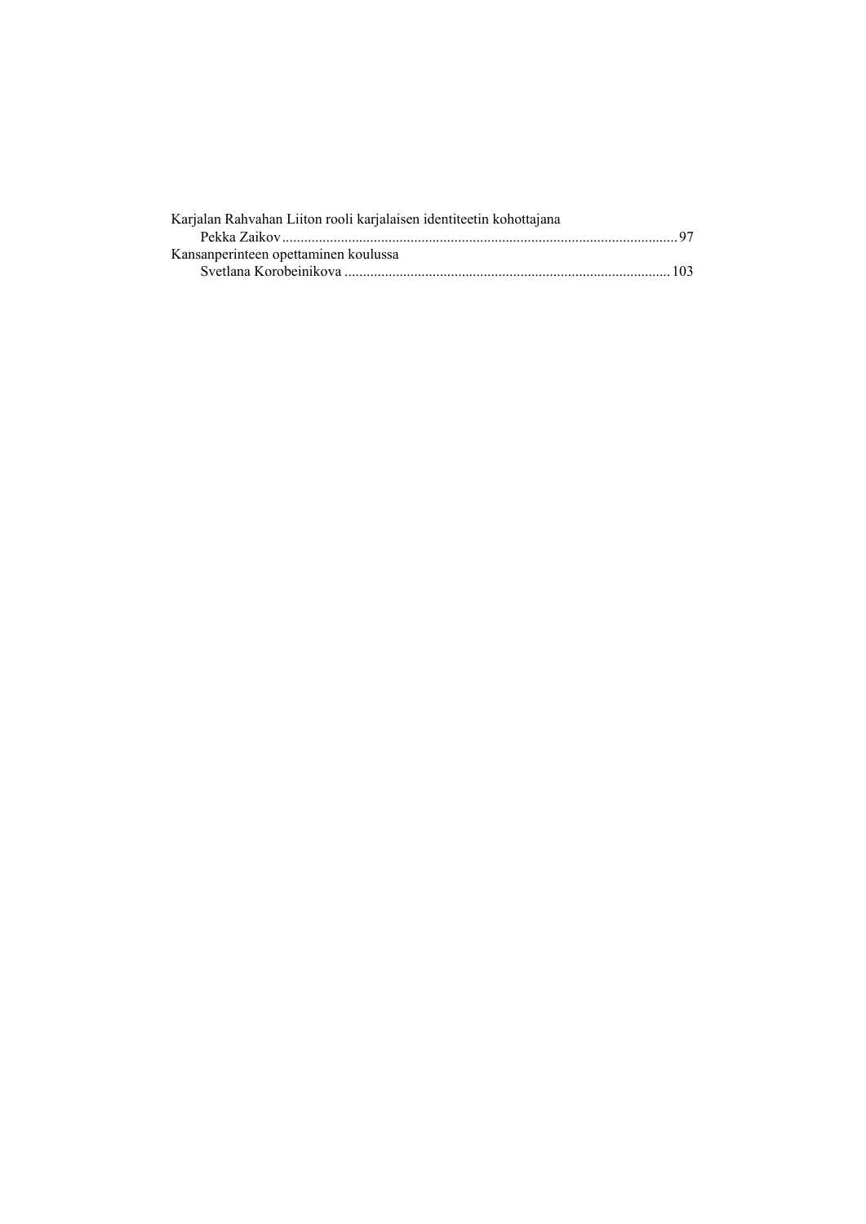| Karjalan Rahvahan Liiton rooli karjalaisen identiteetin kohottajana |  |
|---------------------------------------------------------------------|--|
|                                                                     |  |
| Kansanperinteen opettaminen koulussa                                |  |
|                                                                     |  |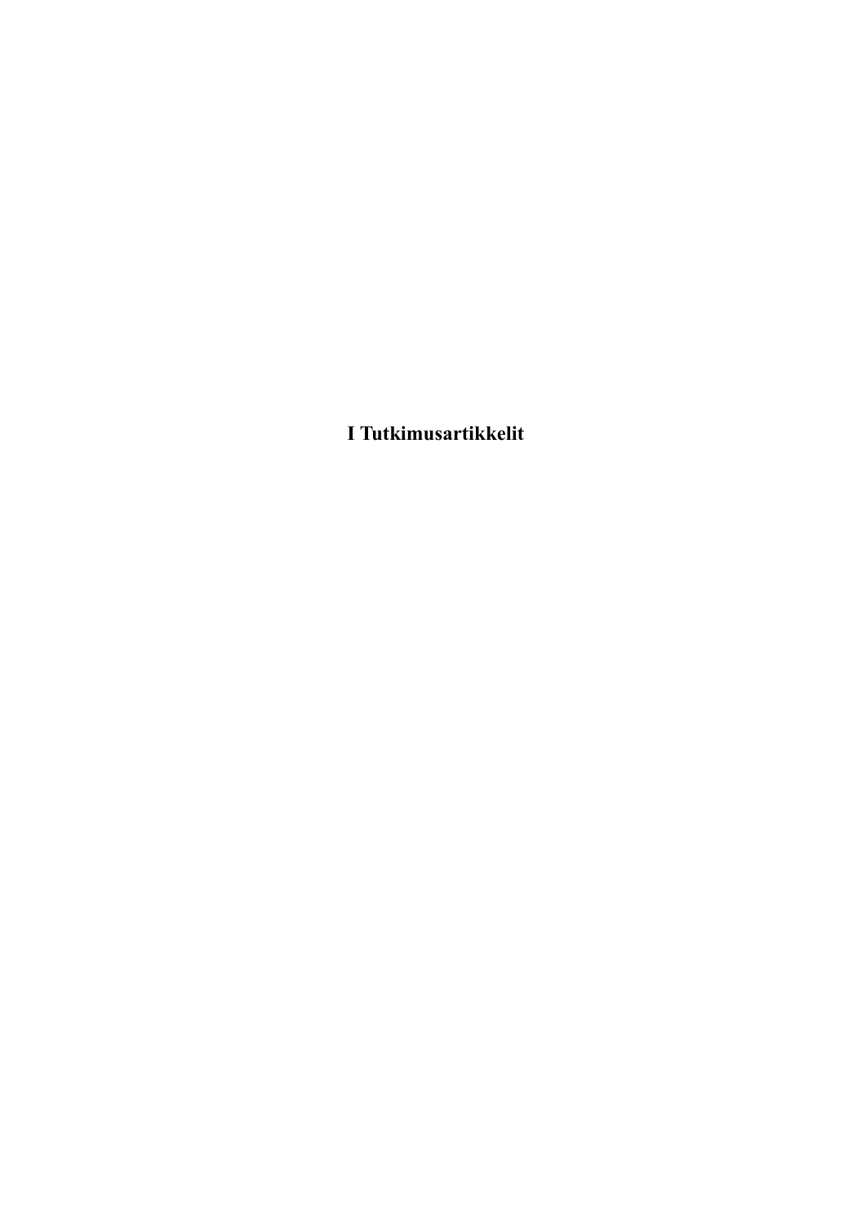**I Tutkimusartikkelit**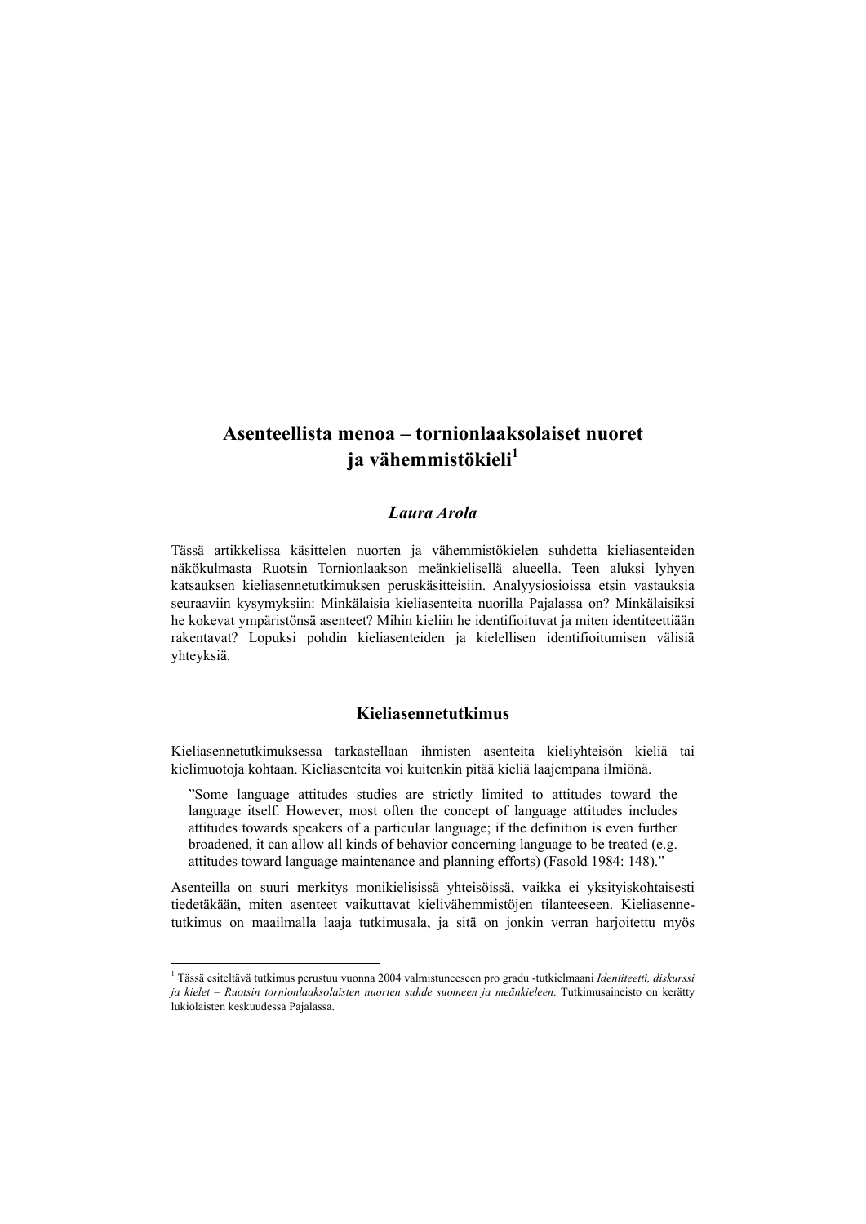# **Asenteellista menoa – tornionlaaksolaiset nuoret ja vähemmistökieli<sup>1</sup>**

### *Laura Arola*

Tässä artikkelissa käsittelen nuorten ja vähemmistökielen suhdetta kieliasenteiden näkökulmasta Ruotsin Tornionlaakson meänkielisellä alueella. Teen aluksi lyhyen katsauksen kieliasennetutkimuksen peruskäsitteisiin. Analyysiosioissa etsin vastauksia seuraaviin kysymyksiin: Minkälaisia kieliasenteita nuorilla Pajalassa on? Minkälaisiksi he kokevat ympäristönsä asenteet? Mihin kieliin he identifioituvat ja miten identiteettiään rakentavat? Lopuksi pohdin kieliasenteiden ja kielellisen identifioitumisen välisiä yhteyksiä.

## **Kieliasennetutkimus**

Kieliasennetutkimuksessa tarkastellaan ihmisten asenteita kieliyhteisön kieliä tai kielimuotoja kohtaan. Kieliasenteita voi kuitenkin pitää kieliä laajempana ilmiönä.

"Some language attitudes studies are strictly limited to attitudes toward the language itself. However, most often the concept of language attitudes includes attitudes towards speakers of a particular language; if the definition is even further broadened, it can allow all kinds of behavior concerning language to be treated (e.g. attitudes toward language maintenance and planning efforts) (Fasold 1984: 148)."

Asenteilla on suuri merkitys monikielisissä yhteisöissä, vaikka ei yksityiskohtaisesti tiedetäkään, miten asenteet vaikuttavat kielivähemmistöjen tilanteeseen. Kieliasennetutkimus on maailmalla laaja tutkimusala, ja sitä on jonkin verran harjoitettu myös

 $\overline{a}$ 

<sup>1</sup> Tässä esiteltävä tutkimus perustuu vuonna 2004 valmistuneeseen pro gradu -tutkielmaani *Identiteetti, diskurssi ja kielet – Ruotsin tornionlaaksolaisten nuorten suhde suomeen ja meänkieleen*. Tutkimusaineisto on kerätty lukiolaisten keskuudessa Pajalassa.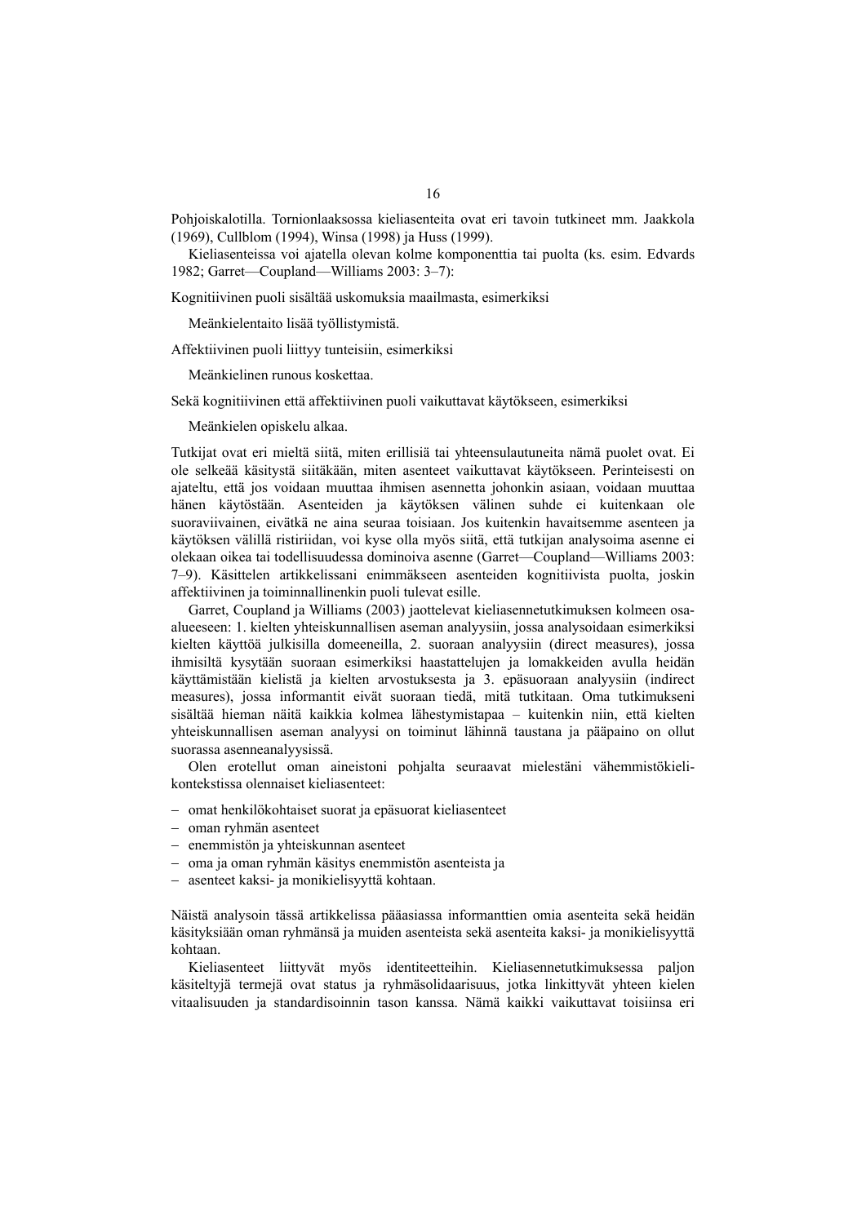Pohjoiskalotilla. Tornionlaaksossa kieliasenteita ovat eri tavoin tutkineet mm. Jaakkola (1969), Cullblom (1994), Winsa (1998) ja Huss (1999).

Kieliasenteissa voi ajatella olevan kolme komponenttia tai puolta (ks. esim. Edvards 1982; Garret—Coupland—Williams 2003: 3–7):

Kognitiivinen puoli sisältää uskomuksia maailmasta, esimerkiksi

Meänkielentaito lisää työllistymistä.

Affektiivinen puoli liittyy tunteisiin, esimerkiksi

Meänkielinen runous koskettaa.

Sekä kognitiivinen että affektiivinen puoli vaikuttavat käytökseen, esimerkiksi

Meänkielen opiskelu alkaa.

Tutkijat ovat eri mieltä siitä, miten erillisiä tai yhteensulautuneita nämä puolet ovat. Ei ole selkeää käsitystä siitäkään, miten asenteet vaikuttavat käytökseen. Perinteisesti on ajateltu, että jos voidaan muuttaa ihmisen asennetta johonkin asiaan, voidaan muuttaa hänen käytöstään. Asenteiden ja käytöksen välinen suhde ei kuitenkaan ole suoraviivainen, eivätkä ne aina seuraa toisiaan. Jos kuitenkin havaitsemme asenteen ja käytöksen välillä ristiriidan, voi kyse olla myös siitä, että tutkijan analysoima asenne ei olekaan oikea tai todellisuudessa dominoiva asenne (Garret—Coupland—Williams 2003: 7–9). Käsittelen artikkelissani enimmäkseen asenteiden kognitiivista puolta, joskin affektiivinen ja toiminnallinenkin puoli tulevat esille.

Garret, Coupland ja Williams (2003) jaottelevat kieliasennetutkimuksen kolmeen osaalueeseen: 1. kielten yhteiskunnallisen aseman analyysiin, jossa analysoidaan esimerkiksi kielten käyttöä julkisilla domeeneilla, 2. suoraan analyysiin (direct measures), jossa ihmisiltä kysytään suoraan esimerkiksi haastattelujen ja lomakkeiden avulla heidän käyttämistään kielistä ja kielten arvostuksesta ja 3. epäsuoraan analyysiin (indirect measures), jossa informantit eivät suoraan tiedä, mitä tutkitaan. Oma tutkimukseni sisältää hieman näitä kaikkia kolmea lähestymistapaa – kuitenkin niin, että kielten yhteiskunnallisen aseman analyysi on toiminut lähinnä taustana ja pääpaino on ollut suorassa asenneanalyysissä.

Olen erotellut oman aineistoni pohjalta seuraavat mielestäni vähemmistökielikontekstissa olennaiset kieliasenteet:

- − omat henkilökohtaiset suorat ja epäsuorat kieliasenteet
- − oman ryhmän asenteet
- − enemmistön ja yhteiskunnan asenteet
- − oma ja oman ryhmän käsitys enemmistön asenteista ja
- − asenteet kaksi- ja monikielisyyttä kohtaan.

Näistä analysoin tässä artikkelissa pääasiassa informanttien omia asenteita sekä heidän käsityksiään oman ryhmänsä ja muiden asenteista sekä asenteita kaksi- ja monikielisyyttä kohtaan.

Kieliasenteet liittyvät myös identiteetteihin. Kieliasennetutkimuksessa paljon käsiteltyjä termejä ovat status ja ryhmäsolidaarisuus, jotka linkittyvät yhteen kielen vitaalisuuden ja standardisoinnin tason kanssa. Nämä kaikki vaikuttavat toisiinsa eri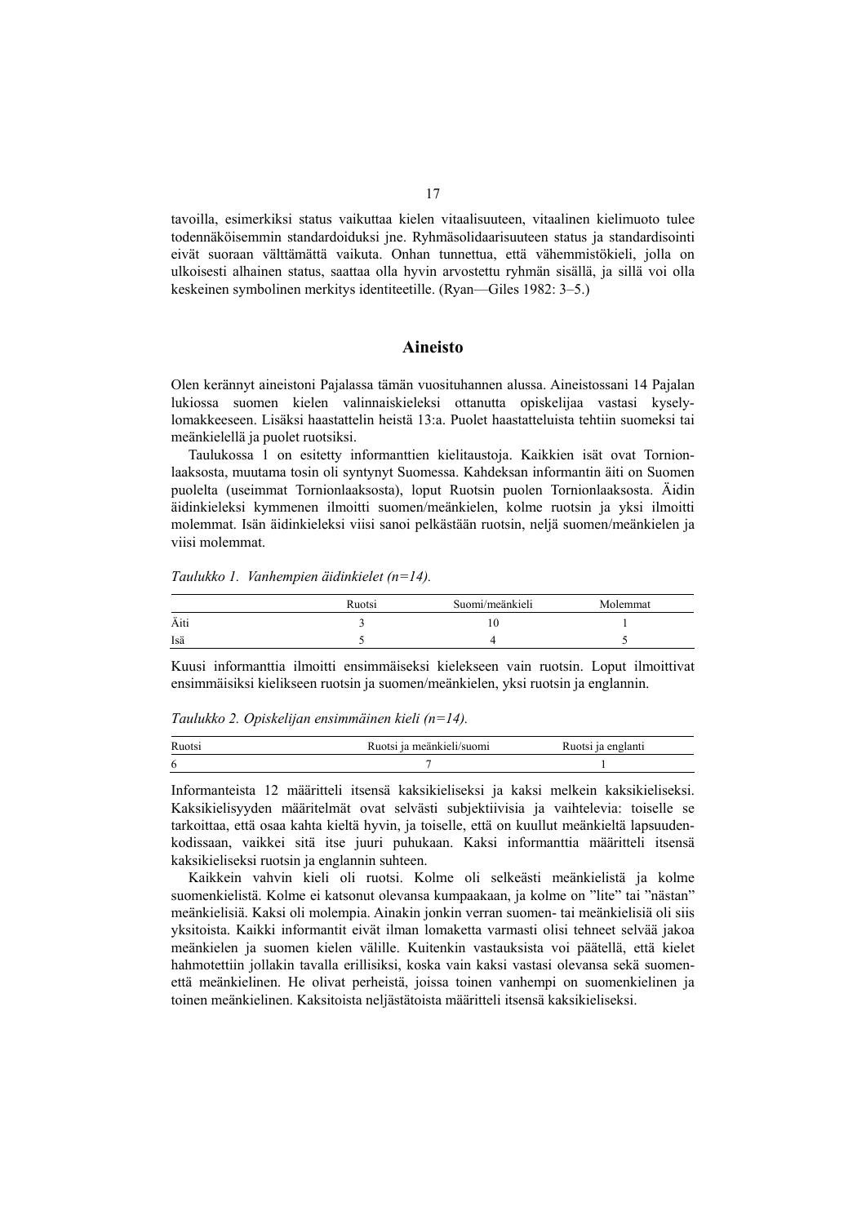tavoilla, esimerkiksi status vaikuttaa kielen vitaalisuuteen, vitaalinen kielimuoto tulee todennäköisemmin standardoiduksi jne. Ryhmäsolidaarisuuteen status ja standardisointi eivät suoraan välttämättä vaikuta. Onhan tunnettua, että vähemmistökieli, jolla on ulkoisesti alhainen status, saattaa olla hyvin arvostettu ryhmän sisällä, ja sillä voi olla keskeinen symbolinen merkitys identiteetille. (Ryan—Giles 1982: 3–5.)

#### **Aineisto**

Olen kerännyt aineistoni Pajalassa tämän vuosituhannen alussa. Aineistossani 14 Pajalan lukiossa suomen kielen valinnaiskieleksi ottanutta opiskelijaa vastasi kyselylomakkeeseen. Lisäksi haastattelin heistä 13:a. Puolet haastatteluista tehtiin suomeksi tai meänkielellä ja puolet ruotsiksi.

Taulukossa 1 on esitetty informanttien kielitaustoja. Kaikkien isät ovat Tornionlaaksosta, muutama tosin oli syntynyt Suomessa. Kahdeksan informantin äiti on Suomen puolelta (useimmat Tornionlaaksosta), loput Ruotsin puolen Tornionlaaksosta. Äidin äidinkieleksi kymmenen ilmoitti suomen/meänkielen, kolme ruotsin ja yksi ilmoitti molemmat. Isän äidinkieleksi viisi sanoi pelkästään ruotsin, neljä suomen/meänkielen ja viisi molemmat.

*Taulukko 1. Vanhempien äidinkielet (n=14).* 

|      | Ruotsi | Suomi/meänkieli | Molemmat |
|------|--------|-----------------|----------|
| Äiti |        | 10              |          |
| Isä  |        |                 |          |

Kuusi informanttia ilmoitti ensimmäiseksi kielekseen vain ruotsin. Loput ilmoittivat ensimmäisiksi kielikseen ruotsin ja suomen/meänkielen, yksi ruotsin ja englannin.

*Taulukko 2. Opiskelijan ensimmäinen kieli (n=14).* 

| Ruotsi | ı meänkieli/suomi | Ruotsi ja englanti |
|--------|-------------------|--------------------|
| 6      |                   |                    |

Informanteista 12 määritteli itsensä kaksikieliseksi ja kaksi melkein kaksikieliseksi. Kaksikielisyyden määritelmät ovat selvästi subjektiivisia ja vaihtelevia: toiselle se tarkoittaa, että osaa kahta kieltä hyvin, ja toiselle, että on kuullut meänkieltä lapsuudenkodissaan, vaikkei sitä itse juuri puhukaan. Kaksi informanttia määritteli itsensä kaksikieliseksi ruotsin ja englannin suhteen.

Kaikkein vahvin kieli oli ruotsi. Kolme oli selkeästi meänkielistä ja kolme suomenkielistä. Kolme ei katsonut olevansa kumpaakaan, ja kolme on "lite" tai "nästan" meänkielisiä. Kaksi oli molempia. Ainakin jonkin verran suomen- tai meänkielisiä oli siis yksitoista. Kaikki informantit eivät ilman lomaketta varmasti olisi tehneet selvää jakoa meänkielen ja suomen kielen välille. Kuitenkin vastauksista voi päätellä, että kielet hahmotettiin jollakin tavalla erillisiksi, koska vain kaksi vastasi olevansa sekä suomenettä meänkielinen. He olivat perheistä, joissa toinen vanhempi on suomenkielinen ja toinen meänkielinen. Kaksitoista neljästätoista määritteli itsensä kaksikieliseksi.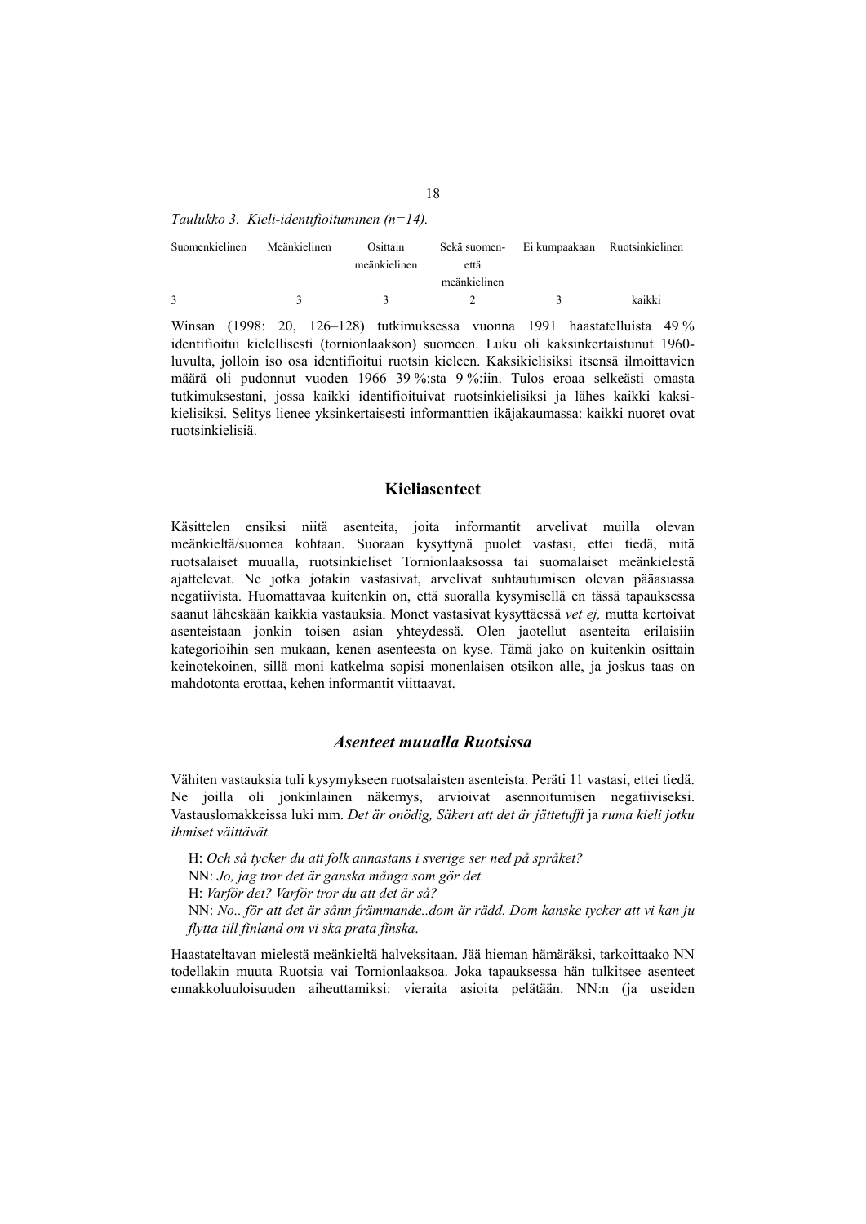| Suomenkielinen | Meänkielinen | Osittain<br>meänkielinen | Sekä suomen-<br>että | Ei kumpaakaan Ruotsinkielinen |
|----------------|--------------|--------------------------|----------------------|-------------------------------|
|                |              |                          | meänkielinen         |                               |
|                |              |                          |                      | kaikki                        |

Winsan (1998: 20, 126–128) tutkimuksessa vuonna 1991 haastatelluista 49 % identifioitui kielellisesti (tornionlaakson) suomeen. Luku oli kaksinkertaistunut 1960 luvulta, jolloin iso osa identifioitui ruotsin kieleen. Kaksikielisiksi itsensä ilmoittavien määrä oli pudonnut vuoden 1966 39 %:sta 9 %:iin. Tulos eroaa selkeästi omasta tutkimuksestani, jossa kaikki identifioituivat ruotsinkielisiksi ja lähes kaikki kaksikielisiksi. Selitys lienee yksinkertaisesti informanttien ikäjakaumassa: kaikki nuoret ovat ruotsinkielisiä.

#### **Kieliasenteet**

Käsittelen ensiksi niitä asenteita, joita informantit arvelivat muilla olevan meänkieltä/suomea kohtaan. Suoraan kysyttynä puolet vastasi, ettei tiedä, mitä ruotsalaiset muualla, ruotsinkieliset Tornionlaaksossa tai suomalaiset meänkielestä ajattelevat. Ne jotka jotakin vastasivat, arvelivat suhtautumisen olevan pääasiassa negatiivista. Huomattavaa kuitenkin on, että suoralla kysymisellä en tässä tapauksessa saanut läheskään kaikkia vastauksia. Monet vastasivat kysyttäessä *vet ej,* mutta kertoivat asenteistaan jonkin toisen asian yhteydessä. Olen jaotellut asenteita erilaisiin kategorioihin sen mukaan, kenen asenteesta on kyse. Tämä jako on kuitenkin osittain keinotekoinen, sillä moni katkelma sopisi monenlaisen otsikon alle, ja joskus taas on mahdotonta erottaa, kehen informantit viittaavat.

#### *Asenteet muualla Ruotsissa*

Vähiten vastauksia tuli kysymykseen ruotsalaisten asenteista. Peräti 11 vastasi, ettei tiedä. Ne joilla oli jonkinlainen näkemys, arvioivat asennoitumisen negatiiviseksi. Vastauslomakkeissa luki mm. *Det är onödig, Säkert att det är jättetufft* ja *ruma kieli jotku ihmiset väittävät.*

H: *Och så tycker du att folk annastans i sverige ser ned på språket?*  NN: *Jo, jag tror det är ganska många som gör det.*  H: *Varför det? Varför tror du att det är så?*  NN: *No.. för att det är sånn främmande..dom är rädd. Dom kanske tycker att vi kan ju flytta till finland om vi ska prata finska*.

Haastateltavan mielestä meänkieltä halveksitaan. Jää hieman hämäräksi, tarkoittaako NN todellakin muuta Ruotsia vai Tornionlaaksoa. Joka tapauksessa hän tulkitsee asenteet ennakkoluuloisuuden aiheuttamiksi: vieraita asioita pelätään. NN:n (ja useiden

*Taulukko 3. Kieli-identifioituminen (n=14).*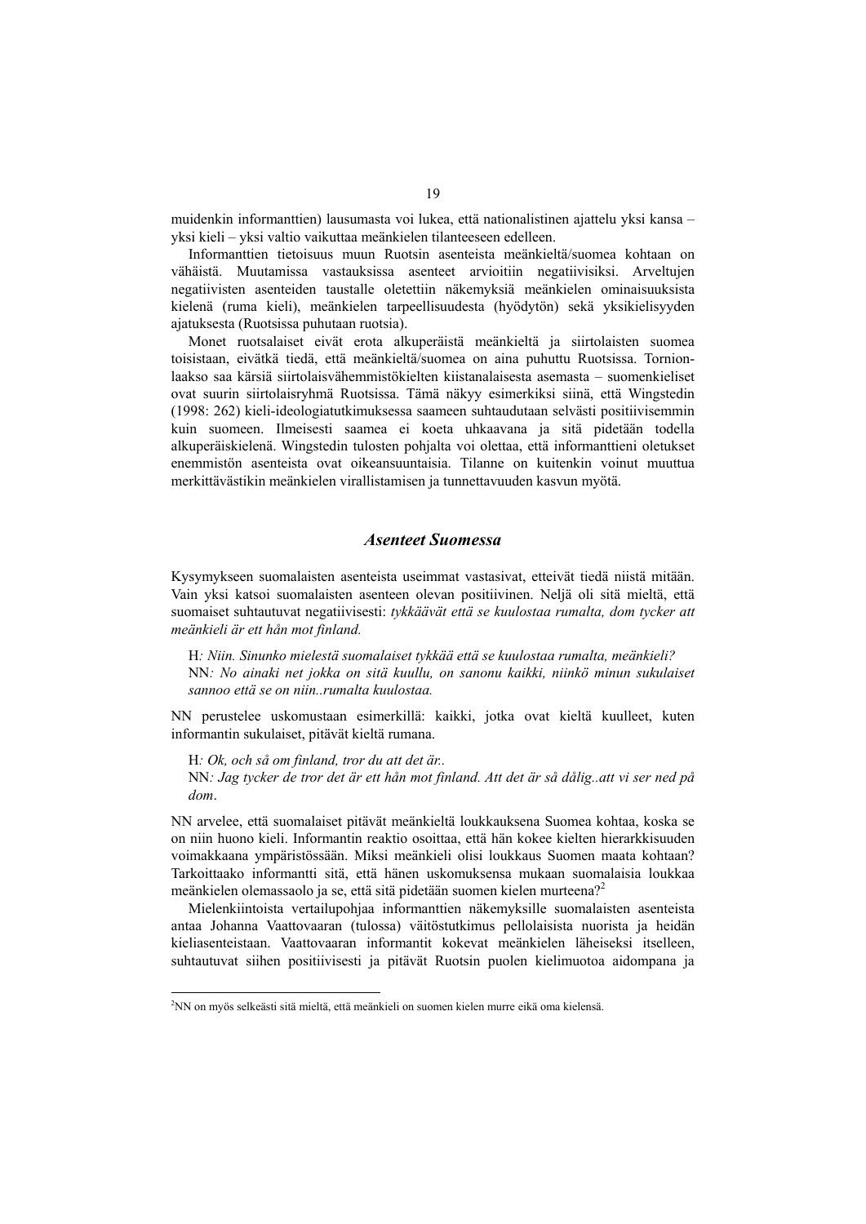muidenkin informanttien) lausumasta voi lukea, että nationalistinen ajattelu yksi kansa – yksi kieli – yksi valtio vaikuttaa meänkielen tilanteeseen edelleen.

Informanttien tietoisuus muun Ruotsin asenteista meänkieltä/suomea kohtaan on vähäistä. Muutamissa vastauksissa asenteet arvioitiin negatiivisiksi. Arveltujen negatiivisten asenteiden taustalle oletettiin näkemyksiä meänkielen ominaisuuksista kielenä (ruma kieli), meänkielen tarpeellisuudesta (hyödytön) sekä yksikielisyyden ajatuksesta (Ruotsissa puhutaan ruotsia).

Monet ruotsalaiset eivät erota alkuperäistä meänkieltä ja siirtolaisten suomea toisistaan, eivätkä tiedä, että meänkieltä/suomea on aina puhuttu Ruotsissa. Tornionlaakso saa kärsiä siirtolaisvähemmistökielten kiistanalaisesta asemasta – suomenkieliset ovat suurin siirtolaisryhmä Ruotsissa. Tämä näkyy esimerkiksi siinä, että Wingstedin (1998: 262) kieli-ideologiatutkimuksessa saameen suhtaudutaan selvästi positiivisemmin kuin suomeen. Ilmeisesti saamea ei koeta uhkaavana ja sitä pidetään todella alkuperäiskielenä. Wingstedin tulosten pohjalta voi olettaa, että informanttieni oletukset enemmistön asenteista ovat oikeansuuntaisia. Tilanne on kuitenkin voinut muuttua merkittävästikin meänkielen virallistamisen ja tunnettavuuden kasvun myötä.

#### *Asenteet Suomessa*

Kysymykseen suomalaisten asenteista useimmat vastasivat, etteivät tiedä niistä mitään. Vain yksi katsoi suomalaisten asenteen olevan positiivinen. Neljä oli sitä mieltä, että suomaiset suhtautuvat negatiivisesti: *tykkäävät että se kuulostaa rumalta, dom tycker att meänkieli är ett hån mot finland.*

H*: Niin. Sinunko mielestä suomalaiset tykkää että se kuulostaa rumalta, meänkieli?*  NN*: No ainaki net jokka on sitä kuullu, on sanonu kaikki, niinkö minun sukulaiset sannoo että se on niin..rumalta kuulostaa.* 

NN perustelee uskomustaan esimerkillä: kaikki, jotka ovat kieltä kuulleet, kuten informantin sukulaiset, pitävät kieltä rumana.

H*: Ok, och så om finland, tror du att det är..*  NN*: Jag tycker de tror det är ett hån mot finland. Att det är så dålig..att vi ser ned på dom*.

NN arvelee, että suomalaiset pitävät meänkieltä loukkauksena Suomea kohtaa, koska se on niin huono kieli. Informantin reaktio osoittaa, että hän kokee kielten hierarkkisuuden voimakkaana ympäristössään. Miksi meänkieli olisi loukkaus Suomen maata kohtaan? Tarkoittaako informantti sitä, että hänen uskomuksensa mukaan suomalaisia loukkaa meänkielen olemassaolo ja se, että sitä pidetään suomen kielen murteena?<sup>2</sup>

Mielenkiintoista vertailupohjaa informanttien näkemyksille suomalaisten asenteista antaa Johanna Vaattovaaran (tulossa) väitöstutkimus pellolaisista nuorista ja heidän kieliasenteistaan. Vaattovaaran informantit kokevat meänkielen läheiseksi itselleen, suhtautuvat siihen positiivisesti ja pitävät Ruotsin puolen kielimuotoa aidompana ja

 $\overline{\phantom{a}}$ 

<sup>2</sup> NN on myös selkeästi sitä mieltä, että meänkieli on suomen kielen murre eikä oma kielensä.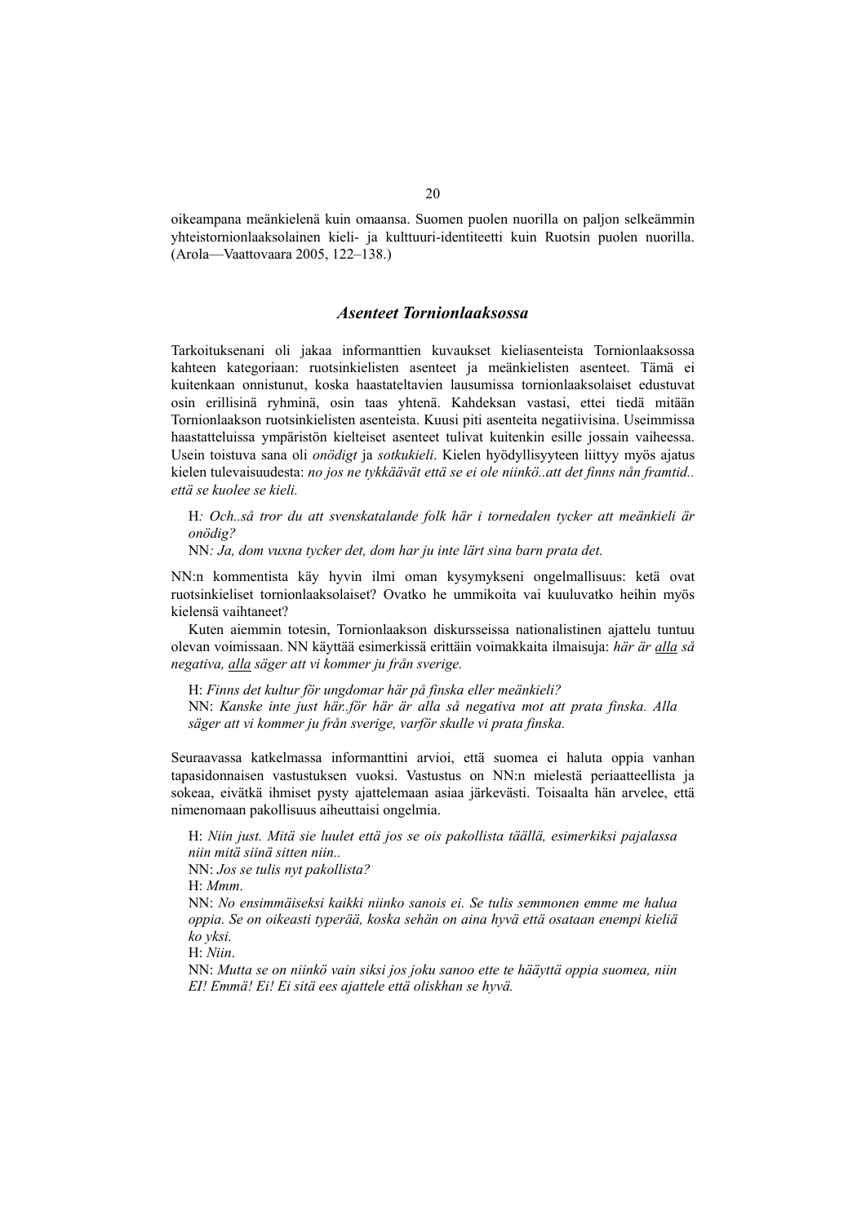oikeampana meänkielenä kuin omaansa. Suomen puolen nuorilla on paljon selkeämmin yhteistornionlaaksolainen kieli- ja kulttuuri-identiteetti kuin Ruotsin puolen nuorilla. (Arola—Vaattovaara 2005, 122–138.)

#### *Asenteet Tornionlaaksossa*

Tarkoituksenani oli jakaa informanttien kuvaukset kieliasenteista Tornionlaaksossa kahteen kategoriaan: ruotsinkielisten asenteet ja meänkielisten asenteet. Tämä ei kuitenkaan onnistunut, koska haastateltavien lausumissa tornionlaaksolaiset edustuvat osin erillisinä ryhminä, osin taas yhtenä. Kahdeksan vastasi, ettei tiedä mitään Tornionlaakson ruotsinkielisten asenteista. Kuusi piti asenteita negatiivisina. Useimmissa haastatteluissa ympäristön kielteiset asenteet tulivat kuitenkin esille jossain vaiheessa. Usein toistuva sana oli *onödigt* ja *sotkukieli*. Kielen hyödyllisyyteen liittyy myös ajatus kielen tulevaisuudesta: *no jos ne tykkäävät että se ei ole niinkö..att det finns nån framtid.. että se kuolee se kieli.*

H*: Och..så tror du att svenskatalande folk här i tornedalen tycker att meänkieli är onödig?* 

NN*: Ja, dom vuxna tycker det, dom har ju inte lärt sina barn prata det.* 

NN:n kommentista käy hyvin ilmi oman kysymykseni ongelmallisuus: ketä ovat ruotsinkieliset tornionlaaksolaiset? Ovatko he ummikoita vai kuuluvatko heihin myös kielensä vaihtaneet?

Kuten aiemmin totesin, Tornionlaakson diskursseissa nationalistinen ajattelu tuntuu olevan voimissaan. NN käyttää esimerkissä erittäin voimakkaita ilmaisuja: *här är alla så negativa, alla säger att vi kommer ju från sverige.*

H: *Finns det kultur för ungdomar här på finska eller meänkieli?*  NN: *Kanske inte just här..för här är alla så negativa mot att prata finska. Alla säger att vi kommer ju från sverige, varför skulle vi prata finska.*

Seuraavassa katkelmassa informanttini arvioi, että suomea ei haluta oppia vanhan tapasidonnaisen vastustuksen vuoksi. Vastustus on NN:n mielestä periaatteellista ja sokeaa, eivätkä ihmiset pysty ajattelemaan asiaa järkevästi. Toisaalta hän arvelee, että nimenomaan pakollisuus aiheuttaisi ongelmia.

H: *Niin just. Mitä sie luulet että jos se ois pakollista täällä, esimerkiksi pajalassa niin mitä siinä sitten niin..* 

NN: *Jos se tulis nyt pakollista?* 

H: *Mmm*.

NN: *No ensimmäiseksi kaikki niinko sanois ei. Se tulis semmonen emme me halua oppia. Se on oikeasti typerää, koska sehän on aina hyvä että osataan enempi kieliä ko yksi.*

H: *Niin*.

NN: *Mutta se on niinkö vain siksi jos joku sanoo ette te hääyttä oppia suomea, niin EI! Emmä! Ei! Ei sitä ees ajattele että oliskhan se hyvä.*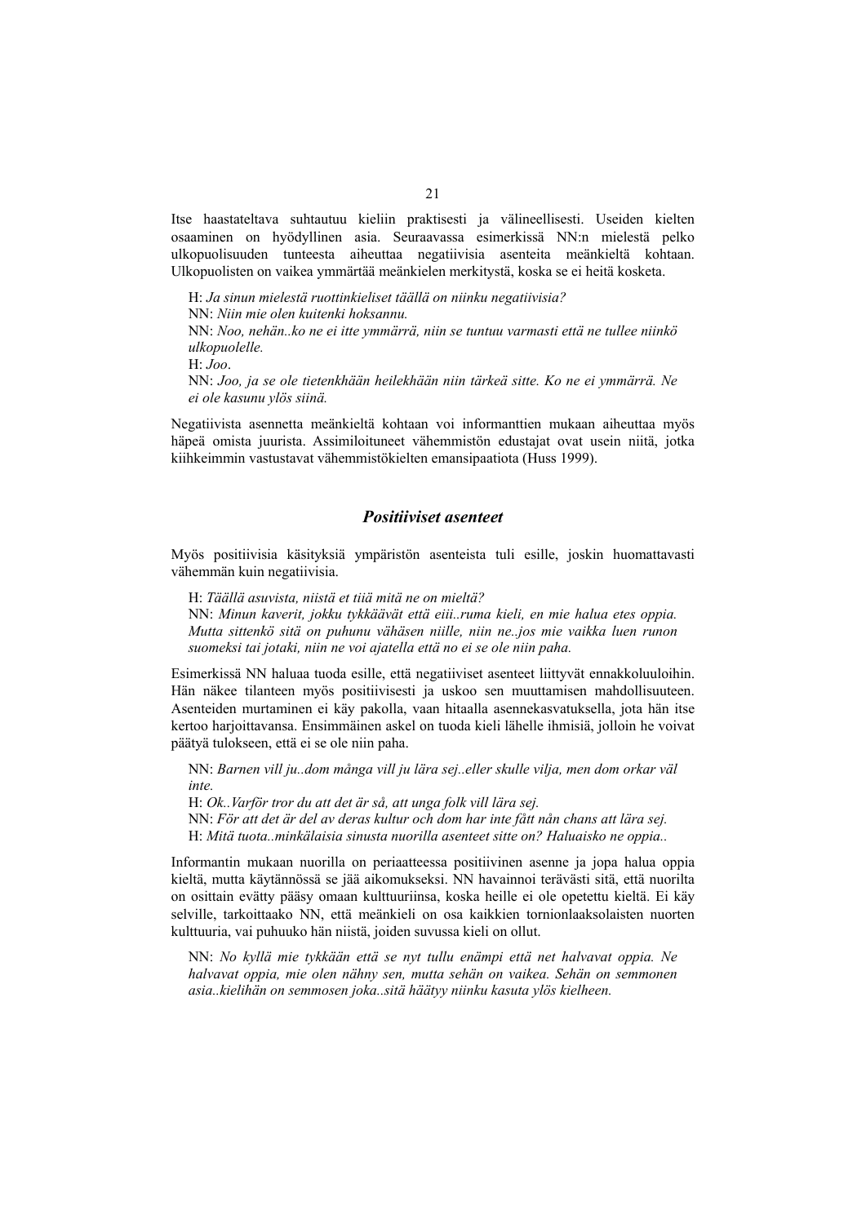Itse haastateltava suhtautuu kieliin praktisesti ja välineellisesti. Useiden kielten osaaminen on hyödyllinen asia. Seuraavassa esimerkissä NN:n mielestä pelko ulkopuolisuuden tunteesta aiheuttaa negatiivisia asenteita meänkieltä kohtaan. Ulkopuolisten on vaikea ymmärtää meänkielen merkitystä, koska se ei heitä kosketa.

H: *Ja sinun mielestä ruottinkieliset täällä on niinku negatiivisia?* NN: *Niin mie olen kuitenki hoksannu.*  NN: *Noo, nehän..ko ne ei itte ymmärrä, niin se tuntuu varmasti että ne tullee niinkö ulkopuolelle.*  H: *Joo*. NN: *Joo, ja se ole tietenkhään heilekhään niin tärkeä sitte. Ko ne ei ymmärrä. Ne ei ole kasunu ylös siinä.* 

Negatiivista asennetta meänkieltä kohtaan voi informanttien mukaan aiheuttaa myös häpeä omista juurista. Assimiloituneet vähemmistön edustajat ovat usein niitä, jotka kiihkeimmin vastustavat vähemmistökielten emansipaatiota (Huss 1999).

#### *Positiiviset asenteet*

Myös positiivisia käsityksiä ympäristön asenteista tuli esille, joskin huomattavasti vähemmän kuin negatiivisia.

H: *Täällä asuvista, niistä et tiiä mitä ne on mieltä?* 

NN: *Minun kaverit, jokku tykkäävät että eiii..ruma kieli, en mie halua etes oppia. Mutta sittenkö sitä on puhunu vähäsen niille, niin ne..jos mie vaikka luen runon suomeksi tai jotaki, niin ne voi ajatella että no ei se ole niin paha.* 

Esimerkissä NN haluaa tuoda esille, että negatiiviset asenteet liittyvät ennakkoluuloihin. Hän näkee tilanteen myös positiivisesti ja uskoo sen muuttamisen mahdollisuuteen. Asenteiden murtaminen ei käy pakolla, vaan hitaalla asennekasvatuksella, jota hän itse kertoo harjoittavansa. Ensimmäinen askel on tuoda kieli lähelle ihmisiä, jolloin he voivat päätyä tulokseen, että ei se ole niin paha.

NN: *Barnen vill ju..dom många vill ju lära sej..eller skulle vilja, men dom orkar väl inte.* 

H: *Ok..Varför tror du att det är så, att unga folk vill lära sej.*  NN: *För att det är del av deras kultur och dom har inte fått nån chans att lära sej.*  H: *Mitä tuota..minkälaisia sinusta nuorilla asenteet sitte on? Haluaisko ne oppia..* 

Informantin mukaan nuorilla on periaatteessa positiivinen asenne ja jopa halua oppia kieltä, mutta käytännössä se jää aikomukseksi. NN havainnoi terävästi sitä, että nuorilta on osittain evätty pääsy omaan kulttuuriinsa, koska heille ei ole opetettu kieltä. Ei käy selville, tarkoittaako NN, että meänkieli on osa kaikkien tornionlaaksolaisten nuorten kulttuuria, vai puhuuko hän niistä, joiden suvussa kieli on ollut.

NN: *No kyllä mie tykkään että se nyt tullu enämpi että net halvavat oppia. Ne halvavat oppia, mie olen nähny sen, mutta sehän on vaikea. Sehän on semmonen asia..kielihän on semmosen joka..sitä häätyy niinku kasuta ylös kielheen.*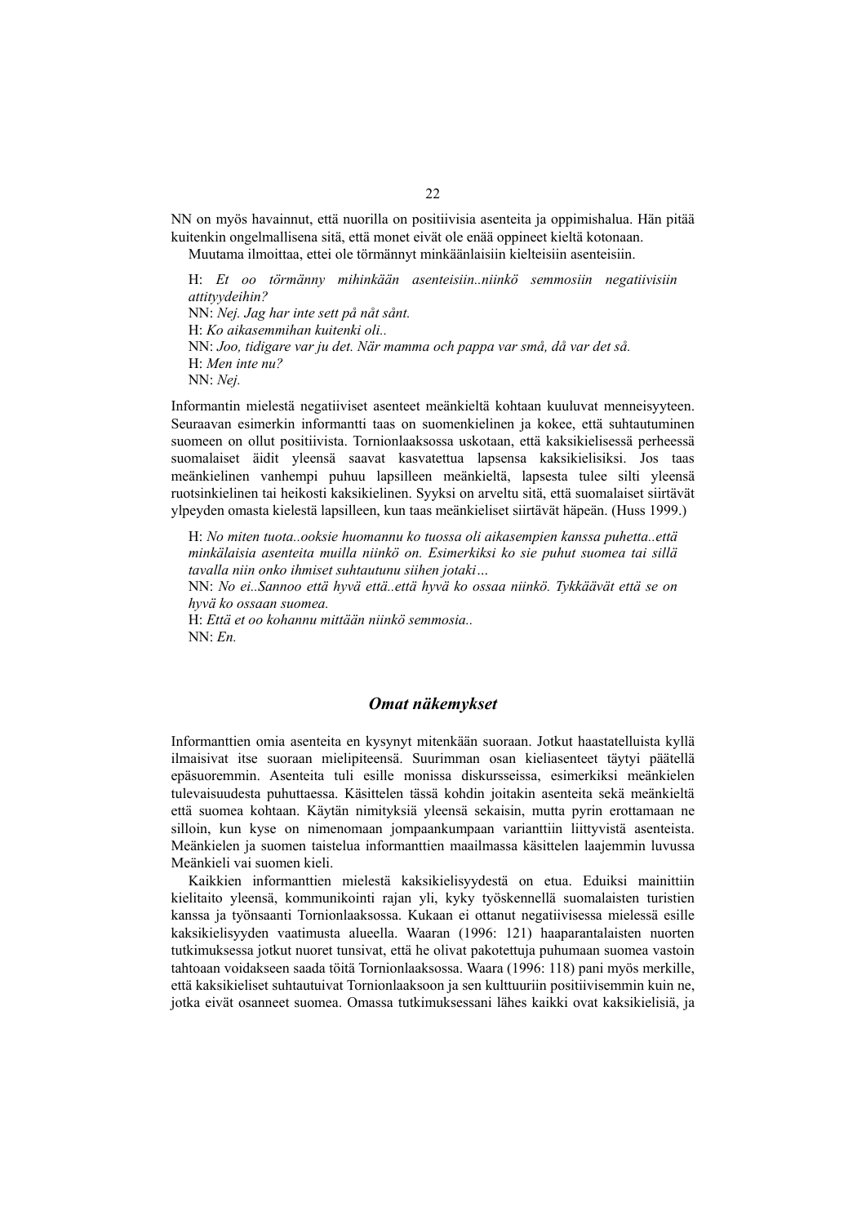NN on myös havainnut, että nuorilla on positiivisia asenteita ja oppimishalua. Hän pitää kuitenkin ongelmallisena sitä, että monet eivät ole enää oppineet kieltä kotonaan.

Muutama ilmoittaa, ettei ole törmännyt minkäänlaisiin kielteisiin asenteisiin.

H: *Et oo törmänny mihinkään asenteisiin..niinkö semmosiin negatiivisiin attityydeihin?* NN: *Nej. Jag har inte sett på nåt sånt.* H: *Ko aikasemmihan kuitenki oli..*  NN: *Joo, tidigare var ju det. När mamma och pappa var små, då var det så.* H: *Men inte nu?*  NN: *Nej.* 

Informantin mielestä negatiiviset asenteet meänkieltä kohtaan kuuluvat menneisyyteen. Seuraavan esimerkin informantti taas on suomenkielinen ja kokee, että suhtautuminen suomeen on ollut positiivista. Tornionlaaksossa uskotaan, että kaksikielisessä perheessä suomalaiset äidit yleensä saavat kasvatettua lapsensa kaksikielisiksi. Jos taas meänkielinen vanhempi puhuu lapsilleen meänkieltä, lapsesta tulee silti yleensä ruotsinkielinen tai heikosti kaksikielinen. Syyksi on arveltu sitä, että suomalaiset siirtävät ylpeyden omasta kielestä lapsilleen, kun taas meänkieliset siirtävät häpeän. (Huss 1999.)

H: *No miten tuota..ooksie huomannu ko tuossa oli aikasempien kanssa puhetta..että minkälaisia asenteita muilla niinkö on. Esimerkiksi ko sie puhut suomea tai sillä tavalla niin onko ihmiset suhtautunu siihen jotaki…* 

NN: *No ei..Sannoo että hyvä että..että hyvä ko ossaa niinkö. Tykkäävät että se on hyvä ko ossaan suomea.* 

H: *Että et oo kohannu mittään niinkö semmosia..*   $NN \cdot En$ 

#### *Omat näkemykset*

Informanttien omia asenteita en kysynyt mitenkään suoraan. Jotkut haastatelluista kyllä ilmaisivat itse suoraan mielipiteensä. Suurimman osan kieliasenteet täytyi päätellä epäsuoremmin. Asenteita tuli esille monissa diskursseissa, esimerkiksi meänkielen tulevaisuudesta puhuttaessa. Käsittelen tässä kohdin joitakin asenteita sekä meänkieltä että suomea kohtaan. Käytän nimityksiä yleensä sekaisin, mutta pyrin erottamaan ne silloin, kun kyse on nimenomaan jompaankumpaan varianttiin liittyvistä asenteista. Meänkielen ja suomen taistelua informanttien maailmassa käsittelen laajemmin luvussa Meänkieli vai suomen kieli.

Kaikkien informanttien mielestä kaksikielisyydestä on etua. Eduiksi mainittiin kielitaito yleensä, kommunikointi rajan yli, kyky työskennellä suomalaisten turistien kanssa ja työnsaanti Tornionlaaksossa. Kukaan ei ottanut negatiivisessa mielessä esille kaksikielisyyden vaatimusta alueella. Waaran (1996: 121) haaparantalaisten nuorten tutkimuksessa jotkut nuoret tunsivat, että he olivat pakotettuja puhumaan suomea vastoin tahtoaan voidakseen saada töitä Tornionlaaksossa. Waara (1996: 118) pani myös merkille, että kaksikieliset suhtautuivat Tornionlaaksoon ja sen kulttuuriin positiivisemmin kuin ne, jotka eivät osanneet suomea. Omassa tutkimuksessani lähes kaikki ovat kaksikielisiä, ja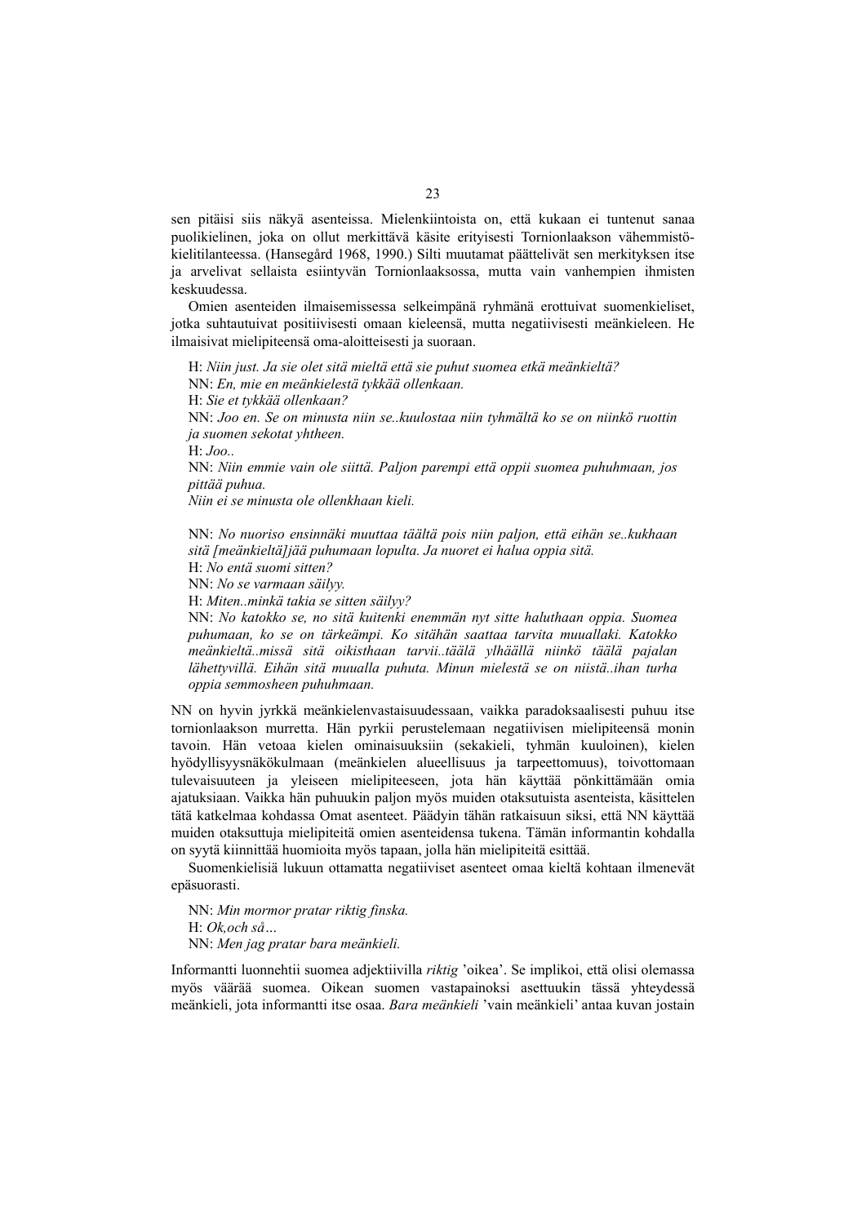sen pitäisi siis näkyä asenteissa. Mielenkiintoista on, että kukaan ei tuntenut sanaa puolikielinen, joka on ollut merkittävä käsite erityisesti Tornionlaakson vähemmistökielitilanteessa. (Hansegård 1968, 1990.) Silti muutamat päättelivät sen merkityksen itse ja arvelivat sellaista esiintyvän Tornionlaaksossa, mutta vain vanhempien ihmisten keskuudessa.

Omien asenteiden ilmaisemissessa selkeimpänä ryhmänä erottuivat suomenkieliset, jotka suhtautuivat positiivisesti omaan kieleensä, mutta negatiivisesti meänkieleen. He ilmaisivat mielipiteensä oma-aloitteisesti ja suoraan.

H: *Niin just. Ja sie olet sitä mieltä että sie puhut suomea etkä meänkieltä?*  NN: *En, mie en meänkielestä tykkää ollenkaan.* 

H: *Sie et tykkää ollenkaan?*

NN: *Joo en. Se on minusta niin se..kuulostaa niin tyhmältä ko se on niinkö ruottin ja suomen sekotat yhtheen.* 

H: *Joo..* 

NN: *Niin emmie vain ole siittä. Paljon parempi että oppii suomea puhuhmaan, jos pittää puhua.* 

*Niin ei se minusta ole ollenkhaan kieli.* 

NN: *No nuoriso ensinnäki muuttaa täältä pois niin paljon, että eihän se..kukhaan sitä [meänkieltä]jää puhumaan lopulta. Ja nuoret ei halua oppia sitä.* 

H: *No entä suomi sitten?* 

NN: *No se varmaan säilyy.* 

H: *Miten..minkä takia se sitten säilyy?* 

NN: *No katokko se, no sitä kuitenki enemmän nyt sitte haluthaan oppia. Suomea puhumaan, ko se on tärkeämpi. Ko sitähän saattaa tarvita muuallaki. Katokko meänkieltä..missä sitä oikisthaan tarvii..täälä ylhäällä niinkö täälä pajalan lähettyvillä. Eihän sitä muualla puhuta. Minun mielestä se on niistä..ihan turha oppia semmosheen puhuhmaan.* 

NN on hyvin jyrkkä meänkielenvastaisuudessaan, vaikka paradoksaalisesti puhuu itse tornionlaakson murretta. Hän pyrkii perustelemaan negatiivisen mielipiteensä monin tavoin. Hän vetoaa kielen ominaisuuksiin (sekakieli, tyhmän kuuloinen), kielen hyödyllisyysnäkökulmaan (meänkielen alueellisuus ja tarpeettomuus), toivottomaan tulevaisuuteen ja yleiseen mielipiteeseen, jota hän käyttää pönkittämään omia ajatuksiaan. Vaikka hän puhuukin paljon myös muiden otaksutuista asenteista, käsittelen tätä katkelmaa kohdassa Omat asenteet. Päädyin tähän ratkaisuun siksi, että NN käyttää muiden otaksuttuja mielipiteitä omien asenteidensa tukena. Tämän informantin kohdalla on syytä kiinnittää huomioita myös tapaan, jolla hän mielipiteitä esittää.

Suomenkielisiä lukuun ottamatta negatiiviset asenteet omaa kieltä kohtaan ilmenevät epäsuorasti.

NN: *Min mormor pratar riktig finska.*  H: *Ok,och så…*  NN: *Men jag pratar bara meänkieli.* 

Informantti luonnehtii suomea adjektiivilla *riktig* 'oikea'. Se implikoi, että olisi olemassa myös väärää suomea. Oikean suomen vastapainoksi asettuukin tässä yhteydessä meänkieli, jota informantti itse osaa. *Bara meänkieli* 'vain meänkieli' antaa kuvan jostain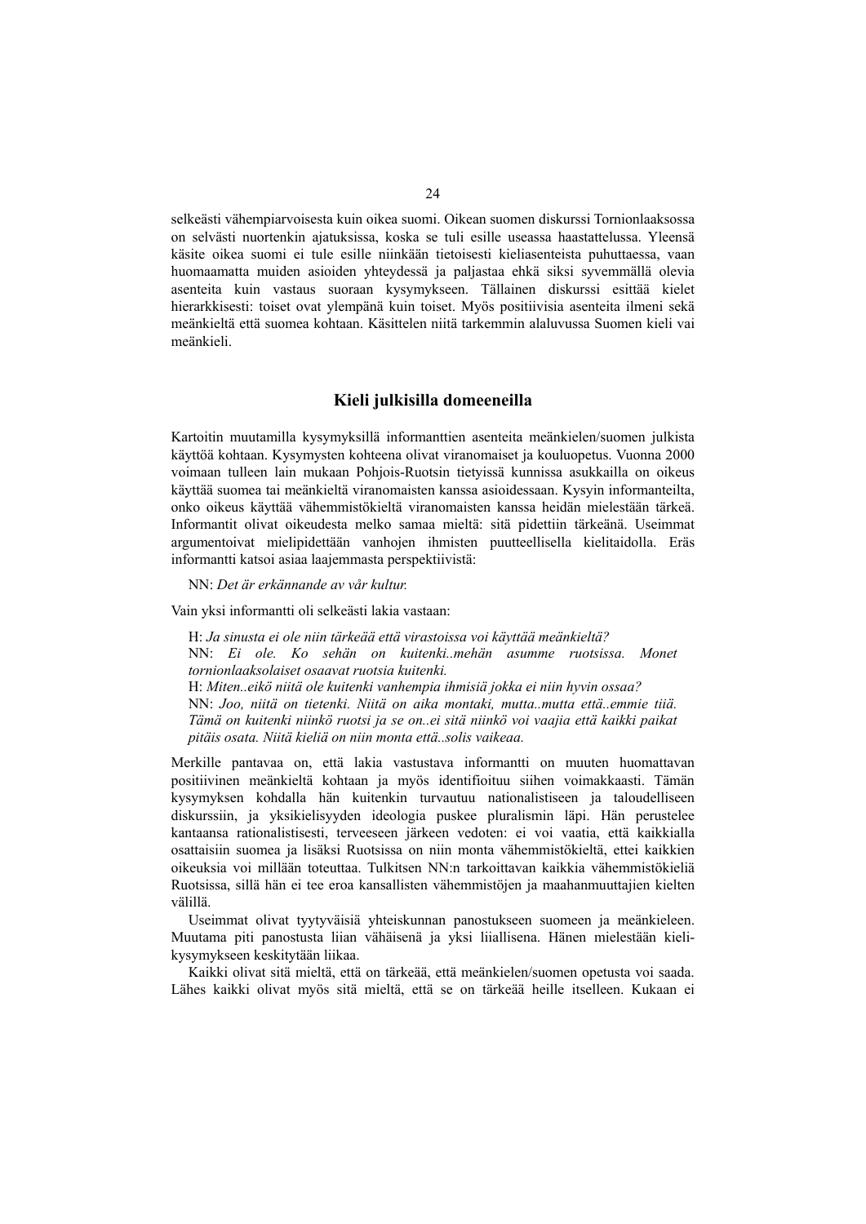selkeästi vähempiarvoisesta kuin oikea suomi. Oikean suomen diskurssi Tornionlaaksossa on selvästi nuortenkin ajatuksissa, koska se tuli esille useassa haastattelussa. Yleensä käsite oikea suomi ei tule esille niinkään tietoisesti kieliasenteista puhuttaessa, vaan huomaamatta muiden asioiden yhteydessä ja paljastaa ehkä siksi syvemmällä olevia asenteita kuin vastaus suoraan kysymykseen. Tällainen diskurssi esittää kielet hierarkkisesti: toiset ovat ylempänä kuin toiset. Myös positiivisia asenteita ilmeni sekä meänkieltä että suomea kohtaan. Käsittelen niitä tarkemmin alaluvussa Suomen kieli vai meänkieli.

#### **Kieli julkisilla domeeneilla**

Kartoitin muutamilla kysymyksillä informanttien asenteita meänkielen/suomen julkista käyttöä kohtaan. Kysymysten kohteena olivat viranomaiset ja kouluopetus. Vuonna 2000 voimaan tulleen lain mukaan Pohjois-Ruotsin tietyissä kunnissa asukkailla on oikeus käyttää suomea tai meänkieltä viranomaisten kanssa asioidessaan. Kysyin informanteilta, onko oikeus käyttää vähemmistökieltä viranomaisten kanssa heidän mielestään tärkeä. Informantit olivat oikeudesta melko samaa mieltä: sitä pidettiin tärkeänä. Useimmat argumentoivat mielipidettään vanhojen ihmisten puutteellisella kielitaidolla. Eräs informantti katsoi asiaa laajemmasta perspektiivistä:

NN: *Det är erkännande av vår kultur.* 

Vain yksi informantti oli selkeästi lakia vastaan:

H: *Ja sinusta ei ole niin tärkeää että virastoissa voi käyttää meänkieltä?*  NN: *Ei ole. Ko sehän on kuitenki..mehän asumme ruotsissa. Monet tornionlaaksolaiset osaavat ruotsia kuitenki.*  H: *Miten..eikö niitä ole kuitenki vanhempia ihmisiä jokka ei niin hyvin ossaa?*  NN: *Joo, niitä on tietenki. Niitä on aika montaki, mutta..mutta että..emmie tiiä. Tämä on kuitenki niinkö ruotsi ja se on..ei sitä niinkö voi vaajia että kaikki paikat pitäis osata. Niitä kieliä on niin monta että..solis vaikeaa.* 

Merkille pantavaa on, että lakia vastustava informantti on muuten huomattavan positiivinen meänkieltä kohtaan ja myös identifioituu siihen voimakkaasti. Tämän kysymyksen kohdalla hän kuitenkin turvautuu nationalistiseen ja taloudelliseen diskurssiin, ja yksikielisyyden ideologia puskee pluralismin läpi. Hän perustelee kantaansa rationalistisesti, terveeseen järkeen vedoten: ei voi vaatia, että kaikkialla osattaisiin suomea ja lisäksi Ruotsissa on niin monta vähemmistökieltä, ettei kaikkien oikeuksia voi millään toteuttaa. Tulkitsen NN:n tarkoittavan kaikkia vähemmistökieliä Ruotsissa, sillä hän ei tee eroa kansallisten vähemmistöjen ja maahanmuuttajien kielten välillä.

Useimmat olivat tyytyväisiä yhteiskunnan panostukseen suomeen ja meänkieleen. Muutama piti panostusta liian vähäisenä ja yksi liiallisena. Hänen mielestään kielikysymykseen keskitytään liikaa.

Kaikki olivat sitä mieltä, että on tärkeää, että meänkielen/suomen opetusta voi saada. Lähes kaikki olivat myös sitä mieltä, että se on tärkeää heille itselleen. Kukaan ei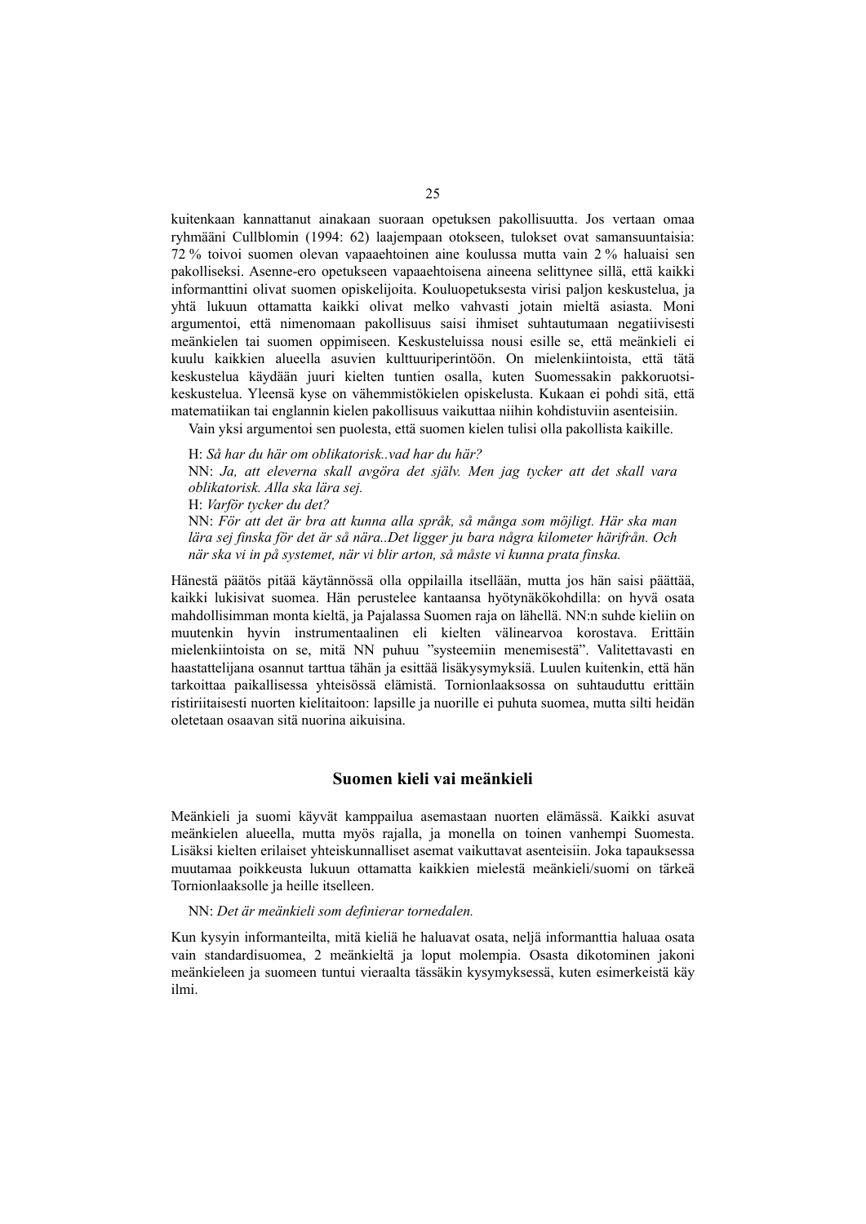kuitenkaan kannattanut ainakaan suoraan opetuksen pakollisuutta. Jos vertaan omaa ryhmääni Cullblomin (1994: 62) laajempaan otokseen, tulokset ovat samansuuntaisia: 72 % toivoi suomen olevan vapaaehtoinen aine koulussa mutta vain 2 % haluaisi sen pakolliseksi. Asenne-ero opetukseen vapaaehtoisena aineena selittynee sillä, että kaikki informanttini olivat suomen opiskelijoita. Kouluopetuksesta virisi paljon keskustelua, ja yhtä lukuun ottamatta kaikki olivat melko vahvasti jotain mieltä asiasta. Moni argumentoi, että nimenomaan pakollisuus saisi ihmiset suhtautumaan negatiivisesti meänkielen tai suomen oppimiseen. Keskusteluissa nousi esille se, että meänkieli ei kuulu kaikkien alueella asuvien kulttuuriperintöön. On mielenkiintoista, että tätä keskustelua käydään juuri kielten tuntien osalla, kuten Suomessakin pakkoruotsikeskustelua. Yleensä kyse on vähemmistökielen opiskelusta. Kukaan ei pohdi sitä, että matematiikan tai englannin kielen pakollisuus vaikuttaa niihin kohdistuviin asenteisiin.

Vain yksi argumentoi sen puolesta, että suomen kielen tulisi olla pakollista kaikille.

H: *Så har du här om oblikatorisk..vad har du här?*  NN: *Ja, att eleverna skall avgöra det själv. Men jag tycker att det skall vara oblikatorisk. Alla ska lära sej.*  H: *Varför tycker du det?*  NN: *För att det är bra att kunna alla språk, så många som möjligt. Här ska man lära sej finska för det är så nära..Det ligger ju bara några kilometer härifrån. Och när ska vi in på systemet, när vi blir arton, så måste vi kunna prata finska.* 

Hänestä päätös pitää käytännössä olla oppilailla itsellään, mutta jos hän saisi päättää, kaikki lukisivat suomea. Hän perustelee kantaansa hyötynäkökohdilla: on hyvä osata mahdollisimman monta kieltä, ja Pajalassa Suomen raja on lähellä. NN:n suhde kieliin on muutenkin hyvin instrumentaalinen eli kielten välinearvoa korostava. Erittäin mielenkiintoista on se, mitä NN puhuu "systeemiin menemisestä". Valitettavasti en haastattelijana osannut tarttua tähän ja esittää lisäkysymyksiä. Luulen kuitenkin, että hän tarkoittaa paikallisessa yhteisössä elämistä. Tornionlaaksossa on suhtauduttu erittäin ristiriitaisesti nuorten kielitaitoon: lapsille ja nuorille ei puhuta suomea, mutta silti heidän oletetaan osaavan sitä nuorina aikuisina.

### **Suomen kieli vai meänkieli**

Meänkieli ja suomi käyvät kamppailua asemastaan nuorten elämässä. Kaikki asuvat meänkielen alueella, mutta myös rajalla, ja monella on toinen vanhempi Suomesta. Lisäksi kielten erilaiset yhteiskunnalliset asemat vaikuttavat asenteisiin. Joka tapauksessa muutamaa poikkeusta lukuun ottamatta kaikkien mielestä meänkieli/suomi on tärkeä Tornionlaaksolle ja heille itselleen.

#### NN: *Det är meänkieli som definierar tornedalen.*

Kun kysyin informanteilta, mitä kieliä he haluavat osata, neljä informanttia haluaa osata vain standardisuomea, 2 meänkieltä ja loput molempia. Osasta dikotominen jakoni meänkieleen ja suomeen tuntui vieraalta tässäkin kysymyksessä, kuten esimerkeistä käy ilmi.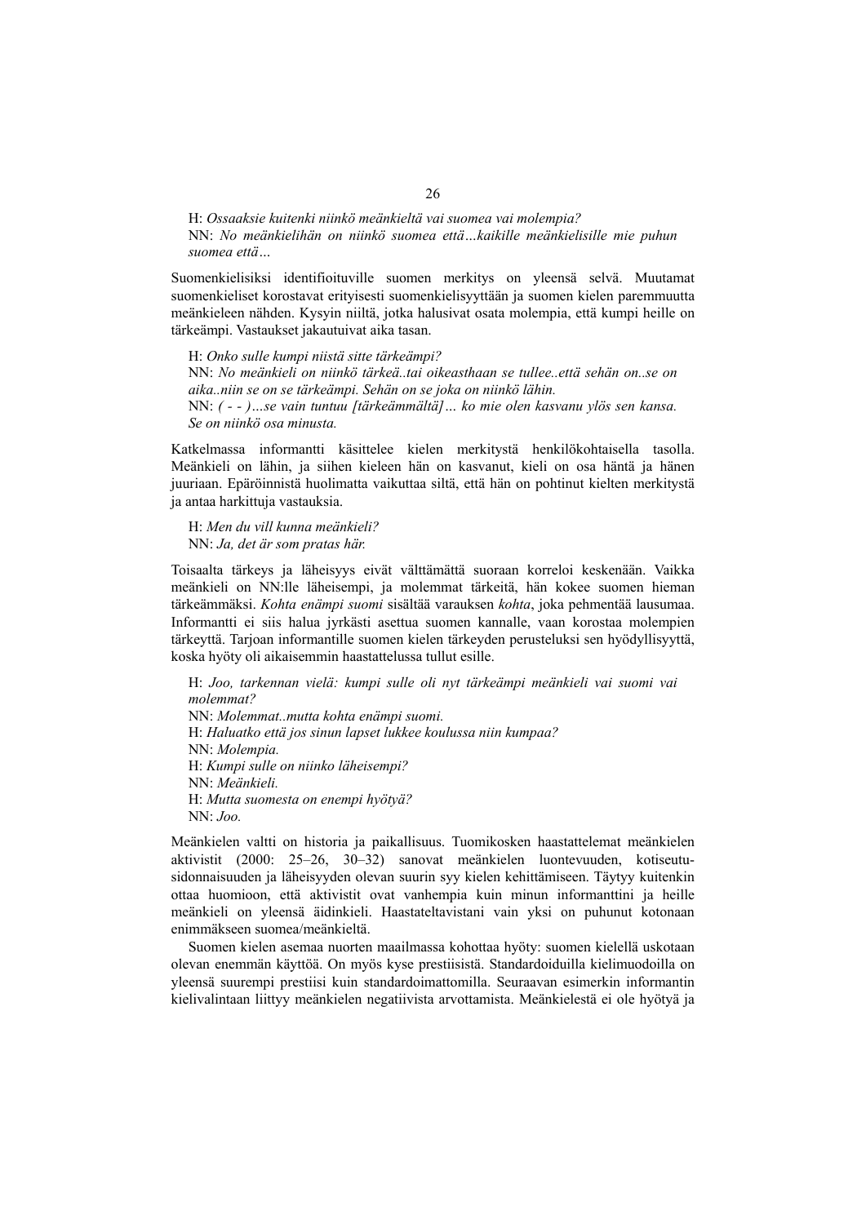H: *Ossaaksie kuitenki niinkö meänkieltä vai suomea vai molempia?*  NN: *No meänkielihän on niinkö suomea että…kaikille meänkielisille mie puhun suomea että…* 

Suomenkielisiksi identifioituville suomen merkitys on yleensä selvä. Muutamat suomenkieliset korostavat erityisesti suomenkielisyyttään ja suomen kielen paremmuutta meänkieleen nähden. Kysyin niiltä, jotka halusivat osata molempia, että kumpi heille on tärkeämpi. Vastaukset jakautuivat aika tasan.

H: *Onko sulle kumpi niistä sitte tärkeämpi?*  NN: *No meänkieli on niinkö tärkeä..tai oikeasthaan se tullee..että sehän on..se on aika..niin se on se tärkeämpi. Sehän on se joka on niinkö lähin.*  NN: *( - - )…se vain tuntuu [tärkeämmältä]… ko mie olen kasvanu ylös sen kansa. Se on niinkö osa minusta.* 

Katkelmassa informantti käsittelee kielen merkitystä henkilökohtaisella tasolla. Meänkieli on lähin, ja siihen kieleen hän on kasvanut, kieli on osa häntä ja hänen juuriaan. Epäröinnistä huolimatta vaikuttaa siltä, että hän on pohtinut kielten merkitystä ja antaa harkittuja vastauksia.

H: *Men du vill kunna meänkieli?*  NN: *Ja, det är som pratas här.* 

Toisaalta tärkeys ja läheisyys eivät välttämättä suoraan korreloi keskenään. Vaikka meänkieli on NN:lle läheisempi, ja molemmat tärkeitä, hän kokee suomen hieman tärkeämmäksi. *Kohta enämpi suomi* sisältää varauksen *kohta*, joka pehmentää lausumaa. Informantti ei siis halua jyrkästi asettua suomen kannalle, vaan korostaa molempien tärkeyttä. Tarjoan informantille suomen kielen tärkeyden perusteluksi sen hyödyllisyyttä, koska hyöty oli aikaisemmin haastattelussa tullut esille.

H: *Joo, tarkennan vielä: kumpi sulle oli nyt tärkeämpi meänkieli vai suomi vai molemmat?*  NN: *Molemmat..mutta kohta enämpi suomi.* H: *Haluatko että jos sinun lapset lukkee koulussa niin kumpaa?*  NN: *Molempia.*  H: *Kumpi sulle on niinko läheisempi?*  NN: *Meänkieli.*  H: *Mutta suomesta on enempi hyötyä?*  NN: *Joo.* 

Meänkielen valtti on historia ja paikallisuus. Tuomikosken haastattelemat meänkielen aktivistit (2000: 25–26, 30–32) sanovat meänkielen luontevuuden, kotiseutusidonnaisuuden ja läheisyyden olevan suurin syy kielen kehittämiseen. Täytyy kuitenkin ottaa huomioon, että aktivistit ovat vanhempia kuin minun informanttini ja heille meänkieli on yleensä äidinkieli. Haastateltavistani vain yksi on puhunut kotonaan enimmäkseen suomea/meänkieltä.

Suomen kielen asemaa nuorten maailmassa kohottaa hyöty: suomen kielellä uskotaan olevan enemmän käyttöä. On myös kyse prestiisistä. Standardoiduilla kielimuodoilla on yleensä suurempi prestiisi kuin standardoimattomilla. Seuraavan esimerkin informantin kielivalintaan liittyy meänkielen negatiivista arvottamista. Meänkielestä ei ole hyötyä ja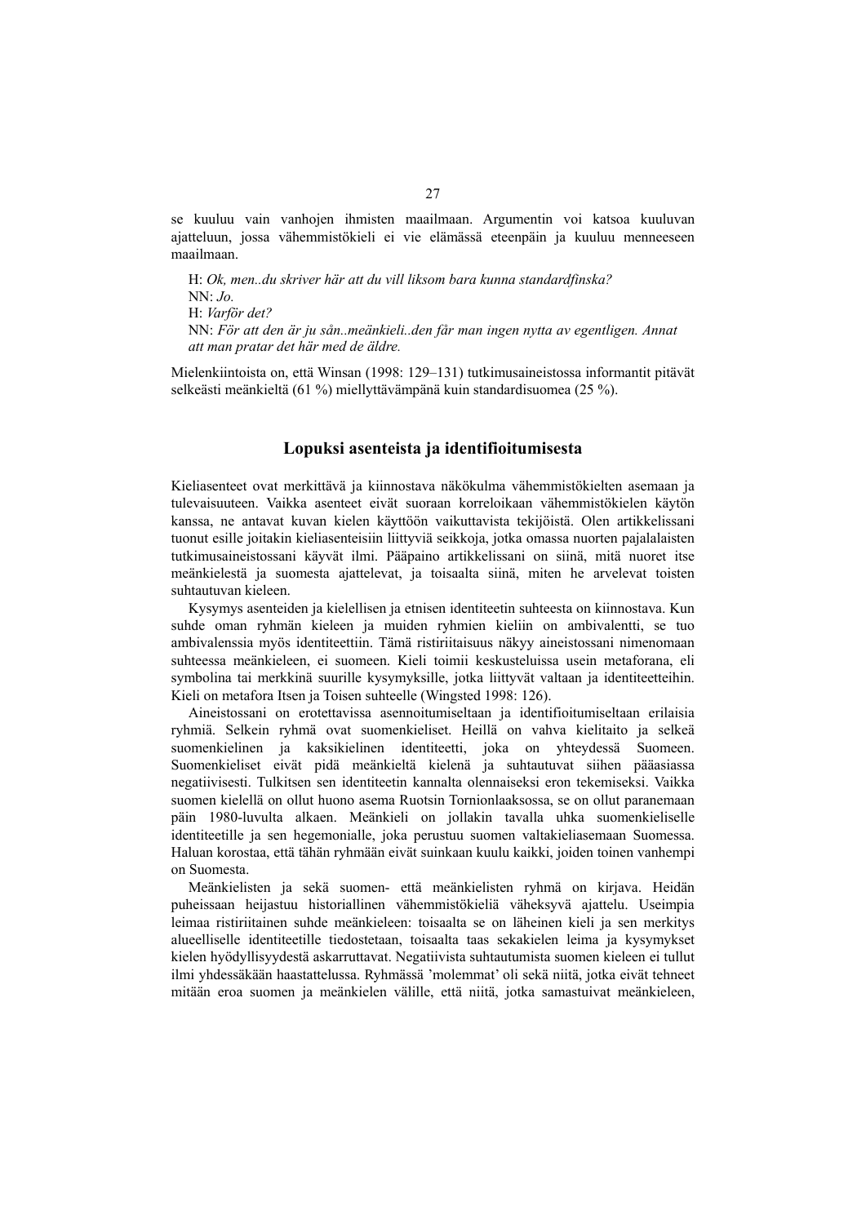se kuuluu vain vanhojen ihmisten maailmaan. Argumentin voi katsoa kuuluvan ajatteluun, jossa vähemmistökieli ei vie elämässä eteenpäin ja kuuluu menneeseen maailmaan.

H: *Ok, men..du skriver här att du vill liksom bara kunna standardfinska?*   $NN^{\ldots}$ *Jo.* H: *Varför det?*  NN: *För att den är ju sån..meänkieli..den får man ingen nytta av egentligen. Annat att man pratar det här med de äldre.* 

Mielenkiintoista on, että Winsan (1998: 129–131) tutkimusaineistossa informantit pitävät selkeästi meänkieltä (61 %) miellyttävämpänä kuin standardisuomea (25 %).

#### **Lopuksi asenteista ja identifioitumisesta**

Kieliasenteet ovat merkittävä ja kiinnostava näkökulma vähemmistökielten asemaan ja tulevaisuuteen. Vaikka asenteet eivät suoraan korreloikaan vähemmistökielen käytön kanssa, ne antavat kuvan kielen käyttöön vaikuttavista tekijöistä. Olen artikkelissani tuonut esille joitakin kieliasenteisiin liittyviä seikkoja, jotka omassa nuorten pajalalaisten tutkimusaineistossani käyvät ilmi. Pääpaino artikkelissani on siinä, mitä nuoret itse meänkielestä ja suomesta ajattelevat, ja toisaalta siinä, miten he arvelevat toisten suhtautuvan kieleen.

Kysymys asenteiden ja kielellisen ja etnisen identiteetin suhteesta on kiinnostava. Kun suhde oman ryhmän kieleen ja muiden ryhmien kieliin on ambivalentti, se tuo ambivalenssia myös identiteettiin. Tämä ristiriitaisuus näkyy aineistossani nimenomaan suhteessa meänkieleen, ei suomeen. Kieli toimii keskusteluissa usein metaforana, eli symbolina tai merkkinä suurille kysymyksille, jotka liittyvät valtaan ja identiteetteihin. Kieli on metafora Itsen ja Toisen suhteelle (Wingsted 1998: 126).

Aineistossani on erotettavissa asennoitumiseltaan ja identifioitumiseltaan erilaisia ryhmiä. Selkein ryhmä ovat suomenkieliset. Heillä on vahva kielitaito ja selkeä suomenkielinen ja kaksikielinen identiteetti, joka on yhteydessä Suomeen. Suomenkieliset eivät pidä meänkieltä kielenä ja suhtautuvat siihen pääasiassa negatiivisesti. Tulkitsen sen identiteetin kannalta olennaiseksi eron tekemiseksi. Vaikka suomen kielellä on ollut huono asema Ruotsin Tornionlaaksossa, se on ollut paranemaan päin 1980-luvulta alkaen. Meänkieli on jollakin tavalla uhka suomenkieliselle identiteetille ja sen hegemonialle, joka perustuu suomen valtakieliasemaan Suomessa. Haluan korostaa, että tähän ryhmään eivät suinkaan kuulu kaikki, joiden toinen vanhempi on Suomesta.

Meänkielisten ja sekä suomen- että meänkielisten ryhmä on kirjava. Heidän puheissaan heijastuu historiallinen vähemmistökieliä väheksyvä ajattelu. Useimpia leimaa ristiriitainen suhde meänkieleen: toisaalta se on läheinen kieli ja sen merkitys alueelliselle identiteetille tiedostetaan, toisaalta taas sekakielen leima ja kysymykset kielen hyödyllisyydestä askarruttavat. Negatiivista suhtautumista suomen kieleen ei tullut ilmi yhdessäkään haastattelussa. Ryhmässä 'molemmat' oli sekä niitä, jotka eivät tehneet mitään eroa suomen ja meänkielen välille, että niitä, jotka samastuivat meänkieleen,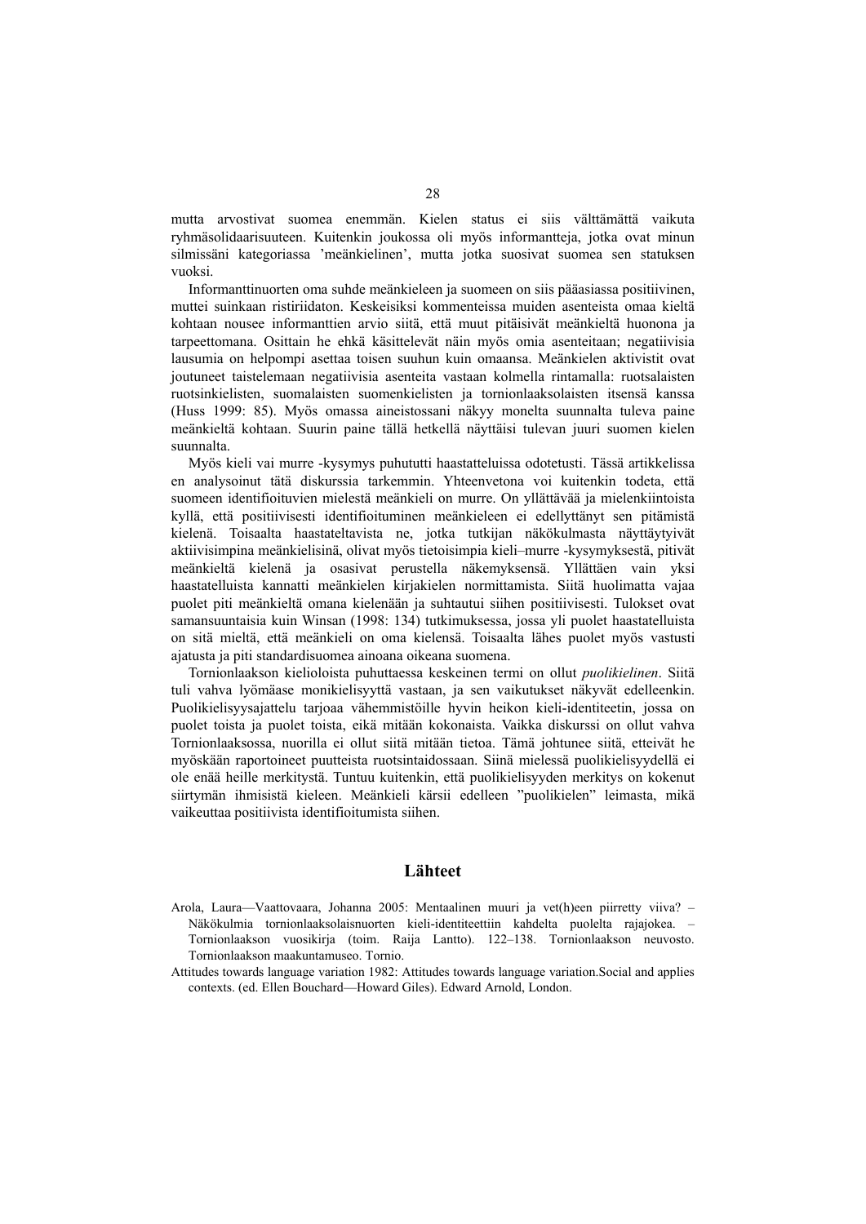mutta arvostivat suomea enemmän. Kielen status ei siis välttämättä vaikuta ryhmäsolidaarisuuteen. Kuitenkin joukossa oli myös informantteja, jotka ovat minun silmissäni kategoriassa 'meänkielinen', mutta jotka suosivat suomea sen statuksen vuoksi.

Informanttinuorten oma suhde meänkieleen ja suomeen on siis pääasiassa positiivinen, muttei suinkaan ristiriidaton. Keskeisiksi kommenteissa muiden asenteista omaa kieltä kohtaan nousee informanttien arvio siitä, että muut pitäisivät meänkieltä huonona ja tarpeettomana. Osittain he ehkä käsittelevät näin myös omia asenteitaan; negatiivisia lausumia on helpompi asettaa toisen suuhun kuin omaansa. Meänkielen aktivistit ovat joutuneet taistelemaan negatiivisia asenteita vastaan kolmella rintamalla: ruotsalaisten ruotsinkielisten, suomalaisten suomenkielisten ja tornionlaaksolaisten itsensä kanssa (Huss 1999: 85). Myös omassa aineistossani näkyy monelta suunnalta tuleva paine meänkieltä kohtaan. Suurin paine tällä hetkellä näyttäisi tulevan juuri suomen kielen suunnalta.

Myös kieli vai murre -kysymys puhututti haastatteluissa odotetusti. Tässä artikkelissa en analysoinut tätä diskurssia tarkemmin. Yhteenvetona voi kuitenkin todeta, että suomeen identifioituvien mielestä meänkieli on murre. On yllättävää ja mielenkiintoista kyllä, että positiivisesti identifioituminen meänkieleen ei edellyttänyt sen pitämistä kielenä. Toisaalta haastateltavista ne, jotka tutkijan näkökulmasta näyttäytyivät aktiivisimpina meänkielisinä, olivat myös tietoisimpia kieli–murre -kysymyksestä, pitivät meänkieltä kielenä ja osasivat perustella näkemyksensä. Yllättäen vain yksi haastatelluista kannatti meänkielen kirjakielen normittamista. Siitä huolimatta vajaa puolet piti meänkieltä omana kielenään ja suhtautui siihen positiivisesti. Tulokset ovat samansuuntaisia kuin Winsan (1998: 134) tutkimuksessa, jossa yli puolet haastatelluista on sitä mieltä, että meänkieli on oma kielensä. Toisaalta lähes puolet myös vastusti ajatusta ja piti standardisuomea ainoana oikeana suomena.

Tornionlaakson kielioloista puhuttaessa keskeinen termi on ollut *puolikielinen*. Siitä tuli vahva lyömäase monikielisyyttä vastaan, ja sen vaikutukset näkyvät edelleenkin. Puolikielisyysajattelu tarjoaa vähemmistöille hyvin heikon kieli-identiteetin, jossa on puolet toista ja puolet toista, eikä mitään kokonaista. Vaikka diskurssi on ollut vahva Tornionlaaksossa, nuorilla ei ollut siitä mitään tietoa. Tämä johtunee siitä, etteivät he myöskään raportoineet puutteista ruotsintaidossaan. Siinä mielessä puolikielisyydellä ei ole enää heille merkitystä. Tuntuu kuitenkin, että puolikielisyyden merkitys on kokenut siirtymän ihmisistä kieleen. Meänkieli kärsii edelleen "puolikielen" leimasta, mikä vaikeuttaa positiivista identifioitumista siihen.

#### **Lähteet**

Arola, Laura—Vaattovaara, Johanna 2005: Mentaalinen muuri ja vet(h)een piirretty viiva? – Näkökulmia tornionlaaksolaisnuorten kieli-identiteettiin kahdelta puolelta rajajokea. – Tornionlaakson vuosikirja (toim. Raija Lantto). 122–138. Tornionlaakson neuvosto. Tornionlaakson maakuntamuseo. Tornio.

Attitudes towards language variation 1982: Attitudes towards language variation.Social and applies contexts. (ed. Ellen Bouchard—Howard Giles). Edward Arnold, London.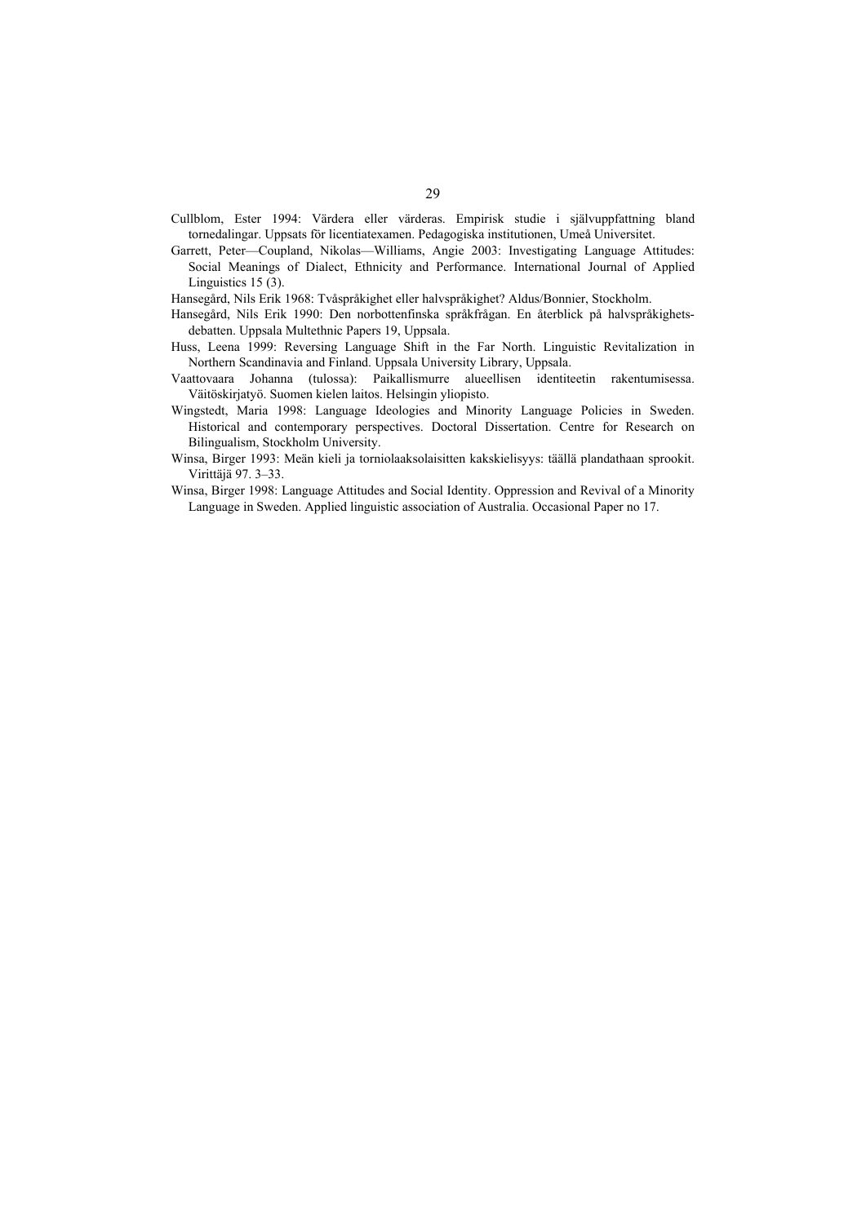- Cullblom, Ester 1994: Värdera eller värderas. Empirisk studie i självuppfattning bland tornedalingar. Uppsats för licentiatexamen. Pedagogiska institutionen, Umeå Universitet.
- Garrett, Peter—Coupland, Nikolas—Williams, Angie 2003: Investigating Language Attitudes: Social Meanings of Dialect, Ethnicity and Performance. International Journal of Applied Linguistics 15 (3).

Hansegård, Nils Erik 1968: Tvåspråkighet eller halvspråkighet? Aldus/Bonnier, Stockholm.

- Hansegård, Nils Erik 1990: Den norbottenfinska språkfrågan. En återblick på halvspråkighetsdebatten. Uppsala Multethnic Papers 19, Uppsala.
- Huss, Leena 1999: Reversing Language Shift in the Far North. Linguistic Revitalization in Northern Scandinavia and Finland. Uppsala University Library, Uppsala.
- Vaattovaara Johanna (tulossa): Paikallismurre alueellisen identiteetin rakentumisessa. Väitöskirjatyö. Suomen kielen laitos. Helsingin yliopisto.
- Wingstedt, Maria 1998: Language Ideologies and Minority Language Policies in Sweden. Historical and contemporary perspectives. Doctoral Dissertation. Centre for Research on Bilingualism, Stockholm University.
- Winsa, Birger 1993: Meän kieli ja torniolaaksolaisitten kakskielisyys: täällä plandathaan sprookit. Virittäjä 97. 3–33.
- Winsa, Birger 1998: Language Attitudes and Social Identity. Oppression and Revival of a Minority Language in Sweden. Applied linguistic association of Australia. Occasional Paper no 17.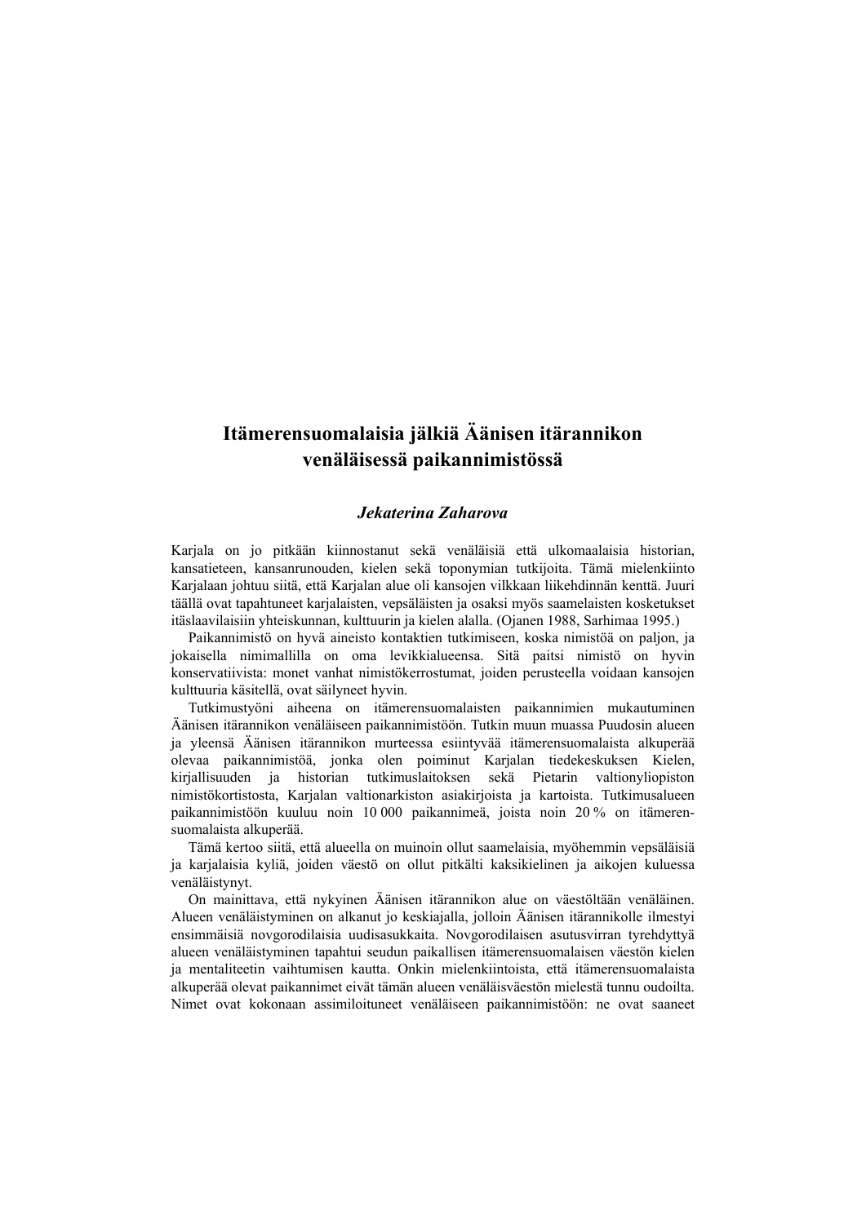# **Itämerensuomalaisia jälkiä Äänisen itärannikon venäläisessä paikannimistössä**

#### *Jekaterina Zaharova*

Karjala on jo pitkään kiinnostanut sekä venäläisiä että ulkomaalaisia historian, kansatieteen, kansanrunouden, kielen sekä toponymian tutkijoita. Tämä mielenkiinto Karjalaan johtuu siitä, että Karjalan alue oli kansojen vilkkaan liikehdinnän kenttä. Juuri täällä ovat tapahtuneet karjalaisten, vepsäläisten ja osaksi myös saamelaisten kosketukset itäslaavilaisiin yhteiskunnan, kulttuurin ja kielen alalla. (Ojanen 1988, Sarhimaa 1995.)

Paikannimistö on hyvä aineisto kontaktien tutkimiseen, koska nimistöä on paljon, ja jokaisella nimimallilla on oma levikkialueensa. Sitä paitsi nimistö on hyvin konservatiivista: monet vanhat nimistökerrostumat, joiden perusteella voidaan kansojen kulttuuria käsitellä, ovat säilyneet hyvin.

Tutkimustyöni aiheena on itämerensuomalaisten paikannimien mukautuminen Äänisen itärannikon venäläiseen paikannimistöön. Tutkin muun muassa Puudosin alueen ja yleensä Äänisen itärannikon murteessa esiintyvää itämerensuomalaista alkuperää olevaa paikannimistöä, jonka olen poiminut Karjalan tiedekeskuksen Kielen, kirjallisuuden ja historian tutkimuslaitoksen sekä Pietarin valtionyliopiston nimistökortistosta, Karjalan valtionarkiston asiakirjoista ja kartoista. Tutkimusalueen paikannimistöön kuuluu noin 10 000 paikannimeä, joista noin 20 % on itämerensuomalaista alkuperää.

Tämä kertoo siitä, että alueella on muinoin ollut saamelaisia, myöhemmin vepsäläisiä ja karjalaisia kyliä, joiden väestö on ollut pitkälti kaksikielinen ja aikojen kuluessa venäläistynyt.

On mainittava, että nykyinen Äänisen itärannikon alue on väestöltään venäläinen. Alueen venäläistyminen on alkanut jo keskiajalla, jolloin Äänisen itärannikolle ilmestyi ensimmäisiä novgorodilaisia uudisasukkaita. Novgorodilaisen asutusvirran tyrehdyttyä alueen venäläistyminen tapahtui seudun paikallisen itämerensuomalaisen väestön kielen ja mentaliteetin vaihtumisen kautta. Onkin mielenkiintoista, että itämerensuomalaista alkuperää olevat paikannimet eivät tämän alueen venäläisväestön mielestä tunnu oudoilta. Nimet ovat kokonaan assimiloituneet venäläiseen paikannimistöön: ne ovat saaneet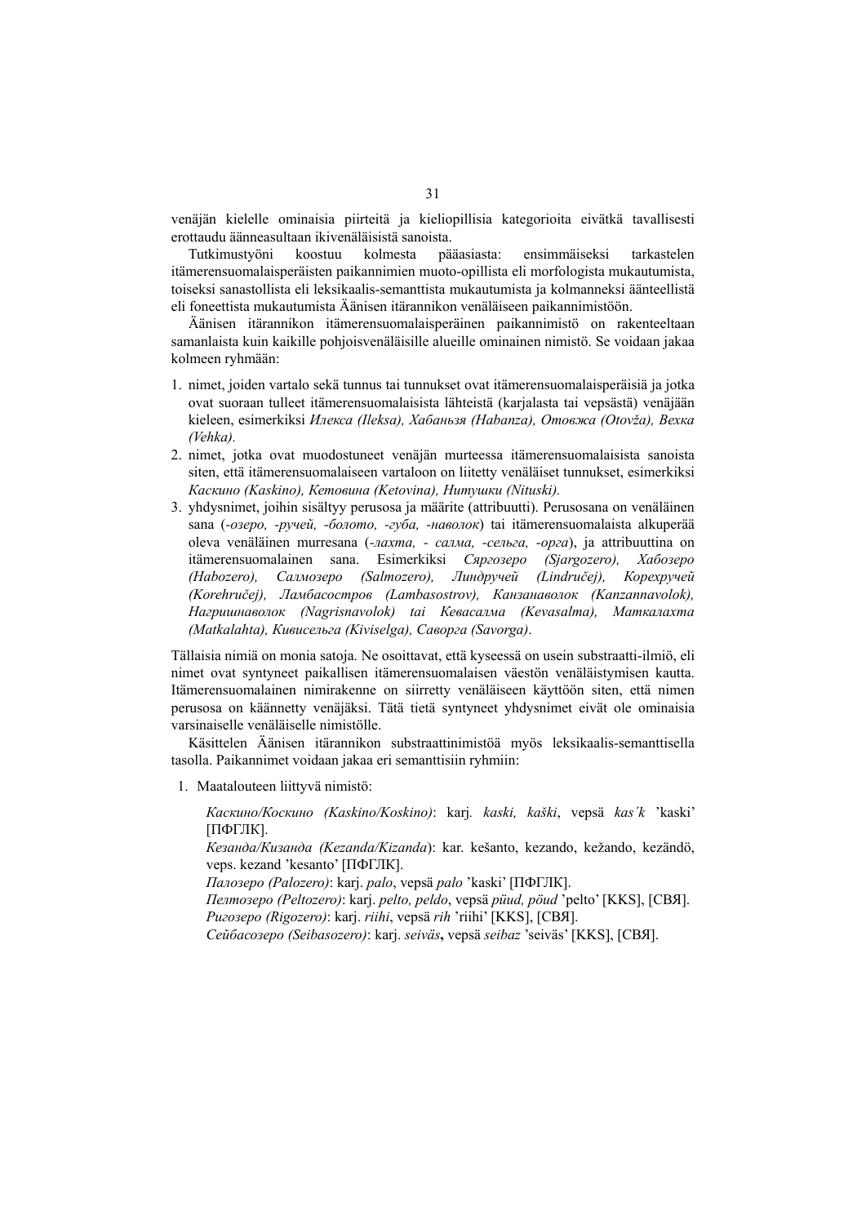venäjän kielelle ominaisia piirteitä ja kieliopillisia kategorioita eivätkä tavallisesti erottaudu äänneasultaan ikivenäläisistä sanoista.

Tutkimustyöni koostuu kolmesta pääasiasta: ensimmäiseksi tarkastelen itämerensuomalaisperäisten paikannimien muoto-opillista eli morfologista mukautumista, toiseksi sanastollista eli leksikaalis-semanttista mukautumista ja kolmanneksi äänteellistä eli foneettista mukautumista Äänisen itärannikon venäläiseen paikannimistöön.

Äänisen itärannikon itämerensuomalaisperäinen paikannimistö on rakenteeltaan samanlaista kuin kaikille pohjoisvenäläisille alueille ominainen nimistö. Se voidaan jakaa kolmeen ryhmään:

- 1. nimet, joiden vartalo sekä tunnus tai tunnukset ovat itämerensuomalaisperäisiä ja jotka ovat suoraan tulleet itämerensuomalaisista lähteistä (karjalasta tai vepsästä) venäjään kieleen, esimerkiksi *Илекса (Ileksa), Хабаньзя (Habanza), Отовжа (Otovža), Вехка (Vehka).*
- 2. nimet, jotka ovat muodostuneet venäjän murteessa itämerensuomalaisista sanoista siten, että itämerensuomalaiseen vartaloon on liitetty venäläiset tunnukset, esimerkiksi *Каскино (Kaskino), Кетовина (Ketovina), Нитушки (Nituski).*
- 3. yhdysnimet, joihin sisältyy perusosa ja määrite (attribuutti). Perusosana on venäläinen sana (*-озеро, -ручей, -болото, -губа, -наволок*) tai itämerensuomalaista alkuperää oleva venäläinen murresana (*-лахта, - салма, -сельга, -орга*), ja attribuuttina on itämerensuomalainen sana. Esimerkiksi *Сяргозеро (Sjargozero), Хабозеро (Habozero), Салмозеро (Salmozero), Линдручей (Lindručej), Корехручей (Korehručej), Ламбасостров (Lambasostrov), Канзанаволок (Kanzannavolok), Нагришнаволок (Nagrisnavolok) tai Кевасалма (Kevasalma), Маткалахта (Matkalahta), Кивисельга (Kiviselga), Саворга (Savorga)*.

Tällaisia nimiä on monia satoja. Ne osoittavat, että kyseessä on usein substraatti-ilmiö, eli nimet ovat syntyneet paikallisen itämerensuomalaisen väestön venäläistymisen kautta. Itämerensuomalainen nimirakenne on siirretty venäläiseen käyttöön siten, että nimen perusosa on käännetty venäjäksi. Tätä tietä syntyneet yhdysnimet eivät ole ominaisia varsinaiselle venäläiselle nimistölle.

Käsittelen Äänisen itärannikon substraattinimistöä myös leksikaalis-semanttisella tasolla. Paikannimet voidaan jakaa eri semanttisiin ryhmiin:

1. Maatalouteen liittyvä nimistö:

*Каскино/Коскино (Kaskino/Koskino)*: karj*. kaski, kaški*, vepsä *kas´k* 'kaski' [ПФГЛК].

*Кезанда/Кизанда (Kezanda/Kizanda*): kar. kešanto, kezando, kežando, kezändö, veps. kezand 'kesanto' [ПФГЛК].

*Палозеро (Palozero)*: karj. *palo*, vepsä *palo* 'kaski' [ПФГЛК].

*Пелтозеро (Peltozero)*: karj. *pelto, peldo*, vepsä *püud, pöud* 'pelto' [KKS], [СВЯ]. *Ригозеро (Rigozero)*: karj. *riihi*, vepsä *rih* 'riihi' [KKS], [СВЯ].

*Сейбасозеро (Seibasozero)*: karj. *seiväs***,** vepsä *seibaz* 'seiväs' [KKS], [СВЯ].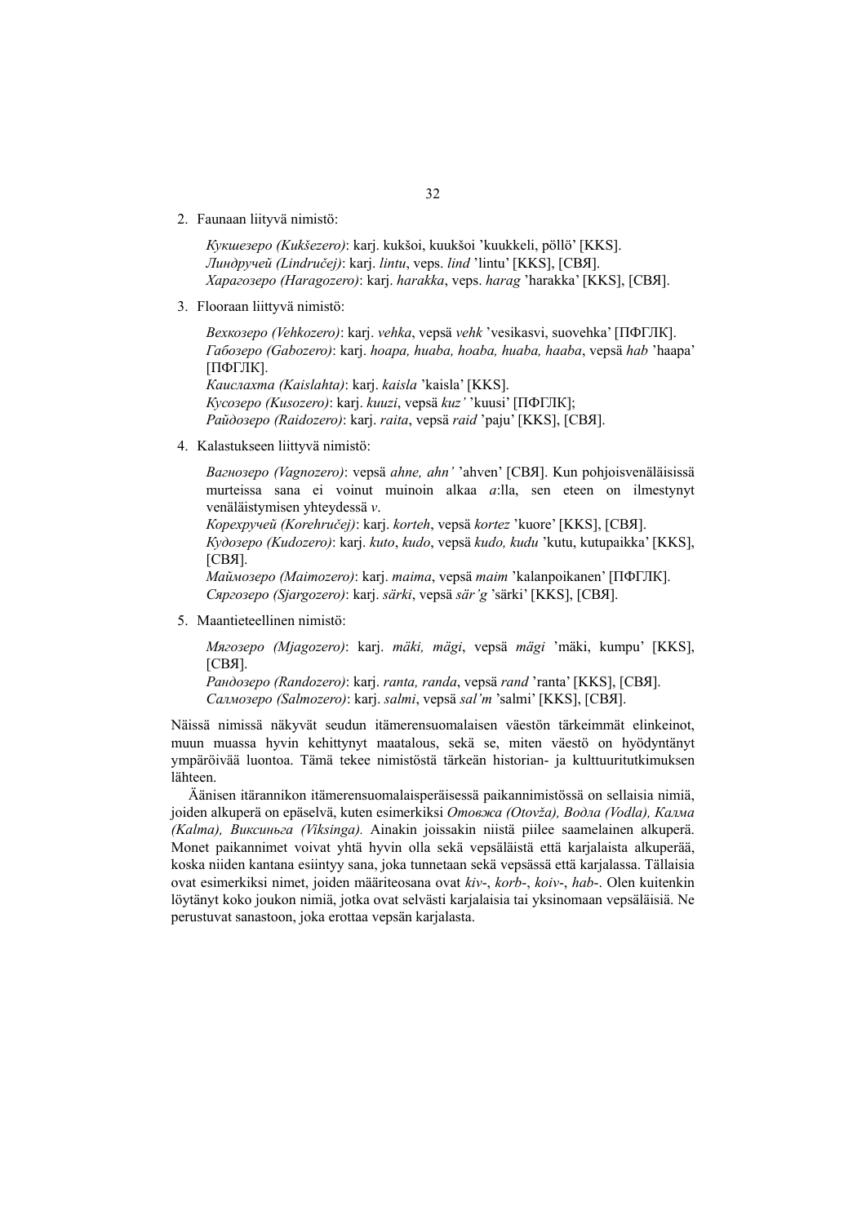2. Faunaan liityvä nimistö:

*Кукшезеро (Kukšezero)*: karj. kukšoi, kuukšoi 'kuukkeli, pöllö' [KKS]. *Линдручей (Lindručej)*: karj. *lintu*, veps. *lind* 'lintu' [KKS], [СВЯ]. *Харагозеро (Haragozero)*: karj. *harakka*, veps. *harag* 'harakka' [KKS], [СВЯ].

3. Flooraan liittyvä nimistö:

*Вехкозеро (Vehkozero)*: karj. *vehka*, vepsä *vehk* 'vesikasvi, suovehka' [ПФГЛК]. *Габозеро (Gabozero)*: karj. *hoapa, huaba, hoaba, huaba, haaba*, vepsä *hab* 'haapa' [ПФГЛК]. *Каислахта (Kaislahta)*: karj. *kaisla* 'kaisla' [KKS]. *Кусозеро (Kusozero)*: karj. *kuuzi*, vepsä *kuz'* 'kuusi' [ПФГЛК]; *Райдозеро (Raidozero)*: karj. *raita*, vepsä *raid* 'paju' [KKS], [СВЯ].

4. Kalastukseen liittyvä nimistö:

*Вагнозеро (Vagnozero)*: vepsä *ahne, ahn'* 'ahven' [СВЯ]. Kun pohjoisvenäläisissä murteissa sana ei voinut muinoin alkaa *a*:lla, sen eteen on ilmestynyt venäläistymisen yhteydessä *v*.

*Корехручей (Korehručej)*: karj. *korteh*, vepsä *kortez* 'kuore' [KKS], [СВЯ].

*Кудозеро (Kudozero)*: karj. *kuto*, *kudo*, vepsä *kudo, kudu* 'kutu, kutupaikka' [KKS], [СВЯ].

*Маймозеро (Maimozero)*: karj. *maima*, vepsä *maim* 'kalanpoikanen' [ПФГЛК]. *Сяргозеро (Sjargozero)*: karj. *särki*, vepsä *sär'g* 'särki' [KKS], [СВЯ].

5. Maantieteellinen nimistö:

*Мягозеро (Mjagozero)*: karj. *mäki, mägi*, vepsä *mägi* 'mäki, kumpu' [KKS], [СВЯ].

*Рандозеро (Randozero)*: karj. *ranta, randa*, vepsä *rand* 'ranta' [KKS], [СВЯ]. *Салмозеро (Salmozero)*: karj. *salmi*, vepsä *sal'm* 'salmi' [KKS], [СВЯ].

Näissä nimissä näkyvät seudun itämerensuomalaisen väestön tärkeimmät elinkeinot, muun muassa hyvin kehittynyt maatalous, sekä se, miten väestö on hyödyntänyt ympäröivää luontoa. Tämä tekee nimistöstä tärkeän historian- ja kulttuuritutkimuksen lähteen.

Äänisen itärannikon itämerensuomalaisperäisessä paikannimistössä on sellaisia nimiä, joiden alkuperä on epäselvä, kuten esimerkiksi *Отовжа (Otovža), Водла (Vodla), Калма (Kalma), Виксиньга (Viksinga).* Ainakin joissakin niistä piilee saamelainen alkuperä. Monet paikannimet voivat yhtä hyvin olla sekä vepsäläistä että karjalaista alkuperää, koska niiden kantana esiintyy sana, joka tunnetaan sekä vepsässä että karjalassa. Tällaisia ovat esimerkiksi nimet, joiden määriteosana ovat *kiv*-, *korb*-, *koiv*-, *hab*-. Olen kuitenkin löytänyt koko joukon nimiä, jotka ovat selvästi karjalaisia tai yksinomaan vepsäläisiä. Ne perustuvat sanastoon, joka erottaa vepsän karjalasta.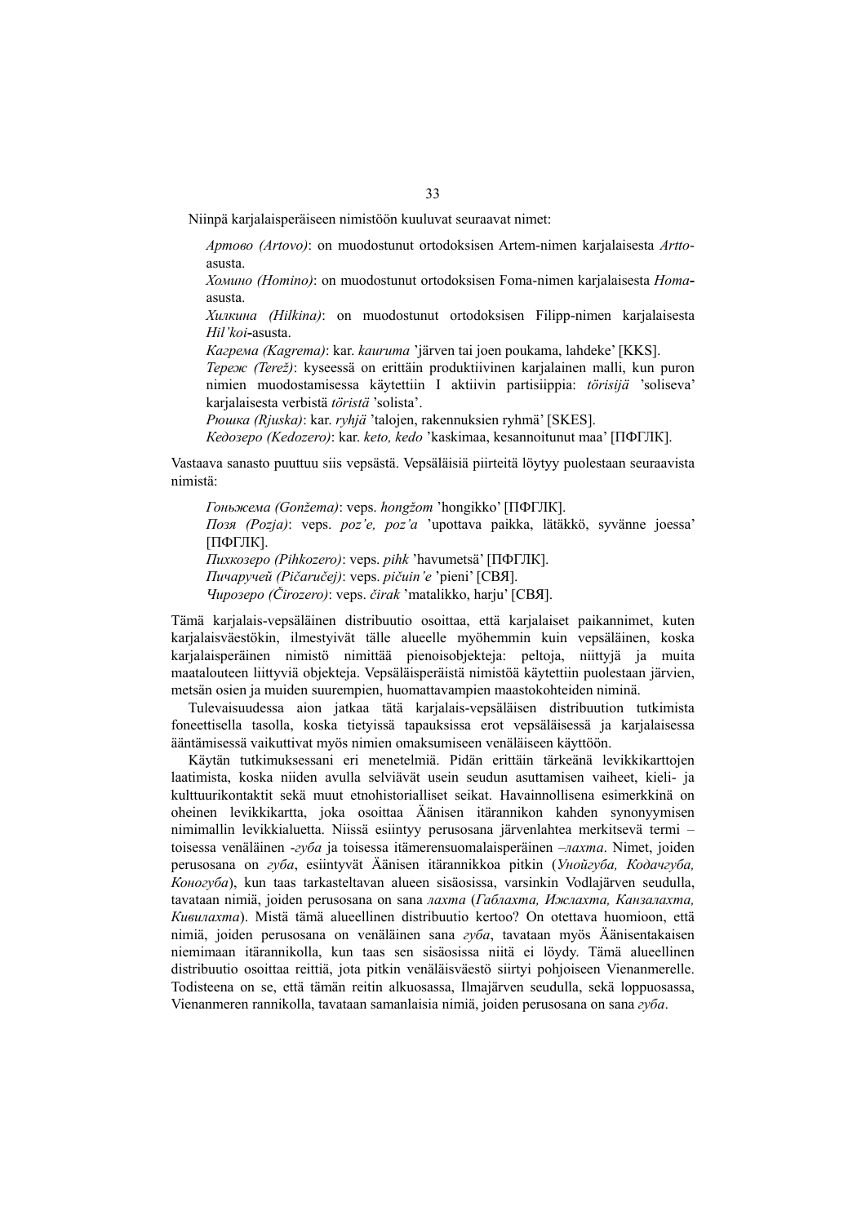Niinpä karjalaisperäiseen nimistöön kuuluvat seuraavat nimet:

*Артово (Artovo)*: on muodostunut ortodoksisen Artem-nimen karjalaisesta *Artto*asusta.

*Хомино (Homino)*: on muodostunut ortodoksisen Foma-nimen karjalaisesta *Homa*asusta.

*Хилкина (Hilkina)*: on muodostunut ortodoksisen Filipp-nimen karjalaisesta *Hil'koi***-**asusta.

*Кагрема (Kagrema)*: kar. *kauruma* 'järven tai joen poukama, lahdeke' [KKS].

*Тереж (Terež)*: kyseessä on erittäin produktiivinen karjalainen malli, kun puron nimien muodostamisessa käytettiin I aktiivin partisiippia: *törisijä* 'soliseva' karjalaisesta verbistä *töristä* 'solista'.

*Рюшка (Rjuska)*: kar. *ryhjä* 'talojen, rakennuksien ryhmä' [SKES].

*Кедозеро (Kedozero)*: kar. *keto, kedo* 'kaskimaa, kesannoitunut maa' [ПФГЛК].

Vastaava sanasto puuttuu siis vepsästä. Vepsäläisiä piirteitä löytyy puolestaan seuraavista nimistä:

*Гоньжема (Gonžema)*: veps. *hongžom* 'hongikko' [ПФГЛК]. *Позя (Pozja)*: veps. *poz'e, poz'a* 'upottava paikka, lätäkkö, syvänne joessa' [ПФГЛК]. *Пихкозеро (Pihkozero)*: veps. *pihk* 'havumetsä' [ПФГЛК]. *Пичаручей (Pičaručej)*: veps. *pičuin'e* 'pieni' [СВЯ].

*Чирозеро (Čirozero)*: veps. *čirak* 'matalikko, harju' [СВЯ].

Tämä karjalais-vepsäläinen distribuutio osoittaa, että karjalaiset paikannimet, kuten karjalaisväestökin, ilmestyivät tälle alueelle myöhemmin kuin vepsäläinen, koska karjalaisperäinen nimistö nimittää pienoisobjekteja: peltoja, niittyjä ja muita maatalouteen liittyviä objekteja. Vepsäläisperäistä nimistöä käytettiin puolestaan järvien, metsän osien ja muiden suurempien, huomattavampien maastokohteiden niminä.

Tulevaisuudessa aion jatkaa tätä karjalais-vepsäläisen distribuution tutkimista foneettisella tasolla, koska tietyissä tapauksissa erot vepsäläisessä ja karjalaisessa ääntämisessä vaikuttivat myös nimien omaksumiseen venäläiseen käyttöön.

Käytän tutkimuksessani eri menetelmiä. Pidän erittäin tärkeänä levikkikarttojen laatimista, koska niiden avulla selviävät usein seudun asuttamisen vaiheet, kieli- ja kulttuurikontaktit sekä muut etnohistorialliset seikat. Havainnollisena esimerkkinä on oheinen levikkikartta, joka osoittaa Äänisen itärannikon kahden synonyymisen nimimallin levikkialuetta. Niissä esiintyy perusosana järvenlahtea merkitsevä termi – toisessa venäläinen -*губа* ja toisessa itämerensuomalaisperäinen –*лахта*. Nimet, joiden perusosana on *губа*, esiintyvät Äänisen itärannikkoa pitkin (*Унойгуба, Кодачгуба, Коногуба*), kun taas tarkasteltavan alueen sisäosissa, varsinkin Vodlajärven seudulla, tavataan nimiä, joiden perusosana on sana *лахта* (*Габлахта, Ижлахта, Канзалахта, Кивилахта*). Mistä tämä alueellinen distribuutio kertoo? On otettava huomioon, että nimiä, joiden perusosana on venäläinen sana *губа*, tavataan myös Äänisentakaisen niemimaan itärannikolla, kun taas sen sisäosissa niitä ei löydy. Tämä alueellinen distribuutio osoittaa reittiä, jota pitkin venäläisväestö siirtyi pohjoiseen Vienanmerelle. Todisteena on se, että tämän reitin alkuosassa, Ilmajärven seudulla, sekä loppuosassa, Vienanmeren rannikolla, tavataan samanlaisia nimiä, joiden perusosana on sana *губа*.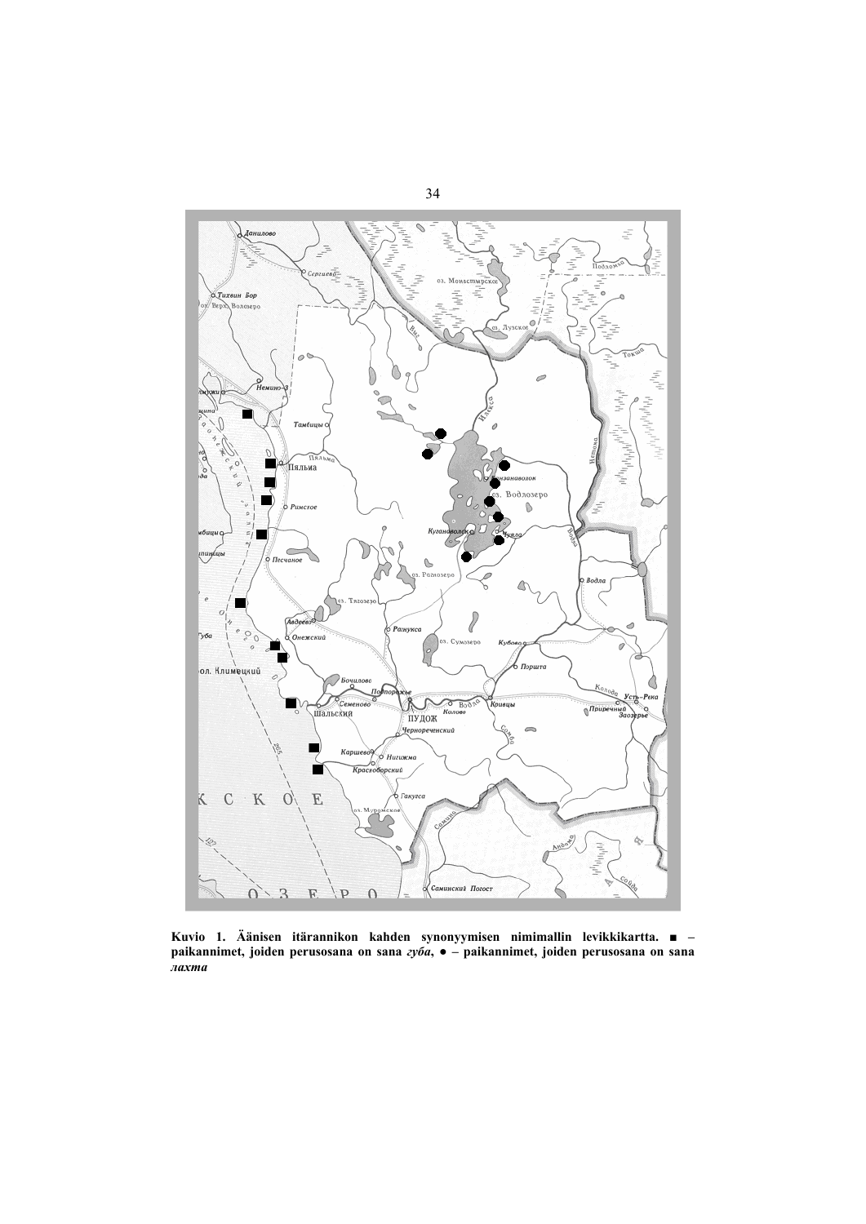

**Kuvio 1. Äänisen itärannikon kahden synonyymisen nimimallin levikkikartta. ■ – paikannimet, joiden perusosana on sana** *губа***, ● – paikannimet, joiden perusosana on sana**  *лахта*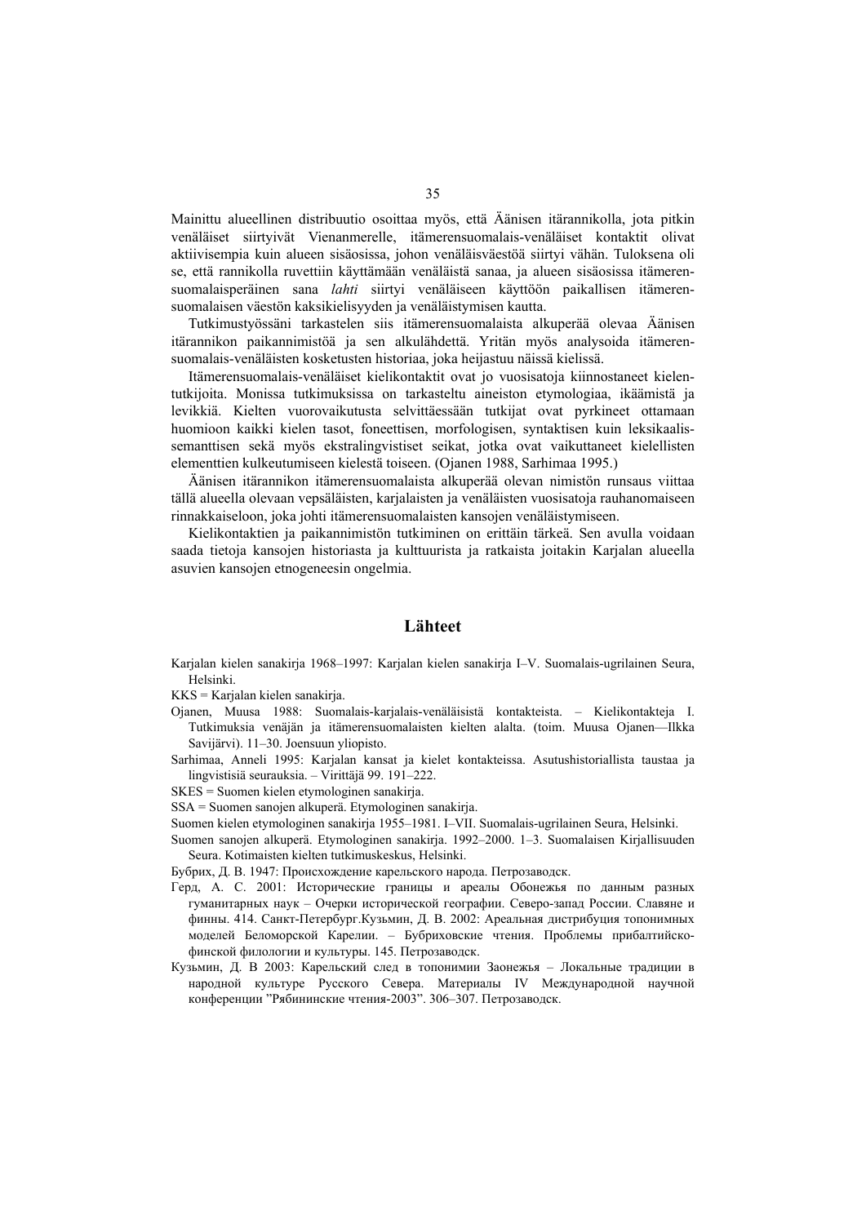Mainittu alueellinen distribuutio osoittaa myös, että Äänisen itärannikolla, jota pitkin venäläiset siirtyivät Vienanmerelle, itämerensuomalais-venäläiset kontaktit olivat aktiivisempia kuin alueen sisäosissa, johon venäläisväestöä siirtyi vähän. Tuloksena oli se, että rannikolla ruvettiin käyttämään venäläistä sanaa, ja alueen sisäosissa itämerensuomalaisperäinen sana *lahti* siirtyi venäläiseen käyttöön paikallisen itämerensuomalaisen väestön kaksikielisyyden ja venäläistymisen kautta.

Tutkimustyössäni tarkastelen siis itämerensuomalaista alkuperää olevaa Äänisen itärannikon paikannimistöä ja sen alkulähdettä. Yritän myös analysoida itämerensuomalais-venäläisten kosketusten historiaa, joka heijastuu näissä kielissä.

Itämerensuomalais-venäläiset kielikontaktit ovat jo vuosisatoja kiinnostaneet kielentutkijoita. Monissa tutkimuksissa on tarkasteltu aineiston etymologiaa, ikäämistä ja levikkiä. Kielten vuorovaikutusta selvittäessään tutkijat ovat pyrkineet ottamaan huomioon kaikki kielen tasot, foneettisen, morfologisen, syntaktisen kuin leksikaalissemanttisen sekä myös ekstralingvistiset seikat, jotka ovat vaikuttaneet kielellisten elementtien kulkeutumiseen kielestä toiseen. (Ojanen 1988, Sarhimaa 1995.)

Äänisen itärannikon itämerensuomalaista alkuperää olevan nimistön runsaus viittaa tällä alueella olevaan vepsäläisten, karjalaisten ja venäläisten vuosisatoja rauhanomaiseen rinnakkaiseloon, joka johti itämerensuomalaisten kansojen venäläistymiseen.

Kielikontaktien ja paikannimistön tutkiminen on erittäin tärkeä. Sen avulla voidaan saada tietoja kansojen historiasta ja kulttuurista ja ratkaista joitakin Karjalan alueella asuvien kansojen etnogeneesin ongelmia.

### **Lähteet**

Karjalan kielen sanakirja 1968–1997: Karjalan kielen sanakirja I–V. Suomalais-ugrilainen Seura, Helsinki.

KKS = Karjalan kielen sanakirja.

- Ojanen, Muusa 1988: Suomalais-karjalais-venäläisistä kontakteista. Kielikontakteja I. Tutkimuksia venäjän ja itämerensuomalaisten kielten alalta. (toim. Muusa Ojanen—Ilkka Savijärvi). 11–30. Joensuun yliopisto.
- Sarhimaa, Anneli 1995: Karjalan kansat ja kielet kontakteissa. Asutushistoriallista taustaa ja lingvistisiä seurauksia. – Virittäjä 99. 191–222.

SKES = Suomen kielen etymologinen sanakirja.

SSA = Suomen sanojen alkuperä. Etymologinen sanakirja.

Suomen kielen etymologinen sanakirja 1955–1981. I–VII. Suomalais-ugrilainen Seura, Helsinki.

Suomen sanojen alkuperä. Etymologinen sanakirja. 1992–2000. 1–3. Suomalaisen Kirjallisuuden Seura. Kotimaisten kielten tutkimuskeskus, Helsinki.

Бубрих, Д. В. 1947: Происхождение карельского народа. Петрозаводск.

- Герд, А. С. 2001: Исторические границы и ареалы Обонежья по данным разных гуманитарных наук – Очерки исторической географии. Северо-запад России. Славяне и финны. 414. Санкт-Петербург.Кузьмин, Д. В. 2002: Ареальная дистрибуция топонимных моделей Беломорской Карелии. – Бубриховские чтения. Проблемы прибалтийскофинской филологии и культуры. 145. Петрозаводск.
- Кузьмин, Д. В 2003: Карельский след в топонимии Заонежья Локальные традиции в народной культуре Русского Севера. Материалы IV Международной научной конференции "Рябининские чтения-2003". 306–307. Петрозаводск.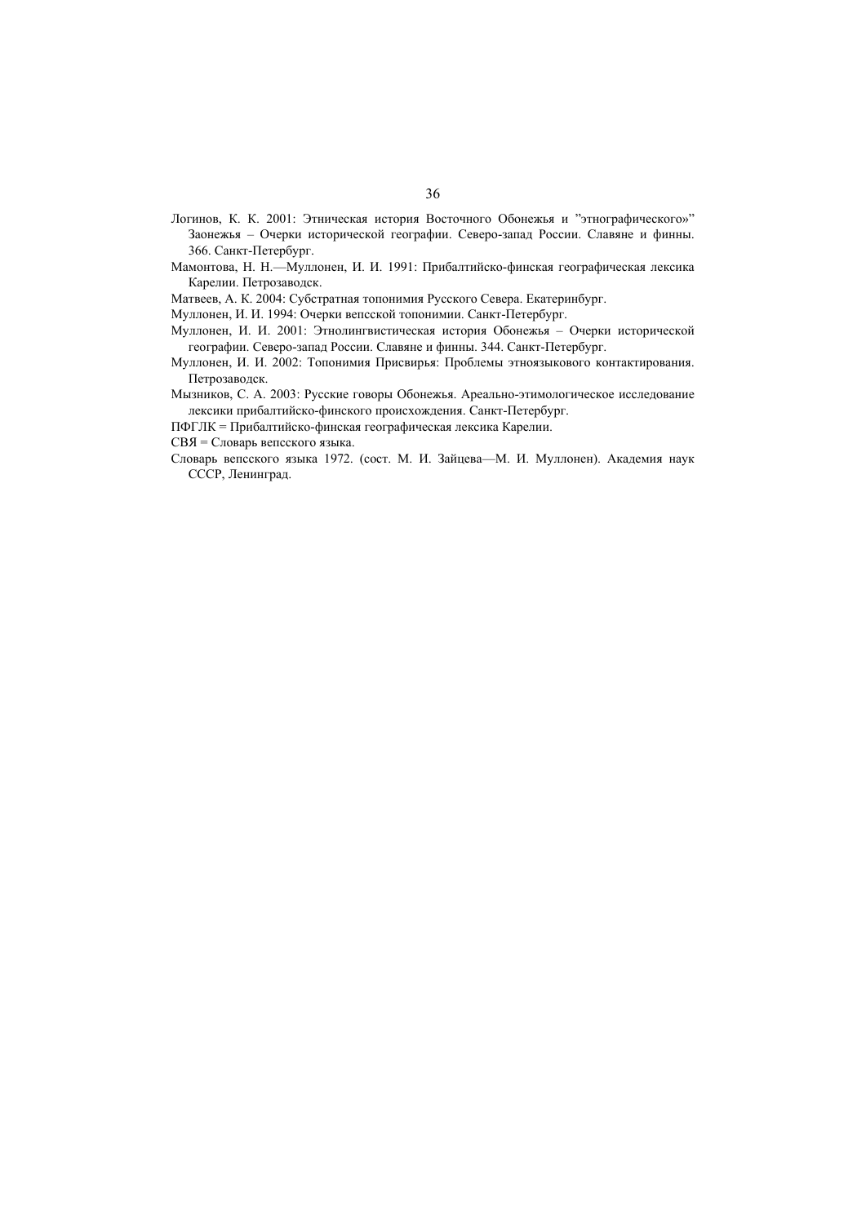- Логинов, К. К. 2001: Этническая история Восточного Обонежья и "этнографического»" Заонежья – Очерки исторической географии. Северо-запад России. Славяне и финны. 366. Санкт-Петербург.
- Мамонтова, H. H.—Муллонен, И. И. 1991: Прибалтийско-финская географическая лексика Карелии. Петрозаводск.
- Матвеев, А. К. 2004: Субстратная топонимия Русского Севера. Екатеринбург.
- Муллонен, И. И. 1994: Очерки вепсской топонимии. Санкт-Петербург.
- Муллонен, И. И. 2001: Этнолингвистическая история Обонежья Очерки исторической географии. Северо-запад России. Славяне и финны. 344. Санкт-Петербург.
- Муллонен, И. И. 2002: Топонимия Присвирья: Проблемы этноязыкового контактирования. Петрозаводск.
- Мызников, С. А. 2003: Русские говоры Обонежья. Ареально-этимологическое исследование лексики прибалтийско-финского происхождения. Санкт-Петербург.
- ПФГЛК = Прибалтийско-финская географическая лексика Карелии.
- СВЯ = Словарь вепсского языка.
- Словарь вепсского языка 1972. (сост. М. И. Зайцева—М. И. Муллонен). Aкадемия наук СССР, Ленинград.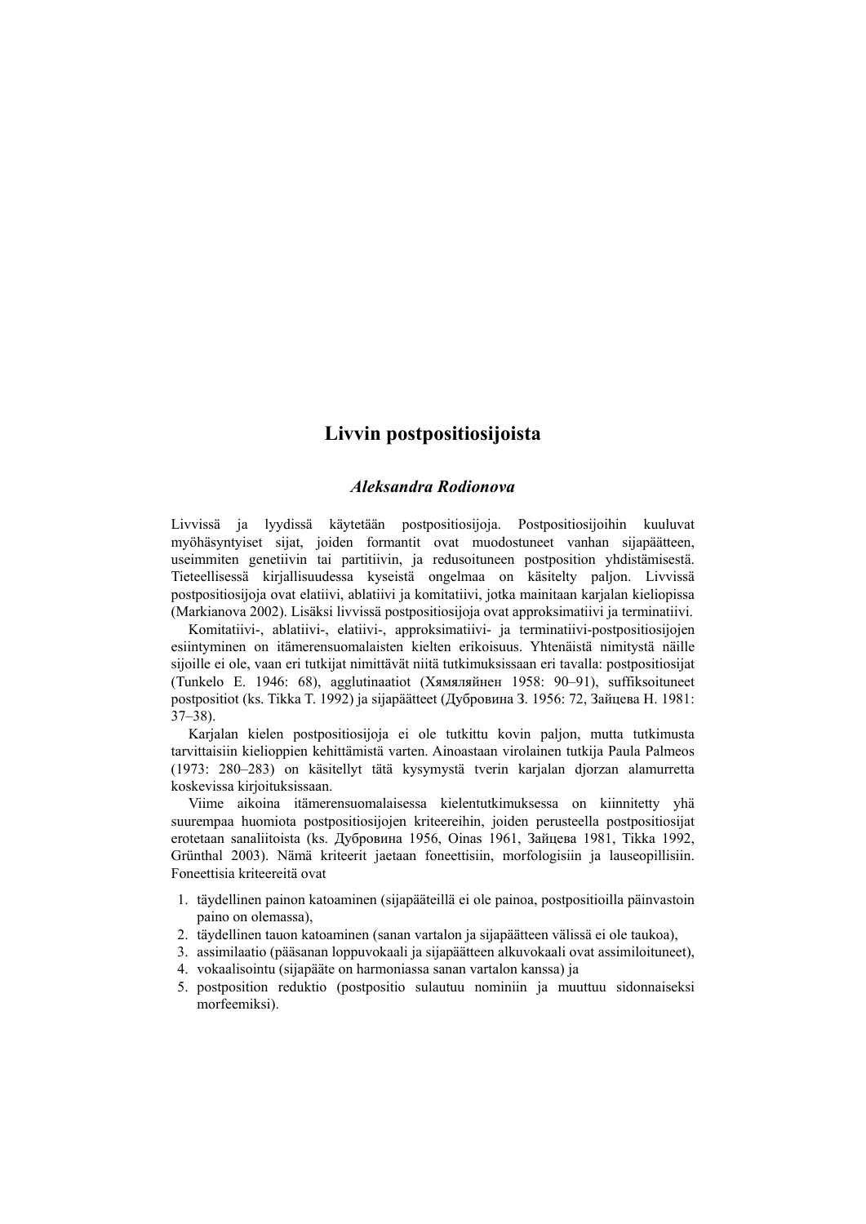## **Livvin postpositiosijoista**

## *Aleksandra Rodionova*

Livvissä ja lyydissä käytetään postpositiosijoja. Postpositiosijoihin kuuluvat myöhäsyntyiset sijat, joiden formantit ovat muodostuneet vanhan sijapäätteen, useimmiten genetiivin tai partitiivin, ja redusoituneen postposition yhdistämisestä. Tieteellisessä kirjallisuudessa kyseistä ongelmaa on käsitelty paljon. Livvissä postpositiosijoja ovat elatiivi, ablatiivi ja komitatiivi, jotka mainitaan karjalan kieliopissa (Markianova 2002). Lisäksi livvissä postpositiosijoja ovat approksimatiivi ja terminatiivi.

Komitatiivi-, ablatiivi-, elatiivi-, approksimatiivi- ja terminatiivi-postpositiosijojen esiintyminen on itämerensuomalaisten kielten erikoisuus. Yhtenäistä nimitystä näille sijoille ei ole, vaan eri tutkijat nimittävät niitä tutkimuksissaan eri tavalla: postpositiosijat (Tunkelo E. 1946: 68), agglutinaatiot (Хямяляйнен 1958: 90–91), suffiksoituneet postpositiot (ks. Tikka T. 1992) ja sijapäätteet (Дубровина З. 1956: 72, Зайцева Н. 1981: 37–38).

Karjalan kielen postpositiosijoja ei ole tutkittu kovin paljon, mutta tutkimusta tarvittaisiin kielioppien kehittämistä varten. Ainoastaan virolainen tutkija Paula Palmeos (1973: 280–283) on käsitellyt tätä kysymystä tverin karjalan djorzan alamurretta koskevissa kirjoituksissaan.

Viime aikoina itämerensuomalaisessa kielentutkimuksessa on kiinnitetty yhä suurempaa huomiota postpositiosijojen kriteereihin, joiden perusteella postpositiosijat erotetaan sanaliitoista (ks. Дубровина 1956, Oinas 1961, Зайцева 1981, Tikka 1992, Grünthal 2003). Nämä kriteerit jaetaan foneettisiin, morfologisiin ja lauseopillisiin. Foneettisia kriteereitä ovat

- 1. täydellinen painon katoaminen (sijapääteillä ei ole painoa, postpositioilla päinvastoin paino on olemassa),
- 2. täydellinen tauon katoaminen (sanan vartalon ja sijapäätteen välissä ei ole taukoa),
- 3. assimilaatio (pääsanan loppuvokaali ja sijapäätteen alkuvokaali ovat assimiloituneet),
- 4. vokaalisointu (sijapääte on harmoniassa sanan vartalon kanssa) ja
- 5. postposition reduktio (postpositio sulautuu nominiin ja muuttuu sidonnaiseksi morfeemiksi).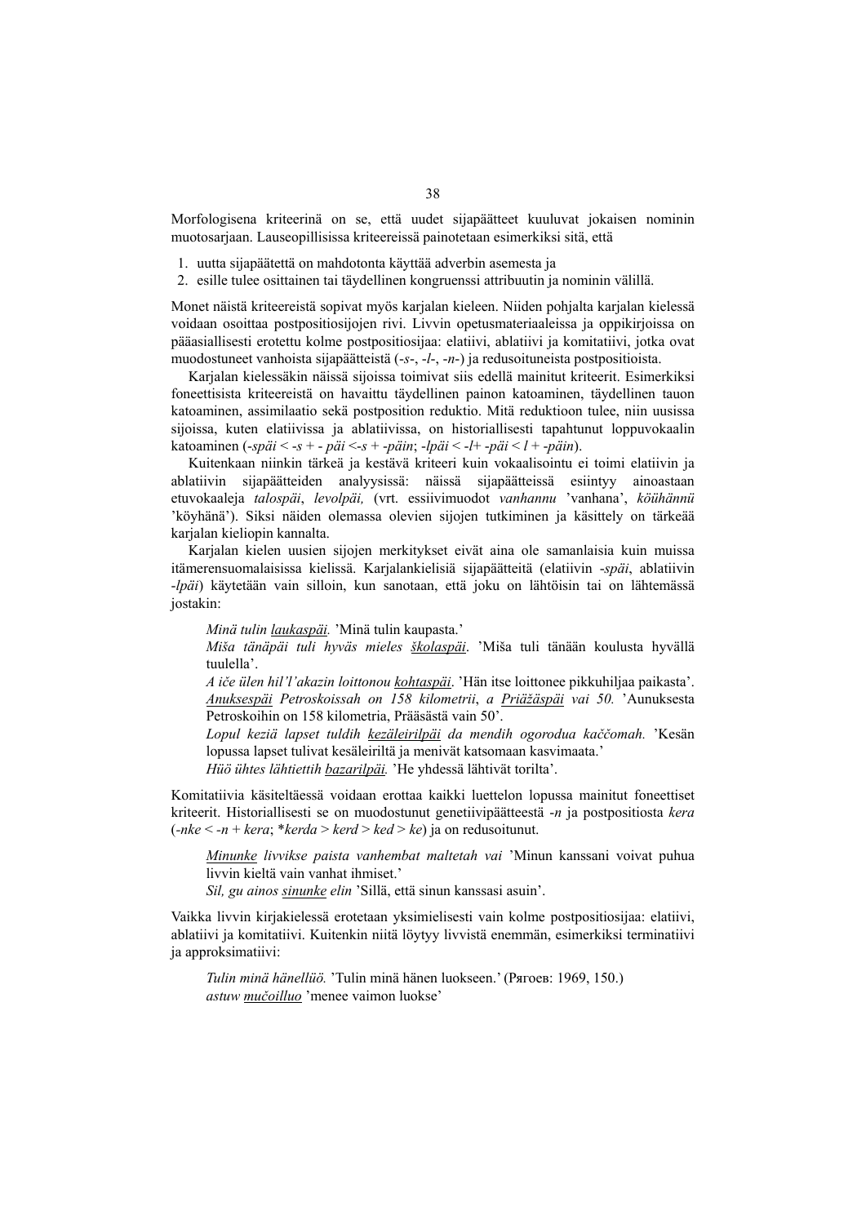Morfologisena kriteerinä on se, että uudet sijapäätteet kuuluvat jokaisen nominin muotosarjaan. Lauseopillisissa kriteereissä painotetaan esimerkiksi sitä, että

- 1. uutta sijapäätettä on mahdotonta käyttää adverbin asemesta ja
- 2. esille tulee osittainen tai täydellinen kongruenssi attribuutin ja nominin välillä.

Monet näistä kriteereistä sopivat myös karjalan kieleen. Niiden pohjalta karjalan kielessä voidaan osoittaa postpositiosijojen rivi. Livvin opetusmateriaaleissa ja oppikirjoissa on pääasiallisesti erotettu kolme postpositiosijaa: elatiivi, ablatiivi ja komitatiivi, jotka ovat muodostuneet vanhoista sijapäätteistä (-*s*-, -*l*-, -*n*-) ja redusoituneista postpositioista.

Karjalan kielessäkin näissä sijoissa toimivat siis edellä mainitut kriteerit. Esimerkiksi foneettisista kriteereistä on havaittu täydellinen painon katoaminen, täydellinen tauon katoaminen, assimilaatio sekä postposition reduktio. Mitä reduktioon tulee, niin uusissa sijoissa, kuten elatiivissa ja ablatiivissa, on historiallisesti tapahtunut loppuvokaalin katoaminen (-*späi* < -*s* + - *päi* <-*s* + -*päin*; -*lpäi* < -*l*+ -*päi* < *l* + -*päin*).

Kuitenkaan niinkin tärkeä ja kestävä kriteeri kuin vokaalisointu ei toimi elatiivin ja ablatiivin sijapäätteiden analyysissä: näissä sijapäätteissä esiintyy ainoastaan etuvokaaleja *talospäi*, *levolpäi,* (vrt. essiivimuodot *vanhannu* 'vanhana', *köühännü* 'köyhänä'). Siksi näiden olemassa olevien sijojen tutkiminen ja käsittely on tärkeää karialan kieliopin kannalta.

Karjalan kielen uusien sijojen merkitykset eivät aina ole samanlaisia kuin muissa itämerensuomalaisissa kielissä. Karjalankielisiä sijapäätteitä (elatiivin -*späi*, ablatiivin -*lpäi*) käytetään vain silloin, kun sanotaan, että joku on lähtöisin tai on lähtemässä jostakin:

*Minä tulin laukaspäi.* 'Minä tulin kaupasta.'

*Miša tänäpäi tuli hyväs mieles školaspäi*. 'Miša tuli tänään koulusta hyvällä tuulella'.

*A iče ülen hil'l'akazin loittonou kohtaspäi*. 'Hän itse loittonee pikkuhiljaa paikasta'. *Anuksespäi Petroskoissah on 158 kilometrii*, *a Priäžäspäi vai 50.* 'Aunuksesta Petroskoihin on 158 kilometria, Prääsästä vain 50'.

*Lopul keziä lapset tuldih kezäleirilpäi da mendih ogorodua kaččomah.* 'Kesän lopussa lapset tulivat kesäleiriltä ja menivät katsomaan kasvimaata.'

*Hüö ühtes lähtiettih bazarilpäi.* 'He yhdessä lähtivät torilta'.

Komitatiivia käsiteltäessä voidaan erottaa kaikki luettelon lopussa mainitut foneettiset kriteerit. Historiallisesti se on muodostunut genetiivipäätteestä -*n* ja postpositiosta *kera* (*-nke* < *-n* + *kera*; \**kerda* > *kerd* > *ked* > *ke*) ja on redusoitunut.

*Minunke livvikse paista vanhembat maltetah vai* 'Minun kanssani voivat puhua livvin kieltä vain vanhat ihmiset.'

*Sil, gu ainos sinunke elin* 'Sillä, että sinun kanssasi asuin'.

Vaikka livvin kirjakielessä erotetaan yksimielisesti vain kolme postpositiosijaa: elatiivi, ablatiivi ja komitatiivi. Kuitenkin niitä löytyy livvistä enemmän, esimerkiksi terminatiivi ja approksimatiivi:

*Tulin minä hänellüö.* 'Tulin minä hänen luokseen.' (Рягоев: 1969, 150.) *astuw mučoilluo* 'menee vaimon luokse'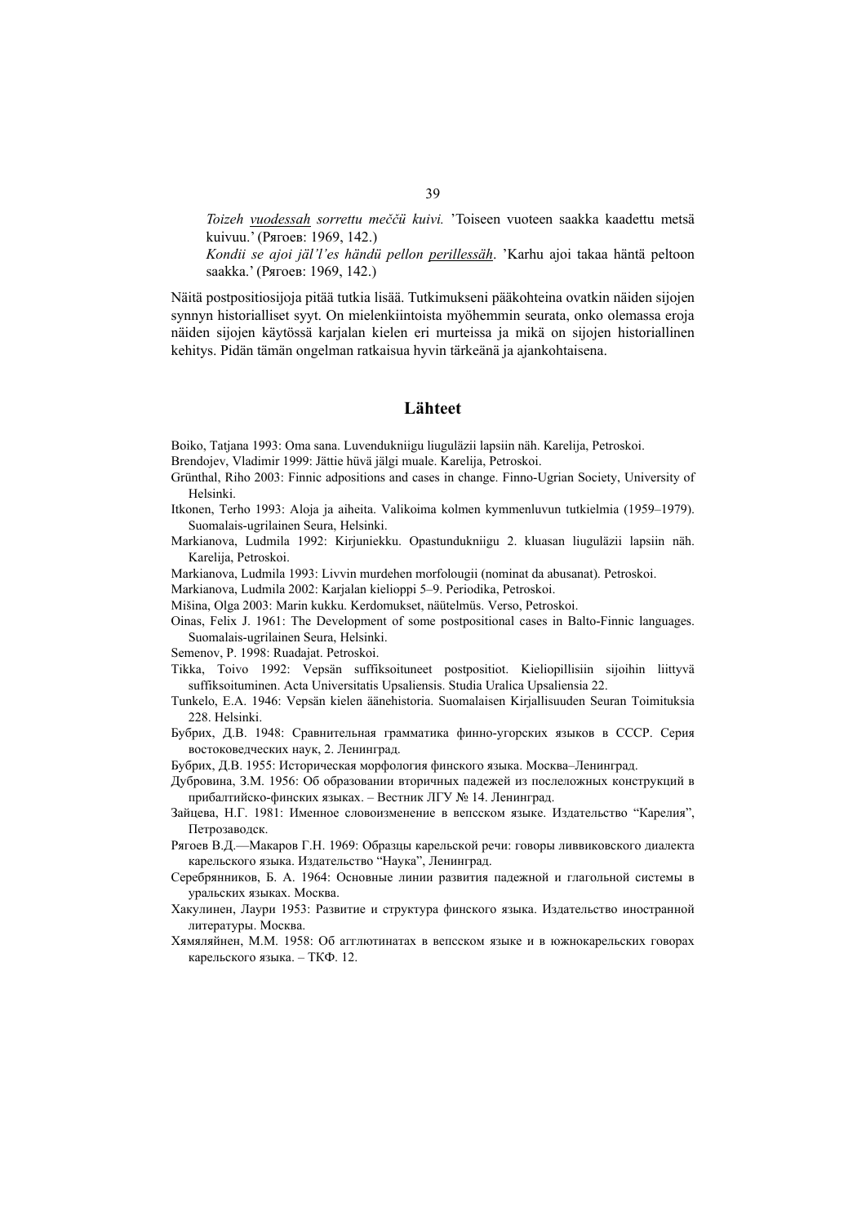*Toizeh vuodessah sorrettu meččü kuivi.* 'Toiseen vuoteen saakka kaadettu metsä kuivuu.' (Рягоев: 1969, 142.)

*Kondii se ajoi jäl'l'es händü pellon perillessäh*. 'Karhu ajoi takaa häntä peltoon saakka.' (Рягоев: 1969, 142.)

Näitä postpositiosijoja pitää tutkia lisää. Tutkimukseni pääkohteina ovatkin näiden sijojen synnyn historialliset syyt. On mielenkiintoista myöhemmin seurata, onko olemassa eroja näiden sijojen käytössä karjalan kielen eri murteissa ja mikä on sijojen historiallinen kehitys. Pidän tämän ongelman ratkaisua hyvin tärkeänä ja ajankohtaisena.

### **Lähteet**

Boiko, Tatjana 1993: Oma sana. Luvendukniigu liuguläzii lapsiin näh. Karelija, Petroskoi.

- Brendojev, Vladimir 1999: Jättie hüvä jälgi muale. Karelija, Petroskoi.
- Grünthal, Riho 2003: Finnic adpositions and cases in change. Finno-Ugrian Society, University of Helsinki.
- Itkonen, Terho 1993: Aloja ja aiheita. Valikoima kolmen kymmenluvun tutkielmia (1959–1979). Suomalais-ugrilainen Seura, Helsinki.
- Markianova, Ludmila 1992: Kirjuniekku. Opastundukniigu 2. kluasan liuguläzii lapsiin näh. Karelija, Petroskoi.
- Markianova, Ludmila 1993: Livvin murdehen morfolougii (nominat da abusanat). Petroskoi.
- Markianova, Ludmila 2002: Karjalan kielioppi 5–9. Periodika, Petroskoi.
- Mišina, Olga 2003: Marin kukku. Kerdomukset, näütelmüs. Verso, Petroskoi.
- Oinas, Felix J. 1961: The Development of some postpositional cases in Balto-Finnic languages. Suomalais-ugrilainen Seura, Helsinki.
- Semenov, P. 1998: Ruadajat. Petroskoi.
- Tikka, Toivo 1992: Vepsän suffiksoituneet postpositiot. Kieliopillisiin sijoihin liittyvä suffiksoituminen. Acta Universitatis Upsaliensis. Studia Uralica Upsaliensia 22.
- Tunkelo, E.A. 1946: Vepsän kielen äänehistoria. Suomalaisen Kirjallisuuden Seuran Toimituksia 228. Helsinki.
- Бубрих, Д.В. 1948: Сравнительная грамматика финно-угорских языков в СССР. Серия востоковедческих наук, 2. Ленинград.
- Бубрих, Д.В. 1955: Историческая морфология финского языка. Москва–Ленинград.
- Дубровина, З.М. 1956: Об образовании вторичных падежей из послеложных конструкций в прибалтийско-финских языках. – Вестник ЛГУ № 14. Ленинград.
- Зайцева, Н.Г. 1981: Именное словоизменение в вепсском языке. Издательство "Карелия", Петрозаводск.
- Рягоев В.Д.—Макаров Г.Н. 1969: Образцы карельской речи: говоры ливвиковского диалекта карельского языка. Издательство "Наука", Ленинград.
- Серебрянников, Б. А. 1964: Основные линии развития падежной и глагольной системы в уральских языках. Москва.
- Хакулинен, Лаури 1953: Развитие и структура финского языка. Издательство иностранной литературы. Москва.
- Хямяляйнен, М.М. 1958: Об агглютинатах в вепсском языке и в южнокарельских говорах карельского языка. – ТКФ. 12.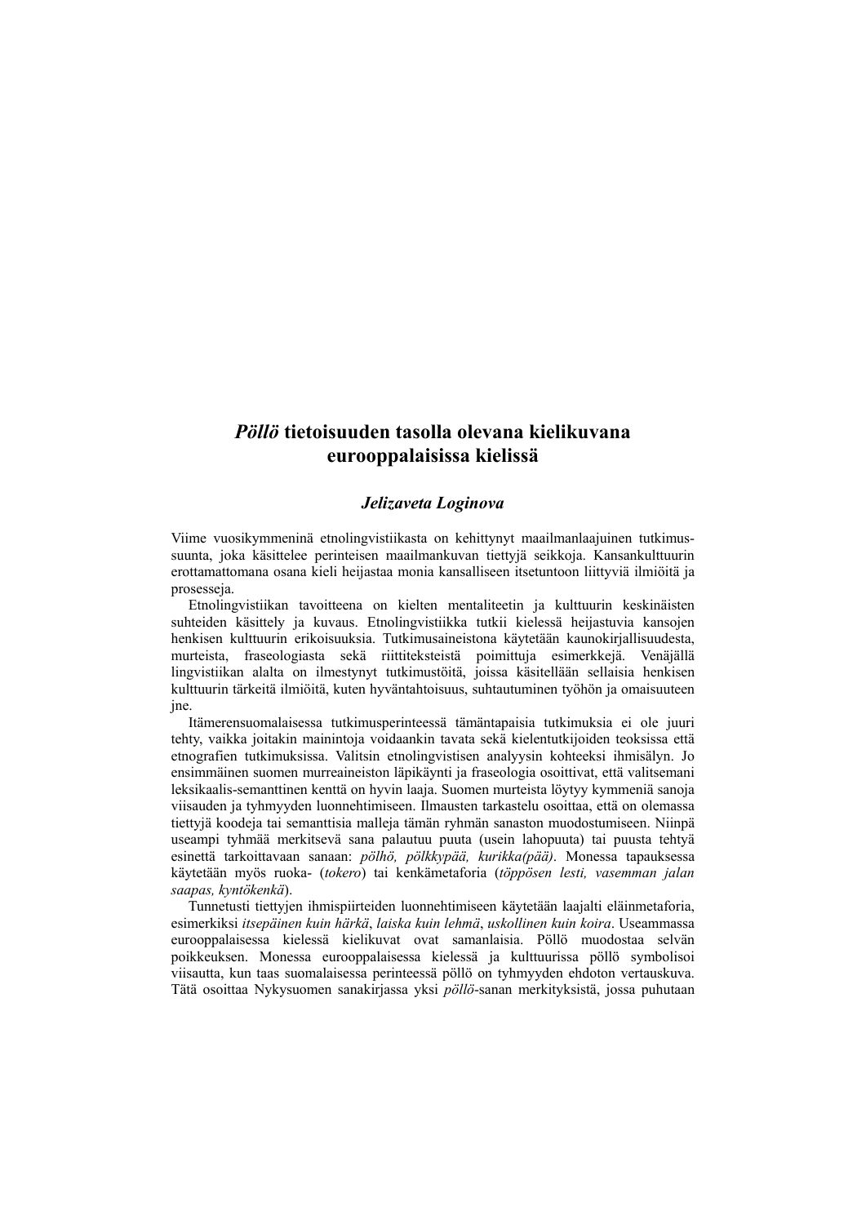## *Pöllö* **tietoisuuden tasolla olevana kielikuvana eurooppalaisissa kielissä**

## *Jelizaveta Loginova*

Viime vuosikymmeninä etnolingvistiikasta on kehittynyt maailmanlaajuinen tutkimussuunta, joka käsittelee perinteisen maailmankuvan tiettyjä seikkoja. Kansankulttuurin erottamattomana osana kieli heijastaa monia kansalliseen itsetuntoon liittyviä ilmiöitä ja prosesseja.

Etnolingvistiikan tavoitteena on kielten mentaliteetin ja kulttuurin keskinäisten suhteiden käsittely ja kuvaus. Etnolingvistiikka tutkii kielessä heijastuvia kansojen henkisen kulttuurin erikoisuuksia. Tutkimusaineistona käytetään kaunokirjallisuudesta, murteista, fraseologiasta sekä riittiteksteistä poimittuja esimerkkejä. Venäjällä lingvistiikan alalta on ilmestynyt tutkimustöitä, joissa käsitellään sellaisia henkisen kulttuurin tärkeitä ilmiöitä, kuten hyväntahtoisuus, suhtautuminen työhön ja omaisuuteen jne.

Itämerensuomalaisessa tutkimusperinteessä tämäntapaisia tutkimuksia ei ole juuri tehty, vaikka joitakin mainintoja voidaankin tavata sekä kielentutkijoiden teoksissa että etnografien tutkimuksissa. Valitsin etnolingvistisen analyysin kohteeksi ihmisälyn. Jo ensimmäinen suomen murreaineiston läpikäynti ja fraseologia osoittivat, että valitsemani leksikaalis-semanttinen kenttä on hyvin laaja. Suomen murteista löytyy kymmeniä sanoja viisauden ja tyhmyyden luonnehtimiseen. Ilmausten tarkastelu osoittaa, että on olemassa tiettyjä koodeja tai semanttisia malleja tämän ryhmän sanaston muodostumiseen. Niinpä useampi tyhmää merkitsevä sana palautuu puuta (usein lahopuuta) tai puusta tehtyä esinettä tarkoittavaan sanaan: *pölhö, pölkkypää, kurikka(pää)*. Monessa tapauksessa käytetään myös ruoka- (*tokero*) tai kenkämetaforia (*töppösen lesti, vasemman jalan saapas, kyntökenkä*).

Tunnetusti tiettyjen ihmispiirteiden luonnehtimiseen käytetään laajalti eläinmetaforia, esimerkiksi *itsepäinen kuin härkä*, *laiska kuin lehmä*, *uskollinen kuin koira*. Useammassa eurooppalaisessa kielessä kielikuvat ovat samanlaisia. Pöllö muodostaa selvän poikkeuksen. Monessa eurooppalaisessa kielessä ja kulttuurissa pöllö symbolisoi viisautta, kun taas suomalaisessa perinteessä pöllö on tyhmyyden ehdoton vertauskuva. Tätä osoittaa Nykysuomen sanakirjassa yksi *pöllö*-sanan merkityksistä, jossa puhutaan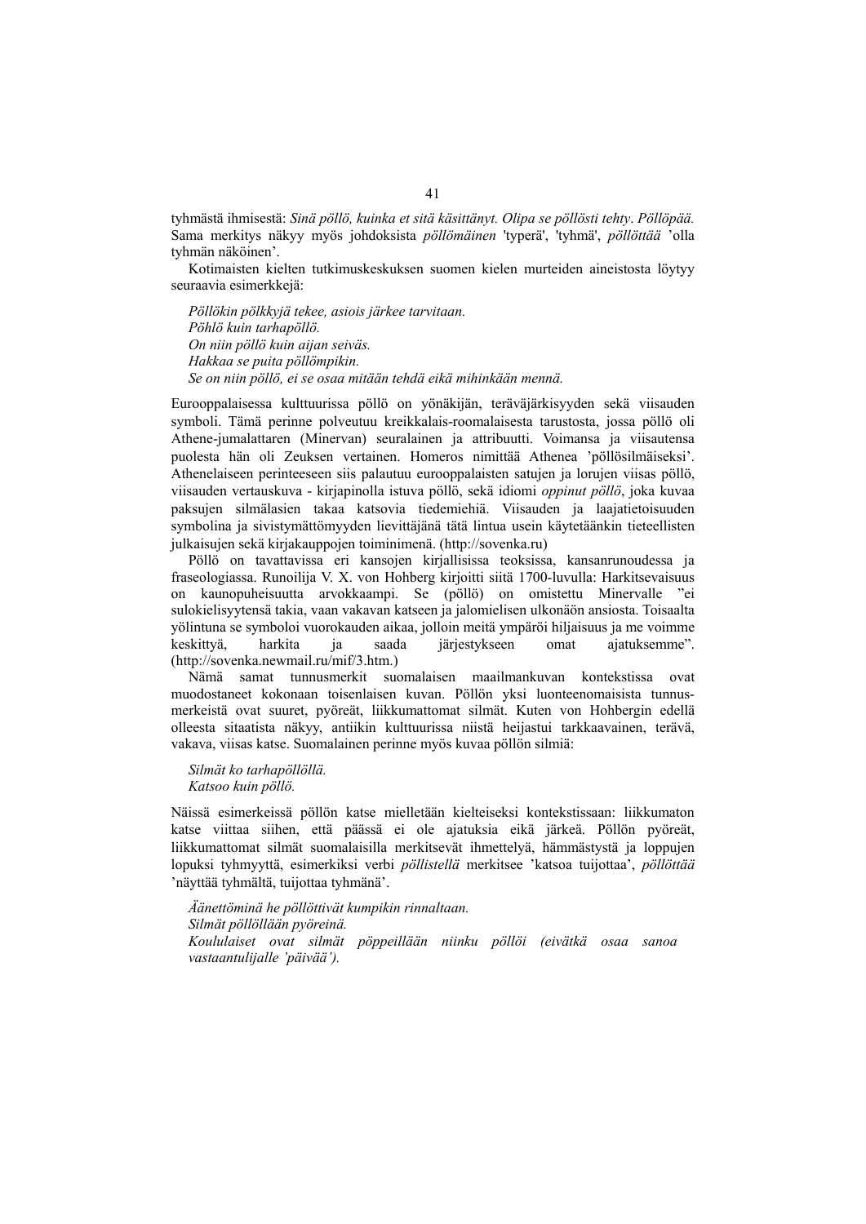tyhmästä ihmisestä: *Sinä pöllö, kuinka et sitä käsittänyt. Olipa se pöllösti tehty*. *Pöllöpää.* Sama merkitys näkyy myös johdoksista *pöllömäinen* 'typerä', 'tyhmä', *pöllöttää* 'olla tyhmän näköinen'.

Kotimaisten kielten tutkimuskeskuksen suomen kielen murteiden aineistosta löytyy seuraavia esimerkkejä:

*Pöllökin pölkkyjä tekee, asiois järkee tarvitaan. Pöhlö kuin tarhapöllö. On niin pöllö kuin aijan seiväs. Hakkaa se puita pöllömpikin. Se on niin pöllö, ei se osaa mitään tehdä eikä mihinkään mennä.* 

Eurooppalaisessa kulttuurissa pöllö on yönäkijän, teräväjärkisyyden sekä viisauden symboli. Tämä perinne polveutuu kreikkalais-roomalaisesta tarustosta, jossa pöllö oli Athene-jumalattaren (Minervan) seuralainen ja attribuutti. Voimansa ja viisautensa puolesta hän oli Zeuksen vertainen. Homeros nimittää Athenea 'pöllösilmäiseksi'. Athenelaiseen perinteeseen siis palautuu eurooppalaisten satujen ja lorujen viisas pöllö, viisauden vertauskuva - kirjapinolla istuva pöllö, sekä idiomi *oppinut pöllö*, joka kuvaa paksujen silmälasien takaa katsovia tiedemiehiä. Viisauden ja laajatietoisuuden symbolina ja sivistymättömyyden lievittäjänä tätä lintua usein käytetäänkin tieteellisten julkaisujen sekä kirjakauppojen toiminimenä. (http://sovenka.ru)

Pöllö on tavattavissa eri kansojen kirjallisissa teoksissa, kansanrunoudessa ja fraseologiassa. Runoilija V. X. von Hohberg kirjoitti siitä 1700-luvulla: Harkitsevaisuus on kaunopuheisuutta arvokkaampi. Se (pöllö) on omistettu Minervalle "ei sulokielisyytensä takia, vaan vakavan katseen ja jalomielisen ulkonäön ansiosta. Toisaalta yölintuna se symboloi vuorokauden aikaa, jolloin meitä ympäröi hiljaisuus ja me voimme keskittyä, harkita ja saada järjestykseen omat ajatuksemme". (http://sovenka.newmail.ru/mif/3.htm.)

Nämä samat tunnusmerkit suomalaisen maailmankuvan kontekstissa ovat muodostaneet kokonaan toisenlaisen kuvan. Pöllön yksi luonteenomaisista tunnusmerkeistä ovat suuret, pyöreät, liikkumattomat silmät. Kuten von Hohbergin edellä olleesta sitaatista näkyy, antiikin kulttuurissa niistä heijastui tarkkaavainen, terävä, vakava, viisas katse. Suomalainen perinne myös kuvaa pöllön silmiä:

*Silmät ko tarhapöllöllä. Katsoo kuin pöllö.* 

Näissä esimerkeissä pöllön katse mielletään kielteiseksi kontekstissaan: liikkumaton katse viittaa siihen, että päässä ei ole ajatuksia eikä järkeä. Pöllön pyöreät, liikkumattomat silmät suomalaisilla merkitsevät ihmettelyä, hämmästystä ja loppujen lopuksi tyhmyyttä, esimerkiksi verbi *pöllistellä* merkitsee 'katsoa tuijottaa', *pöllöttää*  'näyttää tyhmältä, tuijottaa tyhmänä'.

*Äänettöminä he pöllöttivät kumpikin rinnaltaan. Silmät pöllöllään pyöreinä. Koululaiset ovat silmät pöppeillään niinku pöllöi (eivätkä osaa sanoa vastaantulijalle 'päivää').*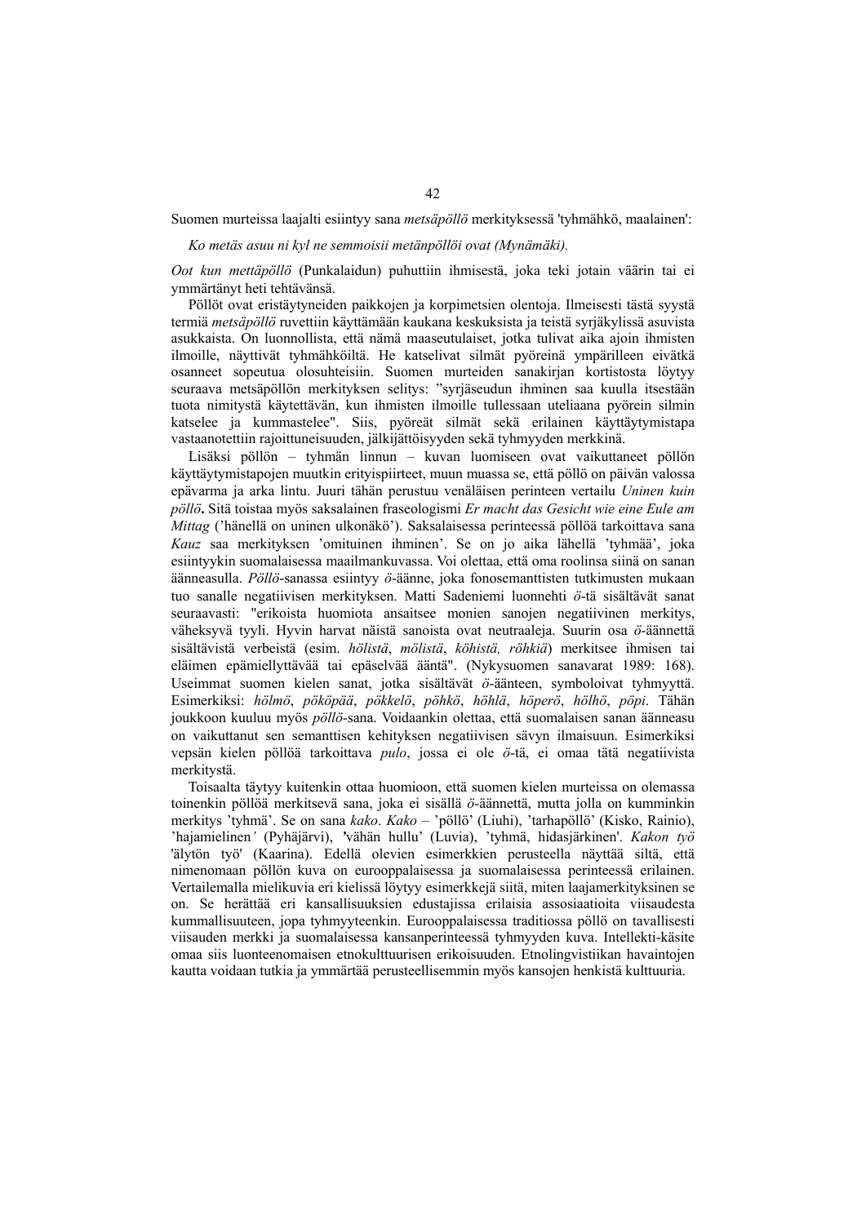Suomen murteissa laajalti esiintyy sana *metsäpöllö* merkityksessä 'tyhmähkö, maalainen':

*Ko metäs asuu ni kyl ne semmoisii metänpöllöi ovat (Mynämäki).* 

*Oot kun mettäpöllö* (Punkalaidun) puhuttiin ihmisestä, joka teki jotain väärin tai ei ymmärtänyt heti tehtävänsä.

Pöllöt ovat eristäytyneiden paikkojen ja korpimetsien olentoja. Ilmeisesti tästä syystä termiä *metsäpöllö* ruvettiin käyttämään kaukana keskuksista ja teistä syrjäkylissä asuvista asukkaista. On luonnollista, että nämä maaseutulaiset, jotka tulivat aika ajoin ihmisten ilmoille, näyttivät tyhmähköiltä. He katselivat silmät pyöreinä ympärilleen eivätkä osanneet sopeutua olosuhteisiin. Suomen murteiden sanakirjan kortistosta löytyy seuraava metsäpöllön merkityksen selitys: "syrjäseudun ihminen saa kuulla itsestään tuota nimitystä käytettävän, kun ihmisten ilmoille tullessaan uteliaana pyörein silmin katselee ja kummastelee". Siis, pyöreät silmät sekä erilainen käyttäytymistapa vastaanotettiin rajoittuneisuuden, jälkijättöisyyden sekä tyhmyyden merkkinä.

Lisäksi pöllön – tyhmän linnun – kuvan luomiseen ovat vaikuttaneet pöllön käyttäytymistapojen muutkin erityispiirteet, muun muassa se, että pöllö on päivän valossa epävarma ja arka lintu. Juuri tähän perustuu venäläisen perinteen vertailu *Uninen kuin pöllö***.** Sitä toistaa myös saksalainen fraseologismi *Er macht das Gesicht wie eine Eule am Mittag* ('hänellä on uninen ulkonäkö'). Saksalaisessa perinteessä pöllöä tarkoittava sana *Kauz* saa merkityksen 'omituinen ihminen'. Se on jo aika lähellä 'tyhmää', joka esiintyykin suomalaisessa maailmankuvassa. Voi olettaa, että oma roolinsa siinä on sanan äänneasulla. *Pöllö*-sanassa esiintyy *ö*-äänne, joka fonosemanttisten tutkimusten mukaan tuo sanalle negatiivisen merkityksen. Matti Sadeniemi luonnehti *ö*-tä sisältävät sanat seuraavasti: "erikoista huomiota ansaitsee monien sanojen negatiivinen merkitys, väheksyvä tyyli. Hyvin harvat näistä sanoista ovat neutraaleja. Suurin osa *ö*-äännettä sisältävistä verbeistä (esim. *hölistä*, *mölistä*, *köhistä, röhkiä*) merkitsee ihmisen tai eläimen epämiellyttävää tai epäselvää ääntä". (Nykysuomen sanavarat 1989: 168). Useimmat suomen kielen sanat, jotka sisältävät *ö*-äänteen, symboloivat tyhmyyttä. Esimerkiksi: *hölmö*, *pököpää*, *pökkelö*, *pöhkö*, *höhlä*, *höperö*, *hölhö*, *pöpi*. Tähän joukkoon kuuluu myös *pöllö*-sana. Voidaankin olettaa, että suomalaisen sanan äänneasu on vaikuttanut sen semanttisen kehityksen negatiivisen sävyn ilmaisuun. Esimerkiksi vepsän kielen pöllöä tarkoittava *pulo*, jossa ei ole *ö*-tä, ei omaa tätä negatiivista merkitystä.

Toisaalta täytyy kuitenkin ottaa huomioon, että suomen kielen murteissa on olemassa toinenkin pöllöä merkitsevä sana, joka ei sisällä *ö*-äännettä, mutta jolla on kumminkin merkitys 'tyhmä'. Se on sana *kako*. *Kako* – 'pöllö' (Liuhi), 'tarhapöllö' (Kisko, Rainio), 'hajamielinen*'* (Pyhäjärvi), *'*vähän hullu' (Luvia), 'tyhmä, hidasjärkinen'. *Kakon työ* 'älytön työ' (Kaarina). Edellä olevien esimerkkien perusteella näyttää siltä, että nimenomaan pöllön kuva on eurooppalaisessa ja suomalaisessa perinteessä erilainen. Vertailemalla mielikuvia eri kielissä löytyy esimerkkejä siitä, miten laajamerkityksinen se on. Se herättää eri kansallisuuksien edustajissa erilaisia assosiaatioita viisaudesta kummallisuuteen, jopa tyhmyyteenkin. Eurooppalaisessa traditiossa pöllö on tavallisesti viisauden merkki ja suomalaisessa kansanperinteessä tyhmyyden kuva. Intellekti-käsite omaa siis luonteenomaisen etnokulttuurisen erikoisuuden. Etnolingvistiikan havaintojen kautta voidaan tutkia ja ymmärtää perusteellisemmin myös kansojen henkistä kulttuuria.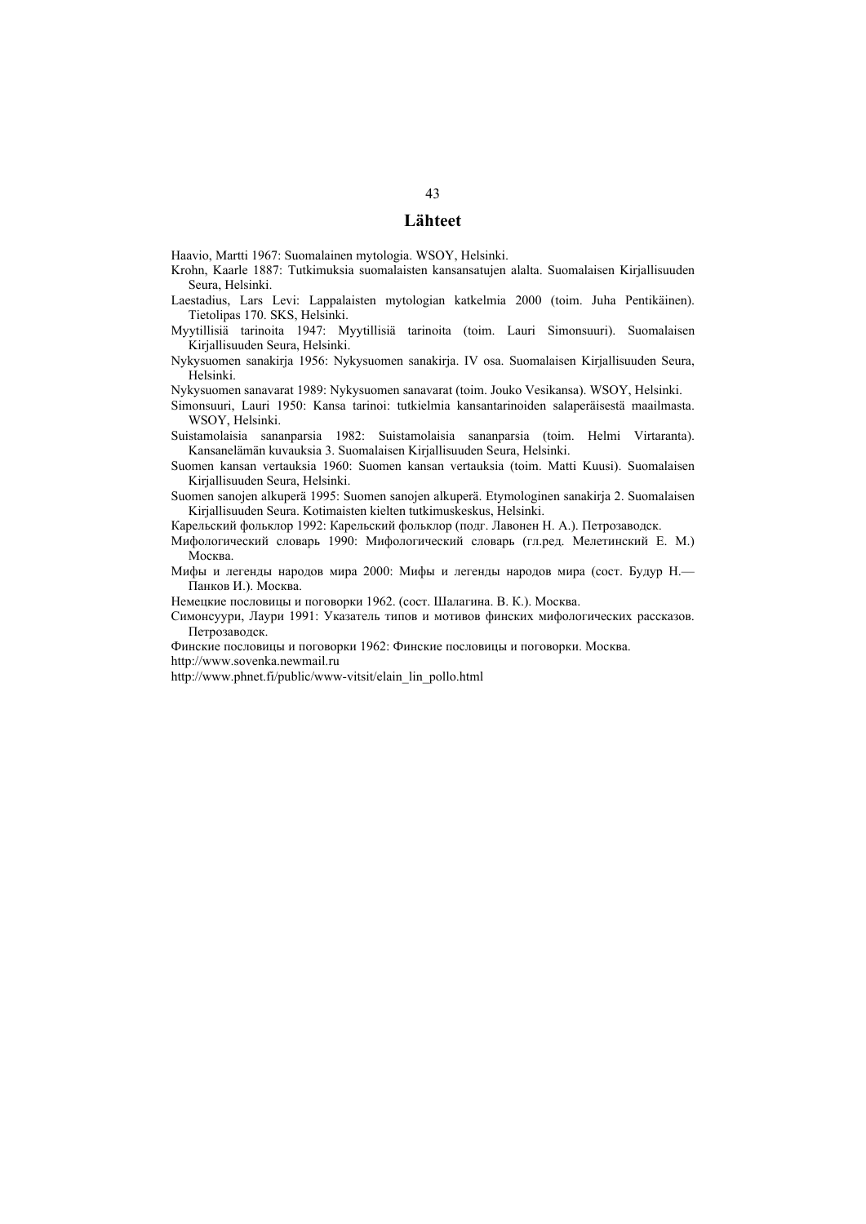#### **Lähteet**

Haavio, Martti 1967: Suomalainen mytologia. WSOY, Helsinki.

- Krohn, Kaarle 1887: Tutkimuksia suomalaisten kansansatujen alalta. Suomalaisen Kirjallisuuden Seura, Helsinki.
- Laestadius, Lars Levi: Lappalaisten mytologian katkelmia 2000 (toim. Juha Pentikäinen). Tietolipas 170. SKS, Helsinki.
- Myytillisiä tarinoita 1947: Myytillisiä tarinoita (toim. Lauri Simonsuuri). Suomalaisen Kirjallisuuden Seura, Helsinki.
- Nykysuomen sanakirja 1956: Nykysuomen sanakirja. IV osa. Suomalaisen Kirjallisuuden Seura, Helsinki.

Nykysuomen sanavarat 1989: Nykysuomen sanavarat (toim. Jouko Vesikansa). WSOY, Helsinki.

Simonsuuri, Lauri 1950: Kansa tarinoi: tutkielmia kansantarinoiden salaperäisestä maailmasta. WSOY, Helsinki.

Suistamolaisia sananparsia 1982: Suistamolaisia sananparsia (toim. Helmi Virtaranta). Kansanelämän kuvauksia 3. Suomalaisen Kirjallisuuden Seura, Helsinki.

Suomen kansan vertauksia 1960: Suomen kansan vertauksia (toim. Matti Kuusi). Suomalaisen Kirjallisuuden Seura, Helsinki.

Suomen sanojen alkuperä 1995: Suomen sanojen alkuperä. Etymologinen sanakirja 2. Suomalaisen Kirjallisuuden Seura. Kotimaisten kielten tutkimuskeskus, Helsinki.

Карельский фольклор 1992: Карельский фольклор (подг. Лавонен Н. А.). Петрозаводск.

Мифологический словарь 1990: Мифологический словарь (гл.ред. Мелетинский Е. М.) Москва.

Мифы и легенды народов мира 2000: Мифы и легенды народов мира (сост. Будур Н.— Панков И.). Москва.

Немецкие пословицы и поговорки 1962. (сост. Шалагина. В. К.). Москва.

Симонсуури, Лаури 1991: Указатель типов и мотивов финских мифологических рассказов. Петрозаводск.

Финские пословицы и поговорки 1962: Финские пословицы и поговорки. Москва. http://www.sovenka.newmail.ru

http://www.phnet.fi/public/www-vitsit/elain\_lin\_pollo.html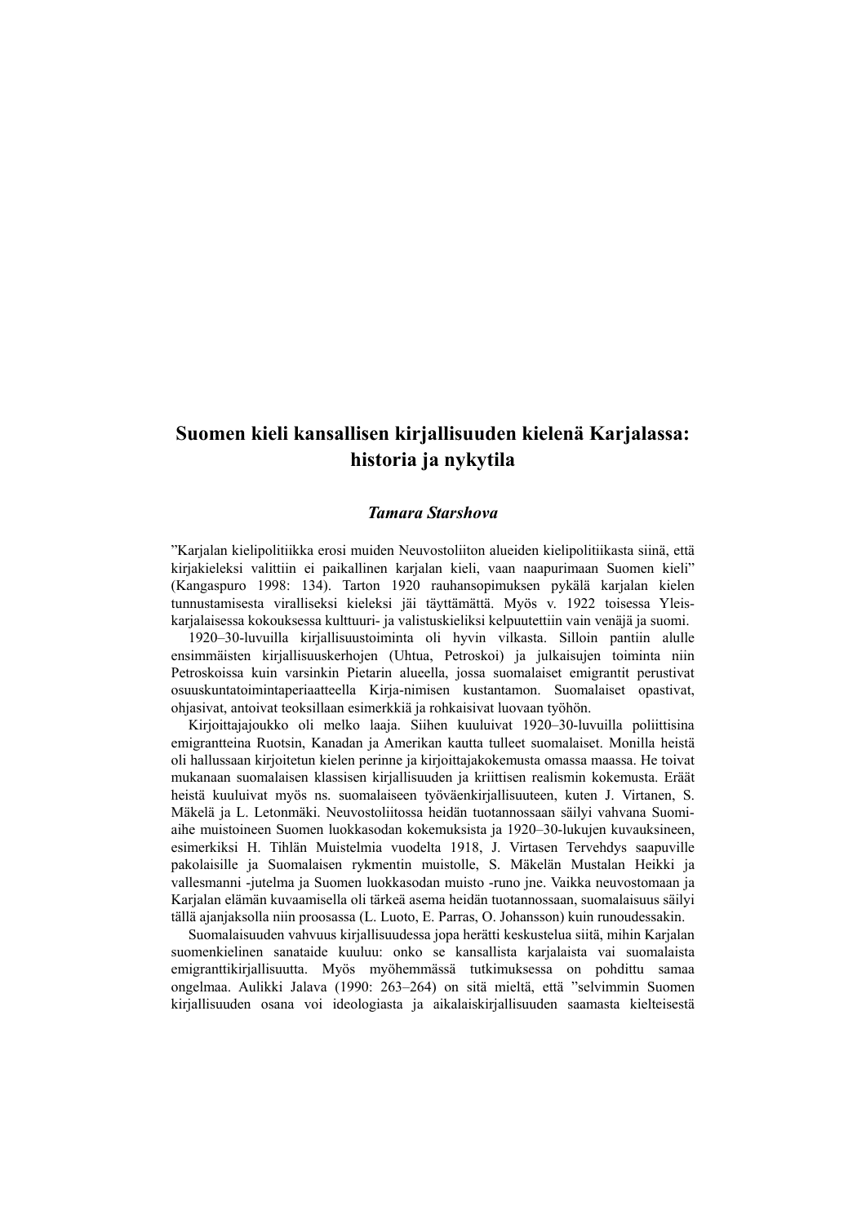# **Suomen kieli kansallisen kirjallisuuden kielenä Karjalassa: historia ja nykytila**

### *Tamara Starshova*

"Karjalan kielipolitiikka erosi muiden Neuvostoliiton alueiden kielipolitiikasta siinä, että kirjakieleksi valittiin ei paikallinen karjalan kieli, vaan naapurimaan Suomen kieli" (Kangaspuro 1998: 134). Tarton 1920 rauhansopimuksen pykälä karjalan kielen tunnustamisesta viralliseksi kieleksi jäi täyttämättä. Myös v. 1922 toisessa Yleiskarjalaisessa kokouksessa kulttuuri- ja valistuskieliksi kelpuutettiin vain venäjä ja suomi.

1920–30-luvuilla kirjallisuustoiminta oli hyvin vilkasta. Silloin pantiin alulle ensimmäisten kirjallisuuskerhojen (Uhtua, Petroskoi) ja julkaisujen toiminta niin Petroskoissa kuin varsinkin Pietarin alueella, jossa suomalaiset emigrantit perustivat osuuskuntatoimintaperiaatteella Kirja-nimisen kustantamon. Suomalaiset opastivat, ohjasivat, antoivat teoksillaan esimerkkiä ja rohkaisivat luovaan työhön.

Kirjoittajajoukko oli melko laaja. Siihen kuuluivat 1920–30-luvuilla poliittisina emigrantteina Ruotsin, Kanadan ja Amerikan kautta tulleet suomalaiset. Monilla heistä oli hallussaan kirjoitetun kielen perinne ja kirjoittajakokemusta omassa maassa. He toivat mukanaan suomalaisen klassisen kirjallisuuden ja kriittisen realismin kokemusta. Eräät heistä kuuluivat myös ns. suomalaiseen työväenkirjallisuuteen, kuten J. Virtanen, S. Mäkelä ja L. Letonmäki. Neuvostoliitossa heidän tuotannossaan säilyi vahvana Suomiaihe muistoineen Suomen luokkasodan kokemuksista ja 1920–30-lukujen kuvauksineen, esimerkiksi H. Tihlän Muistelmia vuodelta 1918, J. Virtasen Tervehdys saapuville pakolaisille ja Suomalaisen rykmentin muistolle, S. Mäkelän Mustalan Heikki ja vallesmanni -jutelma ja Suomen luokkasodan muisto -runo jne. Vaikka neuvostomaan ja Karjalan elämän kuvaamisella oli tärkeä asema heidän tuotannossaan, suomalaisuus säilyi tällä ajanjaksolla niin proosassa (L. Luoto, E. Parras, O. Johansson) kuin runoudessakin.

Suomalaisuuden vahvuus kirjallisuudessa jopa herätti keskustelua siitä, mihin Karjalan suomenkielinen sanataide kuuluu: onko se kansallista karjalaista vai suomalaista emigranttikirjallisuutta. Myös myöhemmässä tutkimuksessa on pohdittu samaa ongelmaa. Aulikki Jalava (1990: 263–264) on sitä mieltä, että "selvimmin Suomen kirjallisuuden osana voi ideologiasta ja aikalaiskirjallisuuden saamasta kielteisestä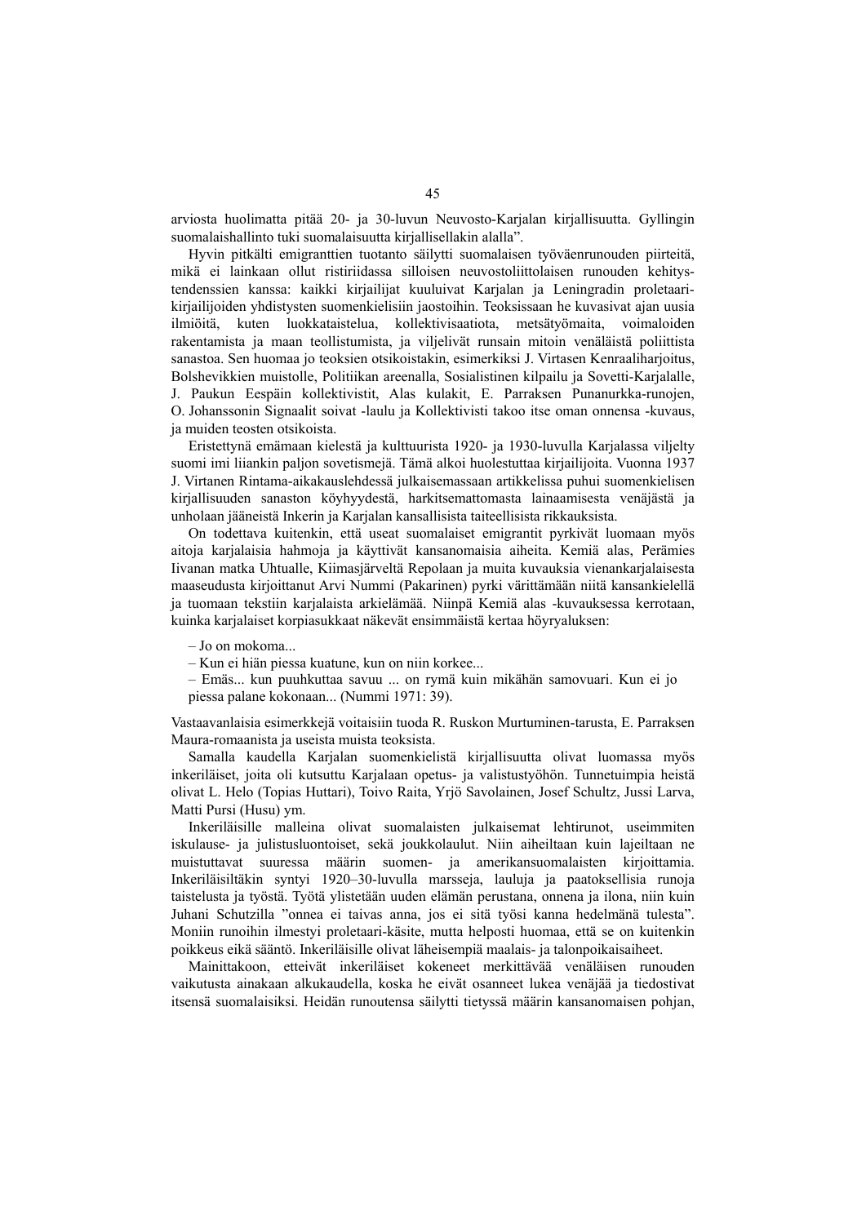arviosta huolimatta pitää 20- ja 30-luvun Neuvosto-Karjalan kirjallisuutta. Gyllingin suomalaishallinto tuki suomalaisuutta kirjallisellakin alalla".

Hyvin pitkälti emigranttien tuotanto säilytti suomalaisen työväenrunouden piirteitä, mikä ei lainkaan ollut ristiriidassa silloisen neuvostoliittolaisen runouden kehitystendenssien kanssa: kaikki kirjailijat kuuluivat Karjalan ja Leningradin proletaarikirjailijoiden yhdistysten suomenkielisiin jaostoihin. Teoksissaan he kuvasivat ajan uusia ilmiöitä, kuten luokkataistelua, kollektivisaatiota, metsätyömaita, voimaloiden rakentamista ja maan teollistumista, ja viljelivät runsain mitoin venäläistä poliittista sanastoa. Sen huomaa jo teoksien otsikoistakin, esimerkiksi J. Virtasen Kenraaliharjoitus, Bolshevikkien muistolle, Politiikan areenalla, Sosialistinen kilpailu ja Sovetti-Karjalalle, J. Paukun Eespäin kollektivistit, Alas kulakit, E. Parraksen Punanurkka-runojen, O. Johanssonin Signaalit soivat -laulu ja Kollektivisti takoo itse oman onnensa -kuvaus, ja muiden teosten otsikoista.

Eristettynä emämaan kielestä ja kulttuurista 1920- ja 1930-luvulla Karjalassa viljelty suomi imi liiankin paljon sovetismejä. Tämä alkoi huolestuttaa kirjailijoita. Vuonna 1937 J. Virtanen Rintama-aikakauslehdessä julkaisemassaan artikkelissa puhui suomenkielisen kirjallisuuden sanaston köyhyydestä, harkitsemattomasta lainaamisesta venäjästä ja unholaan jääneistä Inkerin ja Karjalan kansallisista taiteellisista rikkauksista.

On todettava kuitenkin, että useat suomalaiset emigrantit pyrkivät luomaan myös aitoja karjalaisia hahmoja ja käyttivät kansanomaisia aiheita. Kemiä alas, Perämies Iivanan matka Uhtualle, Kiimasjärveltä Repolaan ja muita kuvauksia vienankarjalaisesta maaseudusta kirjoittanut Arvi Nummi (Pakarinen) pyrki värittämään niitä kansankielellä ja tuomaan tekstiin karjalaista arkielämää. Niinpä Kemiä alas -kuvauksessa kerrotaan, kuinka karjalaiset korpiasukkaat näkevät ensimmäistä kertaa höyryaluksen:

– Jo on mokoma...

– Kun ei hiän piessa kuatune, kun on niin korkee...

– Emäs... kun puuhkuttaa savuu ... on rymä kuin mikähän samovuari. Kun ei jo piessa palane kokonaan... (Nummi 1971: 39).

Vastaavanlaisia esimerkkejä voitaisiin tuoda R. Ruskon Murtuminen-tarusta, E. Parraksen Maura-romaanista ja useista muista teoksista.

Samalla kaudella Karjalan suomenkielistä kirjallisuutta olivat luomassa myös inkeriläiset, joita oli kutsuttu Karjalaan opetus- ja valistustyöhön. Tunnetuimpia heistä olivat L. Helo (Topias Huttari), Toivo Raita, Yrjö Savolainen, Josef Schultz, Jussi Larva, Matti Pursi (Husu) ym.

Inkeriläisille malleina olivat suomalaisten julkaisemat lehtirunot, useimmiten iskulause- ja julistusluontoiset, sekä joukkolaulut. Niin aiheiltaan kuin lajeiltaan ne muistuttavat suuressa määrin suomen- ja amerikansuomalaisten kirjoittamia. Inkeriläisiltäkin syntyi 1920–30-luvulla marsseja, lauluja ja paatoksellisia runoja taistelusta ja työstä. Työtä ylistetään uuden elämän perustana, onnena ja ilona, niin kuin Juhani Schutzilla "onnea ei taivas anna, jos ei sitä työsi kanna hedelmänä tulesta". Moniin runoihin ilmestyi proletaari-käsite, mutta helposti huomaa, että se on kuitenkin poikkeus eikä sääntö. Inkeriläisille olivat läheisempiä maalais- ja talonpoikaisaiheet.

Mainittakoon, etteivät inkeriläiset kokeneet merkittävää venäläisen runouden vaikutusta ainakaan alkukaudella, koska he eivät osanneet lukea venäjää ja tiedostivat itsensä suomalaisiksi. Heidän runoutensa säilytti tietyssä määrin kansanomaisen pohjan,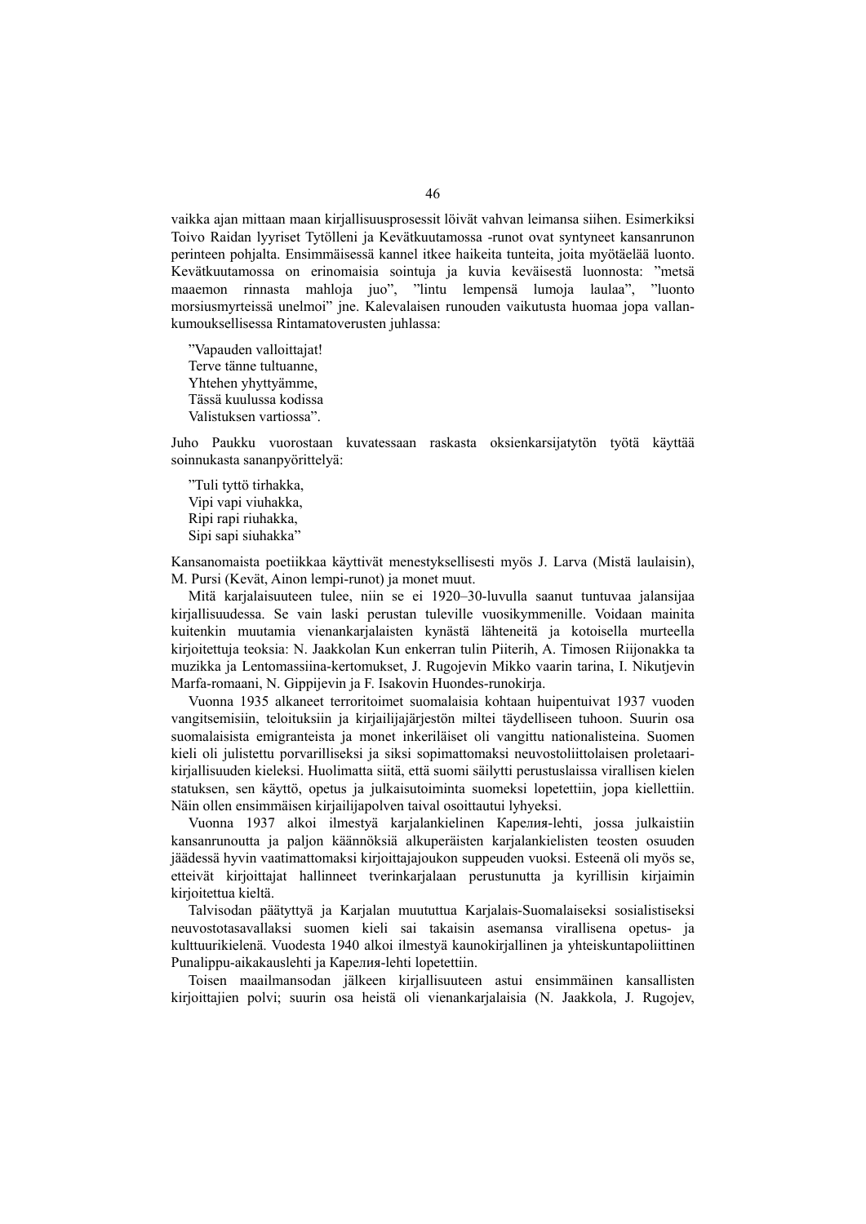vaikka ajan mittaan maan kirjallisuusprosessit löivät vahvan leimansa siihen. Esimerkiksi Toivo Raidan lyyriset Tytölleni ja Kevätkuutamossa -runot ovat syntyneet kansanrunon perinteen pohjalta. Ensimmäisessä kannel itkee haikeita tunteita, joita myötäelää luonto. Kevätkuutamossa on erinomaisia sointuja ja kuvia keväisestä luonnosta: "metsä maaemon rinnasta mahloja juo", "lintu lempensä lumoja laulaa", "luonto morsiusmyrteissä unelmoi" jne. Kalevalaisen runouden vaikutusta huomaa jopa vallankumouksellisessa Rintamatoverusten juhlassa:

"Vapauden valloittajat! Terve tänne tultuanne, Yhtehen yhyttyämme, Tässä kuulussa kodissa Valistuksen vartiossa".

Juho Paukku vuorostaan kuvatessaan raskasta oksienkarsijatytön työtä käyttää soinnukasta sananpyörittelyä:

"Tuli tyttö tirhakka, Vipi vapi viuhakka, Ripi rapi riuhakka, Sipi sapi siuhakka"

Kansanomaista poetiikkaa käyttivät menestyksellisesti myös J. Larva (Mistä laulaisin), M. Pursi (Kevät, Ainon lempi-runot) ja monet muut.

Mitä karjalaisuuteen tulee, niin se ei 1920–30-luvulla saanut tuntuvaa jalansijaa kirjallisuudessa. Se vain laski perustan tuleville vuosikymmenille. Voidaan mainita kuitenkin muutamia vienankarjalaisten kynästä lähteneitä ja kotoisella murteella kirjoitettuja teoksia: N. Jaakkolan Kun enkerran tulin Piiterih, A. Timosen Riijonakka ta muzikka ja Lentomassiina-kertomukset, J. Rugojevin Mikko vaarin tarina, I. Nikutjevin Marfa-romaani, N. Gippijevin ja F. Isakovin Huondes-runokirja.

Vuonna 1935 alkaneet terroritoimet suomalaisia kohtaan huipentuivat 1937 vuoden vangitsemisiin, teloituksiin ja kirjailijajärjestön miltei täydelliseen tuhoon. Suurin osa suomalaisista emigranteista ja monet inkeriläiset oli vangittu nationalisteina. Suomen kieli oli julistettu porvarilliseksi ja siksi sopimattomaksi neuvostoliittolaisen proletaarikirjallisuuden kieleksi. Huolimatta siitä, että suomi säilytti perustuslaissa virallisen kielen statuksen, sen käyttö, opetus ja julkaisutoiminta suomeksi lopetettiin, jopa kiellettiin. Näin ollen ensimmäisen kirjailijapolven taival osoittautui lyhyeksi.

Vuonna 1937 alkoi ilmestyä karjalankielinen Карелия-lehti, jossa julkaistiin kansanrunoutta ja paljon käännöksiä alkuperäisten karjalankielisten teosten osuuden jäädessä hyvin vaatimattomaksi kirjoittajajoukon suppeuden vuoksi. Esteenä oli myös se, etteivät kirjoittajat hallinneet tverinkarjalaan perustunutta ja kyrillisin kirjaimin kirjoitettua kieltä.

Talvisodan päätyttyä ja Karjalan muututtua Karjalais-Suomalaiseksi sosialistiseksi neuvostotasavallaksi suomen kieli sai takaisin asemansa virallisena opetus- ja kulttuurikielenä. Vuodesta 1940 alkoi ilmestyä kaunokirjallinen ja yhteiskuntapoliittinen Punalippu-aikakauslehti ja Карелия-lehti lopetettiin.

Toisen maailmansodan jälkeen kirjallisuuteen astui ensimmäinen kansallisten kirjoittajien polvi; suurin osa heistä oli vienankarjalaisia (N. Jaakkola, J. Rugojev,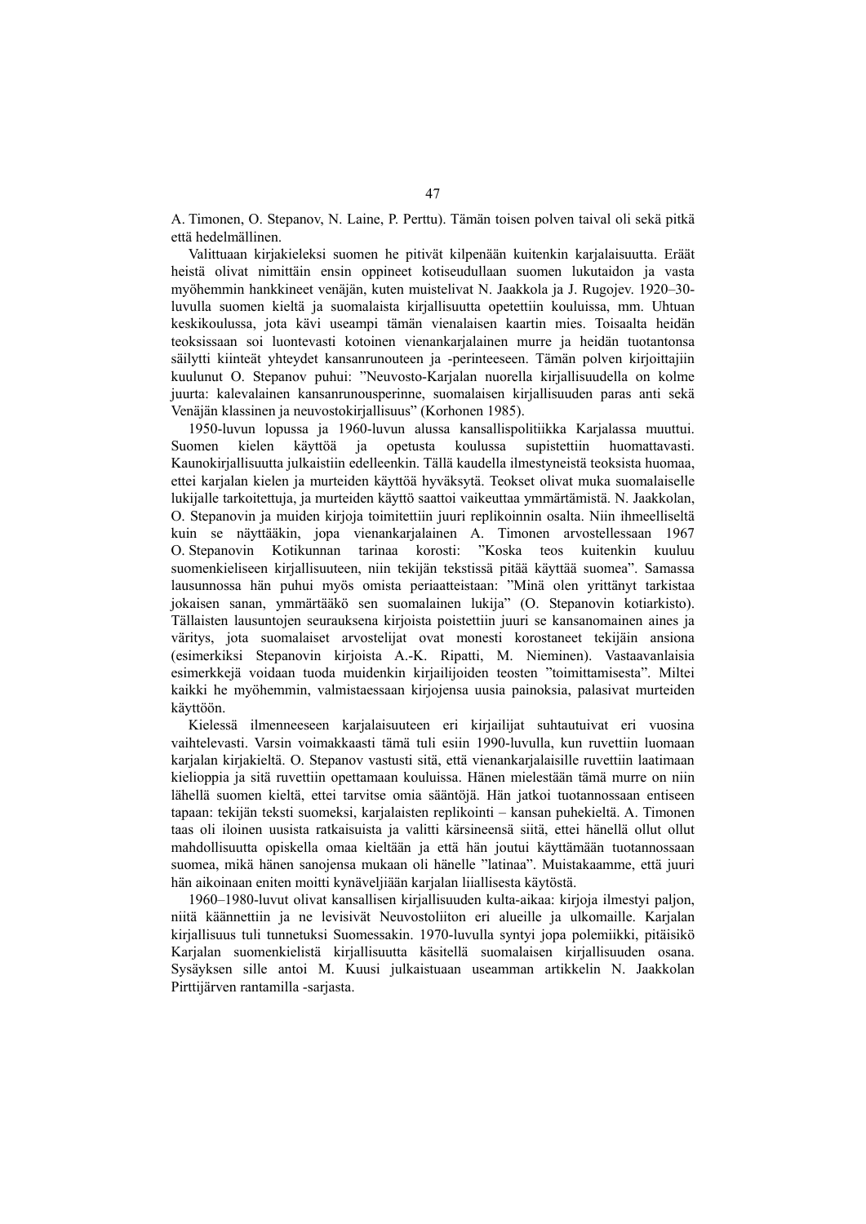A. Timonen, O. Stepanov, N. Laine, P. Perttu). Tämän toisen polven taival oli sekä pitkä että hedelmällinen.

Valittuaan kirjakieleksi suomen he pitivät kilpenään kuitenkin karjalaisuutta. Eräät heistä olivat nimittäin ensin oppineet kotiseudullaan suomen lukutaidon ja vasta myöhemmin hankkineet venäjän, kuten muistelivat N. Jaakkola ja J. Rugojev. 1920–30 luvulla suomen kieltä ja suomalaista kirjallisuutta opetettiin kouluissa, mm. Uhtuan keskikoulussa, jota kävi useampi tämän vienalaisen kaartin mies. Toisaalta heidän teoksissaan soi luontevasti kotoinen vienankarjalainen murre ja heidän tuotantonsa säilytti kiinteät yhteydet kansanrunouteen ja -perinteeseen. Tämän polven kirjoittajiin kuulunut O. Stepanov puhui: "Neuvosto-Karjalan nuorella kirjallisuudella on kolme juurta: kalevalainen kansanrunousperinne, suomalaisen kirjallisuuden paras anti sekä Venäjän klassinen ja neuvostokirjallisuus" (Korhonen 1985).

1950-luvun lopussa ja 1960-luvun alussa kansallispolitiikka Karjalassa muuttui. Suomen kielen käyttöä ja opetusta koulussa supistettiin huomattavasti. Kaunokirjallisuutta julkaistiin edelleenkin. Tällä kaudella ilmestyneistä teoksista huomaa, ettei karjalan kielen ja murteiden käyttöä hyväksytä. Teokset olivat muka suomalaiselle lukijalle tarkoitettuja, ja murteiden käyttö saattoi vaikeuttaa ymmärtämistä. N. Jaakkolan, O. Stepanovin ja muiden kirjoja toimitettiin juuri replikoinnin osalta. Niin ihmeelliseltä kuin se näyttääkin, jopa vienankarjalainen A. Timonen arvostellessaan 1967 O. Stepanovin Kotikunnan tarinaa korosti: "Koska teos kuitenkin kuuluu suomenkieliseen kirjallisuuteen, niin tekijän tekstissä pitää käyttää suomea". Samassa lausunnossa hän puhui myös omista periaatteistaan: "Minä olen yrittänyt tarkistaa jokaisen sanan, ymmärtääkö sen suomalainen lukija" (O. Stepanovin kotiarkisto). Tällaisten lausuntojen seurauksena kirjoista poistettiin juuri se kansanomainen aines ja väritys, jota suomalaiset arvostelijat ovat monesti korostaneet tekijäin ansiona (esimerkiksi Stepanovin kirjoista A.-K. Ripatti, M. Nieminen). Vastaavanlaisia esimerkkejä voidaan tuoda muidenkin kirjailijoiden teosten "toimittamisesta". Miltei kaikki he myöhemmin, valmistaessaan kirjojensa uusia painoksia, palasivat murteiden käyttöön.

Kielessä ilmenneeseen karjalaisuuteen eri kirjailijat suhtautuivat eri vuosina vaihtelevasti. Varsin voimakkaasti tämä tuli esiin 1990-luvulla, kun ruvettiin luomaan karjalan kirjakieltä. O. Stepanov vastusti sitä, että vienankarjalaisille ruvettiin laatimaan kielioppia ja sitä ruvettiin opettamaan kouluissa. Hänen mielestään tämä murre on niin lähellä suomen kieltä, ettei tarvitse omia sääntöjä. Hän jatkoi tuotannossaan entiseen tapaan: tekijän teksti suomeksi, karjalaisten replikointi – kansan puhekieltä. A. Timonen taas oli iloinen uusista ratkaisuista ja valitti kärsineensä siitä, ettei hänellä ollut ollut mahdollisuutta opiskella omaa kieltään ja että hän joutui käyttämään tuotannossaan suomea, mikä hänen sanojensa mukaan oli hänelle "latinaa". Muistakaamme, että juuri hän aikoinaan eniten moitti kynäveljiään karjalan liiallisesta käytöstä.

1960–1980-luvut olivat kansallisen kirjallisuuden kulta-aikaa: kirjoja ilmestyi paljon, niitä käännettiin ja ne levisivät Neuvostoliiton eri alueille ja ulkomaille. Karjalan kirjallisuus tuli tunnetuksi Suomessakin. 1970-luvulla syntyi jopa polemiikki, pitäisikö Karjalan suomenkielistä kirjallisuutta käsitellä suomalaisen kirjallisuuden osana. Sysäyksen sille antoi M. Kuusi julkaistuaan useamman artikkelin N. Jaakkolan Pirttijärven rantamilla -sarjasta.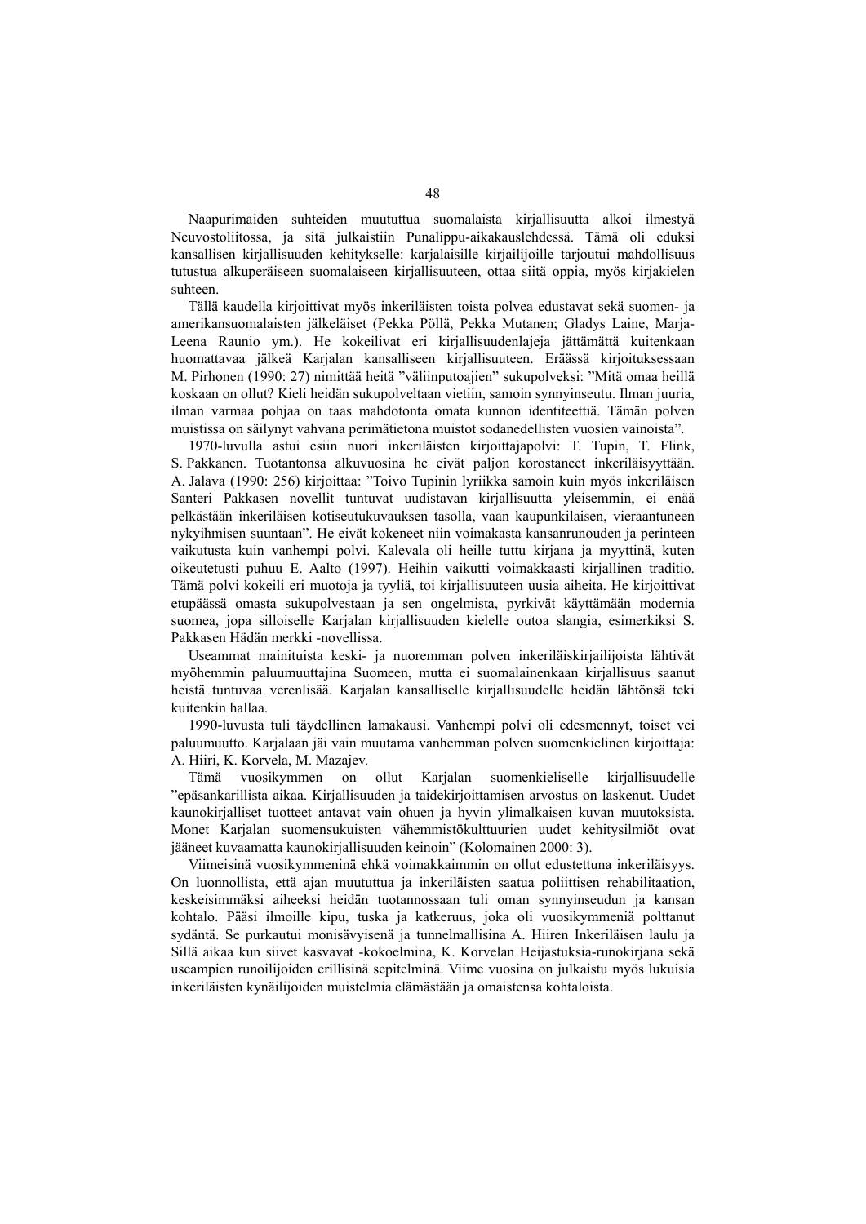Naapurimaiden suhteiden muututtua suomalaista kirjallisuutta alkoi ilmestyä Neuvostoliitossa, ja sitä julkaistiin Punalippu-aikakauslehdessä. Tämä oli eduksi kansallisen kirjallisuuden kehitykselle: karjalaisille kirjailijoille tarjoutui mahdollisuus tutustua alkuperäiseen suomalaiseen kirjallisuuteen, ottaa siitä oppia, myös kirjakielen suhteen.

Tällä kaudella kirjoittivat myös inkeriläisten toista polvea edustavat sekä suomen- ja amerikansuomalaisten jälkeläiset (Pekka Pöllä, Pekka Mutanen; Gladys Laine, Marja-Leena Raunio ym.). He kokeilivat eri kirjallisuudenlajeja jättämättä kuitenkaan huomattavaa jälkeä Karjalan kansalliseen kirjallisuuteen. Eräässä kirjoituksessaan M. Pirhonen (1990: 27) nimittää heitä "väliinputoajien" sukupolveksi: "Mitä omaa heillä koskaan on ollut? Kieli heidän sukupolveltaan vietiin, samoin synnyinseutu. Ilman juuria, ilman varmaa pohjaa on taas mahdotonta omata kunnon identiteettiä. Tämän polven muistissa on säilynyt vahvana perimätietona muistot sodanedellisten vuosien vainoista".

1970-luvulla astui esiin nuori inkeriläisten kirjoittajapolvi: T. Tupin, T. Flink, S. Pakkanen. Tuotantonsa alkuvuosina he eivät paljon korostaneet inkeriläisyyttään. A. Jalava (1990: 256) kirjoittaa: "Toivo Tupinin lyriikka samoin kuin myös inkeriläisen Santeri Pakkasen novellit tuntuvat uudistavan kirjallisuutta yleisemmin, ei enää pelkästään inkeriläisen kotiseutukuvauksen tasolla, vaan kaupunkilaisen, vieraantuneen nykyihmisen suuntaan". He eivät kokeneet niin voimakasta kansanrunouden ja perinteen vaikutusta kuin vanhempi polvi. Kalevala oli heille tuttu kirjana ja myyttinä, kuten oikeutetusti puhuu E. Aalto (1997). Heihin vaikutti voimakkaasti kirjallinen traditio. Tämä polvi kokeili eri muotoja ja tyyliä, toi kirjallisuuteen uusia aiheita. He kirjoittivat etupäässä omasta sukupolvestaan ja sen ongelmista, pyrkivät käyttämään modernia suomea, jopa silloiselle Karjalan kirjallisuuden kielelle outoa slangia, esimerkiksi S. Pakkasen Hädän merkki -novellissa.

Useammat mainituista keski- ja nuoremman polven inkeriläiskirjailijoista lähtivät myöhemmin paluumuuttajina Suomeen, mutta ei suomalainenkaan kirjallisuus saanut heistä tuntuvaa verenlisää. Karjalan kansalliselle kirjallisuudelle heidän lähtönsä teki kuitenkin hallaa.

1990-luvusta tuli täydellinen lamakausi. Vanhempi polvi oli edesmennyt, toiset vei paluumuutto. Karjalaan jäi vain muutama vanhemman polven suomenkielinen kirjoittaja: A. Hiiri, K. Korvela, M. Mazajev.

Tämä vuosikymmen on ollut Karjalan suomenkieliselle kirjallisuudelle "epäsankarillista aikaa. Kirjallisuuden ja taidekirjoittamisen arvostus on laskenut. Uudet kaunokirjalliset tuotteet antavat vain ohuen ja hyvin ylimalkaisen kuvan muutoksista. Monet Karjalan suomensukuisten vähemmistökulttuurien uudet kehitysilmiöt ovat jääneet kuvaamatta kaunokirjallisuuden keinoin" (Kolomainen 2000: 3).

Viimeisinä vuosikymmeninä ehkä voimakkaimmin on ollut edustettuna inkeriläisyys. On luonnollista, että ajan muututtua ja inkeriläisten saatua poliittisen rehabilitaation, keskeisimmäksi aiheeksi heidän tuotannossaan tuli oman synnyinseudun ja kansan kohtalo. Pääsi ilmoille kipu, tuska ja katkeruus, joka oli vuosikymmeniä polttanut sydäntä. Se purkautui monisävyisenä ja tunnelmallisina A. Hiiren Inkeriläisen laulu ja Sillä aikaa kun siivet kasvavat -kokoelmina, K. Korvelan Heijastuksia-runokirjana sekä useampien runoilijoiden erillisinä sepitelminä. Viime vuosina on julkaistu myös lukuisia inkeriläisten kynäilijoiden muistelmia elämästään ja omaistensa kohtaloista.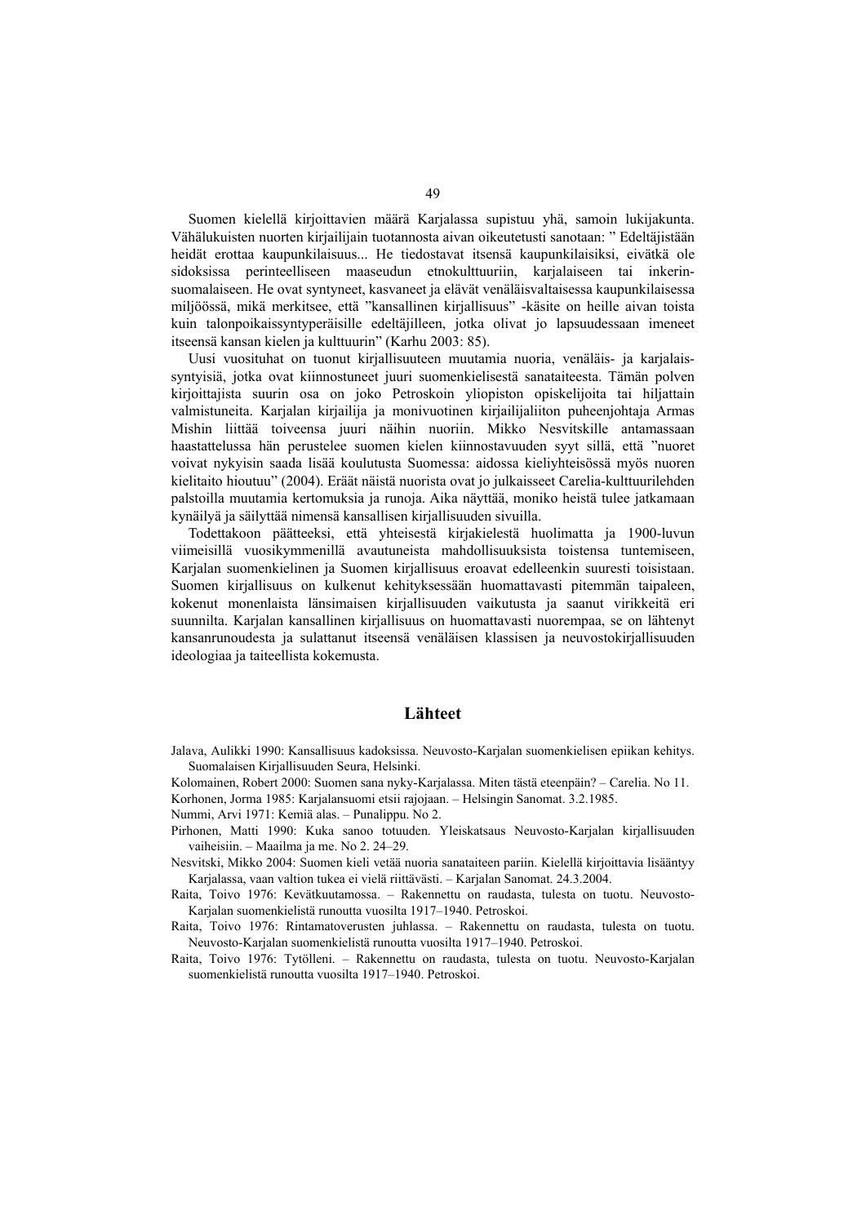Suomen kielellä kirjoittavien määrä Karjalassa supistuu yhä, samoin lukijakunta. Vähälukuisten nuorten kirjailijain tuotannosta aivan oikeutetusti sanotaan: " Edeltäjistään heidät erottaa kaupunkilaisuus... He tiedostavat itsensä kaupunkilaisiksi, eivätkä ole sidoksissa perinteelliseen maaseudun etnokulttuuriin, karjalaiseen tai inkerinsuomalaiseen. He ovat syntyneet, kasvaneet ja elävät venäläisvaltaisessa kaupunkilaisessa miljöössä, mikä merkitsee, että "kansallinen kirjallisuus" -käsite on heille aivan toista kuin talonpoikaissyntyperäisille edeltäjilleen, jotka olivat jo lapsuudessaan imeneet itseensä kansan kielen ja kulttuurin" (Karhu 2003: 85).

Uusi vuosituhat on tuonut kirjallisuuteen muutamia nuoria, venäläis- ja karjalaissyntyisiä, jotka ovat kiinnostuneet juuri suomenkielisestä sanataiteesta. Tämän polven kirjoittajista suurin osa on joko Petroskoin yliopiston opiskelijoita tai hiljattain valmistuneita. Karjalan kirjailija ja monivuotinen kirjailijaliiton puheenjohtaja Armas Mishin liittää toiveensa juuri näihin nuoriin. Mikko Nesvitskille antamassaan haastattelussa hän perustelee suomen kielen kiinnostavuuden syyt sillä, että "nuoret voivat nykyisin saada lisää koulutusta Suomessa: aidossa kieliyhteisössä myös nuoren kielitaito hioutuu" (2004). Eräät näistä nuorista ovat jo julkaisseet Carelia-kulttuurilehden palstoilla muutamia kertomuksia ja runoja. Aika näyttää, moniko heistä tulee jatkamaan kynäilyä ja säilyttää nimensä kansallisen kirjallisuuden sivuilla.

Todettakoon päätteeksi, että yhteisestä kirjakielestä huolimatta ja 1900-luvun viimeisillä vuosikymmenillä avautuneista mahdollisuuksista toistensa tuntemiseen, Karjalan suomenkielinen ja Suomen kirjallisuus eroavat edelleenkin suuresti toisistaan. Suomen kirjallisuus on kulkenut kehityksessään huomattavasti pitemmän taipaleen, kokenut monenlaista länsimaisen kirjallisuuden vaikutusta ja saanut virikkeitä eri suunnilta. Karjalan kansallinen kirjallisuus on huomattavasti nuorempaa, se on lähtenyt kansanrunoudesta ja sulattanut itseensä venäläisen klassisen ja neuvostokirjallisuuden ideologiaa ja taiteellista kokemusta.

## **Lähteet**

- Jalava, Aulikki 1990: Kansallisuus kadoksissa. Neuvosto-Karjalan suomenkielisen epiikan kehitys. Suomalaisen Kirjallisuuden Seura, Helsinki.
- Kolomainen, Robert 2000: Suomen sana nyky-Karjalassa. Miten tästä eteenpäin? Carelia. No 11. Korhonen, Jorma 1985: Karjalansuomi etsii rajojaan. – Helsingin Sanomat. 3.2.1985.

Nummi, Arvi 1971: Kemiä alas. – Punalippu. No 2.

- Pirhonen, Matti 1990: Kuka sanoo totuuden. Yleiskatsaus Neuvosto-Karjalan kirjallisuuden vaiheisiin. – Maailma ja me. No 2. 24–29.
- Nesvitski, Mikko 2004: Suomen kieli vetää nuoria sanataiteen pariin. Kielellä kirjoittavia lisääntyy Karjalassa, vaan valtion tukea ei vielä riittävästi. – Karjalan Sanomat. 24.3.2004.
- Raita, Toivo 1976: Kevätkuutamossa. Rakennettu on raudasta, tulesta on tuotu. Neuvosto-Karjalan suomenkielistä runoutta vuosilta 1917–1940. Petroskoi.
- Raita, Toivo 1976: Rintamatoverusten juhlassa. Rakennettu on raudasta, tulesta on tuotu. Neuvosto-Karjalan suomenkielistä runoutta vuosilta 1917–1940. Petroskoi.
- Raita, Toivo 1976: Tytölleni. Rakennettu on raudasta, tulesta on tuotu. Neuvosto-Karjalan suomenkielistä runoutta vuosilta 1917–1940. Petroskoi.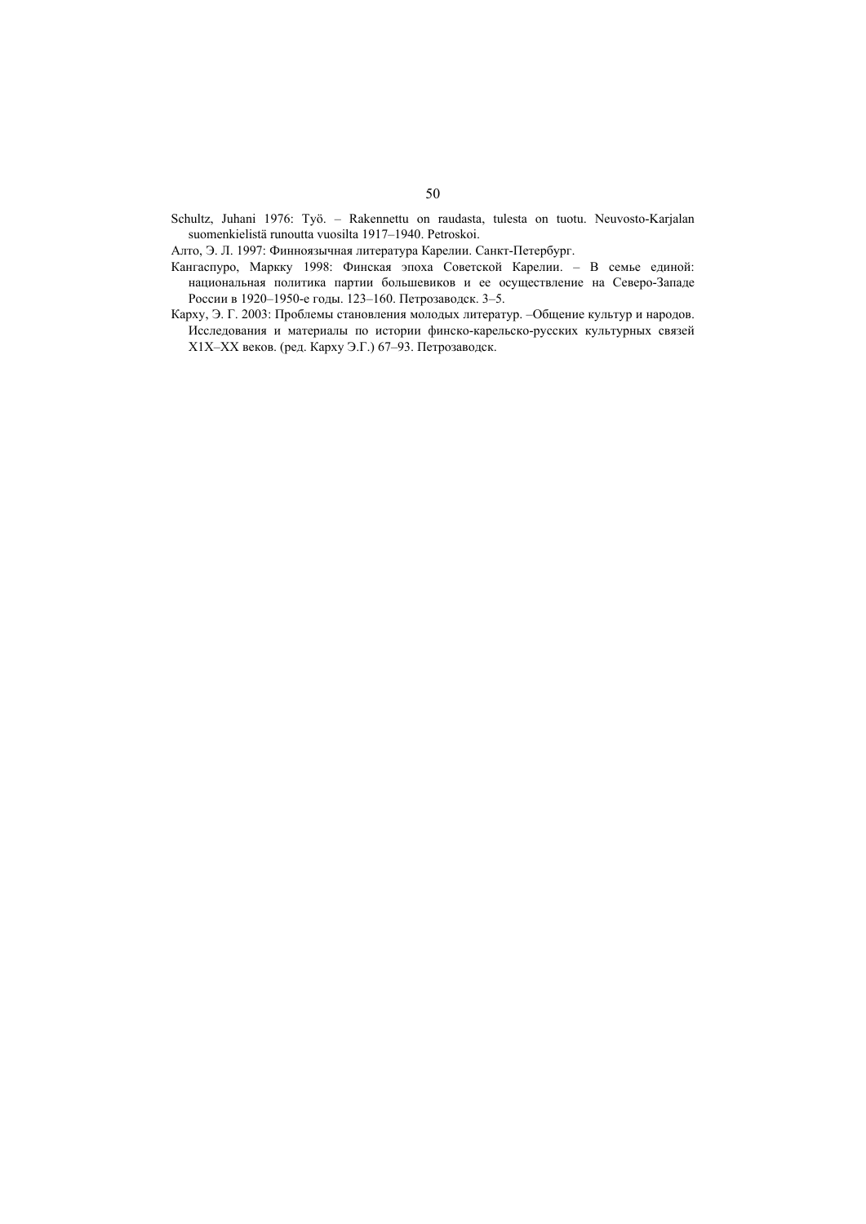- Schultz, Juhani 1976: Työ. Rakennettu on raudasta, tulesta on tuotu. Neuvosto-Karjalan suomenkielistä runoutta vuosilta 1917–1940. Petroskoi.
- Алто, Э. Л. 1997: Финноязычная литература Карелии. Санкт-Петербург.
- Кангаспуро, Маркку 1998: Финская эпоха Советской Карелии. В семье единой: национальная политика партии большевиков и ее осуществление на Северо-Западе России в 1920–1950-е годы. 123–160. Петрозаводск. 3–5.
- Карху, Э. Г. 2003: Проблемы становления молодых литератур. –Общение культур и народов. Исследования и материалы по истории финско-карельско-русских культурных связей Х1Х–ХХ веков. (ред. Карху Э.Г.) 67–93. Петрозаводск.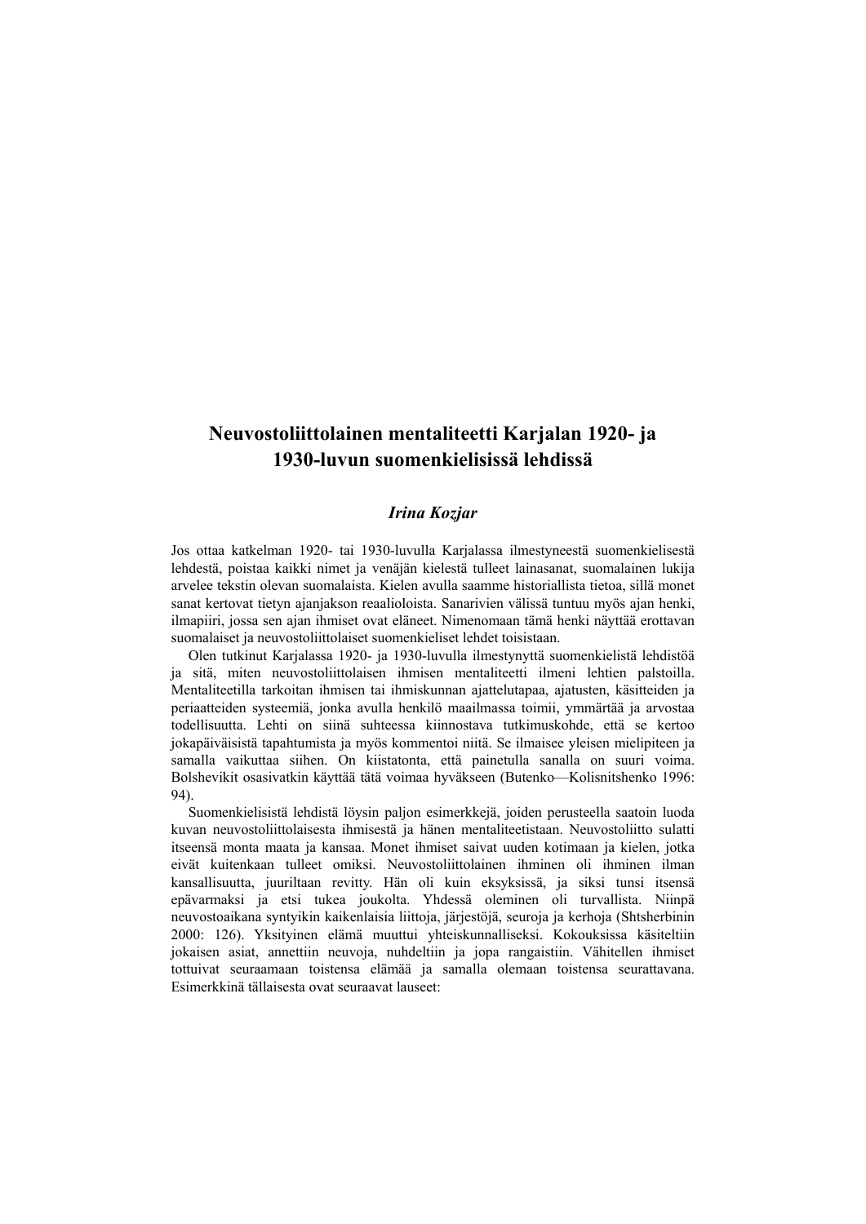# **Neuvostoliittolainen mentaliteetti Karjalan 1920- ja 1930-luvun suomenkielisissä lehdissä**

## *Irina Kozjar*

Jos ottaa katkelman 1920- tai 1930-luvulla Karjalassa ilmestyneestä suomenkielisestä lehdestä, poistaa kaikki nimet ja venäjän kielestä tulleet lainasanat, suomalainen lukija arvelee tekstin olevan suomalaista. Kielen avulla saamme historiallista tietoa, sillä monet sanat kertovat tietyn ajanjakson reaalioloista. Sanarivien välissä tuntuu myös ajan henki, ilmapiiri, jossa sen ajan ihmiset ovat eläneet. Nimenomaan tämä henki näyttää erottavan suomalaiset ja neuvostoliittolaiset suomenkieliset lehdet toisistaan.

Olen tutkinut Karjalassa 1920- ja 1930-luvulla ilmestynyttä suomenkielistä lehdistöä ja sitä, miten neuvostoliittolaisen ihmisen mentaliteetti ilmeni lehtien palstoilla. Mentaliteetilla tarkoitan ihmisen tai ihmiskunnan ajattelutapaa, ajatusten, käsitteiden ja periaatteiden systeemiä, jonka avulla henkilö maailmassa toimii, ymmärtää ja arvostaa todellisuutta. Lehti on siinä suhteessa kiinnostava tutkimuskohde, että se kertoo jokapäiväisistä tapahtumista ja myös kommentoi niitä. Se ilmaisee yleisen mielipiteen ja samalla vaikuttaa siihen. On kiistatonta, että painetulla sanalla on suuri voima. Bolshevikit osasivatkin käyttää tätä voimaa hyväkseen (Butenko—Kolisnitshenko 1996: 94).

Suomenkielisistä lehdistä löysin paljon esimerkkejä, joiden perusteella saatoin luoda kuvan neuvostoliittolaisesta ihmisestä ja hänen mentaliteetistaan. Neuvostoliitto sulatti itseensä monta maata ja kansaa. Monet ihmiset saivat uuden kotimaan ja kielen, jotka eivät kuitenkaan tulleet omiksi. Neuvostoliittolainen ihminen oli ihminen ilman kansallisuutta, juuriltaan revitty. Hän oli kuin eksyksissä, ja siksi tunsi itsensä epävarmaksi ja etsi tukea joukolta. Yhdessä oleminen oli turvallista. Niinpä neuvostoaikana syntyikin kaikenlaisia liittoja, järjestöjä, seuroja ja kerhoja (Shtsherbinin 2000: 126). Yksityinen elämä muuttui yhteiskunnalliseksi. Kokouksissa käsiteltiin jokaisen asiat, annettiin neuvoja, nuhdeltiin ja jopa rangaistiin. Vähitellen ihmiset tottuivat seuraamaan toistensa elämää ja samalla olemaan toistensa seurattavana. Esimerkkinä tällaisesta ovat seuraavat lauseet: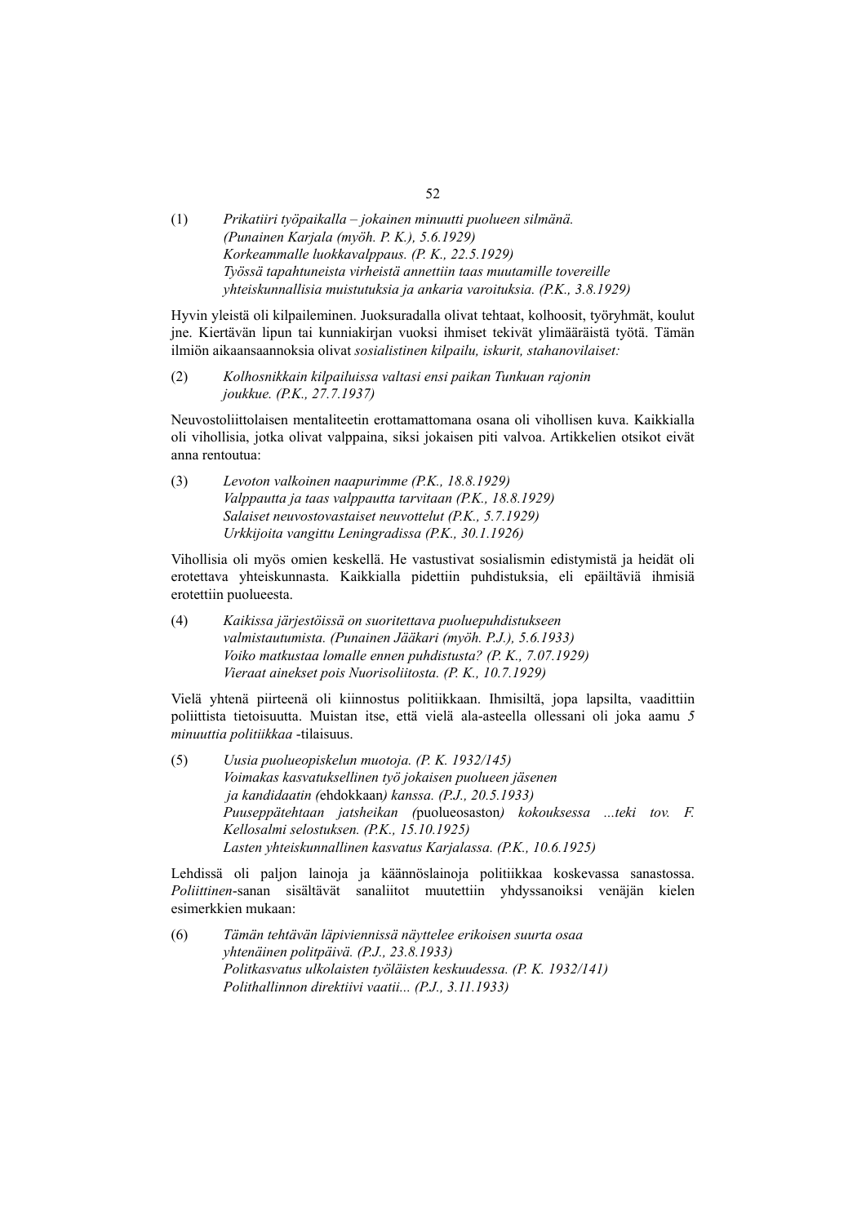(1) *Prikatiiri työpaikalla – jokainen minuutti puolueen silmänä. (Punainen Karjala (myöh. P. K.), 5.6.1929) Korkeammalle luokkavalppaus. (P. K., 22.5.1929) Työssä tapahtuneista virheistä annettiin taas muutamille tovereille yhteiskunnallisia muistutuksia ja ankaria varoituksia. (P.K., 3.8.1929)* 

Hyvin yleistä oli kilpaileminen. Juoksuradalla olivat tehtaat, kolhoosit, työryhmät, koulut jne. Kiertävän lipun tai kunniakirjan vuoksi ihmiset tekivät ylimääräistä työtä. Tämän ilmiön aikaansaannoksia olivat *sosialistinen kilpailu, iskurit, stahanovilaiset:* 

(2) *Kolhosnikkain kilpailuissa valtasi ensi paikan Tunkuan rajonin joukkue. (P.K., 27.7.1937)* 

Neuvostoliittolaisen mentaliteetin erottamattomana osana oli vihollisen kuva. Kaikkialla oli vihollisia, jotka olivat valppaina, siksi jokaisen piti valvoa. Artikkelien otsikot eivät anna rentoutua:

(3) *Levoton valkoinen naapurimme (P.K., 18.8.1929) Valppautta ja taas valppautta tarvitaan (P.K., 18.8.1929) Salaiset neuvostovastaiset neuvottelut (P.K., 5.7.1929) Urkkijoita vangittu Leningradissa (P.K., 30.1.1926)* 

Vihollisia oli myös omien keskellä. He vastustivat sosialismin edistymistä ja heidät oli erotettava yhteiskunnasta. Kaikkialla pidettiin puhdistuksia, eli epäiltäviä ihmisiä erotettiin puolueesta.

(4) *Kaikissa järjestöissä on suoritettava puoluepuhdistukseen valmistautumista. (Punainen Jääkari (myöh. P.J.), 5.6.1933) Voiko matkustaa lomalle ennen puhdistusta? (P. K., 7.07.1929) Vieraat ainekset pois Nuorisoliitosta. (P. K., 10.7.1929)* 

Vielä yhtenä piirteenä oli kiinnostus politiikkaan. Ihmisiltä, jopa lapsilta, vaadittiin poliittista tietoisuutta. Muistan itse, että vielä ala-asteella ollessani oli joka aamu *5 minuuttia politiikkaa* -tilaisuus.

(5) *Uusia puolueopiskelun muotoja. (P. K. 1932/145) Voimakas kasvatuksellinen työ jokaisen puolueen jäsenen ja kandidaatin (*ehdokkaan*) kanssa. (P.J., 20.5.1933) Puuseppätehtaan jatsheikan (*puolueosaston*) kokouksessa ...teki tov. F. Kellosalmi selostuksen. (P.K., 15.10.1925) Lasten yhteiskunnallinen kasvatus Karjalassa. (P.K., 10.6.1925)* 

Lehdissä oli paljon lainoja ja käännöslainoja politiikkaa koskevassa sanastossa. *Poliittinen*-sanan sisältävät sanaliitot muutettiin yhdyssanoiksi venäjän kielen esimerkkien mukaan:

(6) *Tämän tehtävän läpiviennissä näyttelee erikoisen suurta osaa yhtenäinen politpäivä. (P.J., 23.8.1933) Politkasvatus ulkolaisten työläisten keskuudessa. (P. K. 1932/141) Polithallinnon direktiivi vaatii... (P.J., 3.11.1933)* 

52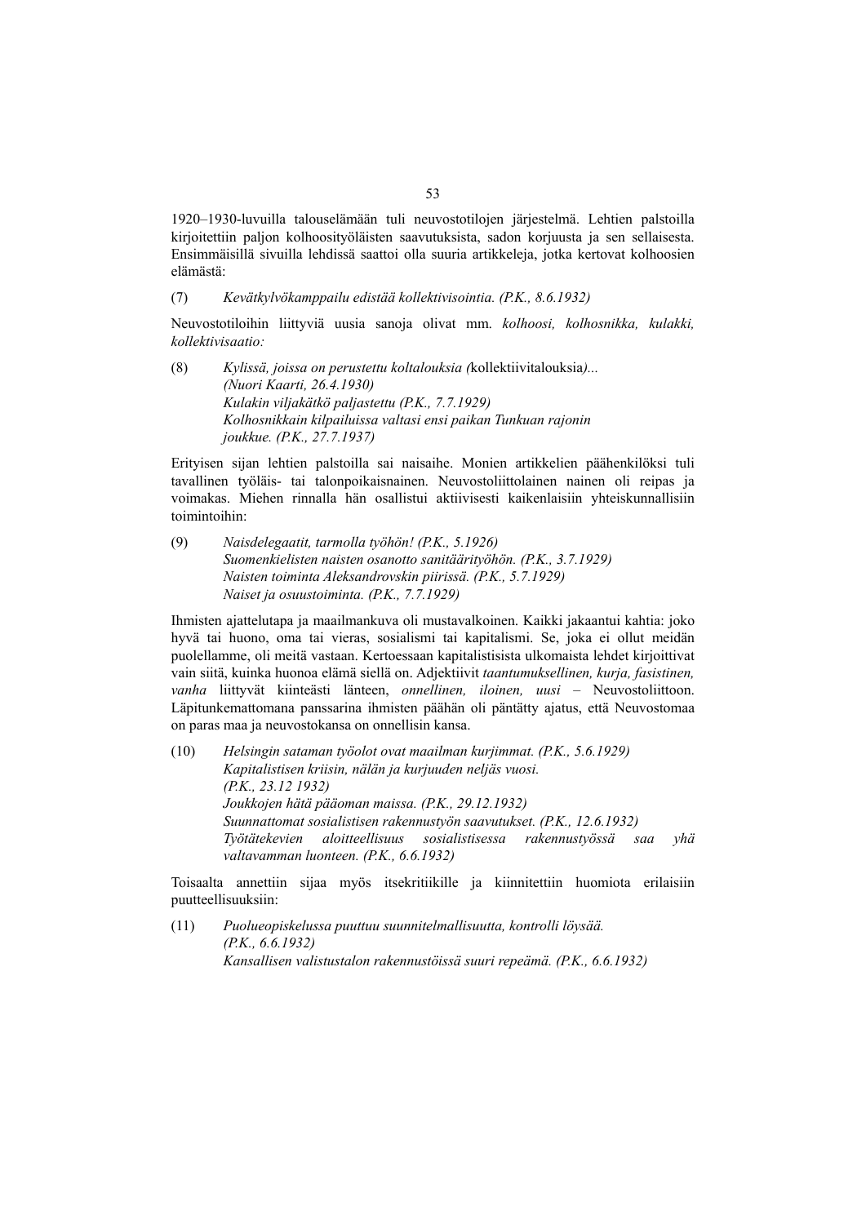1920–1930-luvuilla talouselämään tuli neuvostotilojen järjestelmä. Lehtien palstoilla kirjoitettiin paljon kolhoosityöläisten saavutuksista, sadon korjuusta ja sen sellaisesta. Ensimmäisillä sivuilla lehdissä saattoi olla suuria artikkeleja, jotka kertovat kolhoosien elämästä:

(7) *Kevätkylvökamppailu edistää kollektivisointia. (P.K., 8.6.1932)* 

Neuvostotiloihin liittyviä uusia sanoja olivat mm. *kolhoosi, kolhosnikka, kulakki, kollektivisaatio:* 

(8) *Kylissä, joissa on perustettu koltalouksia (*kollektiivitalouksia*)... (Nuori Kaarti, 26.4.1930) Kulakin viljakätkö paljastettu (P.K., 7.7.1929) Kolhosnikkain kilpailuissa valtasi ensi paikan Tunkuan rajonin joukkue. (P.K., 27.7.1937)* 

Erityisen sijan lehtien palstoilla sai naisaihe. Monien artikkelien päähenkilöksi tuli tavallinen työläis- tai talonpoikaisnainen. Neuvostoliittolainen nainen oli reipas ja voimakas. Miehen rinnalla hän osallistui aktiivisesti kaikenlaisiin yhteiskunnallisiin toimintoihin:

(9) *Naisdelegaatit, tarmolla työhön! (P.K., 5.1926) Suomenkielisten naisten osanotto sanitäärityöhön. (P.K., 3.7.1929) Naisten toiminta Aleksandrovskin piirissä. (P.K., 5.7.1929) Naiset ja osuustoiminta. (P.K., 7.7.1929)* 

Ihmisten ajattelutapa ja maailmankuva oli mustavalkoinen. Kaikki jakaantui kahtia: joko hyvä tai huono, oma tai vieras, sosialismi tai kapitalismi. Se, joka ei ollut meidän puolellamme, oli meitä vastaan. Kertoessaan kapitalistisista ulkomaista lehdet kirjoittivat vain siitä, kuinka huonoa elämä siellä on. Adjektiivit *taantumuksellinen, kurja, fasistinen, vanha* liittyvät kiinteästi länteen, *onnellinen, iloinen, uusi* – Neuvostoliittoon. Läpitunkemattomana panssarina ihmisten päähän oli päntätty ajatus, että Neuvostomaa on paras maa ja neuvostokansa on onnellisin kansa.

(10) *Helsingin sataman työolot ovat maailman kurjimmat. (P.K., 5.6.1929) Kapitalistisen kriisin, nälän ja kurjuuden neljäs vuosi. (P.K., 23.12 1932) Joukkojen hätä pääoman maissa. (P.K., 29.12.1932) Suunnattomat sosialistisen rakennustyön saavutukset. (P.K., 12.6.1932) Työtätekevien aloitteellisuus sosialistisessa rakennustyössä saa yhä valtavamman luonteen. (P.K., 6.6.1932)* 

Toisaalta annettiin sijaa myös itsekritiikille ja kiinnitettiin huomiota erilaisiin puutteellisuuksiin:

(11) *Puolueopiskelussa puuttuu suunnitelmallisuutta, kontrolli löysää. (P.K., 6.6.1932) Kansallisen valistustalon rakennustöissä suuri repeämä. (P.K., 6.6.1932)*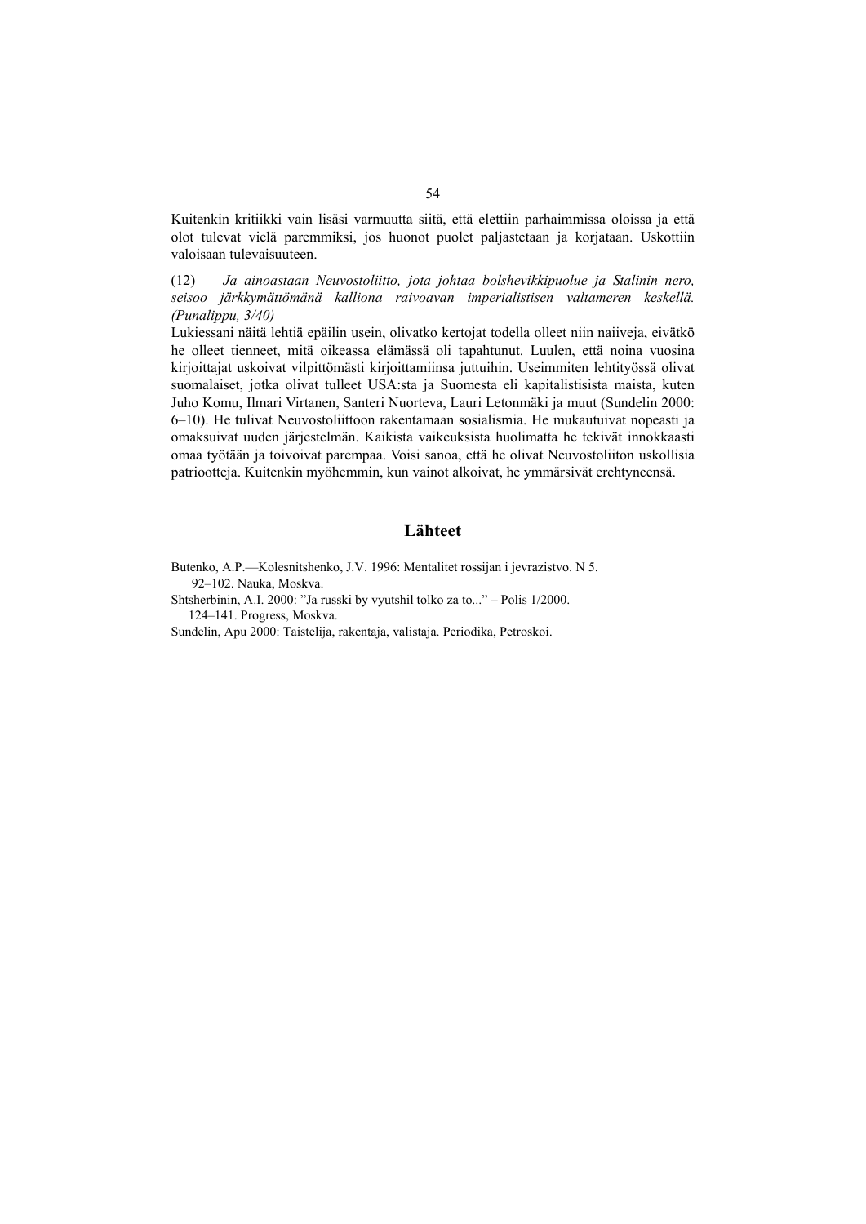Kuitenkin kritiikki vain lisäsi varmuutta siitä, että elettiin parhaimmissa oloissa ja että olot tulevat vielä paremmiksi, jos huonot puolet paljastetaan ja korjataan. Uskottiin valoisaan tulevaisuuteen.

(12) *Ja ainoastaan Neuvostoliitto, jota johtaa bolshevikkipuolue ja Stalinin nero, seisoo järkkymättömänä kalliona raivoavan imperialistisen valtameren keskellä. (Punalippu, 3/40)* 

Lukiessani näitä lehtiä epäilin usein, olivatko kertojat todella olleet niin naiiveja, eivätkö he olleet tienneet, mitä oikeassa elämässä oli tapahtunut. Luulen, että noina vuosina kirjoittajat uskoivat vilpittömästi kirjoittamiinsa juttuihin. Useimmiten lehtityössä olivat suomalaiset, jotka olivat tulleet USA:sta ja Suomesta eli kapitalistisista maista, kuten Juho Komu, Ilmari Virtanen, Santeri Nuorteva, Lauri Letonmäki ja muut (Sundelin 2000: 6–10). He tulivat Neuvostoliittoon rakentamaan sosialismia. He mukautuivat nopeasti ja omaksuivat uuden järjestelmän. Kaikista vaikeuksista huolimatta he tekivät innokkaasti omaa työtään ja toivoivat parempaa. Voisi sanoa, että he olivat Neuvostoliiton uskollisia patriootteja. Kuitenkin myöhemmin, kun vainot alkoivat, he ymmärsivät erehtyneensä.

### **Lähteet**

Butenko, A.P.—Kolesnitshenko, J.V. 1996: Mentalitet rossijan i jevrazistvo. N 5. 92–102. Nauka, Moskva.

Shtsherbinin, A.I. 2000: "Ja russki by vyutshil tolko za to..." – Polis 1/2000. 124–141. Progress, Moskva.

Sundelin, Apu 2000: Taistelija, rakentaja, valistaja. Periodika, Petroskoi.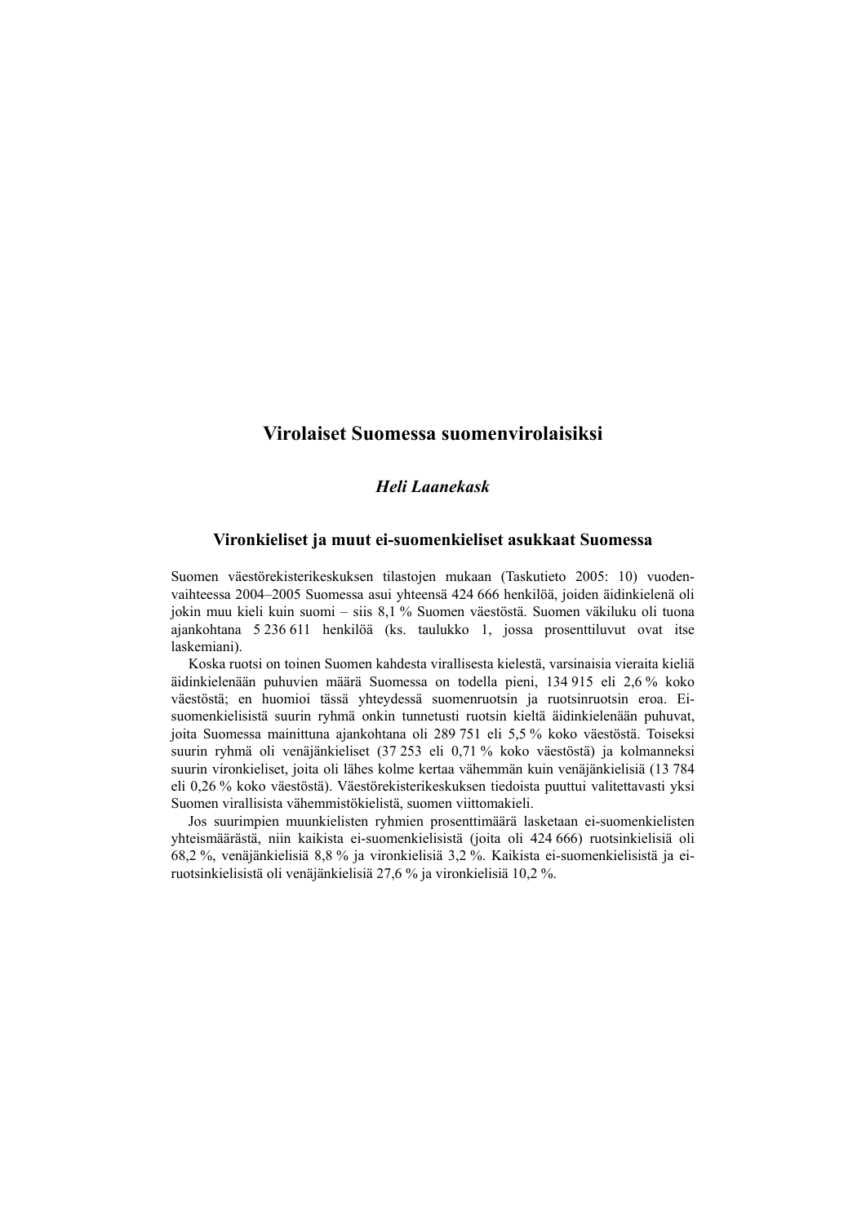## **Virolaiset Suomessa suomenvirolaisiksi**

## *Heli Laanekask*

### **Vironkieliset ja muut ei-suomenkieliset asukkaat Suomessa**

Suomen väestörekisterikeskuksen tilastojen mukaan (Taskutieto 2005: 10) vuodenvaihteessa 2004–2005 Suomessa asui yhteensä 424 666 henkilöä, joiden äidinkielenä oli jokin muu kieli kuin suomi – siis 8,1 % Suomen väestöstä. Suomen väkiluku oli tuona ajankohtana 5 236 611 henkilöä (ks. taulukko 1, jossa prosenttiluvut ovat itse laskemiani).

Koska ruotsi on toinen Suomen kahdesta virallisesta kielestä, varsinaisia vieraita kieliä äidinkielenään puhuvien määrä Suomessa on todella pieni, 134 915 eli 2,6 % koko väestöstä; en huomioi tässä yhteydessä suomenruotsin ja ruotsinruotsin eroa. Eisuomenkielisistä suurin ryhmä onkin tunnetusti ruotsin kieltä äidinkielenään puhuvat, joita Suomessa mainittuna ajankohtana oli 289 751 eli 5,5 % koko väestöstä. Toiseksi suurin ryhmä oli venäjänkieliset (37 253 eli 0,71 % koko väestöstä) ja kolmanneksi suurin vironkieliset, joita oli lähes kolme kertaa vähemmän kuin venäjänkielisiä (13 784 eli 0,26 % koko väestöstä). Väestörekisterikeskuksen tiedoista puuttui valitettavasti yksi Suomen virallisista vähemmistökielistä, suomen viittomakieli.

Jos suurimpien muunkielisten ryhmien prosenttimäärä lasketaan ei-suomenkielisten yhteismäärästä, niin kaikista ei-suomenkielisistä (joita oli 424 666) ruotsinkielisiä oli 68,2 %, venäjänkielisiä 8,8 % ja vironkielisiä 3,2 %. Kaikista ei-suomenkielisistä ja eiruotsinkielisistä oli venäjänkielisiä 27,6 % ja vironkielisiä 10,2 %.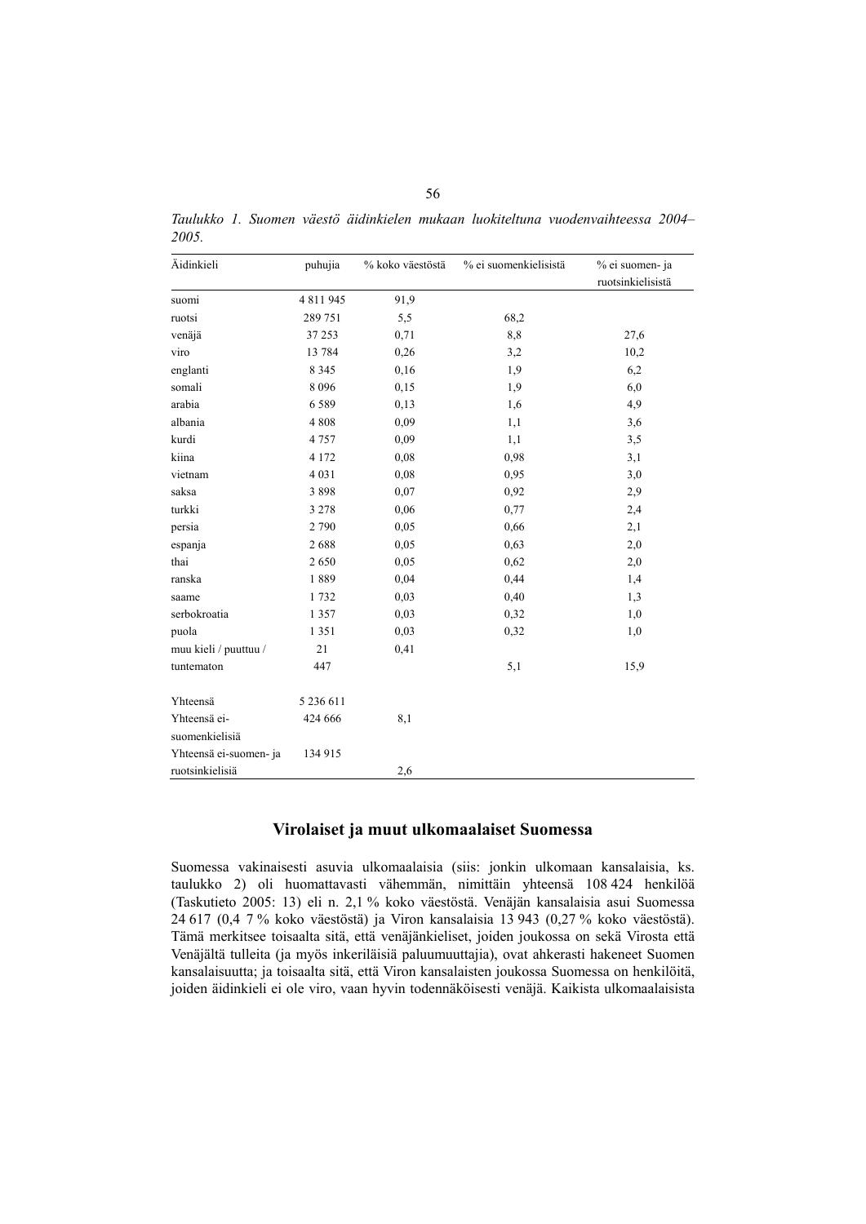| Äidinkieli            | puhujia   | % koko väestöstä | % ei suomenkielisistä | % ei suomen- ja<br>ruotsinkielisistä |
|-----------------------|-----------|------------------|-----------------------|--------------------------------------|
| suomi                 | 4 811 945 | 91,9             |                       |                                      |
| ruotsi                | 289 751   | 5,5              | 68,2                  |                                      |
| venäjä                | 37 253    | 0,71             | 8,8                   | 27,6                                 |
| viro                  | 13 784    | 0,26             | 3,2                   | 10,2                                 |
| englanti              | 8 3 4 5   | 0,16             | 1,9                   | 6,2                                  |
| somali                | 8096      | 0,15             | 1,9                   | 6,0                                  |
| arabia                | 6589      | 0,13             | 1,6                   | 4,9                                  |
| albania               | 4 8 0 8   | 0,09             | 1,1                   | 3,6                                  |
| kurdi                 | 4757      | 0,09             | 1,1                   | 3,5                                  |
| kiina                 | 4 1 7 2   | 0,08             | 0,98                  | 3,1                                  |
| vietnam               | 4 0 3 1   | 0,08             | 0,95                  | 3,0                                  |
| saksa                 | 3898      | 0,07             | 0,92                  | 2,9                                  |
| turkki                | 3 2 7 8   | 0,06             | 0,77                  | 2,4                                  |
| persia                | 2790      | 0,05             | 0,66                  | 2,1                                  |
| espanja               | 2688      | 0,05             | 0,63                  | $2,0$                                |
| thai                  | 2650      | 0,05             | 0,62                  | $2,0$                                |
| ranska                | 1889      | 0,04             | 0,44                  | 1,4                                  |
| saame                 | 1732      | 0,03             | 0,40                  | 1,3                                  |
| serbokroatia          | 1 3 5 7   | 0,03             | 0,32                  | 1,0                                  |
| puola                 | 1 3 5 1   | 0,03             | 0,32                  | 1,0                                  |
| muu kieli / puuttuu / | 21        | 0,41             |                       |                                      |
| tuntematon            | 447       |                  | 5,1                   | 15.9                                 |

*Taulukko 1. Suomen väestö äidinkielen mukaan luokiteltuna vuodenvaihteessa 2004– 2005.* 

## **Virolaiset ja muut ulkomaalaiset Suomessa**

2,6

424 666 8,1

134 915

Yhteensä 5 236 611

Yhteensä eisuomenkielisiä

ruotsinkielisiä

Yhteensä ei-suomen- ja

Suomessa vakinaisesti asuvia ulkomaalaisia (siis: jonkin ulkomaan kansalaisia, ks. taulukko 2) oli huomattavasti vähemmän, nimittäin yhteensä 108 424 henkilöä (Taskutieto 2005: 13) eli n. 2,1 % koko väestöstä. Venäjän kansalaisia asui Suomessa 24 617 (0,4 7 % koko väestöstä) ja Viron kansalaisia 13 943 (0,27 % koko väestöstä). Tämä merkitsee toisaalta sitä, että venäjänkieliset, joiden joukossa on sekä Virosta että Venäjältä tulleita (ja myös inkeriläisiä paluumuuttajia), ovat ahkerasti hakeneet Suomen kansalaisuutta; ja toisaalta sitä, että Viron kansalaisten joukossa Suomessa on henkilöitä, joiden äidinkieli ei ole viro, vaan hyvin todennäköisesti venäjä. Kaikista ulkomaalaisista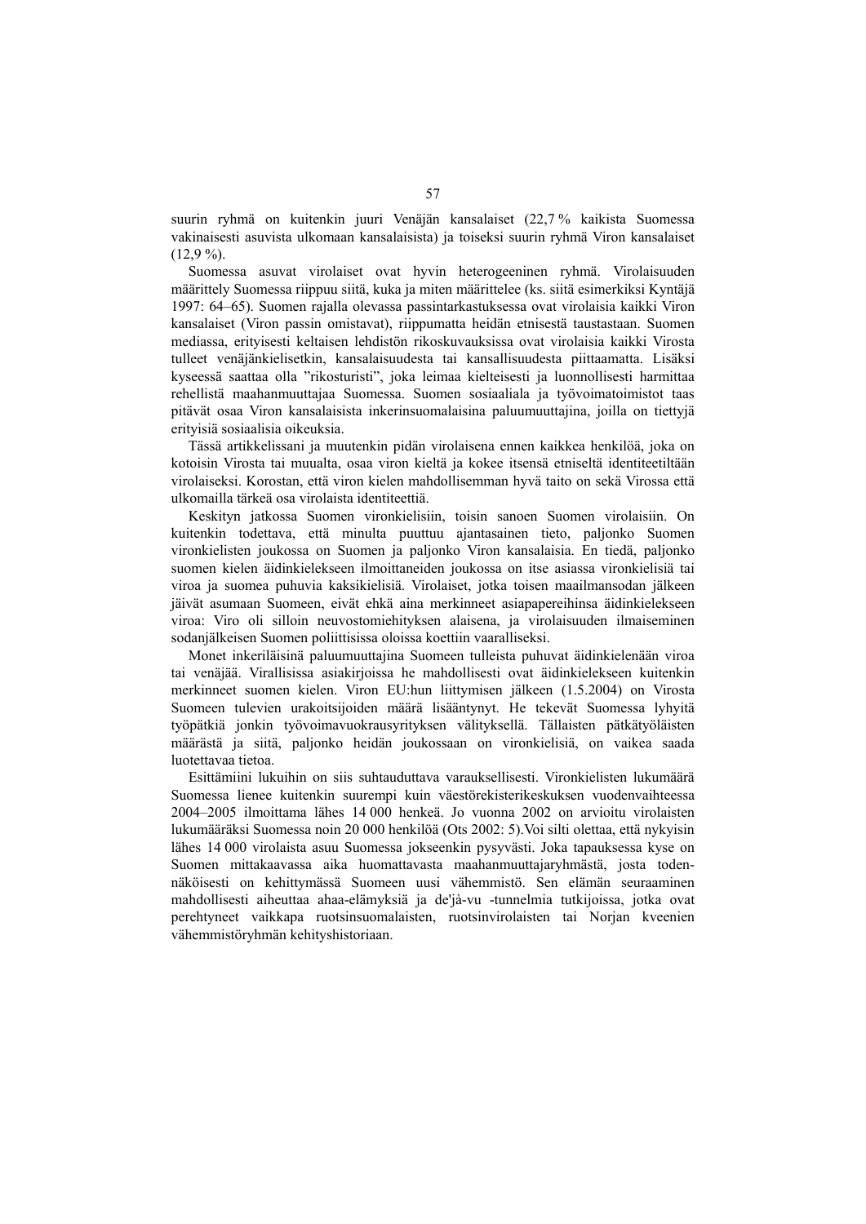suurin ryhmä on kuitenkin juuri Venäjän kansalaiset (22,7 % kaikista Suomessa vakinaisesti asuvista ulkomaan kansalaisista) ja toiseksi suurin ryhmä Viron kansalaiset  $(12.9\%)$ .

Suomessa asuvat virolaiset ovat hyvin heterogeeninen ryhmä. Virolaisuuden määrittely Suomessa riippuu siitä, kuka ja miten määrittelee (ks. siitä esimerkiksi Kyntäjä 1997: 64–65). Suomen rajalla olevassa passintarkastuksessa ovat virolaisia kaikki Viron kansalaiset (Viron passin omistavat), riippumatta heidän etnisestä taustastaan. Suomen mediassa, erityisesti keltaisen lehdistön rikoskuvauksissa ovat virolaisia kaikki Virosta tulleet venäjänkielisetkin, kansalaisuudesta tai kansallisuudesta piittaamatta. Lisäksi kyseessä saattaa olla "rikosturisti", joka leimaa kielteisesti ja luonnollisesti harmittaa rehellistä maahanmuuttajaa Suomessa. Suomen sosiaaliala ja työvoimatoimistot taas pitävät osaa Viron kansalaisista inkerinsuomalaisina paluumuuttajina, joilla on tiettyjä erityisiä sosiaalisia oikeuksia.

Tässä artikkelissani ja muutenkin pidän virolaisena ennen kaikkea henkilöä, joka on kotoisin Virosta tai muualta, osaa viron kieltä ja kokee itsensä etniseltä identiteetiltään virolaiseksi. Korostan, että viron kielen mahdollisemman hyvä taito on sekä Virossa että ulkomailla tärkeä osa virolaista identiteettiä.

Keskityn jatkossa Suomen vironkielisiin, toisin sanoen Suomen virolaisiin. On kuitenkin todettava, että minulta puuttuu ajantasainen tieto, paljonko Suomen vironkielisten joukossa on Suomen ja paljonko Viron kansalaisia. En tiedä, paljonko suomen kielen äidinkielekseen ilmoittaneiden joukossa on itse asiassa vironkielisiä tai viroa ja suomea puhuvia kaksikielisiä. Virolaiset, jotka toisen maailmansodan jälkeen jäivät asumaan Suomeen, eivät ehkä aina merkinneet asiapapereihinsa äidinkielekseen viroa: Viro oli silloin neuvostomiehityksen alaisena, ja virolaisuuden ilmaiseminen sodanjälkeisen Suomen poliittisissa oloissa koettiin vaaralliseksi.

Monet inkeriläisinä paluumuuttajina Suomeen tulleista puhuvat äidinkielenään viroa tai venäjää. Virallisissa asiakirjoissa he mahdollisesti ovat äidinkielekseen kuitenkin merkinneet suomen kielen. Viron EU:hun liittymisen jälkeen (1.5.2004) on Virosta Suomeen tulevien urakoitsijoiden määrä lisääntynyt. He tekevät Suomessa lyhyitä työpätkiä jonkin työvoimavuokrausyrityksen välityksellä. Tällaisten pätkätyöläisten määrästä ja siitä, paljonko heidän joukossaan on vironkielisiä, on vaikea saada luotettavaa tietoa.

Esittämiini lukuihin on siis suhtauduttava varauksellisesti. Vironkielisten lukumäärä Suomessa lienee kuitenkin suurempi kuin väestörekisterikeskuksen vuodenvaihteessa 2004–2005 ilmoittama lähes 14 000 henkeä. Jo vuonna 2002 on arvioitu virolaisten lukumääräksi Suomessa noin 20 000 henkilöä (Ots 2002: 5).Voi silti olettaa, että nykyisin lähes 14 000 virolaista asuu Suomessa jokseenkin pysyvästi. Joka tapauksessa kyse on Suomen mittakaavassa aika huomattavasta maahanmuuttajaryhmästä, josta todennäköisesti on kehittymässä Suomeen uusi vähemmistö. Sen elämän seuraaminen mahdollisesti aiheuttaa ahaa-elämyksiä ja de'jà-vu -tunnelmia tutkijoissa, jotka ovat perehtyneet vaikkapa ruotsinsuomalaisten, ruotsinvirolaisten tai Norjan kveenien vähemmistöryhmän kehityshistoriaan.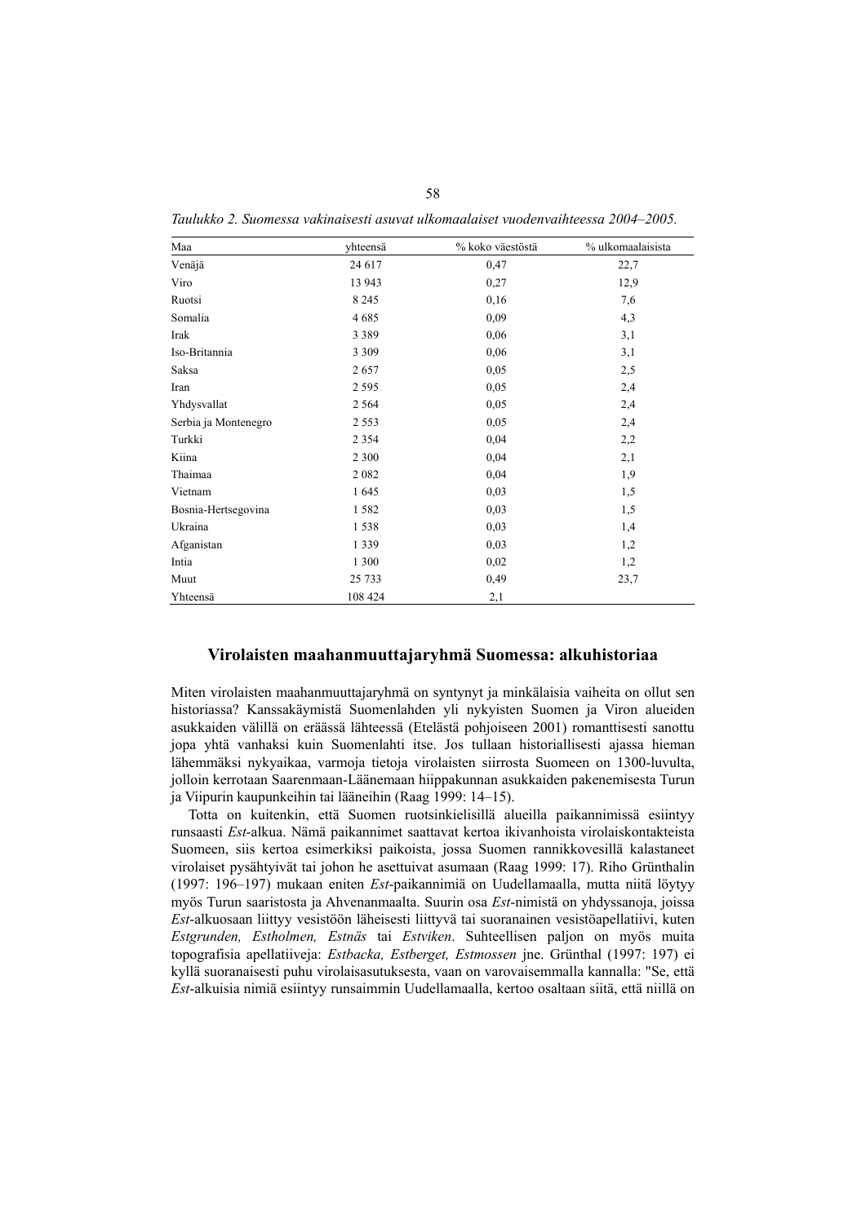| Maa                  | yhteensä | % koko väestöstä | % ulkomaalaisista |
|----------------------|----------|------------------|-------------------|
| Venäjä               | 24 617   | 0,47             | 22,7              |
| Viro                 | 13 943   | 0,27             | 12,9              |
| Ruotsi               | 8 2 4 5  | 0,16             | 7,6               |
| Somalia              | 4685     | 0,09             | 4,3               |
| Irak                 | 3 3 8 9  | 0,06             | 3,1               |
| Iso-Britannia        | 3 3 0 9  | 0,06             | 3,1               |
| Saksa                | 2657     | 0,05             | 2,5               |
| Iran                 | 2 5 9 5  | 0,05             | 2,4               |
| Yhdysvallat          | 2 5 6 4  | 0,05             | 2,4               |
| Serbia ja Montenegro | 2 5 5 3  | 0,05             | 2,4               |
| Turkki               | 2 3 5 4  | 0,04             | 2,2               |
| Kiina                | 2 3 0 0  | 0,04             | 2,1               |
| Thaimaa              | 2082     | 0,04             | 1,9               |
| Vietnam              | 1645     | 0,03             | 1,5               |
| Bosnia-Hertsegovina  | 1582     | 0,03             | 1,5               |
| Ukraina              | 1538     | 0,03             | 1,4               |
| Afganistan           | 1 3 3 9  | 0,03             | 1,2               |
| Intia                | 1 300    | 0,02             | 1,2               |
| Muut                 | 25 733   | 0,49             | 23,7              |
| Yhteensä             | 108 424  | 2,1              |                   |

*Taulukko 2. Suomessa vakinaisesti asuvat ulkomaalaiset vuodenvaihteessa 2004–2005.* 

### **Virolaisten maahanmuuttajaryhmä Suomessa: alkuhistoriaa**

Miten virolaisten maahanmuuttajaryhmä on syntynyt ja minkälaisia vaiheita on ollut sen historiassa? Kanssakäymistä Suomenlahden yli nykyisten Suomen ja Viron alueiden asukkaiden välillä on eräässä lähteessä (Etelästä pohjoiseen 2001) romanttisesti sanottu jopa yhtä vanhaksi kuin Suomenlahti itse. Jos tullaan historiallisesti ajassa hieman lähemmäksi nykyaikaa, varmoja tietoja virolaisten siirrosta Suomeen on 1300-luvulta, jolloin kerrotaan Saarenmaan-Läänemaan hiippakunnan asukkaiden pakenemisesta Turun ja Viipurin kaupunkeihin tai lääneihin (Raag 1999: 14–15).

Totta on kuitenkin, että Suomen ruotsinkielisillä alueilla paikannimissä esiintyy runsaasti *Est*-alkua. Nämä paikannimet saattavat kertoa ikivanhoista virolaiskontakteista Suomeen, siis kertoa esimerkiksi paikoista, jossa Suomen rannikkovesillä kalastaneet virolaiset pysähtyivät tai johon he asettuivat asumaan (Raag 1999: 17). Riho Grünthalin (1997: 196–197) mukaan eniten *Est*-paikannimiä on Uudellamaalla, mutta niitä löytyy myös Turun saaristosta ja Ahvenanmaalta. Suurin osa *Est*-nimistä on yhdyssanoja, joissa *Est*-alkuosaan liittyy vesistöön läheisesti liittyvä tai suoranainen vesistöapellatiivi, kuten *Estgrunden, Estholmen, Estnäs* tai *Estviken*. Suhteellisen paljon on myös muita topografisia apellatiiveja: *Estbacka, Estberget, Estmossen* jne. Grünthal (1997: 197) ei kyllä suoranaisesti puhu virolaisasutuksesta, vaan on varovaisemmalla kannalla: "Se, että *Est*-alkuisia nimiä esiintyy runsaimmin Uudellamaalla, kertoo osaltaan siitä, että niillä on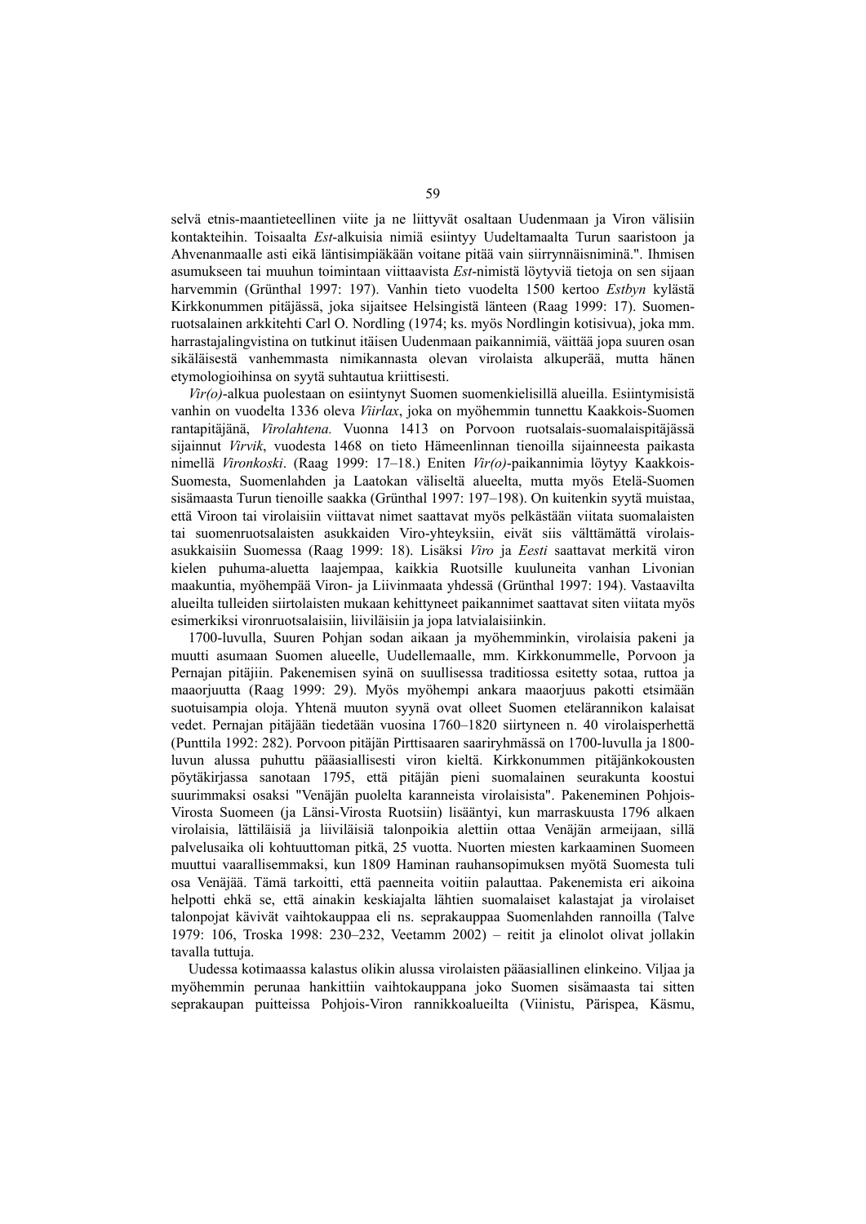selvä etnis-maantieteellinen viite ja ne liittyvät osaltaan Uudenmaan ja Viron välisiin kontakteihin. Toisaalta *Est*-alkuisia nimiä esiintyy Uudeltamaalta Turun saaristoon ja Ahvenanmaalle asti eikä läntisimpiäkään voitane pitää vain siirrynnäisniminä.". Ihmisen asumukseen tai muuhun toimintaan viittaavista *Est*-nimistä löytyviä tietoja on sen sijaan harvemmin (Grünthal 1997: 197). Vanhin tieto vuodelta 1500 kertoo *Estbyn* kylästä Kirkkonummen pitäjässä, joka sijaitsee Helsingistä länteen (Raag 1999: 17). Suomenruotsalainen arkkitehti Carl O. Nordling (1974; ks. myös Nordlingin kotisivua), joka mm. harrastajalingvistina on tutkinut itäisen Uudenmaan paikannimiä, väittää jopa suuren osan sikäläisestä vanhemmasta nimikannasta olevan virolaista alkuperää, mutta hänen etymologioihinsa on syytä suhtautua kriittisesti.

*Vir(o)*-alkua puolestaan on esiintynyt Suomen suomenkielisillä alueilla. Esiintymisistä vanhin on vuodelta 1336 oleva *Viirlax*, joka on myöhemmin tunnettu Kaakkois-Suomen rantapitäjänä, *Virolahtena.* Vuonna 1413 on Porvoon ruotsalais-suomalaispitäjässä sijainnut *Virvik*, vuodesta 1468 on tieto Hämeenlinnan tienoilla sijainneesta paikasta nimellä *Vironkoski*. (Raag 1999: 17–18.) Eniten *Vir(o)*-paikannimia löytyy Kaakkois-Suomesta, Suomenlahden ja Laatokan väliseltä alueelta, mutta myös Etelä-Suomen sisämaasta Turun tienoille saakka (Grünthal 1997: 197–198). On kuitenkin syytä muistaa, että Viroon tai virolaisiin viittavat nimet saattavat myös pelkästään viitata suomalaisten tai suomenruotsalaisten asukkaiden Viro-yhteyksiin, eivät siis välttämättä virolaisasukkaisiin Suomessa (Raag 1999: 18). Lisäksi *Viro* ja *Eesti* saattavat merkitä viron kielen puhuma-aluetta laajempaa, kaikkia Ruotsille kuuluneita vanhan Livonian maakuntia, myöhempää Viron- ja Liivinmaata yhdessä (Grünthal 1997: 194). Vastaavilta alueilta tulleiden siirtolaisten mukaan kehittyneet paikannimet saattavat siten viitata myös esimerkiksi vironruotsalaisiin, liiviläisiin ja jopa latvialaisiinkin.

1700-luvulla, Suuren Pohjan sodan aikaan ja myöhemminkin, virolaisia pakeni ja muutti asumaan Suomen alueelle, Uudellemaalle, mm. Kirkkonummelle, Porvoon ja Pernajan pitäjiin. Pakenemisen syinä on suullisessa traditiossa esitetty sotaa, ruttoa ja maaorjuutta (Raag 1999: 29). Myös myöhempi ankara maaorjuus pakotti etsimään suotuisampia oloja. Yhtenä muuton syynä ovat olleet Suomen etelärannikon kalaisat vedet. Pernajan pitäjään tiedetään vuosina 1760–1820 siirtyneen n. 40 virolaisperhettä (Punttila 1992: 282). Porvoon pitäjän Pirttisaaren saariryhmässä on 1700-luvulla ja 1800 luvun alussa puhuttu pääasiallisesti viron kieltä. Kirkkonummen pitäjänkokousten pöytäkirjassa sanotaan 1795, että pitäjän pieni suomalainen seurakunta koostui suurimmaksi osaksi "Venäjän puolelta karanneista virolaisista". Pakeneminen Pohjois-Virosta Suomeen (ja Länsi-Virosta Ruotsiin) lisääntyi, kun marraskuusta 1796 alkaen virolaisia, lättiläisiä ja liiviläisiä talonpoikia alettiin ottaa Venäjän armeijaan, sillä palvelusaika oli kohtuuttoman pitkä, 25 vuotta. Nuorten miesten karkaaminen Suomeen muuttui vaarallisemmaksi, kun 1809 Haminan rauhansopimuksen myötä Suomesta tuli osa Venäjää. Tämä tarkoitti, että paenneita voitiin palauttaa. Pakenemista eri aikoina helpotti ehkä se, että ainakin keskiajalta lähtien suomalaiset kalastajat ja virolaiset talonpojat kävivät vaihtokauppaa eli ns. seprakauppaa Suomenlahden rannoilla (Talve 1979: 106, Troska 1998: 230–232, Veetamm 2002) – reitit ja elinolot olivat jollakin tavalla tuttuja.

Uudessa kotimaassa kalastus olikin alussa virolaisten pääasiallinen elinkeino. Viljaa ja myöhemmin perunaa hankittiin vaihtokauppana joko Suomen sisämaasta tai sitten seprakaupan puitteissa Pohjois-Viron rannikkoalueilta (Viinistu, Pärispea, Käsmu,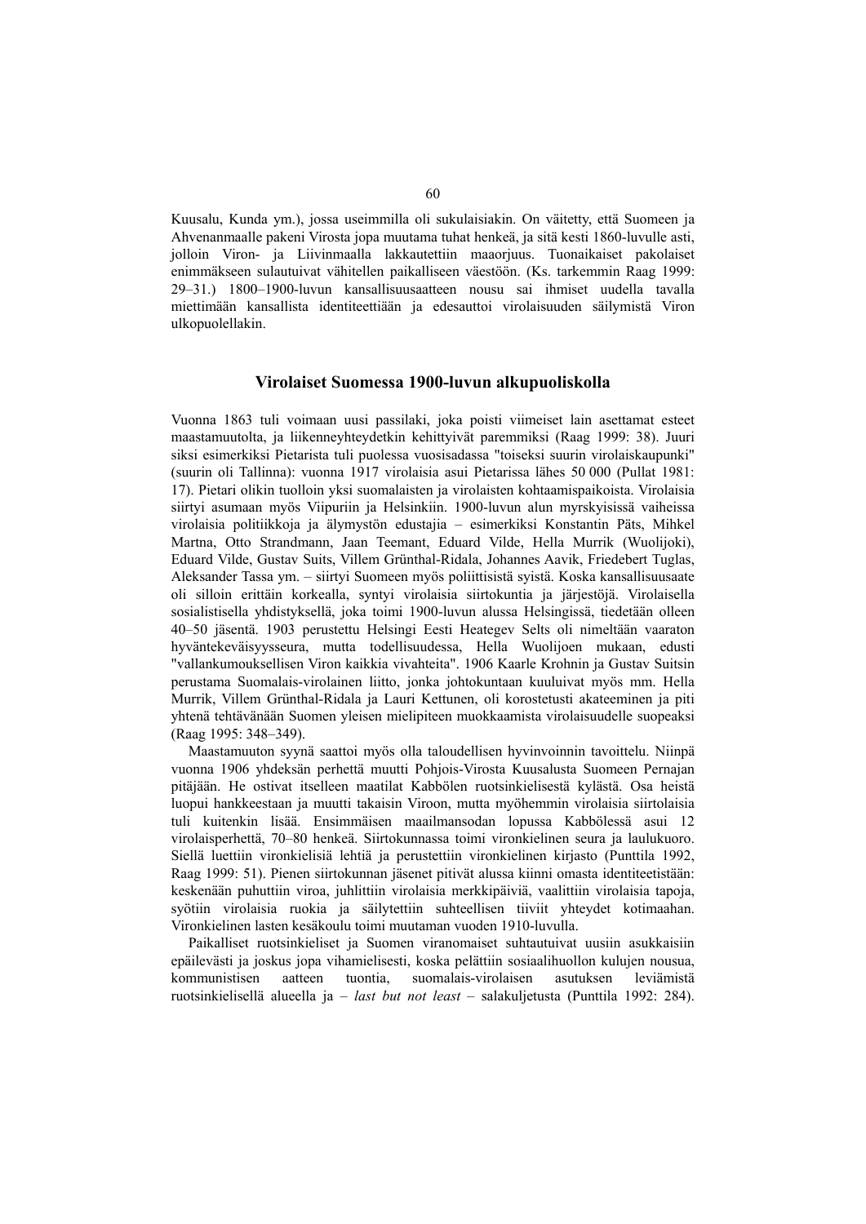Kuusalu, Kunda ym.), jossa useimmilla oli sukulaisiakin. On väitetty, että Suomeen ja Ahvenanmaalle pakeni Virosta jopa muutama tuhat henkeä, ja sitä kesti 1860-luvulle asti, jolloin Viron- ja Liivinmaalla lakkautettiin maaorjuus. Tuonaikaiset pakolaiset enimmäkseen sulautuivat vähitellen paikalliseen väestöön. (Ks. tarkemmin Raag 1999: 29–31.) 1800–1900-luvun kansallisuusaatteen nousu sai ihmiset uudella tavalla miettimään kansallista identiteettiään ja edesauttoi virolaisuuden säilymistä Viron ulkopuolellakin.

#### **Virolaiset Suomessa 1900-luvun alkupuoliskolla**

Vuonna 1863 tuli voimaan uusi passilaki, joka poisti viimeiset lain asettamat esteet maastamuutolta, ja liikenneyhteydetkin kehittyivät paremmiksi (Raag 1999: 38). Juuri siksi esimerkiksi Pietarista tuli puolessa vuosisadassa "toiseksi suurin virolaiskaupunki" (suurin oli Tallinna): vuonna 1917 virolaisia asui Pietarissa lähes 50 000 (Pullat 1981: 17). Pietari olikin tuolloin yksi suomalaisten ja virolaisten kohtaamispaikoista. Virolaisia siirtyi asumaan myös Viipuriin ja Helsinkiin. 1900-luvun alun myrskyisissä vaiheissa virolaisia politiikkoja ja älymystön edustajia – esimerkiksi Konstantin Päts, Mihkel Martna, Otto Strandmann, Jaan Teemant, Eduard Vilde, Hella Murrik (Wuolijoki), Eduard Vilde, Gustav Suits, Villem Grünthal-Ridala, Johannes Aavik, Friedebert Tuglas, Aleksander Tassa ym. – siirtyi Suomeen myös poliittisistä syistä. Koska kansallisuusaate oli silloin erittäin korkealla, syntyi virolaisia siirtokuntia ja järjestöjä. Virolaisella sosialistisella yhdistyksellä, joka toimi 1900-luvun alussa Helsingissä, tiedetään olleen 40–50 jäsentä. 1903 perustettu Helsingi Eesti Heategev Selts oli nimeltään vaaraton hyväntekeväisyysseura, mutta todellisuudessa, Hella Wuolijoen mukaan, edusti "vallankumouksellisen Viron kaikkia vivahteita". 1906 Kaarle Krohnin ja Gustav Suitsin perustama Suomalais-virolainen liitto, jonka johtokuntaan kuuluivat myös mm. Hella Murrik, Villem Grünthal-Ridala ja Lauri Kettunen, oli korostetusti akateeminen ja piti yhtenä tehtävänään Suomen yleisen mielipiteen muokkaamista virolaisuudelle suopeaksi (Raag 1995: 348–349).

Maastamuuton syynä saattoi myös olla taloudellisen hyvinvoinnin tavoittelu. Niinpä vuonna 1906 yhdeksän perhettä muutti Pohjois-Virosta Kuusalusta Suomeen Pernajan pitäjään. He ostivat itselleen maatilat Kabbölen ruotsinkielisestä kylästä. Osa heistä luopui hankkeestaan ja muutti takaisin Viroon, mutta myöhemmin virolaisia siirtolaisia tuli kuitenkin lisää. Ensimmäisen maailmansodan lopussa Kabbölessä asui 12 virolaisperhettä, 70–80 henkeä. Siirtokunnassa toimi vironkielinen seura ja laulukuoro. Siellä luettiin vironkielisiä lehtiä ja perustettiin vironkielinen kirjasto (Punttila 1992, Raag 1999: 51). Pienen siirtokunnan jäsenet pitivät alussa kiinni omasta identiteetistään: keskenään puhuttiin viroa, juhlittiin virolaisia merkkipäiviä, vaalittiin virolaisia tapoja, syötiin virolaisia ruokia ja säilytettiin suhteellisen tiiviit yhteydet kotimaahan. Vironkielinen lasten kesäkoulu toimi muutaman vuoden 1910-luvulla.

Paikalliset ruotsinkieliset ja Suomen viranomaiset suhtautuivat uusiin asukkaisiin epäilevästi ja joskus jopa vihamielisesti, koska pelättiin sosiaalihuollon kulujen nousua, kommunistisen aatteen tuontia, suomalais-virolaisen asutuksen leviämistä ruotsinkielisellä alueella ja – *last but not least* – salakuljetusta (Punttila 1992: 284).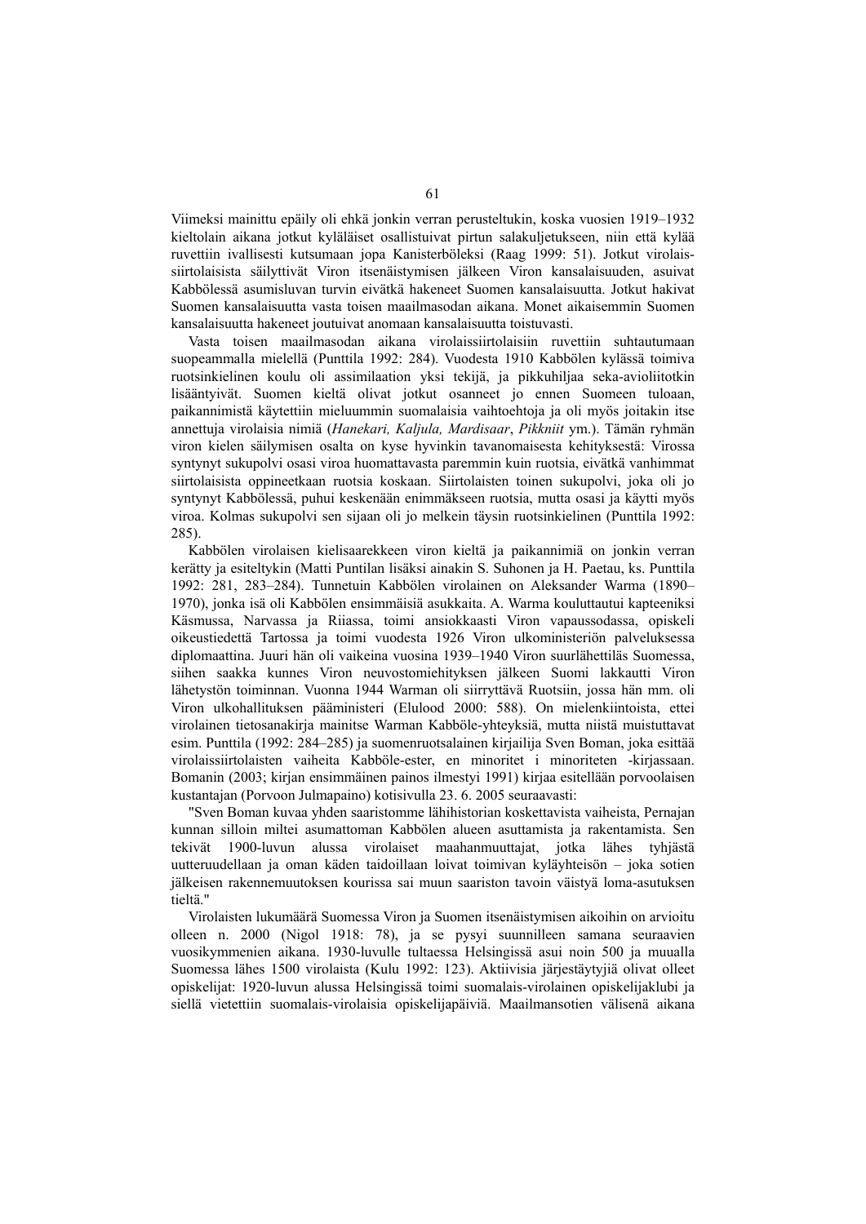Viimeksi mainittu epäily oli ehkä jonkin verran perusteltukin, koska vuosien 1919–1932 kieltolain aikana jotkut kyläläiset osallistuivat pirtun salakuljetukseen, niin että kylää ruvettiin ivallisesti kutsumaan jopa Kanisterböleksi (Raag 1999: 51). Jotkut virolaissiirtolaisista säilyttivät Viron itsenäistymisen jälkeen Viron kansalaisuuden, asuivat Kabbölessä asumisluvan turvin eivätkä hakeneet Suomen kansalaisuutta. Jotkut hakivat Suomen kansalaisuutta vasta toisen maailmasodan aikana. Monet aikaisemmin Suomen kansalaisuutta hakeneet joutuivat anomaan kansalaisuutta toistuvasti.

Vasta toisen maailmasodan aikana virolaissiirtolaisiin ruvettiin suhtautumaan suopeammalla mielellä (Punttila 1992: 284). Vuodesta 1910 Kabbölen kylässä toimiva ruotsinkielinen koulu oli assimilaation yksi tekijä, ja pikkuhiljaa seka-avioliitotkin lisääntyivät. Suomen kieltä olivat jotkut osanneet jo ennen Suomeen tuloaan, paikannimistä käytettiin mieluummin suomalaisia vaihtoehtoja ja oli myös joitakin itse annettuja virolaisia nimiä (*Hanekari, Kaljula, Mardisaar*, *Pikkniit* ym.). Tämän ryhmän viron kielen säilymisen osalta on kyse hyvinkin tavanomaisesta kehityksestä: Virossa syntynyt sukupolvi osasi viroa huomattavasta paremmin kuin ruotsia, eivätkä vanhimmat siirtolaisista oppineetkaan ruotsia koskaan. Siirtolaisten toinen sukupolvi, joka oli jo syntynyt Kabbölessä, puhui keskenään enimmäkseen ruotsia, mutta osasi ja käytti myös viroa. Kolmas sukupolvi sen sijaan oli jo melkein täysin ruotsinkielinen (Punttila 1992: 285).

Kabbölen virolaisen kielisaarekkeen viron kieltä ja paikannimiä on jonkin verran kerätty ja esiteltykin (Matti Puntilan lisäksi ainakin S. Suhonen ja H. Paetau, ks. Punttila 1992: 281, 283–284). Tunnetuin Kabbölen virolainen on Aleksander Warma (1890– 1970), jonka isä oli Kabbölen ensimmäisiä asukkaita. A. Warma kouluttautui kapteeniksi Käsmussa, Narvassa ja Riiassa, toimi ansiokkaasti Viron vapaussodassa, opiskeli oikeustiedettä Tartossa ja toimi vuodesta 1926 Viron ulkoministeriön palveluksessa diplomaattina. Juuri hän oli vaikeina vuosina 1939–1940 Viron suurlähettiläs Suomessa, siihen saakka kunnes Viron neuvostomiehityksen jälkeen Suomi lakkautti Viron lähetystön toiminnan. Vuonna 1944 Warman oli siirryttävä Ruotsiin, jossa hän mm. oli Viron ulkohallituksen pääministeri (Elulood 2000: 588). On mielenkiintoista, ettei virolainen tietosanakirja mainitse Warman Kabböle-yhteyksiä, mutta niistä muistuttavat esim. Punttila (1992: 284–285) ja suomenruotsalainen kirjailija Sven Boman, joka esittää virolaissiirtolaisten vaiheita Kabböle-ester, en minoritet i minoriteten -kirjassaan. Bomanin (2003; kirjan ensimmäinen painos ilmestyi 1991) kirjaa esitellään porvoolaisen kustantajan (Porvoon Julmapaino) kotisivulla 23. 6. 2005 seuraavasti:

"Sven Boman kuvaa yhden saaristomme lähihistorian koskettavista vaiheista, Pernajan kunnan silloin miltei asumattoman Kabbölen alueen asuttamista ja rakentamista. Sen tekivät 1900-luvun alussa virolaiset maahanmuuttajat, jotka lähes tyhjästä uutteruudellaan ja oman käden taidoillaan loivat toimivan kyläyhteisön – joka sotien jälkeisen rakennemuutoksen kourissa sai muun saariston tavoin väistyä loma-asutuksen tieltä."

Virolaisten lukumäärä Suomessa Viron ja Suomen itsenäistymisen aikoihin on arvioitu olleen n. 2000 (Nigol 1918: 78), ja se pysyi suunnilleen samana seuraavien vuosikymmenien aikana. 1930-luvulle tultaessa Helsingissä asui noin 500 ja muualla Suomessa lähes 1500 virolaista (Kulu 1992: 123). Aktiivisia järjestäytyjiä olivat olleet opiskelijat: 1920-luvun alussa Helsingissä toimi suomalais-virolainen opiskelijaklubi ja siellä vietettiin suomalais-virolaisia opiskelijapäiviä. Maailmansotien välisenä aikana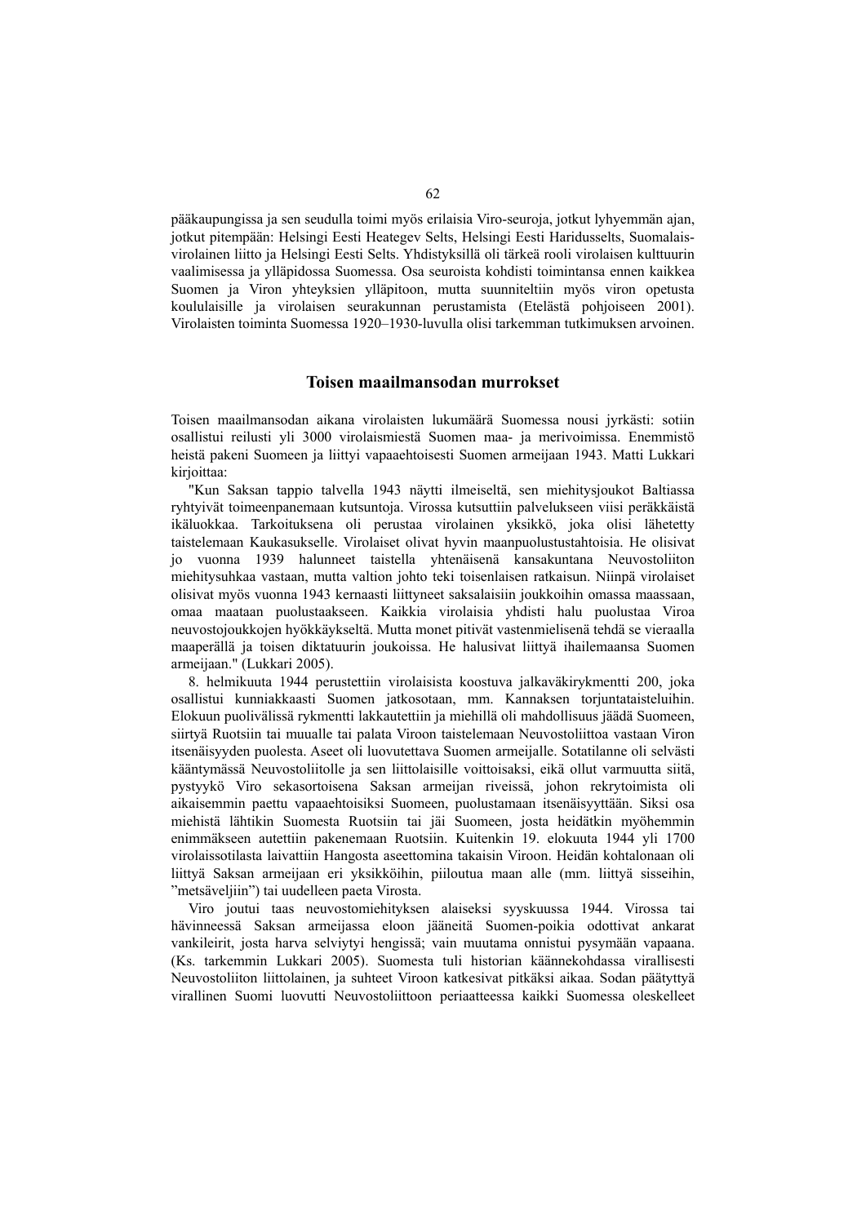pääkaupungissa ja sen seudulla toimi myös erilaisia Viro-seuroja, jotkut lyhyemmän ajan, jotkut pitempään: Helsingi Eesti Heategev Selts, Helsingi Eesti Haridusselts, Suomalaisvirolainen liitto ja Helsingi Eesti Selts. Yhdistyksillä oli tärkeä rooli virolaisen kulttuurin vaalimisessa ja ylläpidossa Suomessa. Osa seuroista kohdisti toimintansa ennen kaikkea Suomen ja Viron yhteyksien ylläpitoon, mutta suunniteltiin myös viron opetusta koululaisille ja virolaisen seurakunnan perustamista (Etelästä pohjoiseen 2001). Virolaisten toiminta Suomessa 1920–1930-luvulla olisi tarkemman tutkimuksen arvoinen.

### **Toisen maailmansodan murrokset**

Toisen maailmansodan aikana virolaisten lukumäärä Suomessa nousi jyrkästi: sotiin osallistui reilusti yli 3000 virolaismiestä Suomen maa- ja merivoimissa. Enemmistö heistä pakeni Suomeen ja liittyi vapaaehtoisesti Suomen armeijaan 1943. Matti Lukkari kirjoittaa:

"Kun Saksan tappio talvella 1943 näytti ilmeiseltä, sen miehitysjoukot Baltiassa ryhtyivät toimeenpanemaan kutsuntoja. Virossa kutsuttiin palvelukseen viisi peräkkäistä ikäluokkaa. Tarkoituksena oli perustaa virolainen yksikkö, joka olisi lähetetty taistelemaan Kaukasukselle. Virolaiset olivat hyvin maanpuolustustahtoisia. He olisivat jo vuonna 1939 halunneet taistella yhtenäisenä kansakuntana Neuvostoliiton miehitysuhkaa vastaan, mutta valtion johto teki toisenlaisen ratkaisun. Niinpä virolaiset olisivat myös vuonna 1943 kernaasti liittyneet saksalaisiin joukkoihin omassa maassaan, omaa maataan puolustaakseen. Kaikkia virolaisia yhdisti halu puolustaa Viroa neuvostojoukkojen hyökkäykseltä. Mutta monet pitivät vastenmielisenä tehdä se vieraalla maaperällä ja toisen diktatuurin joukoissa. He halusivat liittyä ihailemaansa Suomen armeijaan." (Lukkari 2005).

8. helmikuuta 1944 perustettiin virolaisista koostuva jalkaväkirykmentti 200, joka osallistui kunniakkaasti Suomen jatkosotaan, mm. Kannaksen torjuntataisteluihin. Elokuun puolivälissä rykmentti lakkautettiin ja miehillä oli mahdollisuus jäädä Suomeen, siirtyä Ruotsiin tai muualle tai palata Viroon taistelemaan Neuvostoliittoa vastaan Viron itsenäisyyden puolesta. Aseet oli luovutettava Suomen armeijalle. Sotatilanne oli selvästi kääntymässä Neuvostoliitolle ja sen liittolaisille voittoisaksi, eikä ollut varmuutta siitä, pystyykö Viro sekasortoisena Saksan armeijan riveissä, johon rekrytoimista oli aikaisemmin paettu vapaaehtoisiksi Suomeen, puolustamaan itsenäisyyttään. Siksi osa miehistä lähtikin Suomesta Ruotsiin tai jäi Suomeen, josta heidätkin myöhemmin enimmäkseen autettiin pakenemaan Ruotsiin. Kuitenkin 19. elokuuta 1944 yli 1700 virolaissotilasta laivattiin Hangosta aseettomina takaisin Viroon. Heidän kohtalonaan oli liittyä Saksan armeijaan eri yksikköihin, piiloutua maan alle (mm. liittyä sisseihin, "metsäveljiin") tai uudelleen paeta Virosta.

Viro joutui taas neuvostomiehityksen alaiseksi syyskuussa 1944. Virossa tai hävinneessä Saksan armeijassa eloon jääneitä Suomen-poikia odottivat ankarat vankileirit, josta harva selviytyi hengissä; vain muutama onnistui pysymään vapaana. (Ks. tarkemmin Lukkari 2005). Suomesta tuli historian käännekohdassa virallisesti Neuvostoliiton liittolainen, ja suhteet Viroon katkesivat pitkäksi aikaa. Sodan päätyttyä virallinen Suomi luovutti Neuvostoliittoon periaatteessa kaikki Suomessa oleskelleet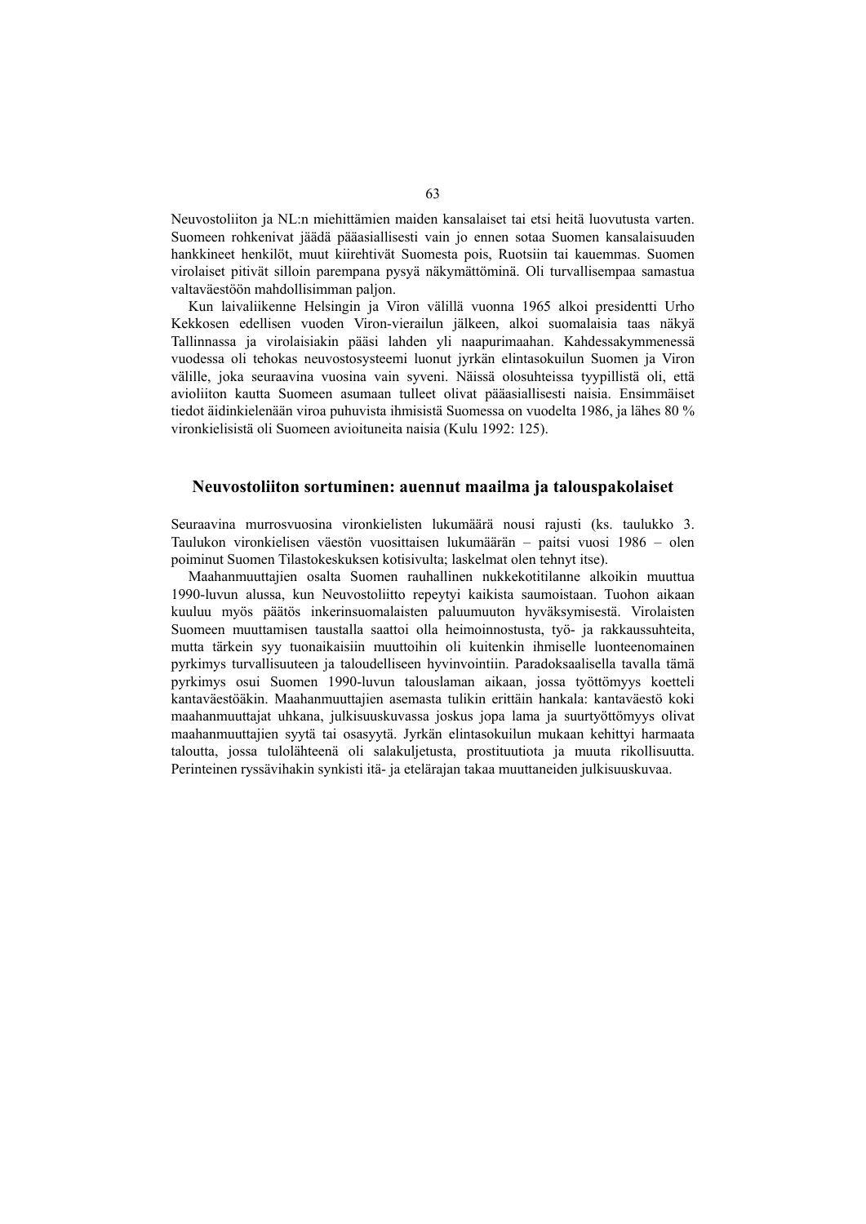Neuvostoliiton ja NL:n miehittämien maiden kansalaiset tai etsi heitä luovutusta varten. Suomeen rohkenivat jäädä pääasiallisesti vain jo ennen sotaa Suomen kansalaisuuden hankkineet henkilöt, muut kiirehtivät Suomesta pois, Ruotsiin tai kauemmas. Suomen virolaiset pitivät silloin parempana pysyä näkymättöminä. Oli turvallisempaa samastua valtaväestöön mahdollisimman paljon.

Kun laivaliikenne Helsingin ja Viron välillä vuonna 1965 alkoi presidentti Urho Kekkosen edellisen vuoden Viron-vierailun jälkeen, alkoi suomalaisia taas näkyä Tallinnassa ja virolaisiakin pääsi lahden yli naapurimaahan. Kahdessakymmenessä vuodessa oli tehokas neuvostosysteemi luonut jyrkän elintasokuilun Suomen ja Viron välille, joka seuraavina vuosina vain syveni. Näissä olosuhteissa tyypillistä oli, että avioliiton kautta Suomeen asumaan tulleet olivat pääasiallisesti naisia. Ensimmäiset tiedot äidinkielenään viroa puhuvista ihmisistä Suomessa on vuodelta 1986, ja lähes 80 % vironkielisistä oli Suomeen avioituneita naisia (Kulu 1992: 125).

#### **Neuvostoliiton sortuminen: auennut maailma ja talouspakolaiset**

Seuraavina murrosvuosina vironkielisten lukumäärä nousi rajusti (ks. taulukko 3. Taulukon vironkielisen väestön vuosittaisen lukumäärän – paitsi vuosi 1986 – olen poiminut Suomen Tilastokeskuksen kotisivulta; laskelmat olen tehnyt itse).

Maahanmuuttajien osalta Suomen rauhallinen nukkekotitilanne alkoikin muuttua 1990-luvun alussa, kun Neuvostoliitto repeytyi kaikista saumoistaan. Tuohon aikaan kuuluu myös päätös inkerinsuomalaisten paluumuuton hyväksymisestä. Virolaisten Suomeen muuttamisen taustalla saattoi olla heimoinnostusta, työ- ja rakkaussuhteita, mutta tärkein syy tuonaikaisiin muuttoihin oli kuitenkin ihmiselle luonteenomainen pyrkimys turvallisuuteen ja taloudelliseen hyvinvointiin. Paradoksaalisella tavalla tämä pyrkimys osui Suomen 1990-luvun talouslaman aikaan, jossa työttömyys koetteli kantaväestöäkin. Maahanmuuttajien asemasta tulikin erittäin hankala: kantaväestö koki maahanmuuttajat uhkana, julkisuuskuvassa joskus jopa lama ja suurtyöttömyys olivat maahanmuuttajien syytä tai osasyytä. Jyrkän elintasokuilun mukaan kehittyi harmaata taloutta, jossa tulolähteenä oli salakuljetusta, prostituutiota ja muuta rikollisuutta. Perinteinen ryssävihakin synkisti itä- ja etelärajan takaa muuttaneiden julkisuuskuvaa.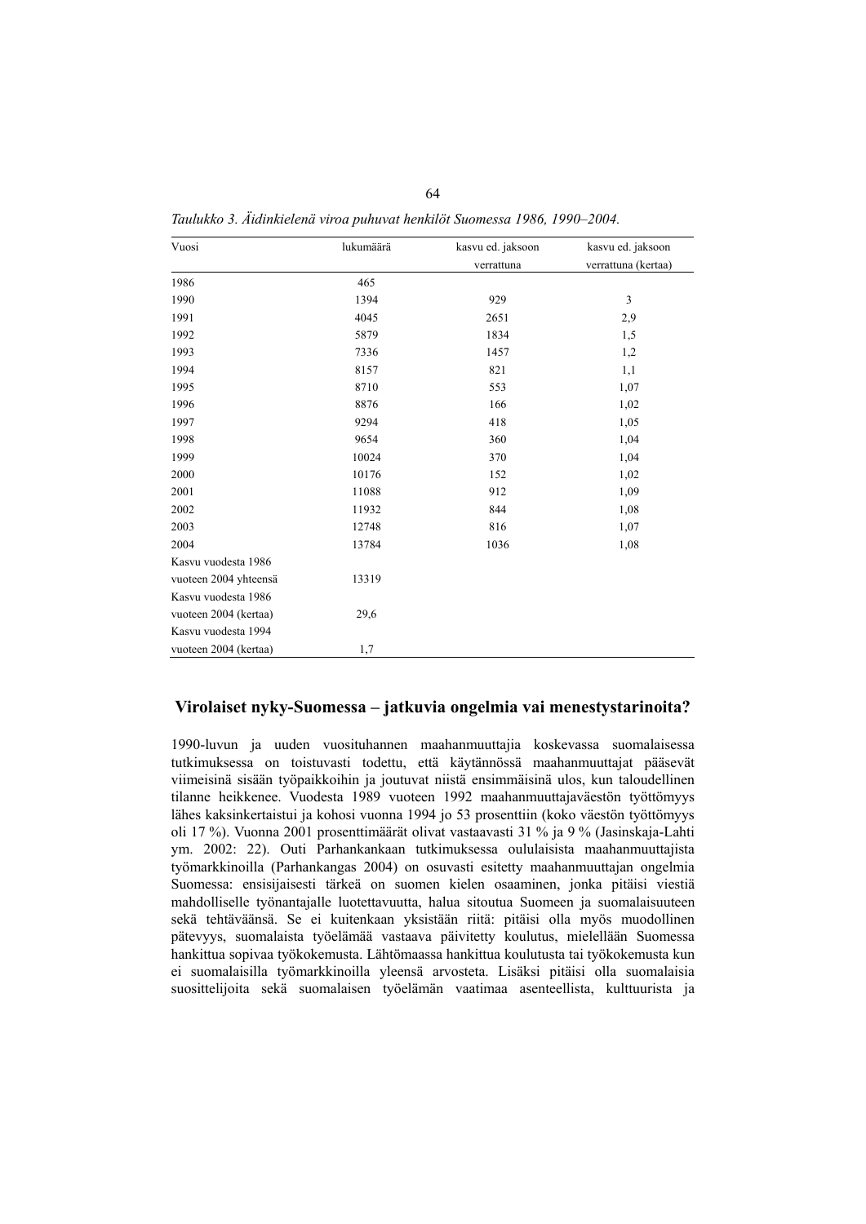| Vuosi                 | lukumäärä | kasvu ed. jaksoon | kasvu ed. jaksoon   |
|-----------------------|-----------|-------------------|---------------------|
|                       |           | verrattuna        | verrattuna (kertaa) |
| 1986                  | 465       |                   |                     |
| 1990                  | 1394      | 929               | $\mathfrak z$       |
| 1991                  | 4045      | 2651              | 2,9                 |
| 1992                  | 5879      | 1834              | 1,5                 |
| 1993                  | 7336      | 1457              | 1,2                 |
| 1994                  | 8157      | 821               | 1,1                 |
| 1995                  | 8710      | 553               | 1,07                |
| 1996                  | 8876      | 166               | 1,02                |
| 1997                  | 9294      | 418               | 1,05                |
| 1998                  | 9654      | 360               | 1,04                |
| 1999                  | 10024     | 370               | 1,04                |
| 2000                  | 10176     | 152               | 1,02                |
| 2001                  | 11088     | 912               | 1,09                |
| 2002                  | 11932     | 844               | 1,08                |
| 2003                  | 12748     | 816               | 1,07                |
| 2004                  | 13784     | 1036              | 1,08                |
| Kasvu vuodesta 1986   |           |                   |                     |
| vuoteen 2004 yhteensä | 13319     |                   |                     |
| Kasvu vuodesta 1986   |           |                   |                     |
| vuoteen 2004 (kertaa) | 29,6      |                   |                     |
| Kasvu vuodesta 1994   |           |                   |                     |
| vuoteen 2004 (kertaa) | 1,7       |                   |                     |

*Taulukko 3. Äidinkielenä viroa puhuvat henkilöt Suomessa 1986, 1990–2004.* 

## **Virolaiset nyky-Suomessa – jatkuvia ongelmia vai menestystarinoita?**

1990-luvun ja uuden vuosituhannen maahanmuuttajia koskevassa suomalaisessa tutkimuksessa on toistuvasti todettu, että käytännössä maahanmuuttajat pääsevät viimeisinä sisään työpaikkoihin ja joutuvat niistä ensimmäisinä ulos, kun taloudellinen tilanne heikkenee. Vuodesta 1989 vuoteen 1992 maahanmuuttajaväestön työttömyys lähes kaksinkertaistui ja kohosi vuonna 1994 jo 53 prosenttiin (koko väestön työttömyys oli 17 %). Vuonna 2001 prosenttimäärät olivat vastaavasti 31 % ja 9 % (Jasinskaja-Lahti ym. 2002: 22). Outi Parhankankaan tutkimuksessa oululaisista maahanmuuttajista työmarkkinoilla (Parhankangas 2004) on osuvasti esitetty maahanmuuttajan ongelmia Suomessa: ensisijaisesti tärkeä on suomen kielen osaaminen, jonka pitäisi viestiä mahdolliselle työnantajalle luotettavuutta, halua sitoutua Suomeen ja suomalaisuuteen sekä tehtäväänsä. Se ei kuitenkaan yksistään riitä: pitäisi olla myös muodollinen pätevyys, suomalaista työelämää vastaava päivitetty koulutus, mielellään Suomessa hankittua sopivaa työkokemusta. Lähtömaassa hankittua koulutusta tai työkokemusta kun ei suomalaisilla työmarkkinoilla yleensä arvosteta. Lisäksi pitäisi olla suomalaisia suosittelijoita sekä suomalaisen työelämän vaatimaa asenteellista, kulttuurista ja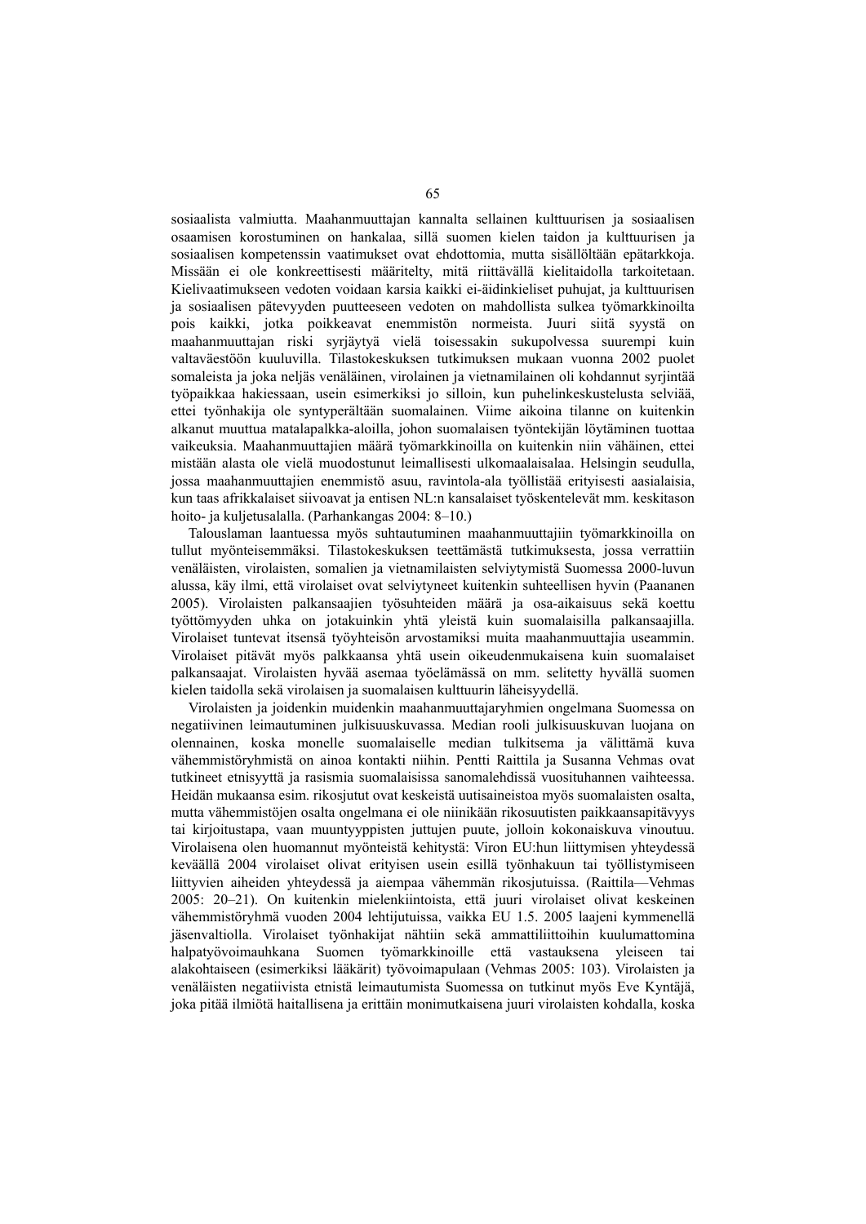sosiaalista valmiutta. Maahanmuuttajan kannalta sellainen kulttuurisen ja sosiaalisen osaamisen korostuminen on hankalaa, sillä suomen kielen taidon ja kulttuurisen ja sosiaalisen kompetenssin vaatimukset ovat ehdottomia, mutta sisällöltään epätarkkoja. Missään ei ole konkreettisesti määritelty, mitä riittävällä kielitaidolla tarkoitetaan. Kielivaatimukseen vedoten voidaan karsia kaikki ei-äidinkieliset puhujat, ja kulttuurisen ja sosiaalisen pätevyyden puutteeseen vedoten on mahdollista sulkea työmarkkinoilta pois kaikki, jotka poikkeavat enemmistön normeista. Juuri siitä syystä on maahanmuuttajan riski syrjäytyä vielä toisessakin sukupolvessa suurempi kuin valtaväestöön kuuluvilla. Tilastokeskuksen tutkimuksen mukaan vuonna 2002 puolet somaleista ja joka neljäs venäläinen, virolainen ja vietnamilainen oli kohdannut syrjintää työpaikkaa hakiessaan, usein esimerkiksi jo silloin, kun puhelinkeskustelusta selviää, ettei työnhakija ole syntyperältään suomalainen. Viime aikoina tilanne on kuitenkin alkanut muuttua matalapalkka-aloilla, johon suomalaisen työntekijän löytäminen tuottaa vaikeuksia. Maahanmuuttajien määrä työmarkkinoilla on kuitenkin niin vähäinen, ettei mistään alasta ole vielä muodostunut leimallisesti ulkomaalaisalaa. Helsingin seudulla, jossa maahanmuuttajien enemmistö asuu, ravintola-ala työllistää erityisesti aasialaisia, kun taas afrikkalaiset siivoavat ja entisen NL:n kansalaiset työskentelevät mm. keskitason hoito- ja kuljetusalalla. (Parhankangas 2004: 8–10.)

Talouslaman laantuessa myös suhtautuminen maahanmuuttajiin työmarkkinoilla on tullut myönteisemmäksi. Tilastokeskuksen teettämästä tutkimuksesta, jossa verrattiin venäläisten, virolaisten, somalien ja vietnamilaisten selviytymistä Suomessa 2000-luvun alussa, käy ilmi, että virolaiset ovat selviytyneet kuitenkin suhteellisen hyvin (Paananen 2005). Virolaisten palkansaajien työsuhteiden määrä ja osa-aikaisuus sekä koettu työttömyyden uhka on jotakuinkin yhtä yleistä kuin suomalaisilla palkansaajilla. Virolaiset tuntevat itsensä työyhteisön arvostamiksi muita maahanmuuttajia useammin. Virolaiset pitävät myös palkkaansa yhtä usein oikeudenmukaisena kuin suomalaiset palkansaajat. Virolaisten hyvää asemaa työelämässä on mm. selitetty hyvällä suomen kielen taidolla sekä virolaisen ja suomalaisen kulttuurin läheisyydellä.

Virolaisten ja joidenkin muidenkin maahanmuuttajaryhmien ongelmana Suomessa on negatiivinen leimautuminen julkisuuskuvassa. Median rooli julkisuuskuvan luojana on olennainen, koska monelle suomalaiselle median tulkitsema ja välittämä kuva vähemmistöryhmistä on ainoa kontakti niihin. Pentti Raittila ja Susanna Vehmas ovat tutkineet etnisyyttä ja rasismia suomalaisissa sanomalehdissä vuosituhannen vaihteessa. Heidän mukaansa esim. rikosjutut ovat keskeistä uutisaineistoa myös suomalaisten osalta, mutta vähemmistöjen osalta ongelmana ei ole niinikään rikosuutisten paikkaansapitävyys tai kirjoitustapa, vaan muuntyyppisten juttujen puute, jolloin kokonaiskuva vinoutuu. Virolaisena olen huomannut myönteistä kehitystä: Viron EU:hun liittymisen yhteydessä keväällä 2004 virolaiset olivat erityisen usein esillä työnhakuun tai työllistymiseen liittyvien aiheiden yhteydessä ja aiempaa vähemmän rikosjutuissa. (Raittila—Vehmas 2005: 20–21). On kuitenkin mielenkiintoista, että juuri virolaiset olivat keskeinen vähemmistöryhmä vuoden 2004 lehtijutuissa, vaikka EU 1.5. 2005 laajeni kymmenellä jäsenvaltiolla. Virolaiset työnhakijat nähtiin sekä ammattiliittoihin kuulumattomina halpatyövoimauhkana Suomen työmarkkinoille että vastauksena yleiseen alakohtaiseen (esimerkiksi lääkärit) työvoimapulaan (Vehmas 2005: 103). Virolaisten ja venäläisten negatiivista etnistä leimautumista Suomessa on tutkinut myös Eve Kyntäjä, joka pitää ilmiötä haitallisena ja erittäin monimutkaisena juuri virolaisten kohdalla, koska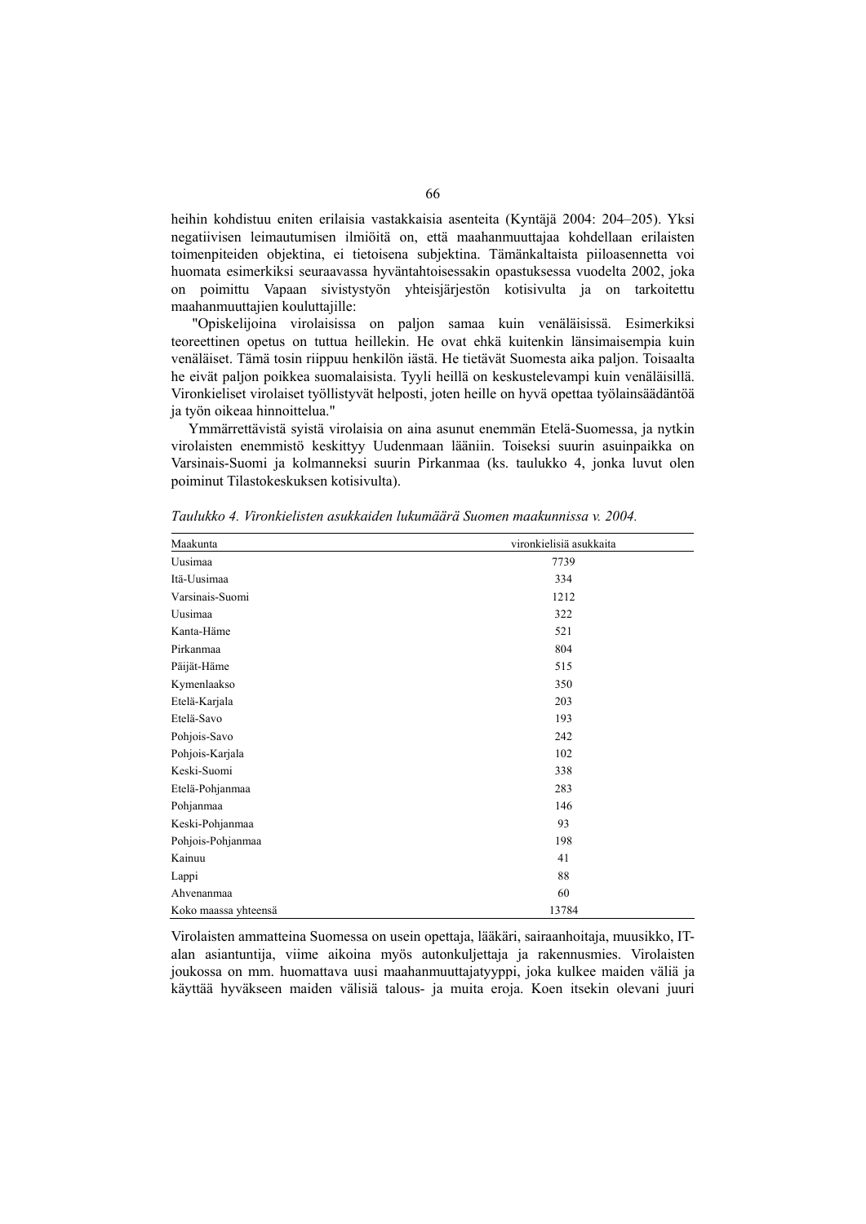heihin kohdistuu eniten erilaisia vastakkaisia asenteita (Kyntäjä 2004: 204–205). Yksi negatiivisen leimautumisen ilmiöitä on, että maahanmuuttajaa kohdellaan erilaisten toimenpiteiden objektina, ei tietoisena subjektina. Tämänkaltaista piiloasennetta voi huomata esimerkiksi seuraavassa hyväntahtoisessakin opastuksessa vuodelta 2002, joka on poimittu Vapaan sivistystyön yhteisjärjestön kotisivulta ja on tarkoitettu maahanmuuttajien kouluttajille:

 "Opiskelijoina virolaisissa on paljon samaa kuin venäläisissä. Esimerkiksi teoreettinen opetus on tuttua heillekin. He ovat ehkä kuitenkin länsimaisempia kuin venäläiset. Tämä tosin riippuu henkilön iästä. He tietävät Suomesta aika paljon. Toisaalta he eivät paljon poikkea suomalaisista. Tyyli heillä on keskustelevampi kuin venäläisillä. Vironkieliset virolaiset työllistyvät helposti, joten heille on hyvä opettaa työlainsäädäntöä ja työn oikeaa hinnoittelua."

Ymmärrettävistä syistä virolaisia on aina asunut enemmän Etelä-Suomessa, ja nytkin virolaisten enemmistö keskittyy Uudenmaan lääniin. Toiseksi suurin asuinpaikka on Varsinais-Suomi ja kolmanneksi suurin Pirkanmaa (ks. taulukko 4, jonka luvut olen poiminut Tilastokeskuksen kotisivulta).

| Maakunta             | vironkielisiä asukkaita |
|----------------------|-------------------------|
| Uusimaa              | 7739                    |
| Itä-Uusimaa          | 334                     |
| Varsinais-Suomi      | 1212                    |
| Uusimaa              | 322                     |
| Kanta-Häme           | 521                     |
| Pirkanmaa            | 804                     |
| Päijät-Häme          | 515                     |
| Kymenlaakso          | 350                     |
| Etelä-Karjala        | 203                     |
| Etelä-Savo           | 193                     |
| Pohjois-Savo         | 242                     |
| Pohjois-Karjala      | 102                     |
| Keski-Suomi          | 338                     |
| Etelä-Pohjanmaa      | 283                     |
| Pohjanmaa            | 146                     |
| Keski-Pohjanmaa      | 93                      |
| Pohjois-Pohjanmaa    | 198                     |
| Kainuu               | 41                      |
| Lappi                | 88                      |
| Ahvenanmaa           | 60                      |
| Koko maassa yhteensä | 13784                   |

*Taulukko 4. Vironkielisten asukkaiden lukumäärä Suomen maakunnissa v. 2004.* 

Virolaisten ammatteina Suomessa on usein opettaja, lääkäri, sairaanhoitaja, muusikko, ITalan asiantuntija, viime aikoina myös autonkuljettaja ja rakennusmies. Virolaisten joukossa on mm. huomattava uusi maahanmuuttajatyyppi, joka kulkee maiden väliä ja käyttää hyväkseen maiden välisiä talous- ja muita eroja. Koen itsekin olevani juuri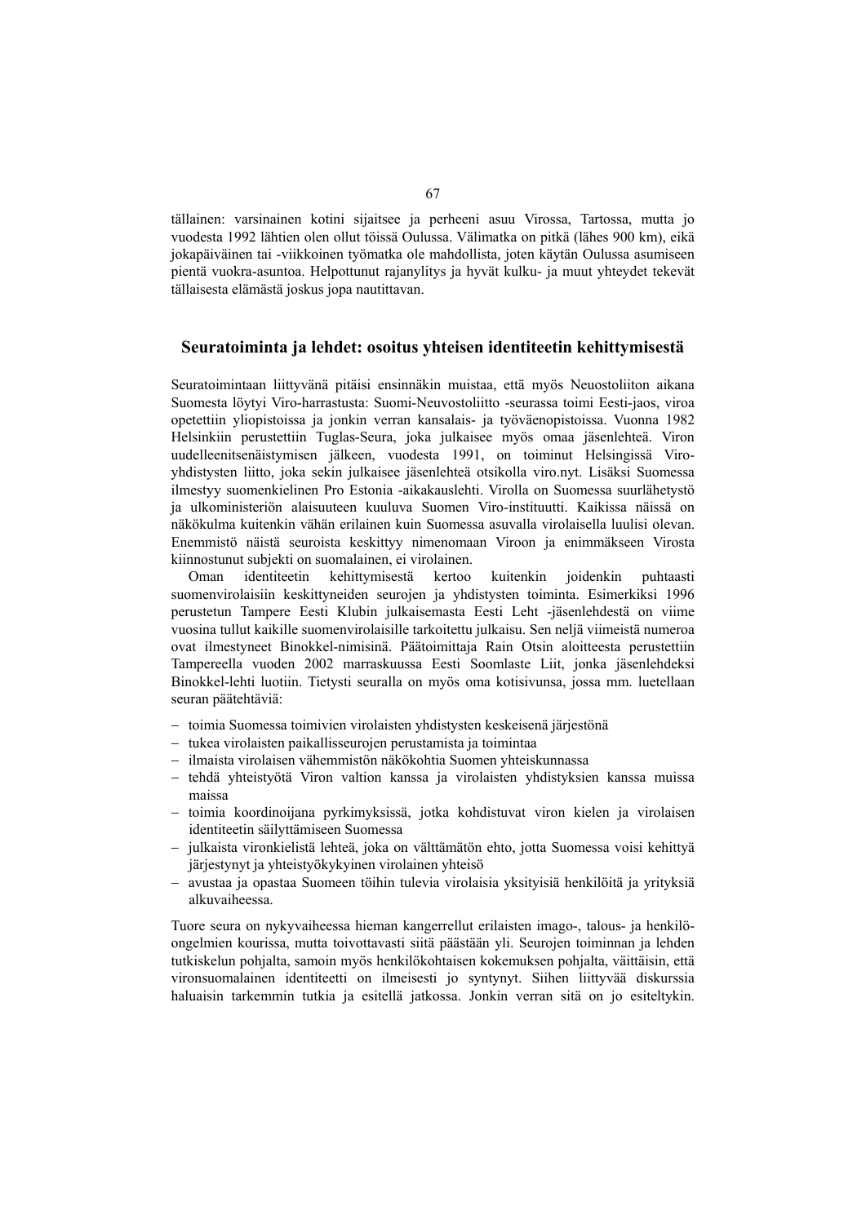tällainen: varsinainen kotini sijaitsee ja perheeni asuu Virossa, Tartossa, mutta jo vuodesta 1992 lähtien olen ollut töissä Oulussa. Välimatka on pitkä (lähes 900 km), eikä jokapäiväinen tai -viikkoinen työmatka ole mahdollista, joten käytän Oulussa asumiseen pientä vuokra-asuntoa. Helpottunut rajanylitys ja hyvät kulku- ja muut yhteydet tekevät tällaisesta elämästä joskus jopa nautittavan.

### **Seuratoiminta ja lehdet: osoitus yhteisen identiteetin kehittymisestä**

Seuratoimintaan liittyvänä pitäisi ensinnäkin muistaa, että myös Neuostoliiton aikana Suomesta löytyi Viro-harrastusta: Suomi-Neuvostoliitto -seurassa toimi Eesti-jaos, viroa opetettiin yliopistoissa ja jonkin verran kansalais- ja työväenopistoissa. Vuonna 1982 Helsinkiin perustettiin Tuglas-Seura, joka julkaisee myös omaa jäsenlehteä. Viron uudelleenitsenäistymisen jälkeen, vuodesta 1991, on toiminut Helsingissä Viroyhdistysten liitto, joka sekin julkaisee jäsenlehteä otsikolla viro.nyt. Lisäksi Suomessa ilmestyy suomenkielinen Pro Estonia -aikakauslehti. Virolla on Suomessa suurlähetystö ja ulkoministeriön alaisuuteen kuuluva Suomen Viro-instituutti. Kaikissa näissä on näkökulma kuitenkin vähän erilainen kuin Suomessa asuvalla virolaisella luulisi olevan. Enemmistö näistä seuroista keskittyy nimenomaan Viroon ja enimmäkseen Virosta kiinnostunut subjekti on suomalainen, ei virolainen.

Oman identiteetin kehittymisestä kertoo kuitenkin joidenkin puhtaasti suomenvirolaisiin keskittyneiden seurojen ja yhdistysten toiminta. Esimerkiksi 1996 perustetun Tampere Eesti Klubin julkaisemasta Eesti Leht -jäsenlehdestä on viime vuosina tullut kaikille suomenvirolaisille tarkoitettu julkaisu. Sen neljä viimeistä numeroa ovat ilmestyneet Binokkel-nimisinä. Päätoimittaja Rain Otsin aloitteesta perustettiin Tampereella vuoden 2002 marraskuussa Eesti Soomlaste Liit, jonka jäsenlehdeksi Binokkel-lehti luotiin. Tietysti seuralla on myös oma kotisivunsa, jossa mm. luetellaan seuran päätehtäviä:

- − toimia Suomessa toimivien virolaisten yhdistysten keskeisenä järjestönä
- − tukea virolaisten paikallisseurojen perustamista ja toimintaa
- − ilmaista virolaisen vähemmistön näkökohtia Suomen yhteiskunnassa
- − tehdä yhteistyötä Viron valtion kanssa ja virolaisten yhdistyksien kanssa muissa maissa
- − toimia koordinoijana pyrkimyksissä, jotka kohdistuvat viron kielen ja virolaisen identiteetin säilyttämiseen Suomessa
- − julkaista vironkielistä lehteä, joka on välttämätön ehto, jotta Suomessa voisi kehittyä järjestynyt ja yhteistyökykyinen virolainen yhteisö
- − avustaa ja opastaa Suomeen töihin tulevia virolaisia yksityisiä henkilöitä ja yrityksiä alkuvaiheessa.

Tuore seura on nykyvaiheessa hieman kangerrellut erilaisten imago-, talous- ja henkilöongelmien kourissa, mutta toivottavasti siitä päästään yli. Seurojen toiminnan ja lehden tutkiskelun pohjalta, samoin myös henkilökohtaisen kokemuksen pohjalta, väittäisin, että vironsuomalainen identiteetti on ilmeisesti jo syntynyt. Siihen liittyvää diskurssia haluaisin tarkemmin tutkia ja esitellä jatkossa. Jonkin verran sitä on jo esiteltykin.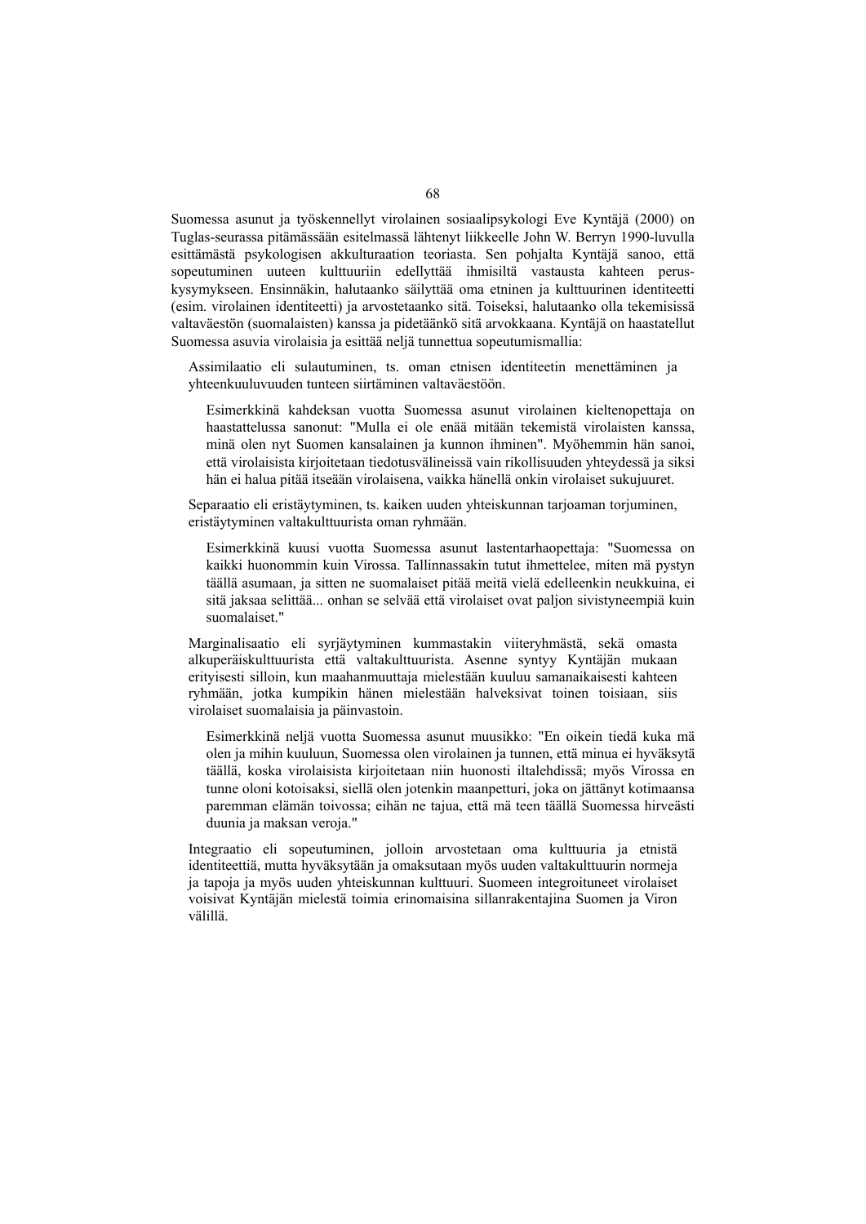Suomessa asunut ja työskennellyt virolainen sosiaalipsykologi Eve Kyntäjä (2000) on Tuglas-seurassa pitämässään esitelmassä lähtenyt liikkeelle John W. Berryn 1990-luvulla esittämästä psykologisen akkulturaation teoriasta. Sen pohjalta Kyntäjä sanoo, että sopeutuminen uuteen kulttuuriin edellyttää ihmisiltä vastausta kahteen peruskysymykseen. Ensinnäkin, halutaanko säilyttää oma etninen ja kulttuurinen identiteetti (esim. virolainen identiteetti) ja arvostetaanko sitä. Toiseksi, halutaanko olla tekemisissä valtaväestön (suomalaisten) kanssa ja pidetäänkö sitä arvokkaana. Kyntäjä on haastatellut Suomessa asuvia virolaisia ja esittää neljä tunnettua sopeutumismallia:

Assimilaatio eli sulautuminen, ts. oman etnisen identiteetin menettäminen ja yhteenkuuluvuuden tunteen siirtäminen valtaväestöön.

Esimerkkinä kahdeksan vuotta Suomessa asunut virolainen kieltenopettaja on haastattelussa sanonut: "Mulla ei ole enää mitään tekemistä virolaisten kanssa, minä olen nyt Suomen kansalainen ja kunnon ihminen". Myöhemmin hän sanoi, että virolaisista kirjoitetaan tiedotusvälineissä vain rikollisuuden yhteydessä ja siksi hän ei halua pitää itseään virolaisena, vaikka hänellä onkin virolaiset sukujuuret.

Separaatio eli eristäytyminen, ts. kaiken uuden yhteiskunnan tarjoaman torjuminen, eristäytyminen valtakulttuurista oman ryhmään.

Esimerkkinä kuusi vuotta Suomessa asunut lastentarhaopettaja: "Suomessa on kaikki huonommin kuin Virossa. Tallinnassakin tutut ihmettelee, miten mä pystyn täällä asumaan, ja sitten ne suomalaiset pitää meitä vielä edelleenkin neukkuina, ei sitä jaksaa selittää... onhan se selvää että virolaiset ovat paljon sivistyneempiä kuin suomalaiset."

Marginalisaatio eli syrjäytyminen kummastakin viiteryhmästä, sekä omasta alkuperäiskulttuurista että valtakulttuurista. Asenne syntyy Kyntäjän mukaan erityisesti silloin, kun maahanmuuttaja mielestään kuuluu samanaikaisesti kahteen ryhmään, jotka kumpikin hänen mielestään halveksivat toinen toisiaan, siis virolaiset suomalaisia ja päinvastoin.

Esimerkkinä neljä vuotta Suomessa asunut muusikko: "En oikein tiedä kuka mä olen ja mihin kuuluun, Suomessa olen virolainen ja tunnen, että minua ei hyväksytä täällä, koska virolaisista kirjoitetaan niin huonosti iltalehdissä; myös Virossa en tunne oloni kotoisaksi, siellä olen jotenkin maanpetturi, joka on jättänyt kotimaansa paremman elämän toivossa; eihän ne tajua, että mä teen täällä Suomessa hirveästi duunia ja maksan veroja."

Integraatio eli sopeutuminen, jolloin arvostetaan oma kulttuuria ja etnistä identiteettiä, mutta hyväksytään ja omaksutaan myös uuden valtakulttuurin normeja ja tapoja ja myös uuden yhteiskunnan kulttuuri. Suomeen integroituneet virolaiset voisivat Kyntäjän mielestä toimia erinomaisina sillanrakentajina Suomen ja Viron välillä.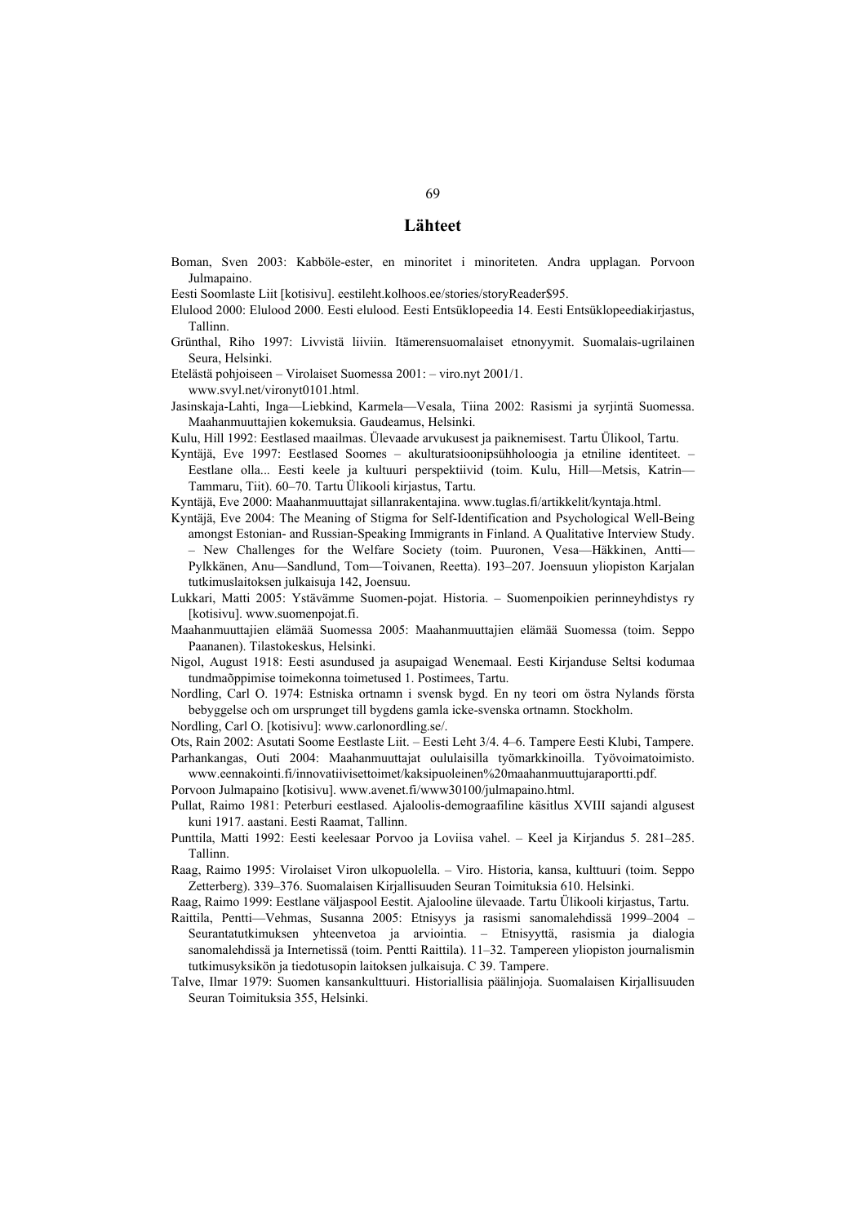### **Lähteet**

- Boman, Sven 2003: Kabböle-ester, en minoritet i minoriteten. Andra upplagan. Porvoon Julmapaino.
- Eesti Soomlaste Liit [kotisivu]. eestileht.kolhoos.ee/stories/storyReader\$95.
- Elulood 2000: Elulood 2000. Eesti elulood. Eesti Entsüklopeedia 14. Eesti Entsüklopeediakirjastus, Tallinn.
- Grünthal, Riho 1997: Livvistä liiviin. Itämerensuomalaiset etnonyymit. Suomalais-ugrilainen Seura, Helsinki.
- Etelästä pohjoiseen Virolaiset Suomessa 2001: viro.nyt 2001/1. www.svyl.net/vironyt0101.html.
- Jasinskaja-Lahti, Inga—Liebkind, Karmela—Vesala, Tiina 2002: Rasismi ja syrjintä Suomessa. Maahanmuuttajien kokemuksia. Gaudeamus, Helsinki.
- Kulu, Hill 1992: Eestlased maailmas. Ülevaade arvukusest ja paiknemisest. Tartu Ülikool, Tartu.
- Kyntäjä, Eve 1997: Eestlased Soomes akulturatsioonipsühholoogia ja etniline identiteet. Eestlane olla... Eesti keele ja kultuuri perspektiivid (toim. Kulu, Hill—Metsis, Katrin— Tammaru, Tiit). 60–70. Tartu Ülikooli kirjastus, Tartu.
- Kyntäjä, Eve 2000: Maahanmuuttajat sillanrakentajina. www.tuglas.fi/artikkelit/kyntaja.html.
- Kyntäjä, Eve 2004: The Meaning of Stigma for Self-Identification and Psychological Well-Being amongst Estonian- and Russian-Speaking Immigrants in Finland. A Qualitative Interview Study. – New Challenges for the Welfare Society (toim. Puuronen, Vesa—Häkkinen, Antti— Pylkkänen, Anu—Sandlund, Tom—Toivanen, Reetta). 193–207. Joensuun yliopiston Karjalan tutkimuslaitoksen julkaisuja 142, Joensuu.
- Lukkari, Matti 2005: Ystävämme Suomen-pojat. Historia. Suomenpoikien perinneyhdistys ry [kotisivu]. www.suomenpojat.fi.
- Maahanmuuttajien elämää Suomessa 2005: Maahanmuuttajien elämää Suomessa (toim. Seppo Paananen). Tilastokeskus, Helsinki.
- Nigol, August 1918: Eesti asundused ja asupaigad Wenemaal. Eesti Kirjanduse Seltsi kodumaa tundmaõppimise toimekonna toimetused 1. Postimees, Tartu.
- Nordling, Carl O. 1974: Estniska ortnamn i svensk bygd. En ny teori om östra Nylands första bebyggelse och om ursprunget till bygdens gamla icke-svenska ortnamn. Stockholm.
- Nordling, Carl O. [kotisivu]: www.carlonordling.se/.
- Ots, Rain 2002: Asutati Soome Eestlaste Liit. Eesti Leht 3/4. 4–6. Tampere Eesti Klubi, Tampere.
- Parhankangas, Outi 2004: Maahanmuuttajat oululaisilla työmarkkinoilla. Työvoimatoimisto. www.eennakointi.fi/innovatiivisettoimet/kaksipuoleinen%20maahanmuuttujaraportti.pdf.
- Porvoon Julmapaino [kotisivu]. www.avenet.fi/www30100/julmapaino.html.
- Pullat, Raimo 1981: Peterburi eestlased. Ajaloolis-demograafiline käsitlus XVIII sajandi algusest kuni 1917. aastani. Eesti Raamat, Tallinn.
- Punttila, Matti 1992: Eesti keelesaar Porvoo ja Loviisa vahel. Keel ja Kirjandus 5. 281–285. Tallinn.
- Raag, Raimo 1995: Virolaiset Viron ulkopuolella. Viro. Historia, kansa, kulttuuri (toim. Seppo Zetterberg). 339–376. Suomalaisen Kirjallisuuden Seuran Toimituksia 610. Helsinki.
- Raag, Raimo 1999: Eestlane väljaspool Eestit. Ajalooline ülevaade. Tartu Ülikooli kirjastus, Tartu.
- Raittila, Pentti—Vehmas, Susanna 2005: Etnisyys ja rasismi sanomalehdissä 1999–2004 Seurantatutkimuksen yhteenvetoa ja arviointia. – Etnisyyttä, rasismia ja dialogia sanomalehdissä ja Internetissä (toim. Pentti Raittila). 11–32. Tampereen yliopiston journalismin tutkimusyksikön ja tiedotusopin laitoksen julkaisuja. C 39. Tampere.
- Talve, Ilmar 1979: Suomen kansankulttuuri. Historiallisia päälinjoja. Suomalaisen Kirjallisuuden Seuran Toimituksia 355, Helsinki.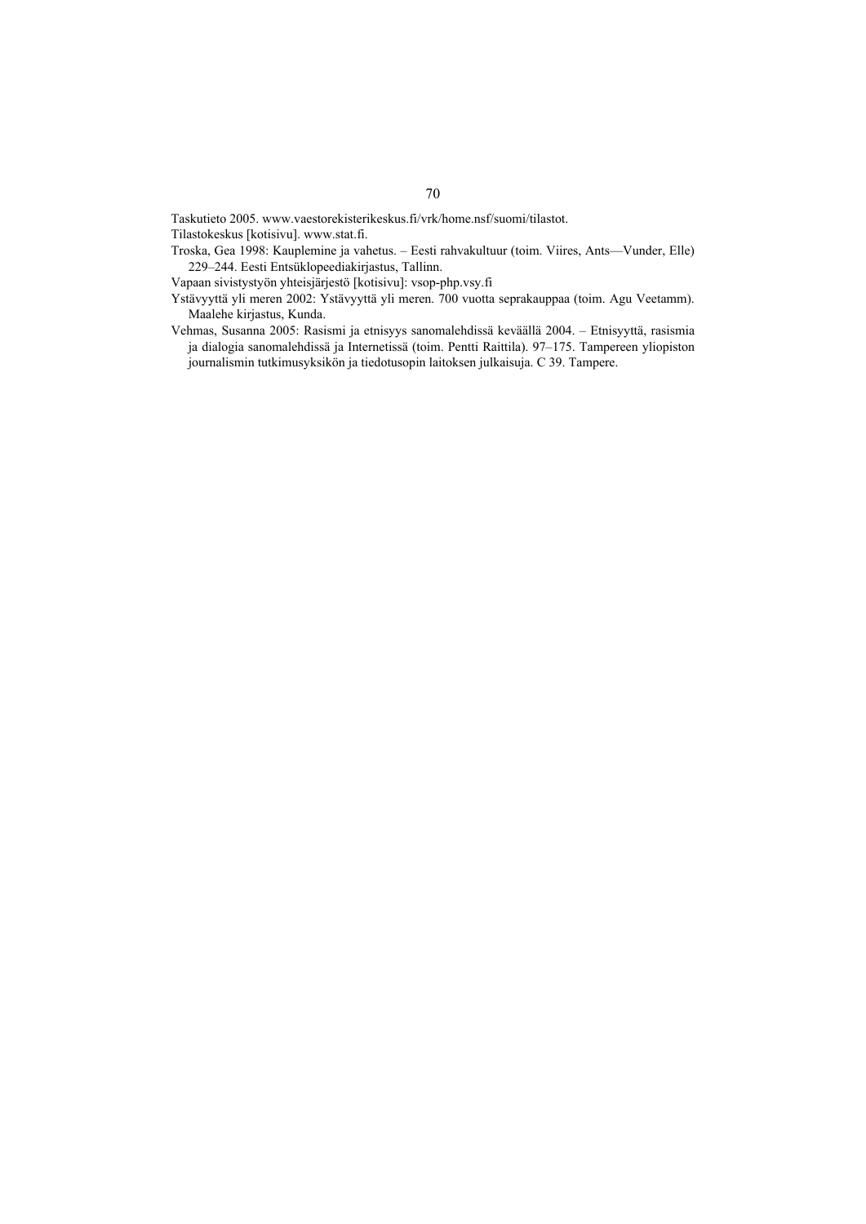Taskutieto 2005. www.vaestorekisterikeskus.fi/vrk/home.nsf/suomi/tilastot.

Tilastokeskus [kotisivu]. www.stat.fi.

Troska, Gea 1998: Kauplemine ja vahetus. – Eesti rahvakultuur (toim. Viires, Ants—Vunder, Elle) 229–244. Eesti Entsüklopeediakirjastus, Tallinn.

Vapaan sivistystyön yhteisjärjestö [kotisivu]: vsop-php.vsy.fi

- Ystävyyttä yli meren 2002: Ystävyyttä yli meren. 700 vuotta seprakauppaa (toim. Agu Veetamm). Maalehe kirjastus, Kunda.
- Vehmas, Susanna 2005: Rasismi ja etnisyys sanomalehdissä keväällä 2004. Etnisyyttä, rasismia ja dialogia sanomalehdissä ja Internetissä (toim. Pentti Raittila). 97–175. Tampereen yliopiston journalismin tutkimusyksikön ja tiedotusopin laitoksen julkaisuja. C 39. Tampere.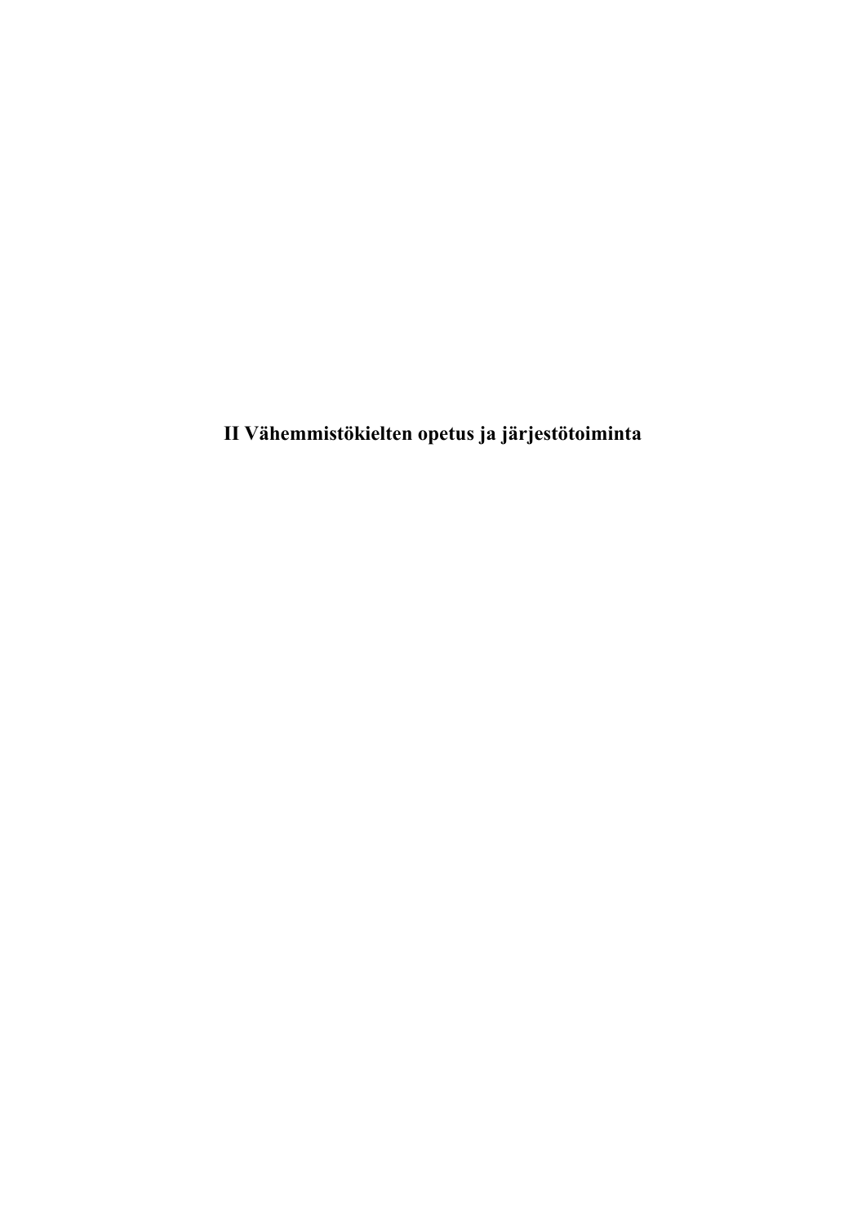**II Vähemmistökielten opetus ja järjestötoiminta**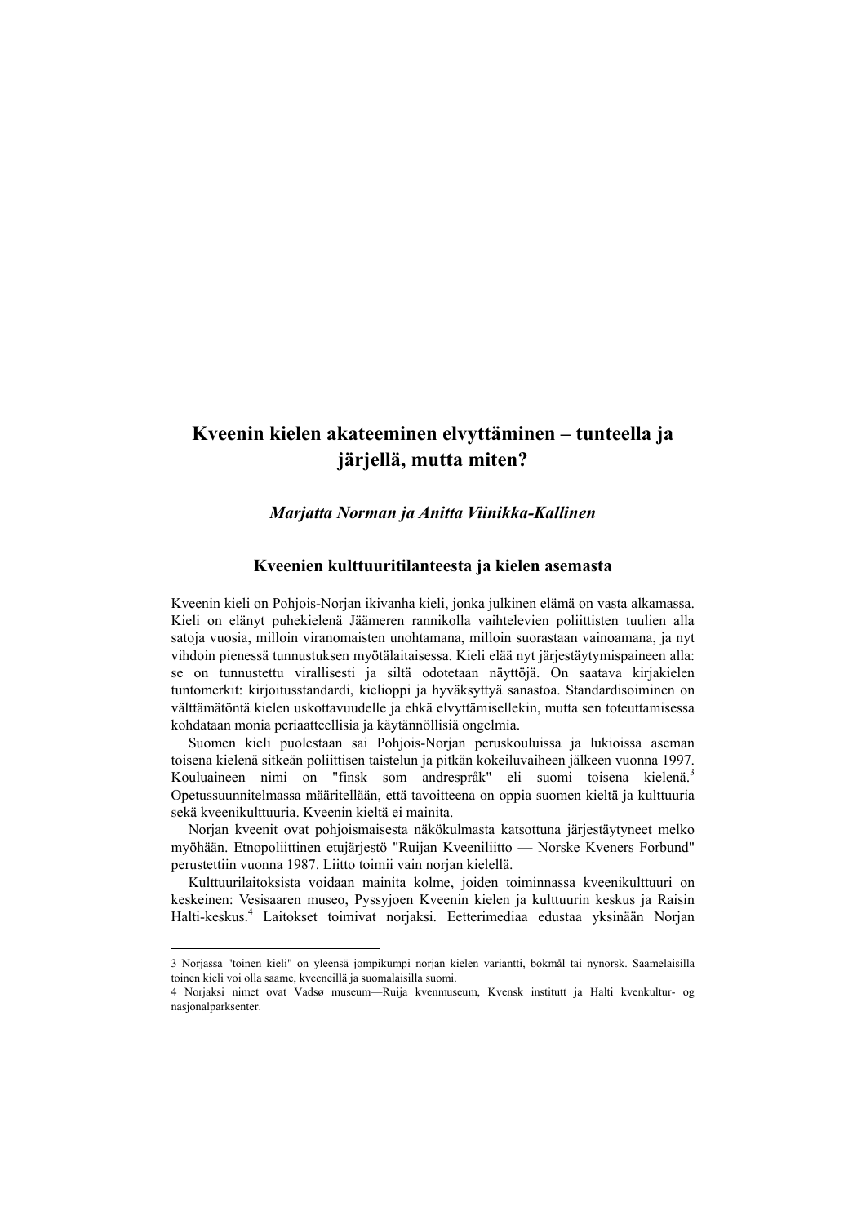# **Kveenin kielen akateeminen elvyttäminen – tunteella ja järjellä, mutta miten?**

# *Marjatta Norman ja Anitta Viinikka-Kallinen*

# **Kveenien kulttuuritilanteesta ja kielen asemasta**

Kveenin kieli on Pohjois-Norjan ikivanha kieli, jonka julkinen elämä on vasta alkamassa. Kieli on elänyt puhekielenä Jäämeren rannikolla vaihtelevien poliittisten tuulien alla satoja vuosia, milloin viranomaisten unohtamana, milloin suorastaan vainoamana, ja nyt vihdoin pienessä tunnustuksen myötälaitaisessa. Kieli elää nyt järjestäytymispaineen alla: se on tunnustettu virallisesti ja siltä odotetaan näyttöjä. On saatava kirjakielen tuntomerkit: kirjoitusstandardi, kielioppi ja hyväksyttyä sanastoa. Standardisoiminen on välttämätöntä kielen uskottavuudelle ja ehkä elvyttämisellekin, mutta sen toteuttamisessa kohdataan monia periaatteellisia ja käytännöllisiä ongelmia.

Suomen kieli puolestaan sai Pohjois-Norjan peruskouluissa ja lukioissa aseman toisena kielenä sitkeän poliittisen taistelun ja pitkän kokeiluvaiheen jälkeen vuonna 1997. Kouluaineen nimi on "finsk som andrespråk" eli suomi toisena kielenä.<sup>3</sup> Opetussuunnitelmassa määritellään, että tavoitteena on oppia suomen kieltä ja kulttuuria sekä kveenikulttuuria. Kveenin kieltä ei mainita.

Norjan kveenit ovat pohjoismaisesta näkökulmasta katsottuna järjestäytyneet melko myöhään. Etnopoliittinen etujärjestö "Ruijan Kveeniliitto — Norske Kveners Forbund" perustettiin vuonna 1987. Liitto toimii vain norjan kielellä.

Kulttuurilaitoksista voidaan mainita kolme, joiden toiminnassa kveenikulttuuri on keskeinen: Vesisaaren museo, Pyssyjoen Kveenin kielen ja kulttuurin keskus ja Raisin Halti-keskus.4 Laitokset toimivat norjaksi. Eetterimediaa edustaa yksinään Norjan

<sup>3</sup> Norjassa "toinen kieli" on yleensä jompikumpi norjan kielen variantti, bokmål tai nynorsk. Saamelaisilla toinen kieli voi olla saame, kveeneillä ja suomalaisilla suomi.

<sup>4</sup> Norjaksi nimet ovat Vadsø museum—Ruija kvenmuseum, Kvensk institutt ja Halti kvenkultur- og nasjonalparksenter.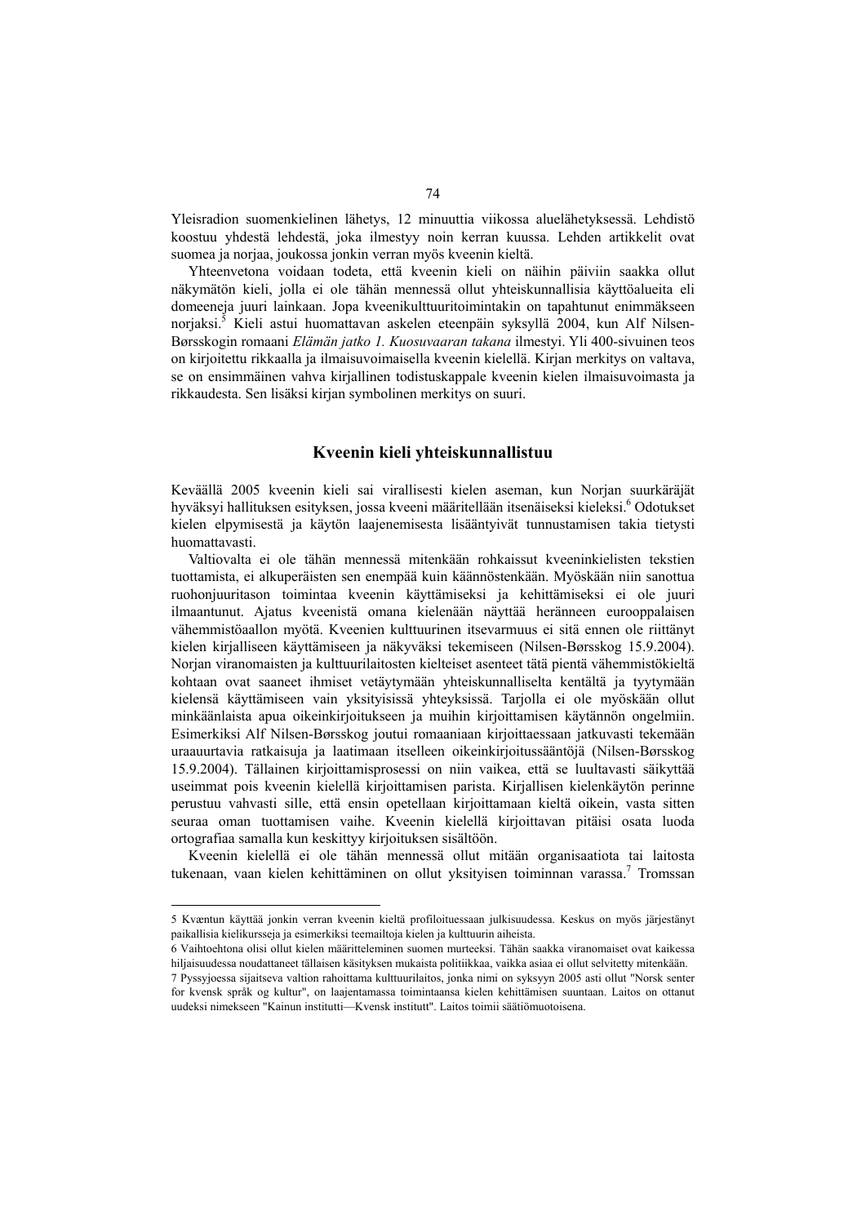Yleisradion suomenkielinen lähetys, 12 minuuttia viikossa aluelähetyksessä. Lehdistö koostuu yhdestä lehdestä, joka ilmestyy noin kerran kuussa. Lehden artikkelit ovat suomea ja norjaa, joukossa jonkin verran myös kveenin kieltä.

Yhteenvetona voidaan todeta, että kveenin kieli on näihin päiviin saakka ollut näkymätön kieli, jolla ei ole tähän mennessä ollut yhteiskunnallisia käyttöalueita eli domeeneja juuri lainkaan. Jopa kveenikulttuuritoimintakin on tapahtunut enimmäkseen norjaksi.5 Kieli astui huomattavan askelen eteenpäin syksyllä 2004, kun Alf Nilsen-Børsskogin romaani *Elämän jatko 1. Kuosuvaaran takana* ilmestyi. Yli 400-sivuinen teos on kirjoitettu rikkaalla ja ilmaisuvoimaisella kveenin kielellä. Kirjan merkitys on valtava, se on ensimmäinen vahva kirjallinen todistuskappale kveenin kielen ilmaisuvoimasta ja rikkaudesta. Sen lisäksi kirjan symbolinen merkitys on suuri.

#### **Kveenin kieli yhteiskunnallistuu**

Keväällä 2005 kveenin kieli sai virallisesti kielen aseman, kun Norjan suurkäräjät hyväksyi hallituksen esityksen, jossa kveeni määritellään itsenäiseksi kieleksi.<sup>6</sup> Odotukset kielen elpymisestä ja käytön laajenemisesta lisääntyivät tunnustamisen takia tietysti huomattavasti.

Valtiovalta ei ole tähän mennessä mitenkään rohkaissut kveeninkielisten tekstien tuottamista, ei alkuperäisten sen enempää kuin käännöstenkään. Myöskään niin sanottua ruohonjuuritason toimintaa kveenin käyttämiseksi ja kehittämiseksi ei ole juuri ilmaantunut. Ajatus kveenistä omana kielenään näyttää heränneen eurooppalaisen vähemmistöaallon myötä. Kveenien kulttuurinen itsevarmuus ei sitä ennen ole riittänyt kielen kirjalliseen käyttämiseen ja näkyväksi tekemiseen (Nilsen-Børsskog 15.9.2004). Norjan viranomaisten ja kulttuurilaitosten kielteiset asenteet tätä pientä vähemmistökieltä kohtaan ovat saaneet ihmiset vetäytymään yhteiskunnalliselta kentältä ja tyytymään kielensä käyttämiseen vain yksityisissä yhteyksissä. Tarjolla ei ole myöskään ollut minkäänlaista apua oikeinkirjoitukseen ja muihin kirjoittamisen käytännön ongelmiin. Esimerkiksi Alf Nilsen-Børsskog joutui romaaniaan kirjoittaessaan jatkuvasti tekemään uraauurtavia ratkaisuja ja laatimaan itselleen oikeinkirjoitussääntöjä (Nilsen-Børsskog 15.9.2004). Tällainen kirjoittamisprosessi on niin vaikea, että se luultavasti säikyttää useimmat pois kveenin kielellä kirjoittamisen parista. Kirjallisen kielenkäytön perinne perustuu vahvasti sille, että ensin opetellaan kirjoittamaan kieltä oikein, vasta sitten seuraa oman tuottamisen vaihe. Kveenin kielellä kirjoittavan pitäisi osata luoda ortografiaa samalla kun keskittyy kirjoituksen sisältöön.

Kveenin kielellä ei ole tähän mennessä ollut mitään organisaatiota tai laitosta tukenaan, vaan kielen kehittäminen on ollut yksityisen toiminnan varassa.<sup>7</sup> Tromssan

<sup>5</sup> Kvæntun käyttää jonkin verran kveenin kieltä profiloituessaan julkisuudessa. Keskus on myös järjestänyt paikallisia kielikursseja ja esimerkiksi teemailtoja kielen ja kulttuurin aiheista.

<sup>6</sup> Vaihtoehtona olisi ollut kielen määritteleminen suomen murteeksi. Tähän saakka viranomaiset ovat kaikessa hiljaisuudessa noudattaneet tällaisen käsityksen mukaista politiikkaa, vaikka asiaa ei ollut selvitetty mitenkään.

<sup>7</sup> Pyssyjoessa sijaitseva valtion rahoittama kulttuurilaitos, jonka nimi on syksyyn 2005 asti ollut "Norsk senter for kvensk språk og kultur", on laajentamassa toimintaansa kielen kehittämisen suuntaan. Laitos on ottanut uudeksi nimekseen "Kainun institutti—Kvensk institutt". Laitos toimii säätiömuotoisena.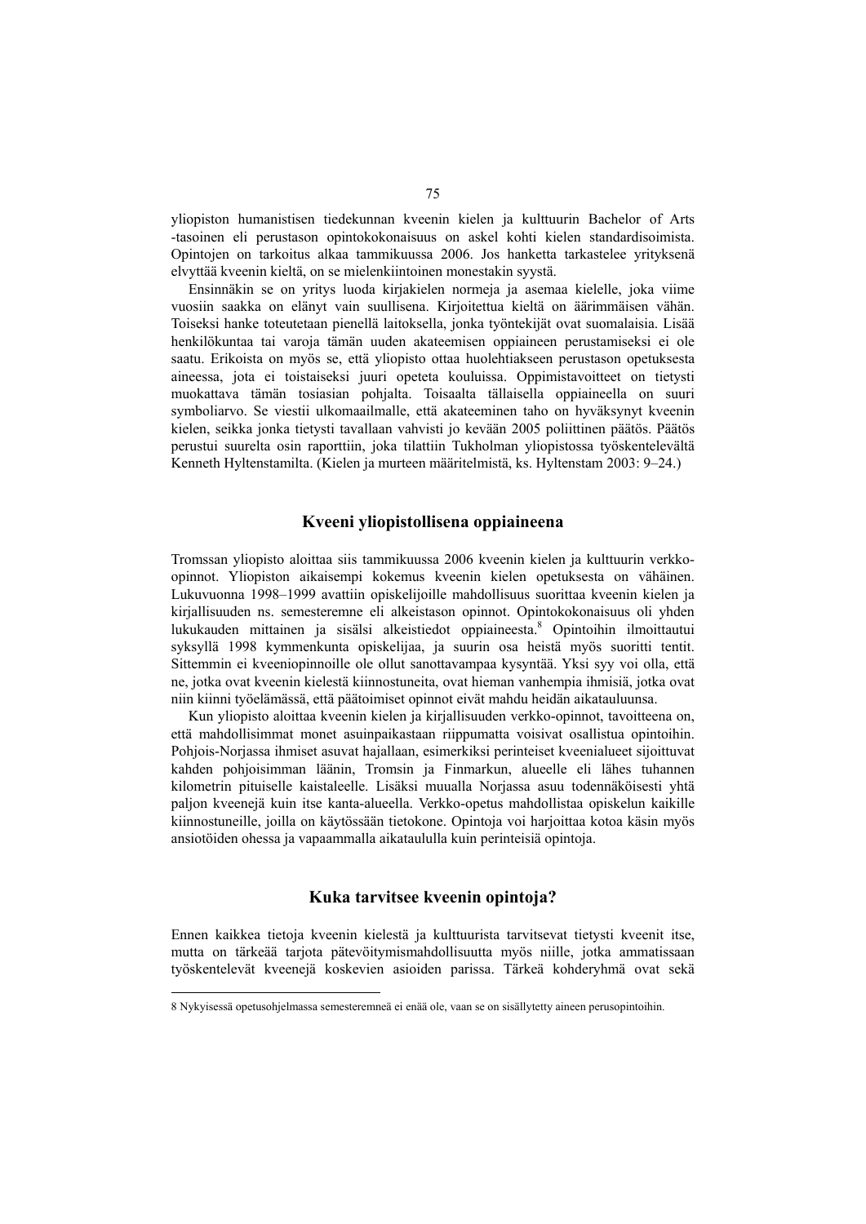yliopiston humanistisen tiedekunnan kveenin kielen ja kulttuurin Bachelor of Arts -tasoinen eli perustason opintokokonaisuus on askel kohti kielen standardisoimista. Opintojen on tarkoitus alkaa tammikuussa 2006. Jos hanketta tarkastelee yrityksenä elvyttää kveenin kieltä, on se mielenkiintoinen monestakin syystä.

Ensinnäkin se on yritys luoda kirjakielen normeja ja asemaa kielelle, joka viime vuosiin saakka on elänyt vain suullisena. Kirjoitettua kieltä on äärimmäisen vähän. Toiseksi hanke toteutetaan pienellä laitoksella, jonka työntekijät ovat suomalaisia. Lisää henkilökuntaa tai varoja tämän uuden akateemisen oppiaineen perustamiseksi ei ole saatu. Erikoista on myös se, että yliopisto ottaa huolehtiakseen perustason opetuksesta aineessa, jota ei toistaiseksi juuri opeteta kouluissa. Oppimistavoitteet on tietysti muokattava tämän tosiasian pohjalta. Toisaalta tällaisella oppiaineella on suuri symboliarvo. Se viestii ulkomaailmalle, että akateeminen taho on hyväksynyt kveenin kielen, seikka jonka tietysti tavallaan vahvisti jo kevään 2005 poliittinen päätös. Päätös perustui suurelta osin raporttiin, joka tilattiin Tukholman yliopistossa työskentelevältä Kenneth Hyltenstamilta. (Kielen ja murteen määritelmistä, ks. Hyltenstam 2003: 9–24.)

#### **Kveeni yliopistollisena oppiaineena**

Tromssan yliopisto aloittaa siis tammikuussa 2006 kveenin kielen ja kulttuurin verkkoopinnot. Yliopiston aikaisempi kokemus kveenin kielen opetuksesta on vähäinen. Lukuvuonna 1998–1999 avattiin opiskelijoille mahdollisuus suorittaa kveenin kielen ja kirjallisuuden ns. semesteremne eli alkeistason opinnot. Opintokokonaisuus oli yhden lukukauden mittainen ja sisälsi alkeistiedot oppiaineesta.<sup>8</sup> Opintoihin ilmoittautui syksyllä 1998 kymmenkunta opiskelijaa, ja suurin osa heistä myös suoritti tentit. Sittemmin ei kveeniopinnoille ole ollut sanottavampaa kysyntää. Yksi syy voi olla, että ne, jotka ovat kveenin kielestä kiinnostuneita, ovat hieman vanhempia ihmisiä, jotka ovat niin kiinni työelämässä, että päätoimiset opinnot eivät mahdu heidän aikatauluunsa.

Kun yliopisto aloittaa kveenin kielen ja kirjallisuuden verkko-opinnot, tavoitteena on, että mahdollisimmat monet asuinpaikastaan riippumatta voisivat osallistua opintoihin. Pohjois-Norjassa ihmiset asuvat hajallaan, esimerkiksi perinteiset kveenialueet sijoittuvat kahden pohjoisimman läänin, Tromsin ja Finmarkun, alueelle eli lähes tuhannen kilometrin pituiselle kaistaleelle. Lisäksi muualla Norjassa asuu todennäköisesti yhtä paljon kveenejä kuin itse kanta-alueella. Verkko-opetus mahdollistaa opiskelun kaikille kiinnostuneille, joilla on käytössään tietokone. Opintoja voi harjoittaa kotoa käsin myös ansiotöiden ohessa ja vapaammalla aikataululla kuin perinteisiä opintoja.

#### **Kuka tarvitsee kveenin opintoja?**

Ennen kaikkea tietoja kveenin kielestä ja kulttuurista tarvitsevat tietysti kveenit itse, mutta on tärkeää tarjota pätevöitymismahdollisuutta myös niille, jotka ammatissaan työskentelevät kveenejä koskevien asioiden parissa. Tärkeä kohderyhmä ovat sekä

<sup>8</sup> Nykyisessä opetusohjelmassa semesteremneä ei enää ole, vaan se on sisällytetty aineen perusopintoihin.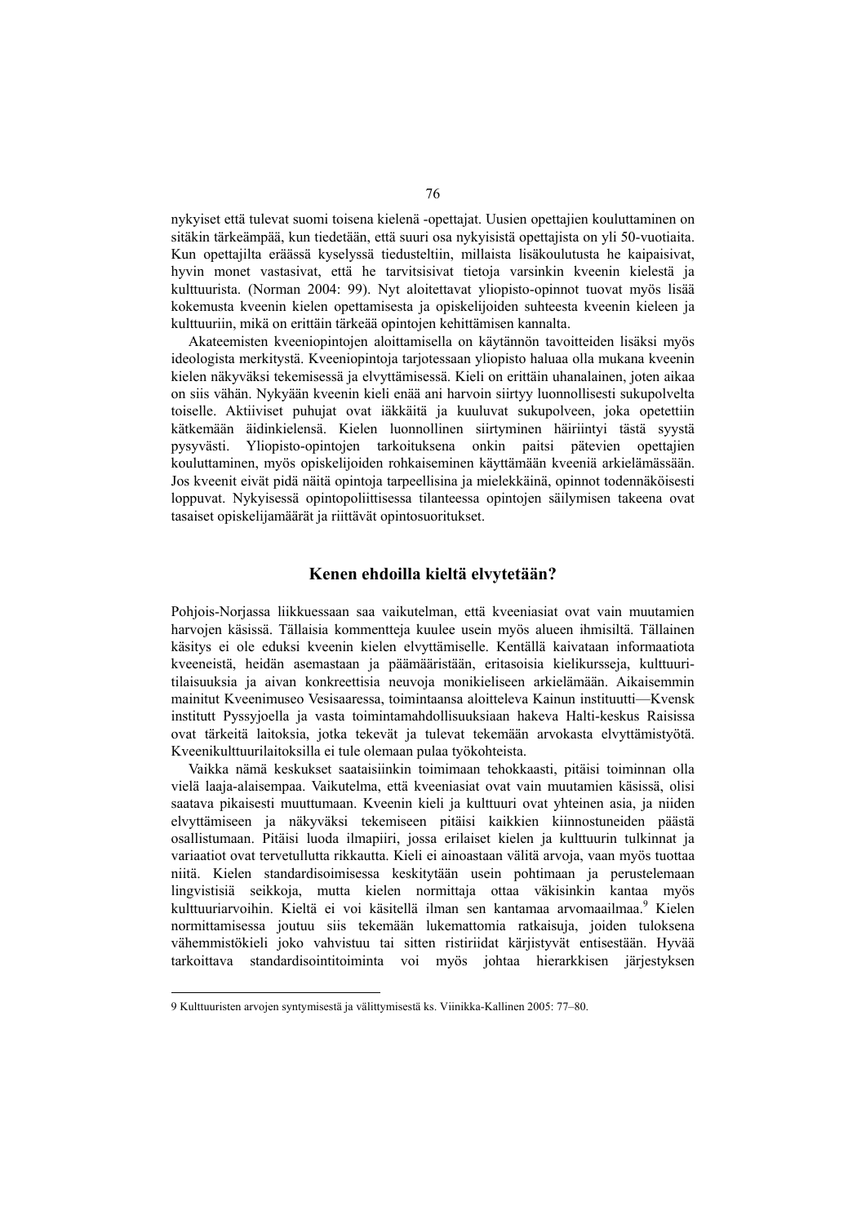nykyiset että tulevat suomi toisena kielenä -opettajat. Uusien opettajien kouluttaminen on sitäkin tärkeämpää, kun tiedetään, että suuri osa nykyisistä opettajista on yli 50-vuotiaita. Kun opettajilta eräässä kyselyssä tiedusteltiin, millaista lisäkoulutusta he kaipaisivat, hyvin monet vastasivat, että he tarvitsisivat tietoja varsinkin kveenin kielestä ja kulttuurista. (Norman 2004: 99). Nyt aloitettavat yliopisto-opinnot tuovat myös lisää kokemusta kveenin kielen opettamisesta ja opiskelijoiden suhteesta kveenin kieleen ja kulttuuriin, mikä on erittäin tärkeää opintojen kehittämisen kannalta.

Akateemisten kveeniopintojen aloittamisella on käytännön tavoitteiden lisäksi myös ideologista merkitystä. Kveeniopintoja tarjotessaan yliopisto haluaa olla mukana kveenin kielen näkyväksi tekemisessä ja elvyttämisessä. Kieli on erittäin uhanalainen, joten aikaa on siis vähän. Nykyään kveenin kieli enää ani harvoin siirtyy luonnollisesti sukupolvelta toiselle. Aktiiviset puhujat ovat iäkkäitä ja kuuluvat sukupolveen, joka opetettiin kätkemään äidinkielensä. Kielen luonnollinen siirtyminen häiriintyi tästä syystä pysyvästi. Yliopisto-opintojen tarkoituksena onkin paitsi pätevien opettajien kouluttaminen, myös opiskelijoiden rohkaiseminen käyttämään kveeniä arkielämässään. Jos kveenit eivät pidä näitä opintoja tarpeellisina ja mielekkäinä, opinnot todennäköisesti loppuvat. Nykyisessä opintopoliittisessa tilanteessa opintojen säilymisen takeena ovat tasaiset opiskelijamäärät ja riittävät opintosuoritukset.

#### **Kenen ehdoilla kieltä elvytetään?**

Pohjois-Norjassa liikkuessaan saa vaikutelman, että kveeniasiat ovat vain muutamien harvojen käsissä. Tällaisia kommentteja kuulee usein myös alueen ihmisiltä. Tällainen käsitys ei ole eduksi kveenin kielen elvyttämiselle. Kentällä kaivataan informaatiota kveeneistä, heidän asemastaan ja päämääristään, eritasoisia kielikursseja, kulttuuritilaisuuksia ja aivan konkreettisia neuvoja monikieliseen arkielämään. Aikaisemmin mainitut Kveenimuseo Vesisaaressa, toimintaansa aloitteleva Kainun instituutti—Kvensk institutt Pyssyjoella ja vasta toimintamahdollisuuksiaan hakeva Halti-keskus Raisissa ovat tärkeitä laitoksia, jotka tekevät ja tulevat tekemään arvokasta elvyttämistyötä. Kveenikulttuurilaitoksilla ei tule olemaan pulaa työkohteista.

Vaikka nämä keskukset saataisiinkin toimimaan tehokkaasti, pitäisi toiminnan olla vielä laaja-alaisempaa. Vaikutelma, että kveeniasiat ovat vain muutamien käsissä, olisi saatava pikaisesti muuttumaan. Kveenin kieli ja kulttuuri ovat yhteinen asia, ja niiden elvyttämiseen ja näkyväksi tekemiseen pitäisi kaikkien kiinnostuneiden päästä osallistumaan. Pitäisi luoda ilmapiiri, jossa erilaiset kielen ja kulttuurin tulkinnat ja variaatiot ovat tervetullutta rikkautta. Kieli ei ainoastaan välitä arvoja, vaan myös tuottaa niitä. Kielen standardisoimisessa keskitytään usein pohtimaan ja perustelemaan lingvistisiä seikkoja, mutta kielen normittaja ottaa väkisinkin kantaa myös kulttuuriarvoihin. Kieltä ei voi käsitellä ilman sen kantamaa arvomaailmaa.<sup>9</sup> Kielen normittamisessa joutuu siis tekemään lukemattomia ratkaisuja, joiden tuloksena vähemmistökieli joko vahvistuu tai sitten ristiriidat kärjistyvät entisestään. Hyvää tarkoittava standardisointitoiminta voi myös johtaa hierarkkisen järjestyksen

<sup>9</sup> Kulttuuristen arvojen syntymisestä ja välittymisestä ks. Viinikka-Kallinen 2005: 77–80.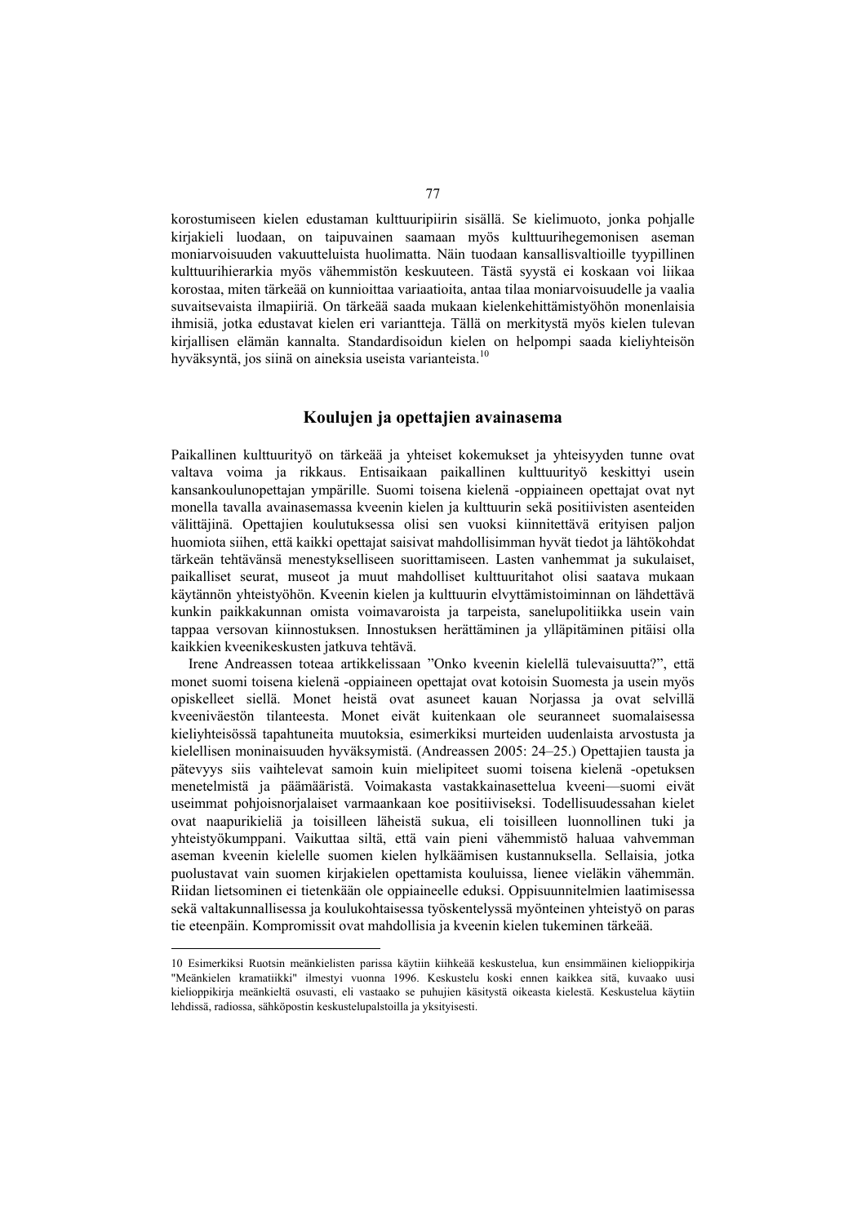korostumiseen kielen edustaman kulttuuripiirin sisällä. Se kielimuoto, jonka pohjalle kirjakieli luodaan, on taipuvainen saamaan myös kulttuurihegemonisen aseman moniarvoisuuden vakuutteluista huolimatta. Näin tuodaan kansallisvaltioille tyypillinen kulttuurihierarkia myös vähemmistön keskuuteen. Tästä syystä ei koskaan voi liikaa korostaa, miten tärkeää on kunnioittaa variaatioita, antaa tilaa moniarvoisuudelle ja vaalia suvaitsevaista ilmapiiriä. On tärkeää saada mukaan kielenkehittämistyöhön monenlaisia ihmisiä, jotka edustavat kielen eri variantteja. Tällä on merkitystä myös kielen tulevan kirjallisen elämän kannalta. Standardisoidun kielen on helpompi saada kieliyhteisön hyväksyntä, jos siinä on aineksia useista varianteista.<sup>10</sup>

# **Koulujen ja opettajien avainasema**

Paikallinen kulttuurityö on tärkeää ja yhteiset kokemukset ja yhteisyyden tunne ovat valtava voima ja rikkaus. Entisaikaan paikallinen kulttuurityö keskittyi usein kansankoulunopettajan ympärille. Suomi toisena kielenä -oppiaineen opettajat ovat nyt monella tavalla avainasemassa kveenin kielen ja kulttuurin sekä positiivisten asenteiden välittäjinä. Opettajien koulutuksessa olisi sen vuoksi kiinnitettävä erityisen paljon huomiota siihen, että kaikki opettajat saisivat mahdollisimman hyvät tiedot ja lähtökohdat tärkeän tehtävänsä menestykselliseen suorittamiseen. Lasten vanhemmat ja sukulaiset, paikalliset seurat, museot ja muut mahdolliset kulttuuritahot olisi saatava mukaan käytännön yhteistyöhön. Kveenin kielen ja kulttuurin elvyttämistoiminnan on lähdettävä kunkin paikkakunnan omista voimavaroista ja tarpeista, sanelupolitiikka usein vain tappaa versovan kiinnostuksen. Innostuksen herättäminen ja ylläpitäminen pitäisi olla kaikkien kveenikeskusten jatkuva tehtävä.

Irene Andreassen toteaa artikkelissaan "Onko kveenin kielellä tulevaisuutta?", että monet suomi toisena kielenä -oppiaineen opettajat ovat kotoisin Suomesta ja usein myös opiskelleet siellä. Monet heistä ovat asuneet kauan Norjassa ja ovat selvillä kveeniväestön tilanteesta. Monet eivät kuitenkaan ole seuranneet suomalaisessa kieliyhteisössä tapahtuneita muutoksia, esimerkiksi murteiden uudenlaista arvostusta ja kielellisen moninaisuuden hyväksymistä. (Andreassen 2005: 24–25.) Opettajien tausta ja pätevyys siis vaihtelevat samoin kuin mielipiteet suomi toisena kielenä -opetuksen menetelmistä ja päämääristä. Voimakasta vastakkainasettelua kveeni—suomi eivät useimmat pohjoisnorjalaiset varmaankaan koe positiiviseksi. Todellisuudessahan kielet ovat naapurikieliä ja toisilleen läheistä sukua, eli toisilleen luonnollinen tuki ja yhteistyökumppani. Vaikuttaa siltä, että vain pieni vähemmistö haluaa vahvemman aseman kveenin kielelle suomen kielen hylkäämisen kustannuksella. Sellaisia, jotka puolustavat vain suomen kirjakielen opettamista kouluissa, lienee vieläkin vähemmän. Riidan lietsominen ei tietenkään ole oppiaineelle eduksi. Oppisuunnitelmien laatimisessa sekä valtakunnallisessa ja koulukohtaisessa työskentelyssä myönteinen yhteistyö on paras tie eteenpäin. Kompromissit ovat mahdollisia ja kveenin kielen tukeminen tärkeää.

<sup>10</sup> Esimerkiksi Ruotsin meänkielisten parissa käytiin kiihkeää keskustelua, kun ensimmäinen kielioppikirja "Meänkielen kramatiikki" ilmestyi vuonna 1996. Keskustelu koski ennen kaikkea sitä, kuvaako uusi kielioppikirja meänkieltä osuvasti, eli vastaako se puhujien käsitystä oikeasta kielestä. Keskustelua käytiin lehdissä, radiossa, sähköpostin keskustelupalstoilla ja yksityisesti.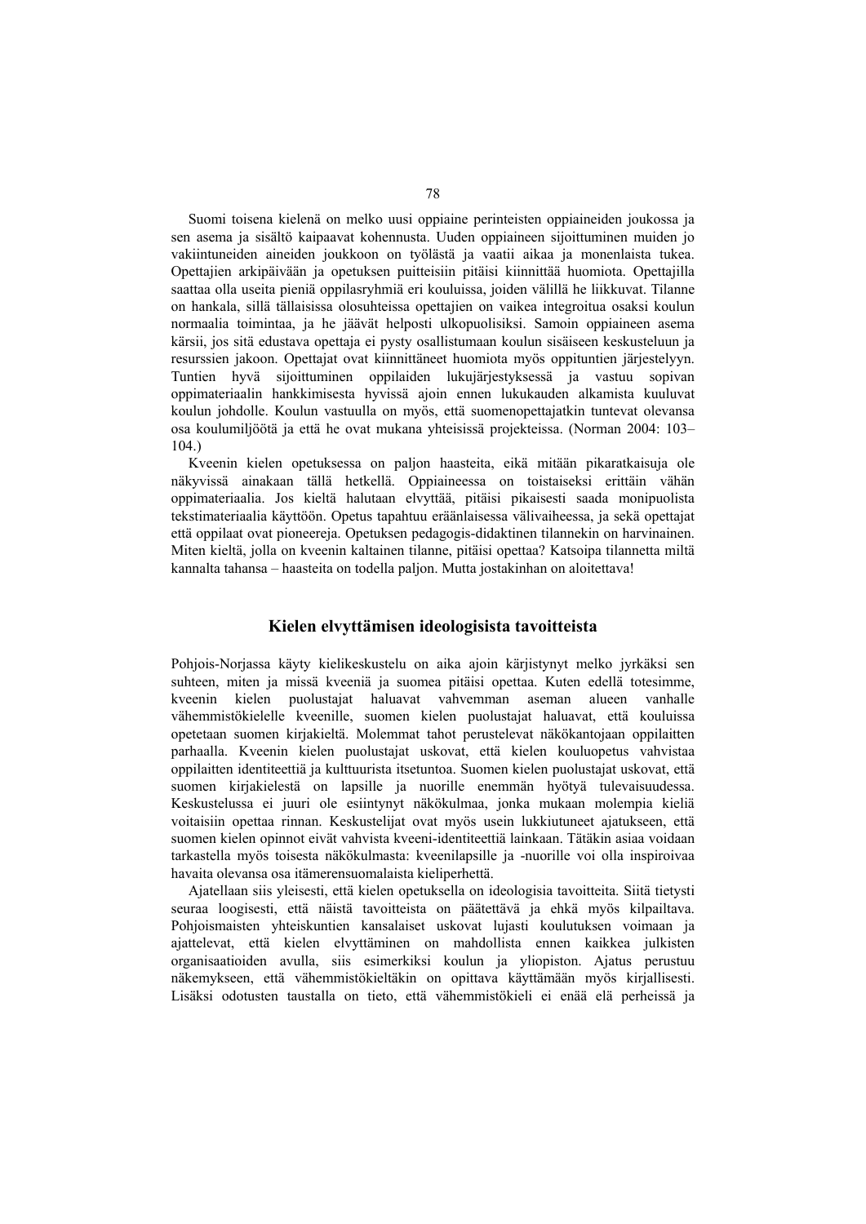Suomi toisena kielenä on melko uusi oppiaine perinteisten oppiaineiden joukossa ja sen asema ja sisältö kaipaavat kohennusta. Uuden oppiaineen sijoittuminen muiden jo vakiintuneiden aineiden joukkoon on työlästä ja vaatii aikaa ja monenlaista tukea. Opettajien arkipäivään ja opetuksen puitteisiin pitäisi kiinnittää huomiota. Opettajilla saattaa olla useita pieniä oppilasryhmiä eri kouluissa, joiden välillä he liikkuvat. Tilanne on hankala, sillä tällaisissa olosuhteissa opettajien on vaikea integroitua osaksi koulun normaalia toimintaa, ja he jäävät helposti ulkopuolisiksi. Samoin oppiaineen asema kärsii, jos sitä edustava opettaja ei pysty osallistumaan koulun sisäiseen keskusteluun ja resurssien jakoon. Opettajat ovat kiinnittäneet huomiota myös oppituntien järjestelyyn. Tuntien hyvä sijoittuminen oppilaiden lukujärjestyksessä ja vastuu sopivan oppimateriaalin hankkimisesta hyvissä ajoin ennen lukukauden alkamista kuuluvat koulun johdolle. Koulun vastuulla on myös, että suomenopettajatkin tuntevat olevansa osa koulumiljöötä ja että he ovat mukana yhteisissä projekteissa. (Norman 2004: 103– 104.)

Kveenin kielen opetuksessa on paljon haasteita, eikä mitään pikaratkaisuja ole näkyvissä ainakaan tällä hetkellä. Oppiaineessa on toistaiseksi erittäin vähän oppimateriaalia. Jos kieltä halutaan elvyttää, pitäisi pikaisesti saada monipuolista tekstimateriaalia käyttöön. Opetus tapahtuu eräänlaisessa välivaiheessa, ja sekä opettajat että oppilaat ovat pioneereja. Opetuksen pedagogis-didaktinen tilannekin on harvinainen. Miten kieltä, jolla on kveenin kaltainen tilanne, pitäisi opettaa? Katsoipa tilannetta miltä kannalta tahansa – haasteita on todella paljon. Mutta jostakinhan on aloitettava!

# **Kielen elvyttämisen ideologisista tavoitteista**

Pohjois-Norjassa käyty kielikeskustelu on aika ajoin kärjistynyt melko jyrkäksi sen suhteen, miten ja missä kveeniä ja suomea pitäisi opettaa. Kuten edellä totesimme, kveenin kielen puolustajat haluavat vahvemman aseman alueen vanhalle vähemmistökielelle kveenille, suomen kielen puolustajat haluavat, että kouluissa opetetaan suomen kirjakieltä. Molemmat tahot perustelevat näkökantojaan oppilaitten parhaalla. Kveenin kielen puolustajat uskovat, että kielen kouluopetus vahvistaa oppilaitten identiteettiä ja kulttuurista itsetuntoa. Suomen kielen puolustajat uskovat, että suomen kirjakielestä on lapsille ja nuorille enemmän hyötyä tulevaisuudessa. Keskustelussa ei juuri ole esiintynyt näkökulmaa, jonka mukaan molempia kieliä voitaisiin opettaa rinnan. Keskustelijat ovat myös usein lukkiutuneet ajatukseen, että suomen kielen opinnot eivät vahvista kveeni-identiteettiä lainkaan. Tätäkin asiaa voidaan tarkastella myös toisesta näkökulmasta: kveenilapsille ja -nuorille voi olla inspiroivaa havaita olevansa osa itämerensuomalaista kieliperhettä.

Ajatellaan siis yleisesti, että kielen opetuksella on ideologisia tavoitteita. Siitä tietysti seuraa loogisesti, että näistä tavoitteista on päätettävä ja ehkä myös kilpailtava. Pohjoismaisten yhteiskuntien kansalaiset uskovat lujasti koulutuksen voimaan ja ajattelevat, että kielen elvyttäminen on mahdollista ennen kaikkea julkisten organisaatioiden avulla, siis esimerkiksi koulun ja yliopiston. Ajatus perustuu näkemykseen, että vähemmistökieltäkin on opittava käyttämään myös kirjallisesti. Lisäksi odotusten taustalla on tieto, että vähemmistökieli ei enää elä perheissä ja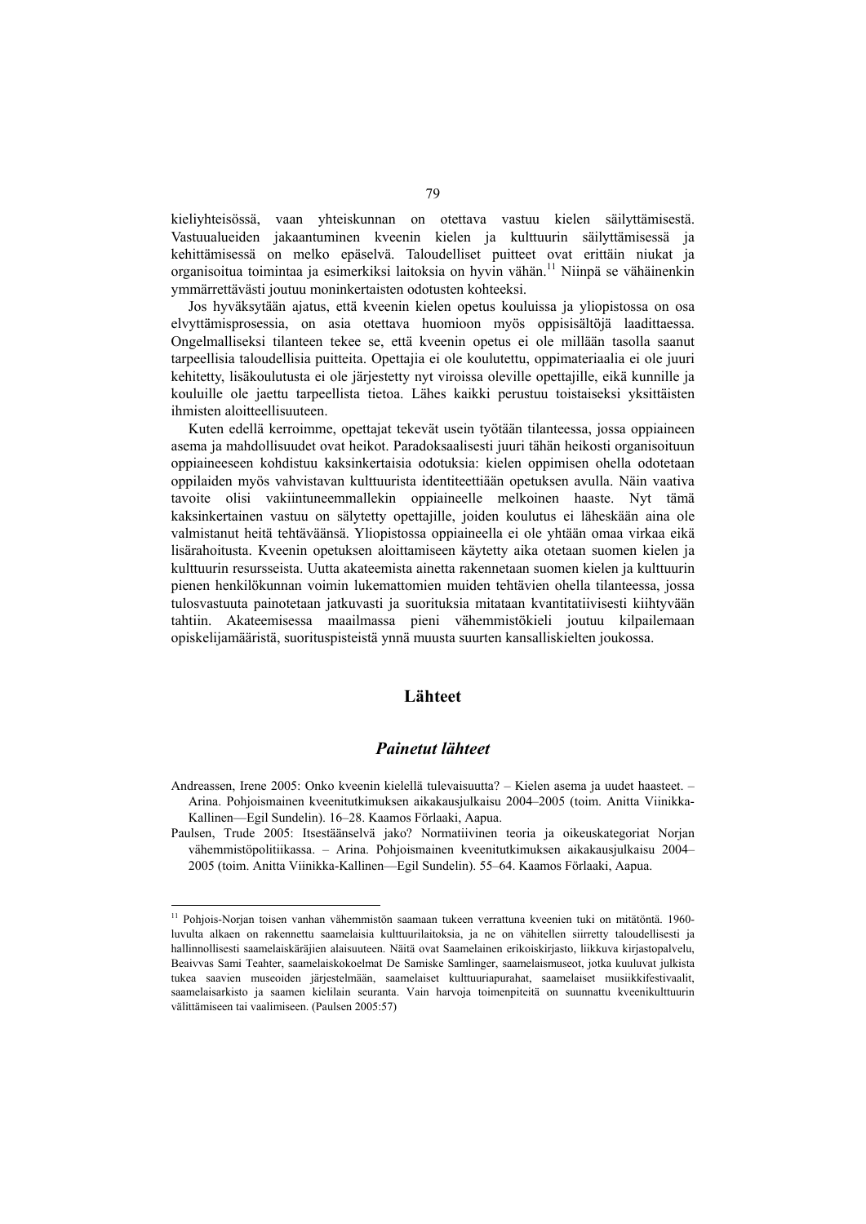kieliyhteisössä, vaan yhteiskunnan on otettava vastuu kielen säilyttämisestä. Vastuualueiden jakaantuminen kveenin kielen ja kulttuurin säilyttämisessä ja kehittämisessä on melko epäselvä. Taloudelliset puitteet ovat erittäin niukat ja organisoitua toimintaa ja esimerkiksi laitoksia on hyvin vähän.11 Niinpä se vähäinenkin ymmärrettävästi joutuu moninkertaisten odotusten kohteeksi.

Jos hyväksytään ajatus, että kveenin kielen opetus kouluissa ja yliopistossa on osa elvyttämisprosessia, on asia otettava huomioon myös oppisisältöjä laadittaessa. Ongelmalliseksi tilanteen tekee se, että kveenin opetus ei ole millään tasolla saanut tarpeellisia taloudellisia puitteita. Opettajia ei ole koulutettu, oppimateriaalia ei ole juuri kehitetty, lisäkoulutusta ei ole järjestetty nyt viroissa oleville opettajille, eikä kunnille ja kouluille ole jaettu tarpeellista tietoa. Lähes kaikki perustuu toistaiseksi yksittäisten ihmisten aloitteellisuuteen.

Kuten edellä kerroimme, opettajat tekevät usein työtään tilanteessa, jossa oppiaineen asema ja mahdollisuudet ovat heikot. Paradoksaalisesti juuri tähän heikosti organisoituun oppiaineeseen kohdistuu kaksinkertaisia odotuksia: kielen oppimisen ohella odotetaan oppilaiden myös vahvistavan kulttuurista identiteettiään opetuksen avulla. Näin vaativa tavoite olisi vakiintuneemmallekin oppiaineelle melkoinen haaste. Nyt tämä kaksinkertainen vastuu on sälytetty opettajille, joiden koulutus ei läheskään aina ole valmistanut heitä tehtäväänsä. Yliopistossa oppiaineella ei ole yhtään omaa virkaa eikä lisärahoitusta. Kveenin opetuksen aloittamiseen käytetty aika otetaan suomen kielen ja kulttuurin resursseista. Uutta akateemista ainetta rakennetaan suomen kielen ja kulttuurin pienen henkilökunnan voimin lukemattomien muiden tehtävien ohella tilanteessa, jossa tulosvastuuta painotetaan jatkuvasti ja suorituksia mitataan kvantitatiivisesti kiihtyvään tahtiin. Akateemisessa maailmassa pieni vähemmistökieli joutuu kilpailemaan opiskelijamääristä, suorituspisteistä ynnä muusta suurten kansalliskielten joukossa.

# **Lähteet**

## *Painetut lähteet*

- Andreassen, Irene 2005: Onko kveenin kielellä tulevaisuutta? Kielen asema ja uudet haasteet. Arina. Pohjoismainen kveenitutkimuksen aikakausjulkaisu 2004–2005 (toim. Anitta Viinikka-Kallinen—Egil Sundelin). 16–28. Kaamos Förlaaki, Aapua.
- Paulsen, Trude 2005: Itsestäänselvä jako? Normatiivinen teoria ja oikeuskategoriat Norjan vähemmistöpolitiikassa. – Arina. Pohjoismainen kveenitutkimuksen aikakausjulkaisu 2004– 2005 (toim. Anitta Viinikka-Kallinen—Egil Sundelin). 55–64. Kaamos Förlaaki, Aapua.

<sup>11</sup> Pohjois-Norjan toisen vanhan vähemmistön saamaan tukeen verrattuna kveenien tuki on mitätöntä. 1960 luvulta alkaen on rakennettu saamelaisia kulttuurilaitoksia, ja ne on vähitellen siirretty taloudellisesti ja hallinnollisesti saamelaiskäräjien alaisuuteen. Näitä ovat Saamelainen erikoiskirjasto, liikkuva kirjastopalvelu, Beaivvas Sami Teahter, saamelaiskokoelmat De Samiske Samlinger, saamelaismuseot, jotka kuuluvat julkista tukea saavien museoiden järjestelmään, saamelaiset kulttuuriapurahat, saamelaiset musiikkifestivaalit, saamelaisarkisto ja saamen kielilain seuranta. Vain harvoja toimenpiteitä on suunnattu kveenikulttuurin välittämiseen tai vaalimiseen. (Paulsen 2005:57)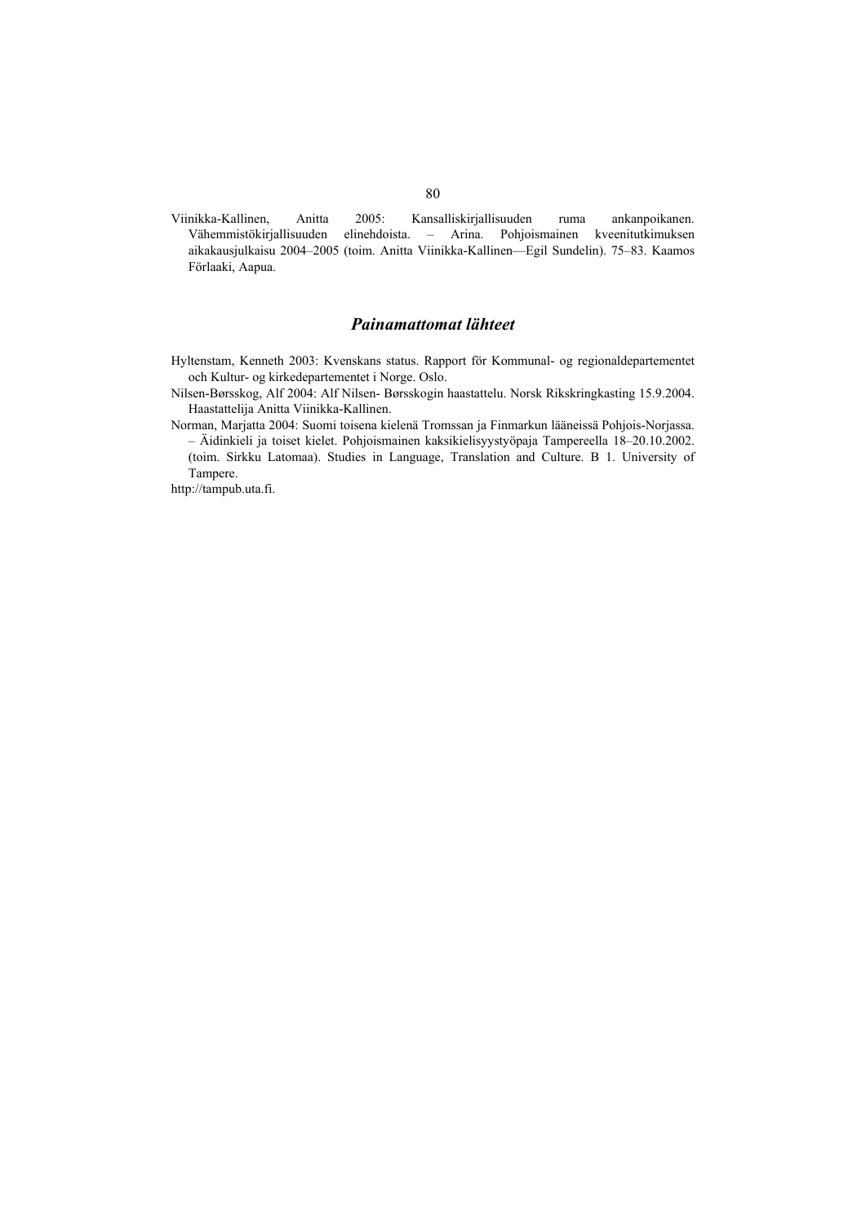Viinikka-Kallinen, Anitta 2005: Kansalliskirjallisuuden ruma ankanpoikanen. Vähemmistökirjallisuuden elinehdoista. – Arina. Pohjoismainen kveenitutkimuksen aikakausjulkaisu 2004–2005 (toim. Anitta Viinikka-Kallinen—Egil Sundelin). 75–83. Kaamos Förlaaki, Aapua.

# *Painamattomat lähteet*

- Hyltenstam, Kenneth 2003: Kvenskans status. Rapport för Kommunal- og regionaldepartementet och Kultur- og kirkedepartementet i Norge. Oslo.
- Nilsen-Børsskog, Alf 2004: Alf Nilsen- Børsskogin haastattelu. Norsk Rikskringkasting 15.9.2004. Haastattelija Anitta Viinikka-Kallinen.
- Norman, Marjatta 2004: Suomi toisena kielenä Tromssan ja Finmarkun lääneissä Pohjois-Norjassa. – Äidinkieli ja toiset kielet. Pohjoismainen kaksikielisyystyöpaja Tampereella 18–20.10.2002. (toim. Sirkku Latomaa). Studies in Language, Translation and Culture. B 1. University of Tampere.

http://tampub.uta.fi.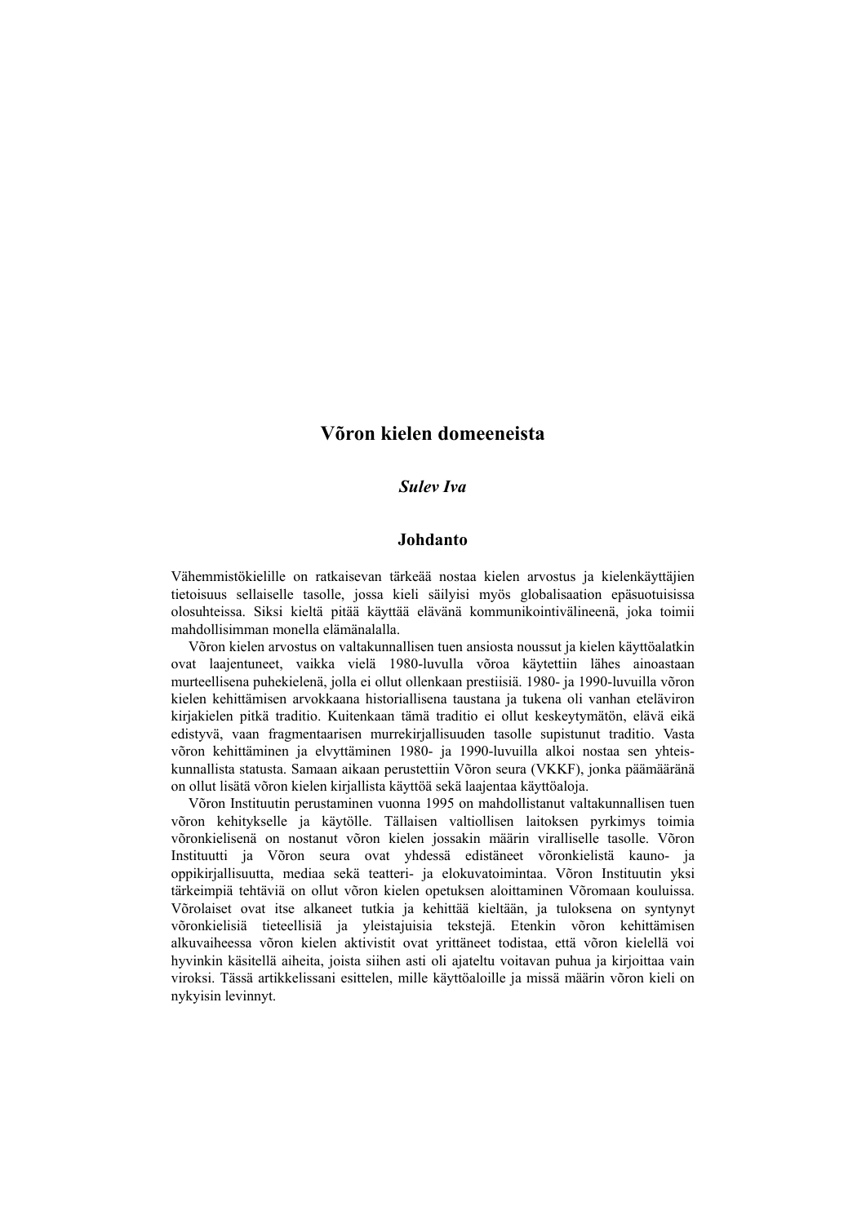# **Võron kielen domeeneista**

## *Sulev Iva*

#### **Johdanto**

Vähemmistökielille on ratkaisevan tärkeää nostaa kielen arvostus ja kielenkäyttäjien tietoisuus sellaiselle tasolle, jossa kieli säilyisi myös globalisaation epäsuotuisissa olosuhteissa. Siksi kieltä pitää käyttää elävänä kommunikointivälineenä, joka toimii mahdollisimman monella elämänalalla.

Võron kielen arvostus on valtakunnallisen tuen ansiosta noussut ja kielen käyttöalatkin ovat laajentuneet, vaikka vielä 1980-luvulla võroa käytettiin lähes ainoastaan murteellisena puhekielenä, jolla ei ollut ollenkaan prestiisiä. 1980- ja 1990-luvuilla võron kielen kehittämisen arvokkaana historiallisena taustana ja tukena oli vanhan eteläviron kirjakielen pitkä traditio. Kuitenkaan tämä traditio ei ollut keskeytymätön, elävä eikä edistyvä, vaan fragmentaarisen murrekirjallisuuden tasolle supistunut traditio. Vasta võron kehittäminen ja elvyttäminen 1980- ja 1990-luvuilla alkoi nostaa sen yhteiskunnallista statusta. Samaan aikaan perustettiin Võron seura (VKKF), jonka päämääränä on ollut lisätä võron kielen kirjallista käyttöä sekä laajentaa käyttöaloja.

Võron Instituutin perustaminen vuonna 1995 on mahdollistanut valtakunnallisen tuen võron kehitykselle ja käytölle. Tällaisen valtiollisen laitoksen pyrkimys toimia võronkielisenä on nostanut võron kielen jossakin määrin viralliselle tasolle. Võron Instituutti ja Võron seura ovat yhdessä edistäneet võronkielistä kauno- ja oppikirjallisuutta, mediaa sekä teatteri- ja elokuvatoimintaa. Võron Instituutin yksi tärkeimpiä tehtäviä on ollut võron kielen opetuksen aloittaminen Võromaan kouluissa. Võrolaiset ovat itse alkaneet tutkia ja kehittää kieltään, ja tuloksena on syntynyt võronkielisiä tieteellisiä ja yleistajuisia tekstejä. Etenkin võron kehittämisen alkuvaiheessa võron kielen aktivistit ovat yrittäneet todistaa, että võron kielellä voi hyvinkin käsitellä aiheita, joista siihen asti oli ajateltu voitavan puhua ja kirjoittaa vain viroksi. Tässä artikkelissani esittelen, mille käyttöaloille ja missä määrin võron kieli on nykyisin levinnyt.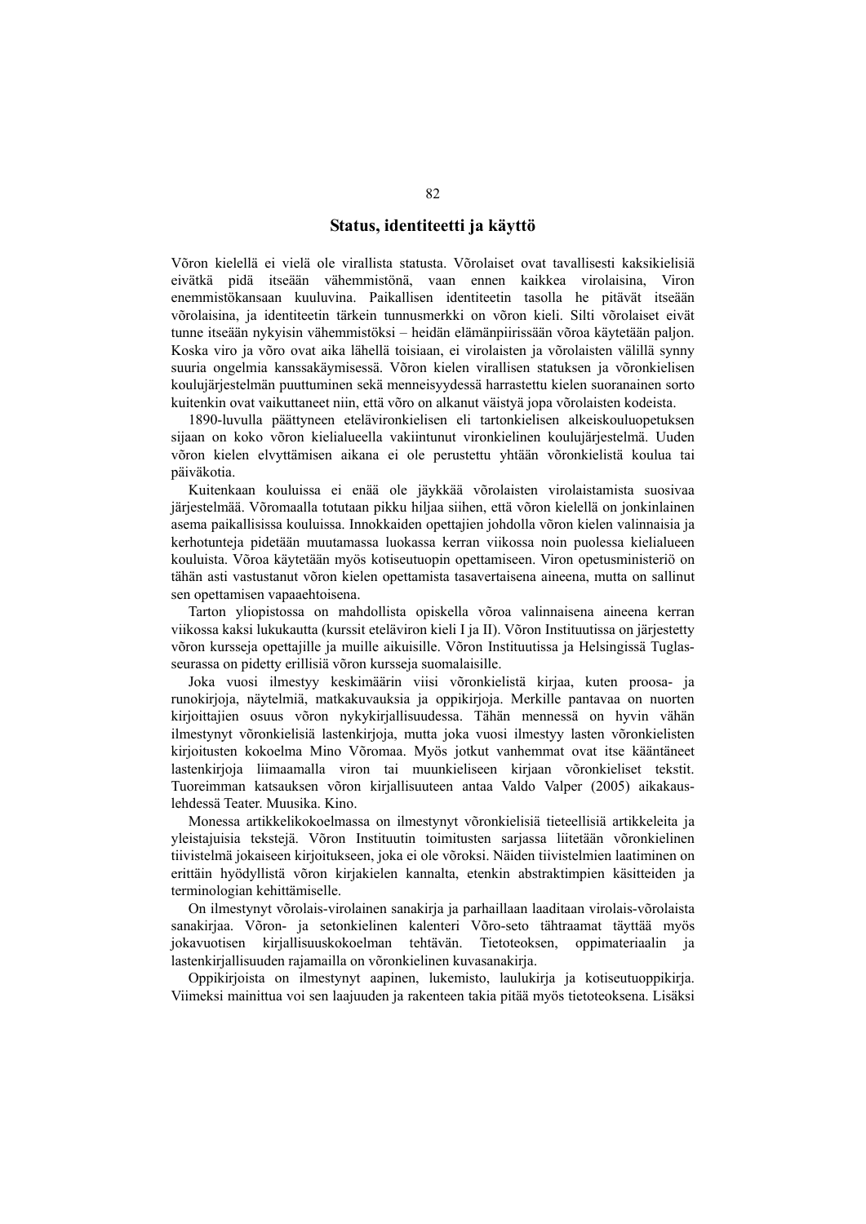### **Status, identiteetti ja käyttö**

Võron kielellä ei vielä ole virallista statusta. Võrolaiset ovat tavallisesti kaksikielisiä eivätkä pidä itseään vähemmistönä, vaan ennen kaikkea virolaisina, Viron enemmistökansaan kuuluvina. Paikallisen identiteetin tasolla he pitävät itseään võrolaisina, ja identiteetin tärkein tunnusmerkki on võron kieli. Silti võrolaiset eivät tunne itseään nykyisin vähemmistöksi – heidän elämänpiirissään võroa käytetään paljon. Koska viro ja võro ovat aika lähellä toisiaan, ei virolaisten ja võrolaisten välillä synny suuria ongelmia kanssakäymisessä. Võron kielen virallisen statuksen ja võronkielisen koulujärjestelmän puuttuminen sekä menneisyydessä harrastettu kielen suoranainen sorto kuitenkin ovat vaikuttaneet niin, että võro on alkanut väistyä jopa võrolaisten kodeista.

1890-luvulla päättyneen etelävironkielisen eli tartonkielisen alkeiskouluopetuksen sijaan on koko võron kielialueella vakiintunut vironkielinen koulujärjestelmä. Uuden võron kielen elvyttämisen aikana ei ole perustettu yhtään võronkielistä koulua tai päiväkotia.

Kuitenkaan kouluissa ei enää ole jäykkää võrolaisten virolaistamista suosivaa järjestelmää. Võromaalla totutaan pikku hiljaa siihen, että võron kielellä on jonkinlainen asema paikallisissa kouluissa. Innokkaiden opettajien johdolla võron kielen valinnaisia ja kerhotunteja pidetään muutamassa luokassa kerran viikossa noin puolessa kielialueen kouluista. Võroa käytetään myös kotiseutuopin opettamiseen. Viron opetusministeriö on tähän asti vastustanut võron kielen opettamista tasavertaisena aineena, mutta on sallinut sen opettamisen vapaaehtoisena.

Tarton yliopistossa on mahdollista opiskella võroa valinnaisena aineena kerran viikossa kaksi lukukautta (kurssit eteläviron kieli I ja II). Võron Instituutissa on järjestetty võron kursseja opettajille ja muille aikuisille. Võron Instituutissa ja Helsingissä Tuglasseurassa on pidetty erillisiä võron kursseja suomalaisille.

Joka vuosi ilmestyy keskimäärin viisi võronkielistä kirjaa, kuten proosa- ja runokirjoja, näytelmiä, matkakuvauksia ja oppikirjoja. Merkille pantavaa on nuorten kirjoittajien osuus võron nykykirjallisuudessa. Tähän mennessä on hyvin vähän ilmestynyt võronkielisiä lastenkirjoja, mutta joka vuosi ilmestyy lasten võronkielisten kirjoitusten kokoelma Mino Võromaa. Myös jotkut vanhemmat ovat itse kääntäneet lastenkirjoja liimaamalla viron tai muunkieliseen kirjaan võronkieliset tekstit. Tuoreimman katsauksen võron kirjallisuuteen antaa Valdo Valper (2005) aikakauslehdessä Teater. Muusika. Kino.

Monessa artikkelikokoelmassa on ilmestynyt võronkielisiä tieteellisiä artikkeleita ja yleistajuisia tekstejä. Võron Instituutin toimitusten sarjassa liitetään võronkielinen tiivistelmä jokaiseen kirjoitukseen, joka ei ole võroksi. Näiden tiivistelmien laatiminen on erittäin hyödyllistä võron kirjakielen kannalta, etenkin abstraktimpien käsitteiden ja terminologian kehittämiselle.

On ilmestynyt võrolais-virolainen sanakirja ja parhaillaan laaditaan virolais-võrolaista sanakirjaa. Võron- ja setonkielinen kalenteri Võro-seto tähtraamat täyttää myös jokavuotisen kirjallisuuskokoelman tehtävän. Tietoteoksen, oppimateriaalin ja lastenkirjallisuuden rajamailla on võronkielinen kuvasanakirja.

Oppikirjoista on ilmestynyt aapinen, lukemisto, laulukirja ja kotiseutuoppikirja. Viimeksi mainittua voi sen laajuuden ja rakenteen takia pitää myös tietoteoksena. Lisäksi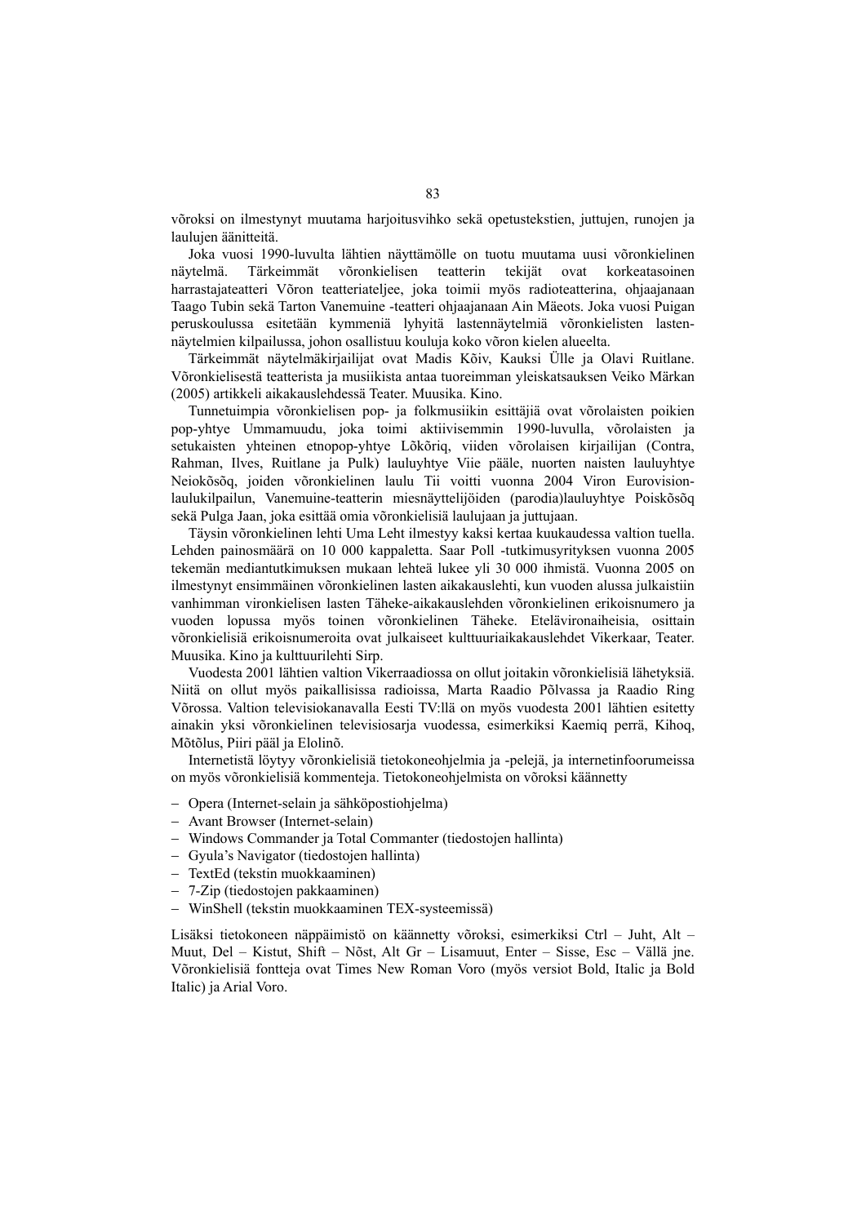võroksi on ilmestynyt muutama harjoitusvihko sekä opetustekstien, juttujen, runojen ja laulujen äänitteitä.

Joka vuosi 1990-luvulta lähtien näyttämölle on tuotu muutama uusi võronkielinen näytelmä. Tärkeimmät võronkielisen teatterin tekijät ovat korkeatasoinen harrastajateatteri Võron teatteriateljee, joka toimii myös radioteatterina, ohjaajanaan Taago Tubin sekä Tarton Vanemuine -teatteri ohjaajanaan Ain Mäeots. Joka vuosi Puigan peruskoulussa esitetään kymmeniä lyhyitä lastennäytelmiä võronkielisten lastennäytelmien kilpailussa, johon osallistuu kouluja koko võron kielen alueelta.

Tärkeimmät näytelmäkirjailijat ovat Madis Kõiv, Kauksi Ülle ja Olavi Ruitlane. Võronkielisestä teatterista ja musiikista antaa tuoreimman yleiskatsauksen Veiko Märkan (2005) artikkeli aikakauslehdessä Teater. Muusika. Kino.

Tunnetuimpia võronkielisen pop- ja folkmusiikin esittäjiä ovat võrolaisten poikien pop-yhtye Ummamuudu, joka toimi aktiivisemmin 1990-luvulla, võrolaisten ja setukaisten yhteinen etnopop-yhtye Lõkõriq, viiden võrolaisen kirjailijan (Contra, Rahman, Ilves, Ruitlane ja Pulk) lauluyhtye Viie pääle, nuorten naisten lauluyhtye Neiokõsõq, joiden võronkielinen laulu Tii voitti vuonna 2004 Viron Eurovisionlaulukilpailun, Vanemuine-teatterin miesnäyttelijöiden (parodia)lauluyhtye Poiskõsõq sekä Pulga Jaan, joka esittää omia võronkielisiä laulujaan ja juttujaan.

Täysin võronkielinen lehti Uma Leht ilmestyy kaksi kertaa kuukaudessa valtion tuella. Lehden painosmäärä on 10 000 kappaletta. Saar Poll -tutkimusyrityksen vuonna 2005 tekemän mediantutkimuksen mukaan lehteä lukee yli 30 000 ihmistä. Vuonna 2005 on ilmestynyt ensimmäinen võronkielinen lasten aikakauslehti, kun vuoden alussa julkaistiin vanhimman vironkielisen lasten Täheke-aikakauslehden võronkielinen erikoisnumero ja vuoden lopussa myös toinen võronkielinen Täheke. Etelävironaiheisia, osittain võronkielisiä erikoisnumeroita ovat julkaiseet kulttuuriaikakauslehdet Vikerkaar, Teater. Muusika. Kino ja kulttuurilehti Sirp.

Vuodesta 2001 lähtien valtion Vikerraadiossa on ollut joitakin võronkielisiä lähetyksiä. Niitä on ollut myös paikallisissa radioissa, Marta Raadio Põlvassa ja Raadio Ring Võrossa. Valtion televisiokanavalla Eesti TV:llä on myös vuodesta 2001 lähtien esitetty ainakin yksi võronkielinen televisiosarja vuodessa, esimerkiksi Kaemiq perrä, Kihoq, Mõtõlus, Piiri pääl ja Elolinõ.

Internetistä löytyy võronkielisiä tietokoneohjelmia ja -pelejä, ja internetinfoorumeissa on myös võronkielisiä kommenteja. Tietokoneohjelmista on võroksi käännetty

- − Opera (Internet-selain ja sähköpostiohjelma)
- − Avant Browser (Internet-selain)
- − Windows Commander ja Total Commanter (tiedostojen hallinta)
- − Gyula's Navigator (tiedostojen hallinta)
- − TextEd (tekstin muokkaaminen)
- − 7-Zip (tiedostojen pakkaaminen)
- − WinShell (tekstin muokkaaminen TEX-systeemissä)

Lisäksi tietokoneen näppäimistö on käännetty võroksi, esimerkiksi Ctrl – Juht, Alt – Muut, Del – Kistut, Shift – Nõst, Alt Gr – Lisamuut, Enter – Sisse, Esc – Vällä jne. Võronkielisiä fontteja ovat Times New Roman Voro (myös versiot Bold, Italic ja Bold Italic) ja Arial Voro.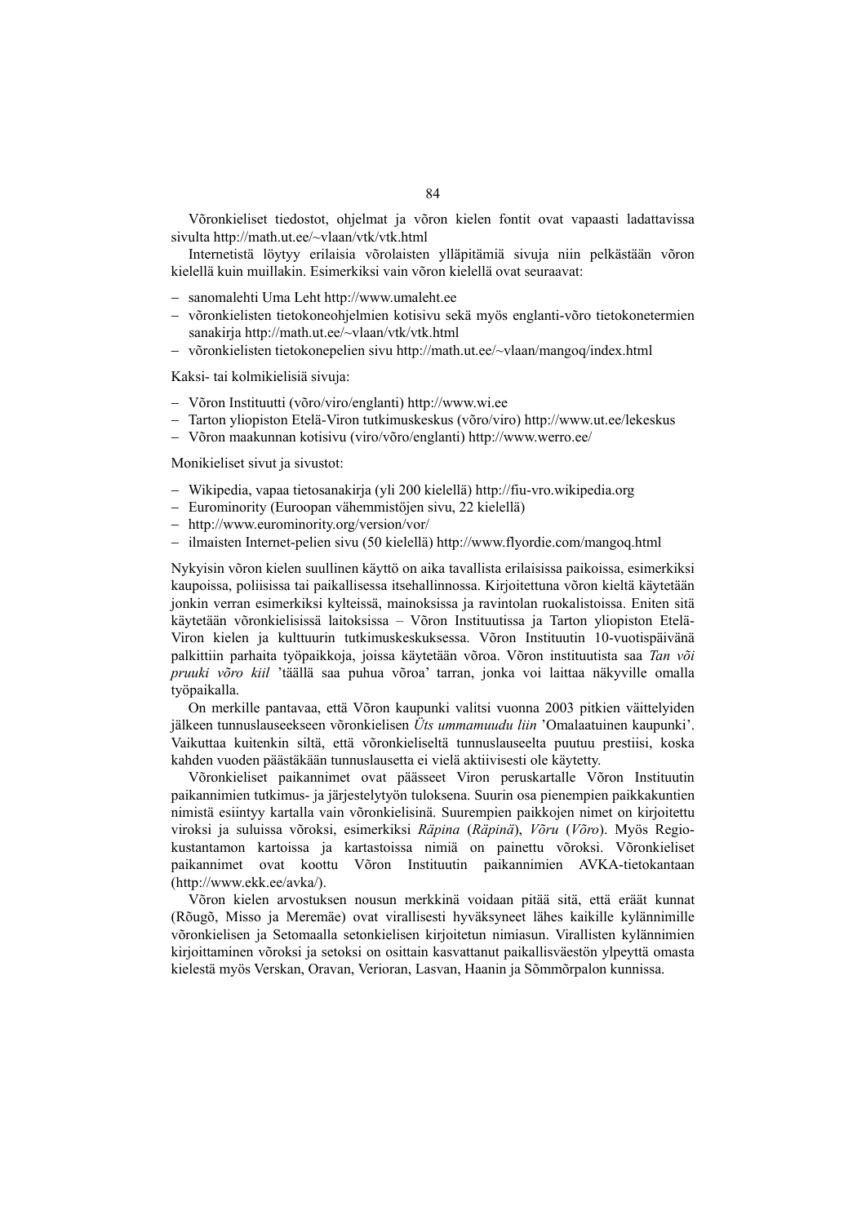Võronkieliset tiedostot, ohjelmat ja võron kielen fontit ovat vapaasti ladattavissa sivulta http://math.ut.ee/~vlaan/vtk/vtk.html

Internetistä löytyy erilaisia võrolaisten ylläpitämiä sivuja niin pelkästään võron kielellä kuin muillakin. Esimerkiksi vain võron kielellä ovat seuraavat:

- − sanomalehti Uma Leht http://www.umaleht.ee
- − võronkielisten tietokoneohjelmien kotisivu sekä myös englanti-võro tietokonetermien sanakirja http://math.ut.ee/~vlaan/vtk/vtk.html
- − võronkielisten tietokonepelien sivu http://math.ut.ee/~vlaan/mangoq/index.html

Kaksi- tai kolmikielisiä sivuja:

- − Võron Instituutti (võro/viro/englanti) http://www.wi.ee
- − Tarton yliopiston Etelä-Viron tutkimuskeskus (võro/viro) http://www.ut.ee/lekeskus
- − Võron maakunnan kotisivu (viro/võro/englanti) http://www.werro.ee/

Monikieliset sivut ja sivustot:

- − Wikipedia, vapaa tietosanakirja (yli 200 kielellä) http://fiu-vro.wikipedia.org
- − Eurominority (Euroopan vähemmistöjen sivu, 22 kielellä)
- − http://www.eurominority.org/version/vor/
- − ilmaisten Internet-pelien sivu (50 kielellä) http://www.flyordie.com/mangoq.html

Nykyisin võron kielen suullinen käyttö on aika tavallista erilaisissa paikoissa, esimerkiksi kaupoissa, poliisissa tai paikallisessa itsehallinnossa. Kirjoitettuna võron kieltä käytetään jonkin verran esimerkiksi kylteissä, mainoksissa ja ravintolan ruokalistoissa. Eniten sitä käytetään võronkielisissä laitoksissa – Võron Instituutissa ja Tarton yliopiston Etelä-Viron kielen ja kulttuurin tutkimuskeskuksessa. Võron Instituutin 10-vuotispäivänä palkittiin parhaita työpaikkoja, joissa käytetään võroa. Võron instituutista saa *Tan või pruuki võro kiil* 'täällä saa puhua võroa' tarran, jonka voi laittaa näkyville omalla työpaikalla.

On merkille pantavaa, että Võron kaupunki valitsi vuonna 2003 pitkien väittelyiden jälkeen tunnuslauseekseen võronkielisen *Üts ummamuudu liin* 'Omalaatuinen kaupunki'. Vaikuttaa kuitenkin siltä, että võronkieliseltä tunnuslauseelta puutuu prestiisi, koska kahden vuoden päästäkään tunnuslausetta ei vielä aktiivisesti ole käytetty.

Võronkieliset paikannimet ovat päässeet Viron peruskartalle Võron Instituutin paikannimien tutkimus- ja järjestelytyön tuloksena. Suurin osa pienempien paikkakuntien nimistä esiintyy kartalla vain võronkielisinä. Suurempien paikkojen nimet on kirjoitettu viroksi ja suluissa võroksi, esimerkiksi *Räpina* (*Räpinä*), *Võru* (*Võro*). Myös Regiokustantamon kartoissa ja kartastoissa nimiä on painettu võroksi. Võronkieliset paikannimet ovat koottu Võron Instituutin paikannimien AVKA-tietokantaan (http://www.ekk.ee/avka/).

Võron kielen arvostuksen nousun merkkinä voidaan pitää sitä, että eräät kunnat (Rõugõ, Misso ja Meremäe) ovat virallisesti hyväksyneet lähes kaikille kylännimille võronkielisen ja Setomaalla setonkielisen kirjoitetun nimiasun. Virallisten kylännimien kirjoittaminen võroksi ja setoksi on osittain kasvattanut paikallisväestön ylpeyttä omasta kielestä myös Verskan, Oravan, Verioran, Lasvan, Haanin ja Sõmmõrpalon kunnissa.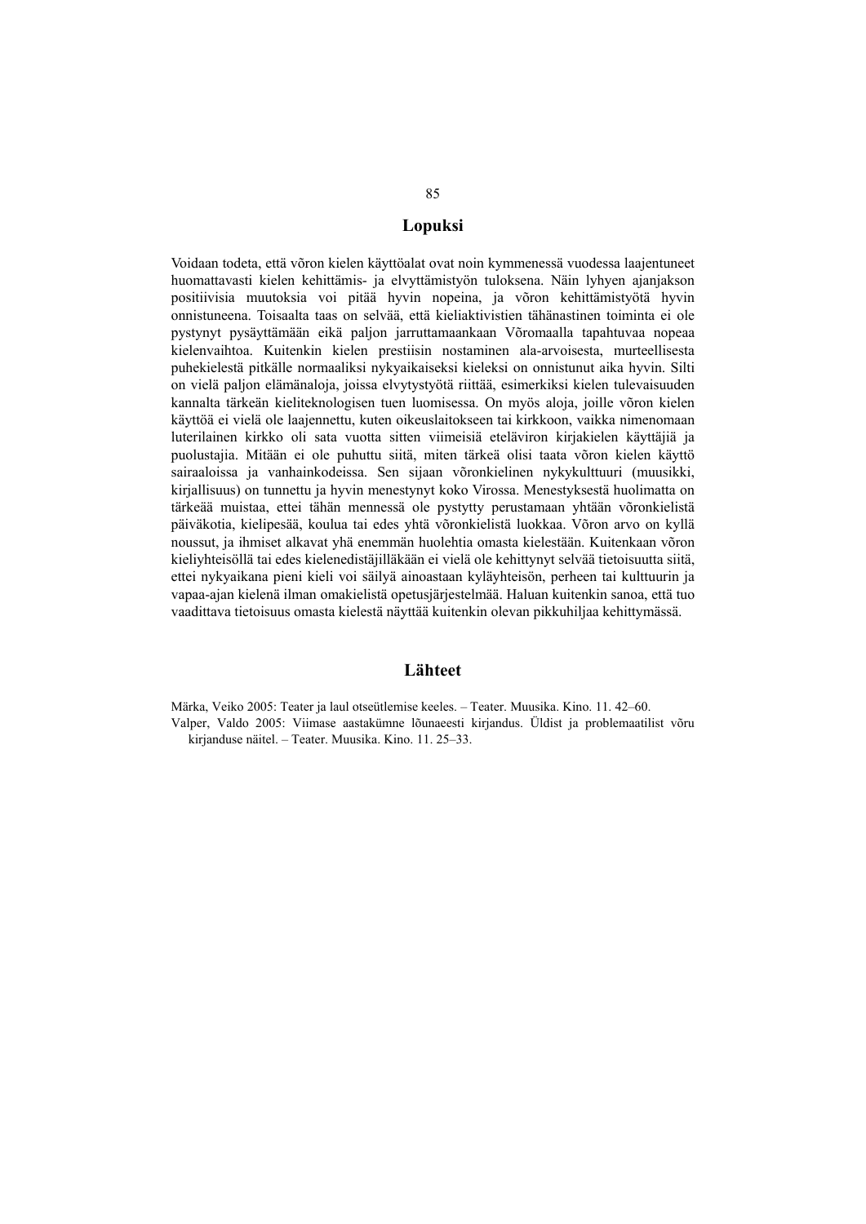### **Lopuksi**

Voidaan todeta, että võron kielen käyttöalat ovat noin kymmenessä vuodessa laajentuneet huomattavasti kielen kehittämis- ja elvyttämistyön tuloksena. Näin lyhyen ajanjakson positiivisia muutoksia voi pitää hyvin nopeina, ja võron kehittämistyötä hyvin onnistuneena. Toisaalta taas on selvää, että kieliaktivistien tähänastinen toiminta ei ole pystynyt pysäyttämään eikä paljon jarruttamaankaan Võromaalla tapahtuvaa nopeaa kielenvaihtoa. Kuitenkin kielen prestiisin nostaminen ala-arvoisesta, murteellisesta puhekielestä pitkälle normaaliksi nykyaikaiseksi kieleksi on onnistunut aika hyvin. Silti on vielä paljon elämänaloja, joissa elvytystyötä riittää, esimerkiksi kielen tulevaisuuden kannalta tärkeän kieliteknologisen tuen luomisessa. On myös aloja, joille võron kielen käyttöä ei vielä ole laajennettu, kuten oikeuslaitokseen tai kirkkoon, vaikka nimenomaan luterilainen kirkko oli sata vuotta sitten viimeisiä eteläviron kirjakielen käyttäjiä ja puolustajia. Mitään ei ole puhuttu siitä, miten tärkeä olisi taata võron kielen käyttö sairaaloissa ja vanhainkodeissa. Sen sijaan võronkielinen nykykulttuuri (muusikki, kirjallisuus) on tunnettu ja hyvin menestynyt koko Virossa. Menestyksestä huolimatta on tärkeää muistaa, ettei tähän mennessä ole pystytty perustamaan yhtään võronkielistä päiväkotia, kielipesää, koulua tai edes yhtä võronkielistä luokkaa. Võron arvo on kyllä noussut, ja ihmiset alkavat yhä enemmän huolehtia omasta kielestään. Kuitenkaan võron kieliyhteisöllä tai edes kielenedistäjilläkään ei vielä ole kehittynyt selvää tietoisuutta siitä, ettei nykyaikana pieni kieli voi säilyä ainoastaan kyläyhteisön, perheen tai kulttuurin ja vapaa-ajan kielenä ilman omakielistä opetusjärjestelmää. Haluan kuitenkin sanoa, että tuo vaadittava tietoisuus omasta kielestä näyttää kuitenkin olevan pikkuhiljaa kehittymässä.

#### **Lähteet**

Märka, Veiko 2005: Teater ja laul otseütlemise keeles. – Teater. Muusika. Kino. 11. 42–60. Valper, Valdo 2005: Viimase aastakümne lõunaeesti kirjandus. Üldist ja problemaatilist võru kirjanduse näitel. – Teater. Muusika. Kino. 11. 25–33.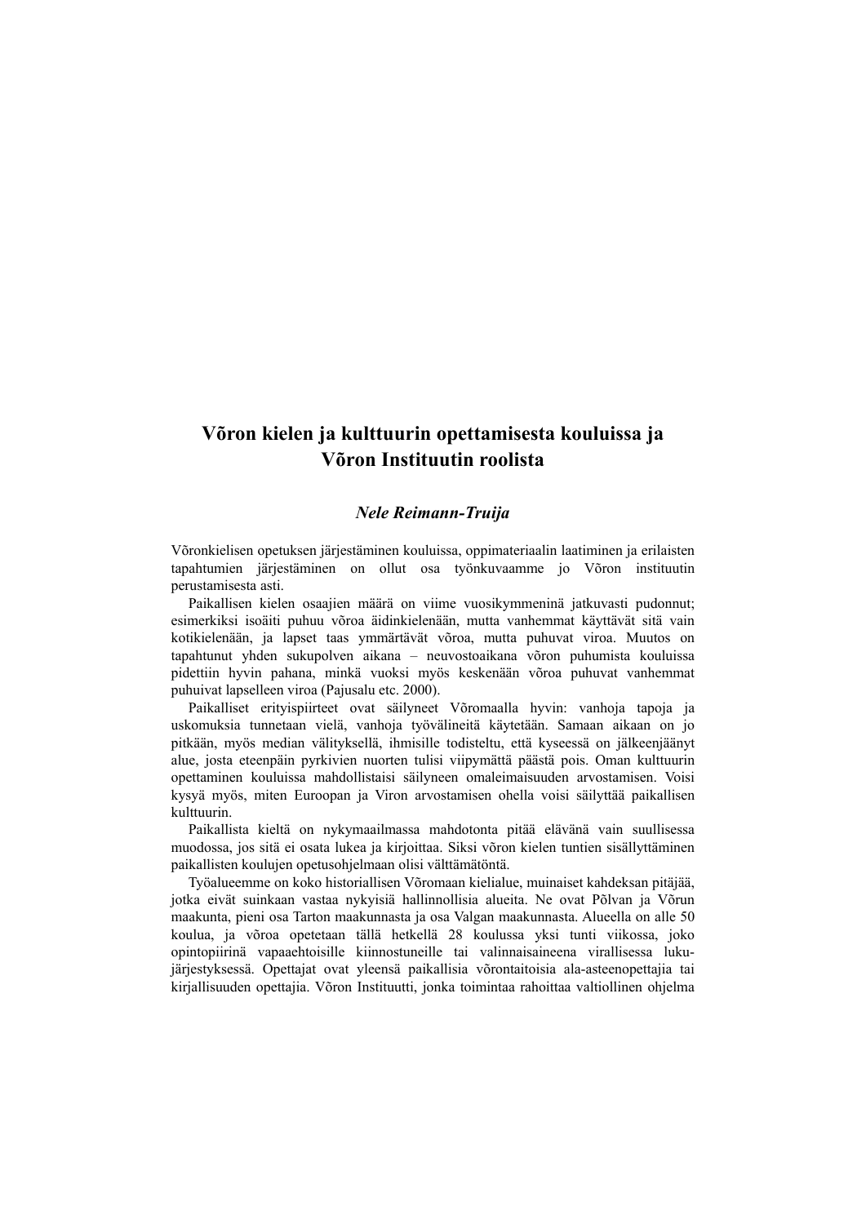# **Võron kielen ja kulttuurin opettamisesta kouluissa ja Võron Instituutin roolista**

### *Nele Reimann-Truija*

Võronkielisen opetuksen järjestäminen kouluissa, oppimateriaalin laatiminen ja erilaisten tapahtumien järjestäminen on ollut osa työnkuvaamme jo Võron instituutin perustamisesta asti.

Paikallisen kielen osaajien määrä on viime vuosikymmeninä jatkuvasti pudonnut; esimerkiksi isoäiti puhuu võroa äidinkielenään, mutta vanhemmat käyttävät sitä vain kotikielenään, ja lapset taas ymmärtävät võroa, mutta puhuvat viroa. Muutos on tapahtunut yhden sukupolven aikana – neuvostoaikana võron puhumista kouluissa pidettiin hyvin pahana, minkä vuoksi myös keskenään võroa puhuvat vanhemmat puhuivat lapselleen viroa (Pajusalu etc. 2000).

Paikalliset erityispiirteet ovat säilyneet Võromaalla hyvin: vanhoja tapoja ja uskomuksia tunnetaan vielä, vanhoja työvälineitä käytetään. Samaan aikaan on jo pitkään, myös median välityksellä, ihmisille todisteltu, että kyseessä on jälkeenjäänyt alue, josta eteenpäin pyrkivien nuorten tulisi viipymättä päästä pois. Oman kulttuurin opettaminen kouluissa mahdollistaisi säilyneen omaleimaisuuden arvostamisen. Voisi kysyä myös, miten Euroopan ja Viron arvostamisen ohella voisi säilyttää paikallisen kulttuurin.

Paikallista kieltä on nykymaailmassa mahdotonta pitää elävänä vain suullisessa muodossa, jos sitä ei osata lukea ja kirjoittaa. Siksi võron kielen tuntien sisällyttäminen paikallisten koulujen opetusohjelmaan olisi välttämätöntä.

Työalueemme on koko historiallisen Võromaan kielialue, muinaiset kahdeksan pitäjää, jotka eivät suinkaan vastaa nykyisiä hallinnollisia alueita. Ne ovat Põlvan ja Võrun maakunta, pieni osa Tarton maakunnasta ja osa Valgan maakunnasta. Alueella on alle 50 koulua, ja võroa opetetaan tällä hetkellä 28 koulussa yksi tunti viikossa, joko opintopiirinä vapaaehtoisille kiinnostuneille tai valinnaisaineena virallisessa lukujärjestyksessä. Opettajat ovat yleensä paikallisia võrontaitoisia ala-asteenopettajia tai kirjallisuuden opettajia. Võron Instituutti, jonka toimintaa rahoittaa valtiollinen ohjelma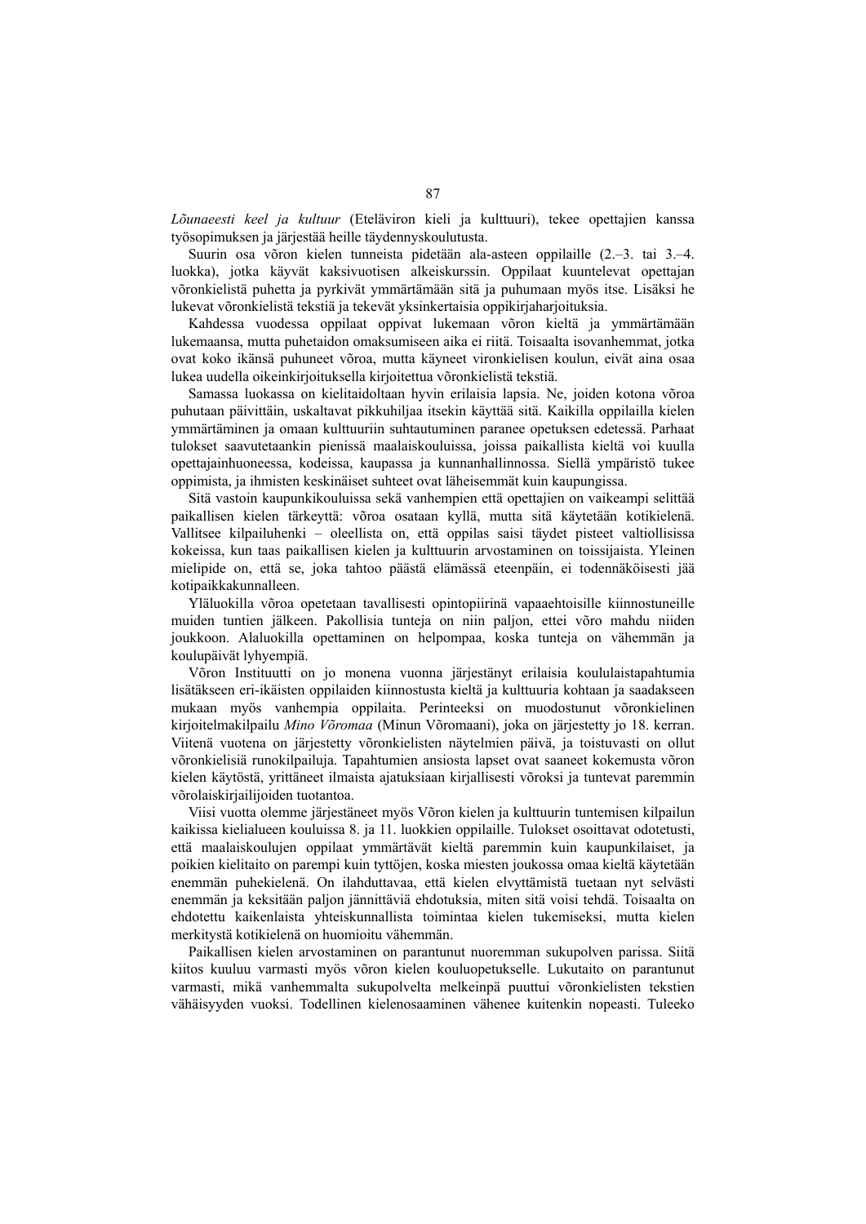*Lõunaeesti keel ja kultuur* (Eteläviron kieli ja kulttuuri), tekee opettajien kanssa työsopimuksen ja järjestää heille täydennyskoulutusta.

Suurin osa võron kielen tunneista pidetään ala-asteen oppilaille (2.–3. tai 3.–4. luokka), jotka käyvät kaksivuotisen alkeiskurssin. Oppilaat kuuntelevat opettajan võronkielistä puhetta ja pyrkivät ymmärtämään sitä ja puhumaan myös itse. Lisäksi he lukevat võronkielistä tekstiä ja tekevät yksinkertaisia oppikirjaharjoituksia.

Kahdessa vuodessa oppilaat oppivat lukemaan võron kieltä ja ymmärtämään lukemaansa, mutta puhetaidon omaksumiseen aika ei riitä. Toisaalta isovanhemmat, jotka ovat koko ikänsä puhuneet võroa, mutta käyneet vironkielisen koulun, eivät aina osaa lukea uudella oikeinkirjoituksella kirjoitettua võronkielistä tekstiä.

Samassa luokassa on kielitaidoltaan hyvin erilaisia lapsia. Ne, joiden kotona võroa puhutaan päivittäin, uskaltavat pikkuhiljaa itsekin käyttää sitä. Kaikilla oppilailla kielen ymmärtäminen ja omaan kulttuuriin suhtautuminen paranee opetuksen edetessä. Parhaat tulokset saavutetaankin pienissä maalaiskouluissa, joissa paikallista kieltä voi kuulla opettajainhuoneessa, kodeissa, kaupassa ja kunnanhallinnossa. Siellä ympäristö tukee oppimista, ja ihmisten keskinäiset suhteet ovat läheisemmät kuin kaupungissa.

Sitä vastoin kaupunkikouluissa sekä vanhempien että opettajien on vaikeampi selittää paikallisen kielen tärkeyttä: võroa osataan kyllä, mutta sitä käytetään kotikielenä. Vallitsee kilpailuhenki – oleellista on, että oppilas saisi täydet pisteet valtiollisissa kokeissa, kun taas paikallisen kielen ja kulttuurin arvostaminen on toissijaista. Yleinen mielipide on, että se, joka tahtoo päästä elämässä eteenpäin, ei todennäköisesti jää kotipaikkakunnalleen.

Yläluokilla võroa opetetaan tavallisesti opintopiirinä vapaaehtoisille kiinnostuneille muiden tuntien jälkeen. Pakollisia tunteja on niin paljon, ettei võro mahdu niiden joukkoon. Alaluokilla opettaminen on helpompaa, koska tunteja on vähemmän ja koulupäivät lyhyempiä.

Võron Instituutti on jo monena vuonna järjestänyt erilaisia koululaistapahtumia lisätäkseen eri-ikäisten oppilaiden kiinnostusta kieltä ja kulttuuria kohtaan ja saadakseen mukaan myös vanhempia oppilaita. Perinteeksi on muodostunut võronkielinen kirjoitelmakilpailu *Mino Võromaa* (Minun Võromaani), joka on järjestetty jo 18. kerran. Viitenä vuotena on järjestetty võronkielisten näytelmien päivä, ja toistuvasti on ollut võronkielisiä runokilpailuja. Tapahtumien ansiosta lapset ovat saaneet kokemusta võron kielen käytöstä, yrittäneet ilmaista ajatuksiaan kirjallisesti võroksi ja tuntevat paremmin võrolaiskirjailijoiden tuotantoa.

Viisi vuotta olemme järjestäneet myös Võron kielen ja kulttuurin tuntemisen kilpailun kaikissa kielialueen kouluissa 8. ja 11. luokkien oppilaille. Tulokset osoittavat odotetusti, että maalaiskoulujen oppilaat ymmärtävät kieltä paremmin kuin kaupunkilaiset, ja poikien kielitaito on parempi kuin tyttöjen, koska miesten joukossa omaa kieltä käytetään enemmän puhekielenä. On ilahduttavaa, että kielen elvyttämistä tuetaan nyt selvästi enemmän ja keksitään paljon jännittäviä ehdotuksia, miten sitä voisi tehdä. Toisaalta on ehdotettu kaikenlaista yhteiskunnallista toimintaa kielen tukemiseksi, mutta kielen merkitystä kotikielenä on huomioitu vähemmän.

Paikallisen kielen arvostaminen on parantunut nuoremman sukupolven parissa. Siitä kiitos kuuluu varmasti myös võron kielen kouluopetukselle. Lukutaito on parantunut varmasti, mikä vanhemmalta sukupolvelta melkeinpä puuttui võronkielisten tekstien vähäisyyden vuoksi. Todellinen kielenosaaminen vähenee kuitenkin nopeasti. Tuleeko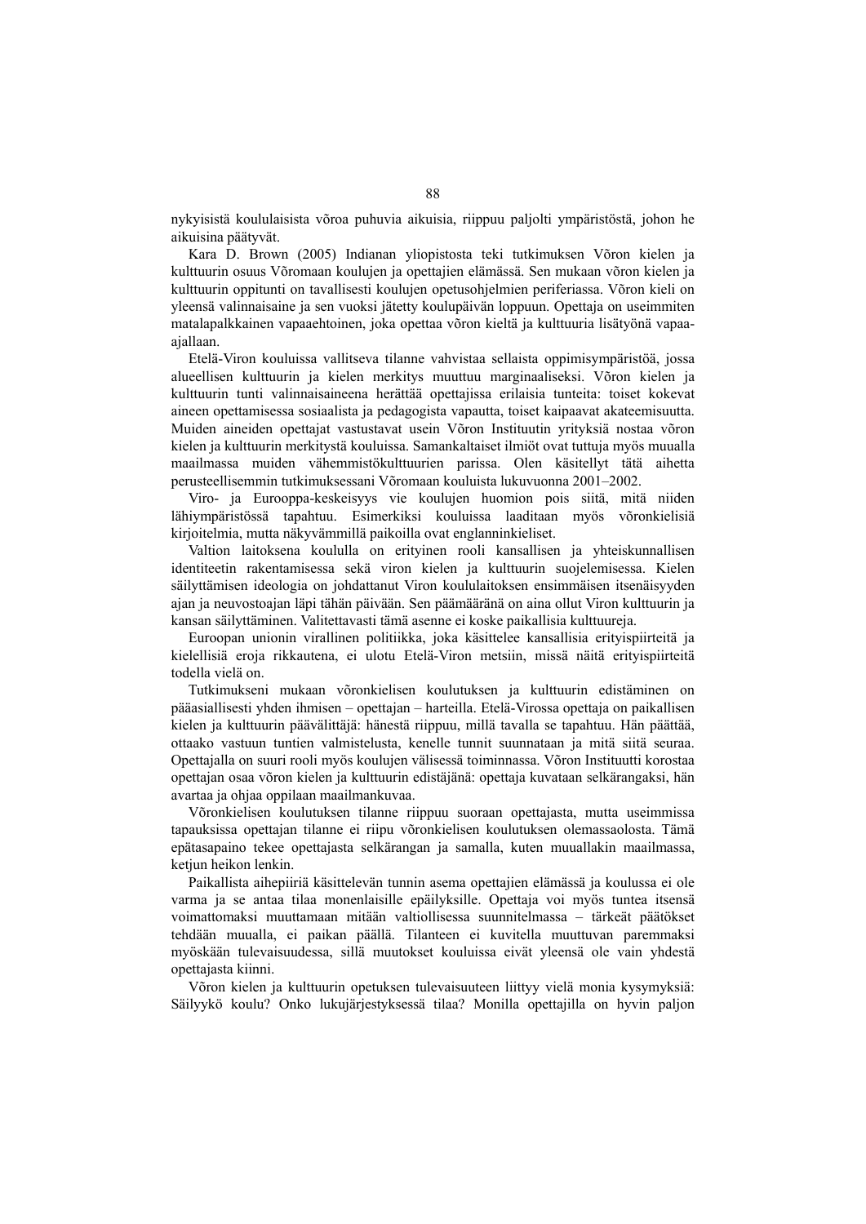nykyisistä koululaisista võroa puhuvia aikuisia, riippuu paljolti ympäristöstä, johon he aikuisina päätyvät.

Kara D. Brown (2005) Indianan yliopistosta teki tutkimuksen Võron kielen ja kulttuurin osuus Võromaan koulujen ja opettajien elämässä. Sen mukaan võron kielen ja kulttuurin oppitunti on tavallisesti koulujen opetusohjelmien periferiassa. Võron kieli on yleensä valinnaisaine ja sen vuoksi jätetty koulupäivän loppuun. Opettaja on useimmiten matalapalkkainen vapaaehtoinen, joka opettaa võron kieltä ja kulttuuria lisätyönä vapaaajallaan.

Etelä-Viron kouluissa vallitseva tilanne vahvistaa sellaista oppimisympäristöä, jossa alueellisen kulttuurin ja kielen merkitys muuttuu marginaaliseksi. Võron kielen ja kulttuurin tunti valinnaisaineena herättää opettajissa erilaisia tunteita: toiset kokevat aineen opettamisessa sosiaalista ja pedagogista vapautta, toiset kaipaavat akateemisuutta. Muiden aineiden opettajat vastustavat usein Võron Instituutin yrityksiä nostaa võron kielen ja kulttuurin merkitystä kouluissa. Samankaltaiset ilmiöt ovat tuttuja myös muualla maailmassa muiden vähemmistökulttuurien parissa. Olen käsitellyt tätä aihetta perusteellisemmin tutkimuksessani Võromaan kouluista lukuvuonna 2001–2002.

Viro- ja Eurooppa-keskeisyys vie koulujen huomion pois siitä, mitä niiden lähiympäristössä tapahtuu. Esimerkiksi kouluissa laaditaan myös võronkielisiä kirjoitelmia, mutta näkyvämmillä paikoilla ovat englanninkieliset.

Valtion laitoksena koululla on erityinen rooli kansallisen ja yhteiskunnallisen identiteetin rakentamisessa sekä viron kielen ja kulttuurin suojelemisessa. Kielen säilyttämisen ideologia on johdattanut Viron koululaitoksen ensimmäisen itsenäisyyden ajan ja neuvostoajan läpi tähän päivään. Sen päämääränä on aina ollut Viron kulttuurin ja kansan säilyttäminen. Valitettavasti tämä asenne ei koske paikallisia kulttuureja.

Euroopan unionin virallinen politiikka, joka käsittelee kansallisia erityispiirteitä ja kielellisiä eroja rikkautena, ei ulotu Etelä-Viron metsiin, missä näitä erityispiirteitä todella vielä on.

Tutkimukseni mukaan võronkielisen koulutuksen ja kulttuurin edistäminen on pääasiallisesti yhden ihmisen – opettajan – harteilla. Etelä-Virossa opettaja on paikallisen kielen ja kulttuurin päävälittäjä: hänestä riippuu, millä tavalla se tapahtuu. Hän päättää, ottaako vastuun tuntien valmistelusta, kenelle tunnit suunnataan ja mitä siitä seuraa. Opettajalla on suuri rooli myös koulujen välisessä toiminnassa. Võron Instituutti korostaa opettajan osaa võron kielen ja kulttuurin edistäjänä: opettaja kuvataan selkärangaksi, hän avartaa ja ohjaa oppilaan maailmankuvaa.

Võronkielisen koulutuksen tilanne riippuu suoraan opettajasta, mutta useimmissa tapauksissa opettajan tilanne ei riipu võronkielisen koulutuksen olemassaolosta. Tämä epätasapaino tekee opettajasta selkärangan ja samalla, kuten muuallakin maailmassa, ketjun heikon lenkin.

Paikallista aihepiiriä käsittelevän tunnin asema opettajien elämässä ja koulussa ei ole varma ja se antaa tilaa monenlaisille epäilyksille. Opettaja voi myös tuntea itsensä voimattomaksi muuttamaan mitään valtiollisessa suunnitelmassa – tärkeät päätökset tehdään muualla, ei paikan päällä. Tilanteen ei kuvitella muuttuvan paremmaksi myöskään tulevaisuudessa, sillä muutokset kouluissa eivät yleensä ole vain yhdestä opettajasta kiinni.

Võron kielen ja kulttuurin opetuksen tulevaisuuteen liittyy vielä monia kysymyksiä: Säilyykö koulu? Onko lukujärjestyksessä tilaa? Monilla opettajilla on hyvin paljon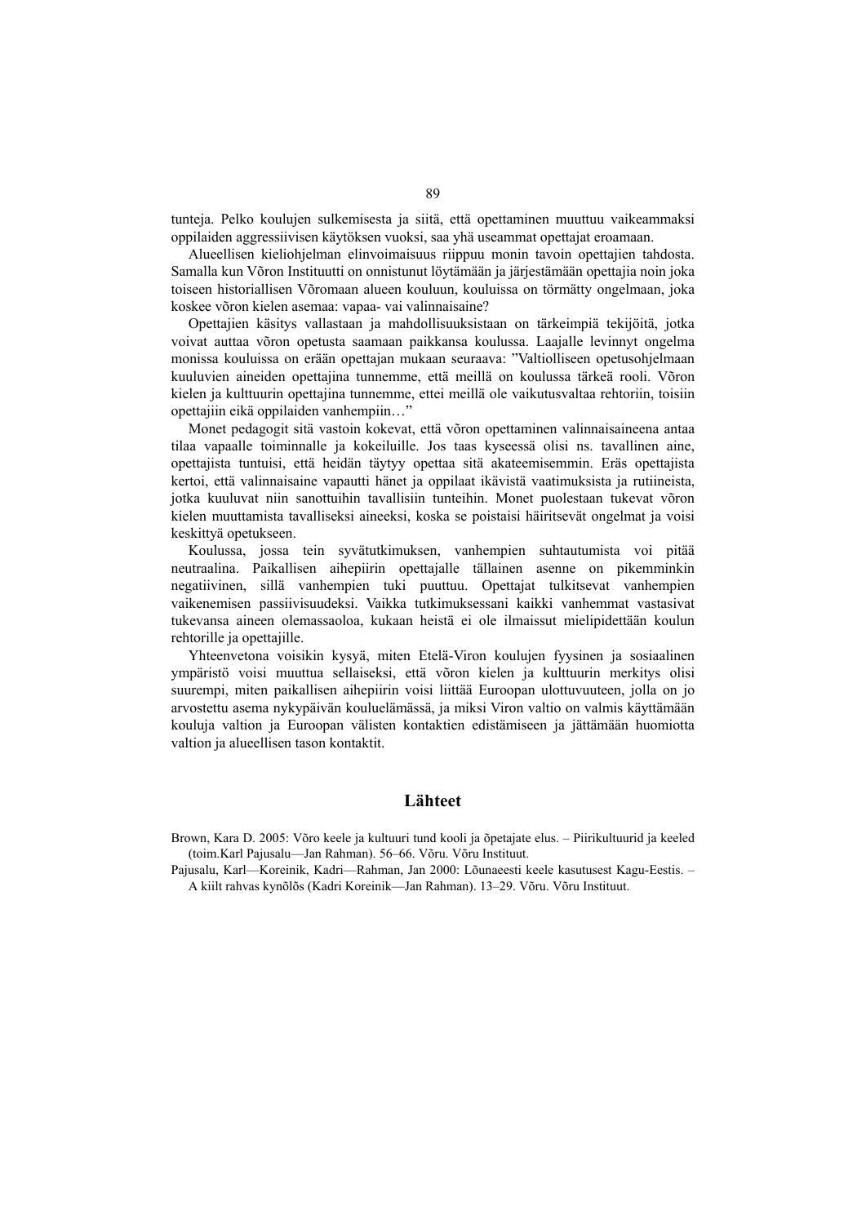tunteja. Pelko koulujen sulkemisesta ja siitä, että opettaminen muuttuu vaikeammaksi oppilaiden aggressiivisen käytöksen vuoksi, saa yhä useammat opettajat eroamaan.

Alueellisen kieliohjelman elinvoimaisuus riippuu monin tavoin opettajien tahdosta. Samalla kun Võron Instituutti on onnistunut löytämään ja järjestämään opettajia noin joka toiseen historiallisen Võromaan alueen kouluun, kouluissa on törmätty ongelmaan, joka koskee võron kielen asemaa: vapaa- vai valinnaisaine?

Opettajien käsitys vallastaan ja mahdollisuuksistaan on tärkeimpiä tekijöitä, jotka voivat auttaa võron opetusta saamaan paikkansa koulussa. Laajalle levinnyt ongelma monissa kouluissa on erään opettajan mukaan seuraava: "Valtiolliseen opetusohjelmaan kuuluvien aineiden opettajina tunnemme, että meillä on koulussa tärkeä rooli. Võron kielen ja kulttuurin opettajina tunnemme, ettei meillä ole vaikutusvaltaa rehtoriin, toisiin opettajiin eikä oppilaiden vanhempiin…"

Monet pedagogit sitä vastoin kokevat, että võron opettaminen valinnaisaineena antaa tilaa vapaalle toiminnalle ja kokeiluille. Jos taas kyseessä olisi ns. tavallinen aine, opettajista tuntuisi, että heidän täytyy opettaa sitä akateemisemmin. Eräs opettajista kertoi, että valinnaisaine vapautti hänet ja oppilaat ikävistä vaatimuksista ja rutiineista, jotka kuuluvat niin sanottuihin tavallisiin tunteihin. Monet puolestaan tukevat võron kielen muuttamista tavalliseksi aineeksi, koska se poistaisi häiritsevät ongelmat ja voisi keskittyä opetukseen.

Koulussa, jossa tein syvätutkimuksen, vanhempien suhtautumista voi pitää neutraalina. Paikallisen aihepiirin opettajalle tällainen asenne on pikemminkin negatiivinen, sillä vanhempien tuki puuttuu. Opettajat tulkitsevat vanhempien vaikenemisen passiivisuudeksi. Vaikka tutkimuksessani kaikki vanhemmat vastasivat tukevansa aineen olemassaoloa, kukaan heistä ei ole ilmaissut mielipidettään koulun rehtorille ja opettajille.

Yhteenvetona voisikin kysyä, miten Etelä-Viron koulujen fyysinen ja sosiaalinen ympäristö voisi muuttua sellaiseksi, että võron kielen ja kulttuurin merkitys olisi suurempi, miten paikallisen aihepiirin voisi liittää Euroopan ulottuvuuteen, jolla on jo arvostettu asema nykypäivän kouluelämässä, ja miksi Viron valtio on valmis käyttämään kouluja valtion ja Euroopan välisten kontaktien edistämiseen ja jättämään huomiotta valtion ja alueellisen tason kontaktit.

#### **Lähteet**

Brown, Kara D. 2005: Võro keele ja kultuuri tund kooli ja õpetajate elus. – Piirikultuurid ja keeled (toim.Karl Pajusalu—Jan Rahman). 56–66. Võru. Võru Instituut.

Pajusalu, Karl—Koreinik, Kadri—Rahman, Jan 2000: Lõunaeesti keele kasutusest Kagu-Eestis. – A kiilt rahvas kynõlõs (Kadri Koreinik—Jan Rahman). 13–29. Võru. Võru Instituut.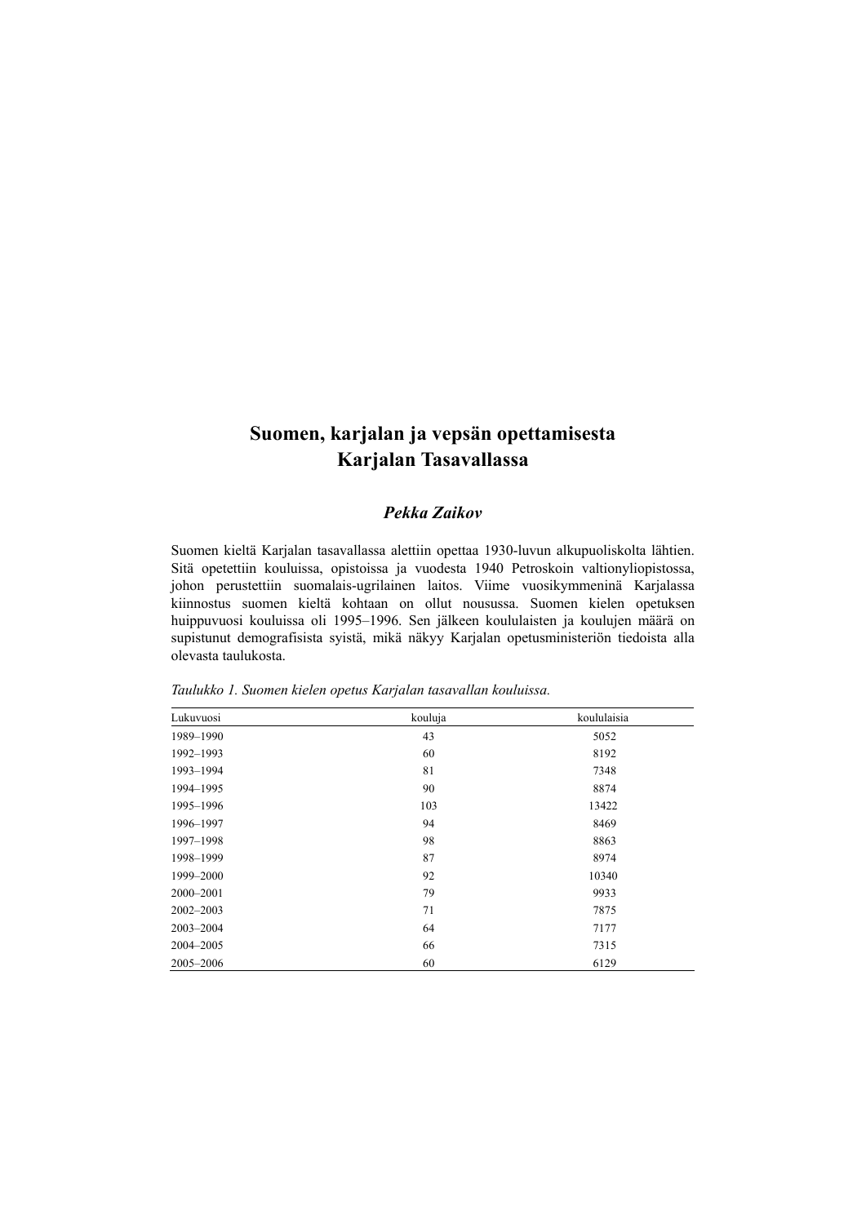# **Suomen, karjalan ja vepsän opettamisesta Karjalan Tasavallassa**

## *Pekka Zaikov*

Suomen kieltä Karjalan tasavallassa alettiin opettaa 1930-luvun alkupuoliskolta lähtien. Sitä opetettiin kouluissa, opistoissa ja vuodesta 1940 Petroskoin valtionyliopistossa, johon perustettiin suomalais-ugrilainen laitos. Viime vuosikymmeninä Karjalassa kiinnostus suomen kieltä kohtaan on ollut nousussa. Suomen kielen opetuksen huippuvuosi kouluissa oli 1995–1996. Sen jälkeen koululaisten ja koulujen määrä on supistunut demografisista syistä, mikä näkyy Karjalan opetusministeriön tiedoista alla olevasta taulukosta.

| Lukuvuosi     | kouluja | koululaisia |
|---------------|---------|-------------|
| 1989-1990     | 43      | 5052        |
| 1992-1993     | 60      | 8192        |
| 1993-1994     | 81      | 7348        |
| 1994-1995     | 90      | 8874        |
| 1995-1996     | 103     | 13422       |
| 1996-1997     | 94      | 8469        |
| 1997-1998     | 98      | 8863        |
| 1998-1999     | 87      | 8974        |
| 1999-2000     | 92      | 10340       |
| 2000-2001     | 79      | 9933        |
| $2002 - 2003$ | 71      | 7875        |
| 2003-2004     | 64      | 7177        |
| 2004-2005     | 66      | 7315        |
| 2005-2006     | 60      | 6129        |

*Taulukko 1. Suomen kielen opetus Karjalan tasavallan kouluissa.*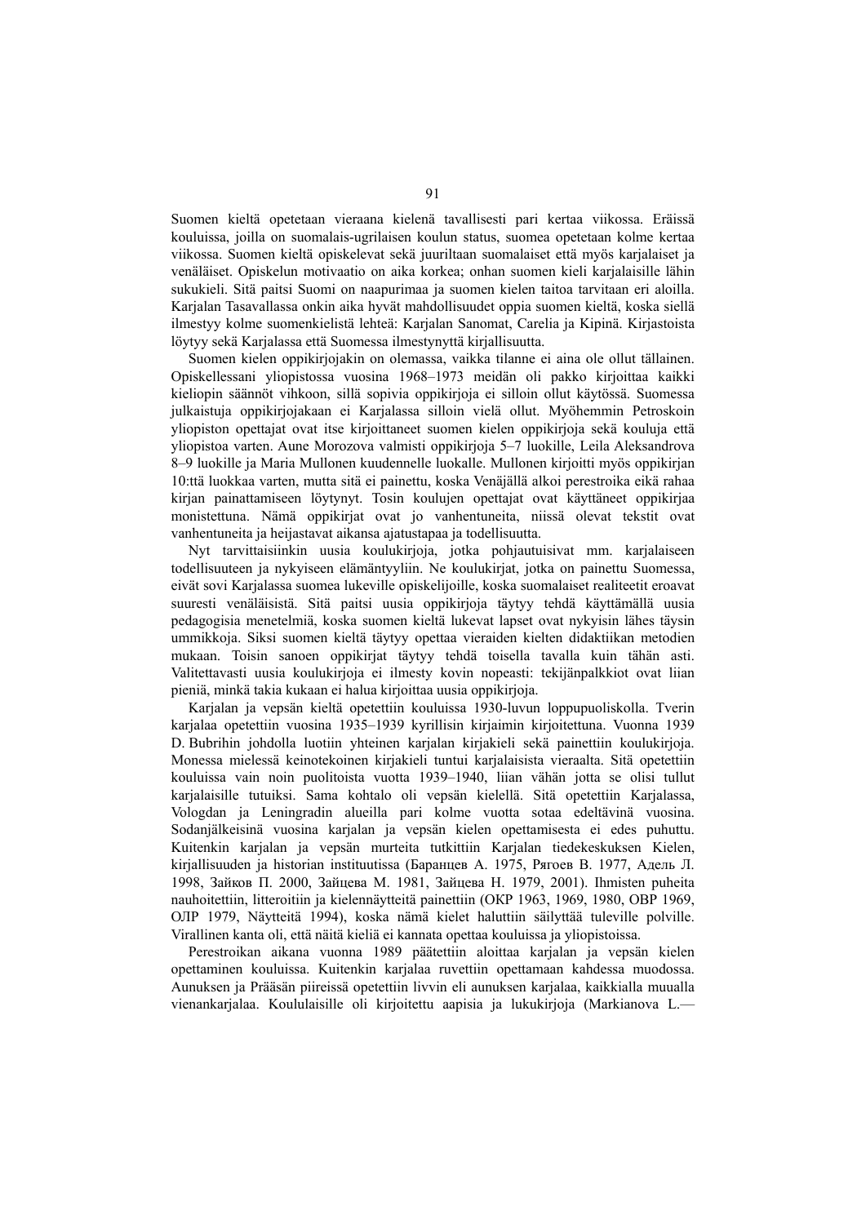Suomen kieltä opetetaan vieraana kielenä tavallisesti pari kertaa viikossa. Eräissä kouluissa, joilla on suomalais-ugrilaisen koulun status, suomea opetetaan kolme kertaa viikossa. Suomen kieltä opiskelevat sekä juuriltaan suomalaiset että myös karjalaiset ja venäläiset. Opiskelun motivaatio on aika korkea; onhan suomen kieli karjalaisille lähin sukukieli. Sitä paitsi Suomi on naapurimaa ja suomen kielen taitoa tarvitaan eri aloilla. Karjalan Tasavallassa onkin aika hyvät mahdollisuudet oppia suomen kieltä, koska siellä ilmestyy kolme suomenkielistä lehteä: Karjalan Sanomat, Carelia ja Kipinä. Kirjastoista löytyy sekä Karjalassa että Suomessa ilmestynyttä kirjallisuutta.

Suomen kielen oppikirjojakin on olemassa, vaikka tilanne ei aina ole ollut tällainen. Opiskellessani yliopistossa vuosina 1968–1973 meidän oli pakko kirjoittaa kaikki kieliopin säännöt vihkoon, sillä sopivia oppikirjoja ei silloin ollut käytössä. Suomessa julkaistuja oppikirjojakaan ei Karjalassa silloin vielä ollut. Myöhemmin Petroskoin yliopiston opettajat ovat itse kirjoittaneet suomen kielen oppikirjoja sekä kouluja että yliopistoa varten. Aune Morozova valmisti oppikirjoja 5–7 luokille, Leila Aleksandrova 8–9 luokille ja Maria Mullonen kuudennelle luokalle. Mullonen kirjoitti myös oppikirjan 10:ttä luokkaa varten, mutta sitä ei painettu, koska Venäjällä alkoi perestroika eikä rahaa kirjan painattamiseen löytynyt. Tosin koulujen opettajat ovat käyttäneet oppikirjaa monistettuna. Nämä oppikirjat ovat jo vanhentuneita, niissä olevat tekstit ovat vanhentuneita ja heijastavat aikansa ajatustapaa ja todellisuutta.

Nyt tarvittaisiinkin uusia koulukirjoja, jotka pohjautuisivat mm. karjalaiseen todellisuuteen ja nykyiseen elämäntyyliin. Ne koulukirjat, jotka on painettu Suomessa, eivät sovi Karjalassa suomea lukeville opiskelijoille, koska suomalaiset realiteetit eroavat suuresti venäläisistä. Sitä paitsi uusia oppikirjoja täytyy tehdä käyttämällä uusia pedagogisia menetelmiä, koska suomen kieltä lukevat lapset ovat nykyisin lähes täysin ummikkoja. Siksi suomen kieltä täytyy opettaa vieraiden kielten didaktiikan metodien mukaan. Toisin sanoen oppikirjat täytyy tehdä toisella tavalla kuin tähän asti. Valitettavasti uusia koulukirjoja ei ilmesty kovin nopeasti: tekijänpalkkiot ovat liian pieniä, minkä takia kukaan ei halua kirjoittaa uusia oppikirjoja.

Karjalan ja vepsän kieltä opetettiin kouluissa 1930-luvun loppupuoliskolla. Tverin karjalaa opetettiin vuosina 1935–1939 kyrillisin kirjaimin kirjoitettuna. Vuonna 1939 D. Bubrihin johdolla luotiin yhteinen karjalan kirjakieli sekä painettiin koulukirjoja. Monessa mielessä keinotekoinen kirjakieli tuntui karjalaisista vieraalta. Sitä opetettiin kouluissa vain noin puolitoista vuotta 1939–1940, liian vähän jotta se olisi tullut karjalaisille tutuiksi. Sama kohtalo oli vepsän kielellä. Sitä opetettiin Karjalassa, Vologdan ja Leningradin alueilla pari kolme vuotta sotaa edeltävinä vuosina. Sodanjälkeisinä vuosina karjalan ja vepsän kielen opettamisesta ei edes puhuttu. Kuitenkin karjalan ja vepsän murteita tutkittiin Karjalan tiedekeskuksen Kielen, kirjallisuuden ja historian instituutissa (Баранцев А. 1975, Рягоев В. 1977, Адель Л. 1998, Зайков П. 2000, Зайцева М. 1981, Зайцева Н. 1979, 2001). Ihmisten puheita nauhoitettiin, litteroitiin ja kielennäytteitä painettiin (ОКР 1963, 1969, 1980, ОВР 1969, ОЛР 1979, Näytteitä 1994), koska nämä kielet haluttiin säilyttää tuleville polville. Virallinen kanta oli, että näitä kieliä ei kannata opettaa kouluissa ja yliopistoissa.

Perestroikan aikana vuonna 1989 päätettiin aloittaa karjalan ja vepsän kielen opettaminen kouluissa. Kuitenkin karjalaa ruvettiin opettamaan kahdessa muodossa. Aunuksen ja Prääsän piireissä opetettiin livvin eli aunuksen karjalaa, kaikkialla muualla vienankarjalaa. Koululaisille oli kirjoitettu aapisia ja lukukirjoja (Markianova L.—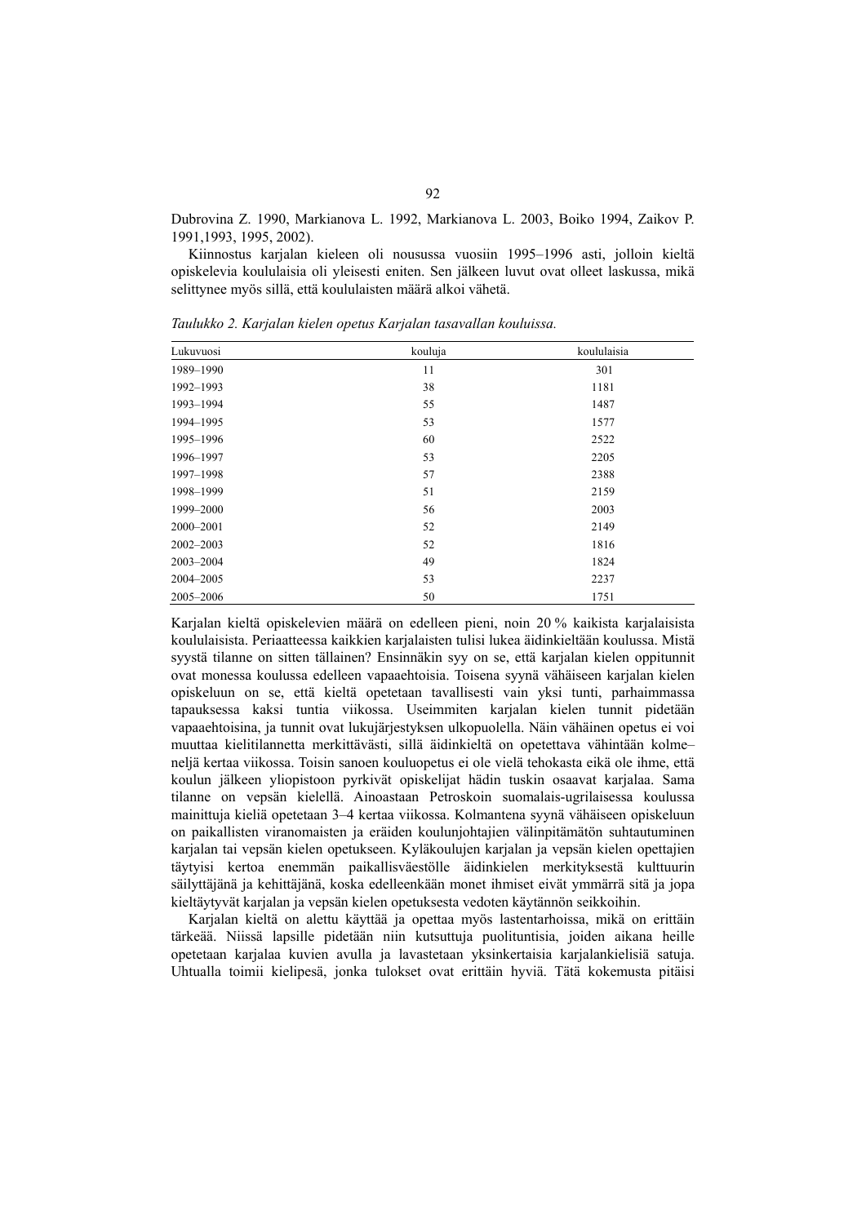Dubrovina Z. 1990, Markianova L. 1992, Markianova L. 2003, Boiko 1994, Zaikov P. 1991,1993, 1995, 2002).

Kiinnostus karjalan kieleen oli nousussa vuosiin 1995–1996 asti, jolloin kieltä opiskelevia koululaisia oli yleisesti eniten. Sen jälkeen luvut ovat olleet laskussa, mikä selittynee myös sillä, että koululaisten määrä alkoi vähetä.

| Lukuvuosi | kouluja | koululaisia |
|-----------|---------|-------------|
| 1989-1990 | 11      | 301         |
| 1992-1993 | 38      | 1181        |
| 1993-1994 | 55      | 1487        |
| 1994-1995 | 53      | 1577        |
| 1995-1996 | 60      | 2522        |
| 1996-1997 | 53      | 2205        |
| 1997-1998 | 57      | 2388        |
| 1998-1999 | 51      | 2159        |
| 1999-2000 | 56      | 2003        |
| 2000-2001 | 52      | 2149        |
| 2002-2003 | 52      | 1816        |
| 2003-2004 | 49      | 1824        |
| 2004-2005 | 53      | 2237        |
| 2005-2006 | 50      | 1751        |

*Taulukko 2. Karjalan kielen opetus Karjalan tasavallan kouluissa.* 

Karjalan kieltä opiskelevien määrä on edelleen pieni, noin 20 % kaikista karjalaisista koululaisista. Periaatteessa kaikkien karjalaisten tulisi lukea äidinkieltään koulussa. Mistä syystä tilanne on sitten tällainen? Ensinnäkin syy on se, että karjalan kielen oppitunnit ovat monessa koulussa edelleen vapaaehtoisia. Toisena syynä vähäiseen karjalan kielen opiskeluun on se, että kieltä opetetaan tavallisesti vain yksi tunti, parhaimmassa tapauksessa kaksi tuntia viikossa. Useimmiten karjalan kielen tunnit pidetään vapaaehtoisina, ja tunnit ovat lukujärjestyksen ulkopuolella. Näin vähäinen opetus ei voi muuttaa kielitilannetta merkittävästi, sillä äidinkieltä on opetettava vähintään kolme– neljä kertaa viikossa. Toisin sanoen kouluopetus ei ole vielä tehokasta eikä ole ihme, että koulun jälkeen yliopistoon pyrkivät opiskelijat hädin tuskin osaavat karjalaa. Sama tilanne on vepsän kielellä. Ainoastaan Petroskoin suomalais-ugrilaisessa koulussa mainittuja kieliä opetetaan 3–4 kertaa viikossa. Kolmantena syynä vähäiseen opiskeluun on paikallisten viranomaisten ja eräiden koulunjohtajien välinpitämätön suhtautuminen karjalan tai vepsän kielen opetukseen. Kyläkoulujen karjalan ja vepsän kielen opettajien täytyisi kertoa enemmän paikallisväestölle äidinkielen merkityksestä kulttuurin säilyttäjänä ja kehittäjänä, koska edelleenkään monet ihmiset eivät ymmärrä sitä ja jopa kieltäytyvät karjalan ja vepsän kielen opetuksesta vedoten käytännön seikkoihin.

Karjalan kieltä on alettu käyttää ja opettaa myös lastentarhoissa, mikä on erittäin tärkeää. Niissä lapsille pidetään niin kutsuttuja puolituntisia, joiden aikana heille opetetaan karjalaa kuvien avulla ja lavastetaan yksinkertaisia karjalankielisiä satuja. Uhtualla toimii kielipesä, jonka tulokset ovat erittäin hyviä. Tätä kokemusta pitäisi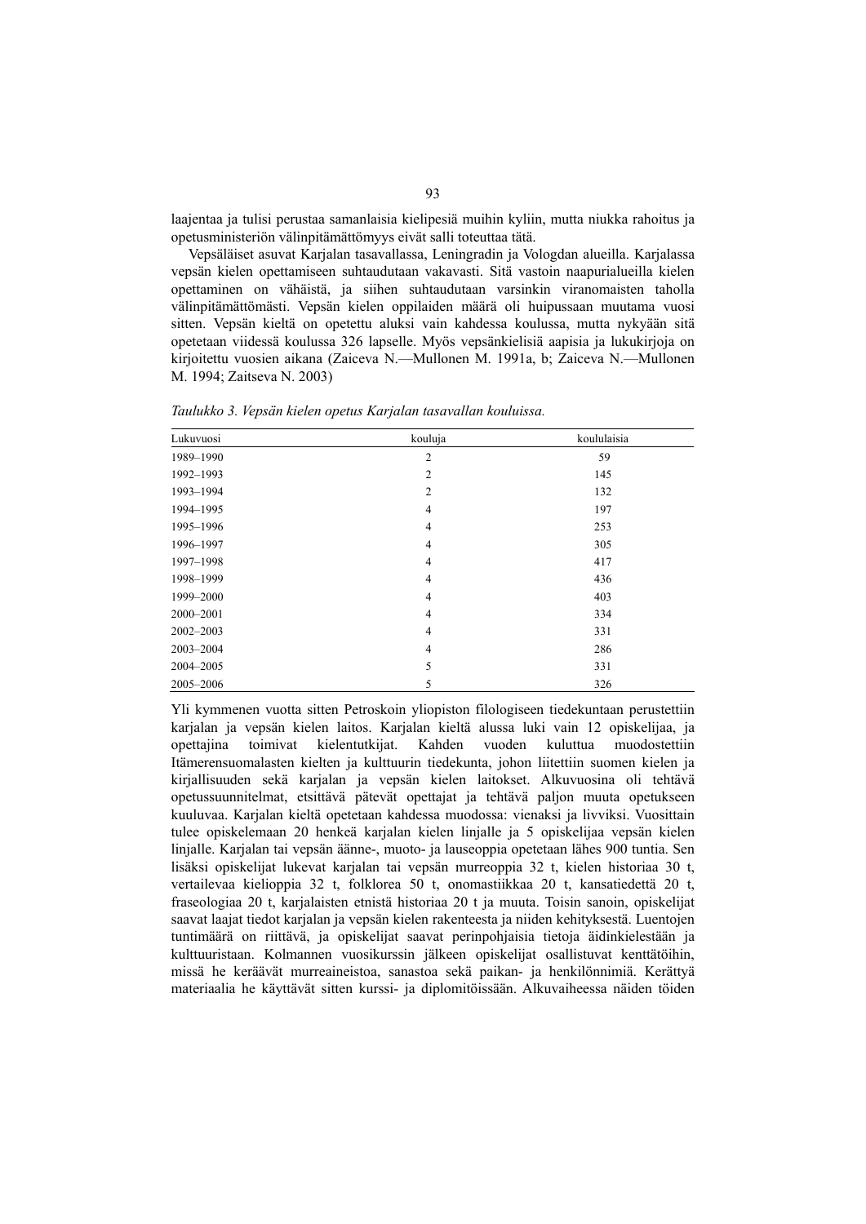laajentaa ja tulisi perustaa samanlaisia kielipesiä muihin kyliin, mutta niukka rahoitus ja opetusministeriön välinpitämättömyys eivät salli toteuttaa tätä.

Vepsäläiset asuvat Karjalan tasavallassa, Leningradin ja Vologdan alueilla. Karjalassa vepsän kielen opettamiseen suhtaudutaan vakavasti. Sitä vastoin naapurialueilla kielen opettaminen on vähäistä, ja siihen suhtaudutaan varsinkin viranomaisten taholla välinpitämättömästi. Vepsän kielen oppilaiden määrä oli huipussaan muutama vuosi sitten. Vepsän kieltä on opetettu aluksi vain kahdessa koulussa, mutta nykyään sitä opetetaan viidessä koulussa 326 lapselle. Myös vepsänkielisiä aapisia ja lukukirjoja on kirjoitettu vuosien aikana (Zaiceva N.—Mullonen M. 1991a, b; Zaiceva N.—Mullonen M. 1994; Zaitseva N. 2003)

| Lukuvuosi     | kouluja        | koululaisia |
|---------------|----------------|-------------|
| 1989-1990     | $\overline{2}$ | 59          |
| 1992-1993     | $\overline{2}$ | 145         |
| 1993-1994     | $\overline{c}$ | 132         |
| 1994-1995     | $\overline{4}$ | 197         |
| 1995-1996     | $\overline{4}$ | 253         |
| 1996-1997     | $\overline{4}$ | 305         |
| 1997-1998     | $\overline{4}$ | 417         |
| 1998-1999     | $\overline{4}$ | 436         |
| 1999-2000     | $\overline{4}$ | 403         |
| 2000-2001     | $\overline{4}$ | 334         |
| $2002 - 2003$ | $\overline{4}$ | 331         |
| 2003-2004     | $\overline{4}$ | 286         |
| 2004-2005     | 5              | 331         |
| 2005-2006     | 5              | 326         |

*Taulukko 3. Vepsän kielen opetus Karjalan tasavallan kouluissa.* 

Yli kymmenen vuotta sitten Petroskoin yliopiston filologiseen tiedekuntaan perustettiin karjalan ja vepsän kielen laitos. Karjalan kieltä alussa luki vain 12 opiskelijaa, ja opettajina toimivat kielentutkijat. Kahden vuoden kuluttua muodostettiin Itämerensuomalasten kielten ja kulttuurin tiedekunta, johon liitettiin suomen kielen ja kirjallisuuden sekä karjalan ja vepsän kielen laitokset. Alkuvuosina oli tehtävä opetussuunnitelmat, etsittävä pätevät opettajat ja tehtävä paljon muuta opetukseen kuuluvaa. Karjalan kieltä opetetaan kahdessa muodossa: vienaksi ja livviksi. Vuosittain tulee opiskelemaan 20 henkeä karjalan kielen linjalle ja 5 opiskelijaa vepsän kielen linjalle. Karjalan tai vepsän äänne-, muoto- ja lauseoppia opetetaan lähes 900 tuntia. Sen lisäksi opiskelijat lukevat karjalan tai vepsän murreoppia 32 t, kielen historiaa 30 t, vertailevaa kielioppia 32 t, folklorea 50 t, onomastiikkaa 20 t, kansatiedettä 20 t, fraseologiaa 20 t, karjalaisten etnistä historiaa 20 t ja muuta. Toisin sanoin, opiskelijat saavat laajat tiedot karjalan ja vepsän kielen rakenteesta ja niiden kehityksestä. Luentojen tuntimäärä on riittävä, ja opiskelijat saavat perinpohjaisia tietoja äidinkielestään ja kulttuuristaan. Kolmannen vuosikurssin jälkeen opiskelijat osallistuvat kenttätöihin, missä he keräävät murreaineistoa, sanastoa sekä paikan- ja henkilönnimiä. Kerättyä materiaalia he käyttävät sitten kurssi- ja diplomitöissään. Alkuvaiheessa näiden töiden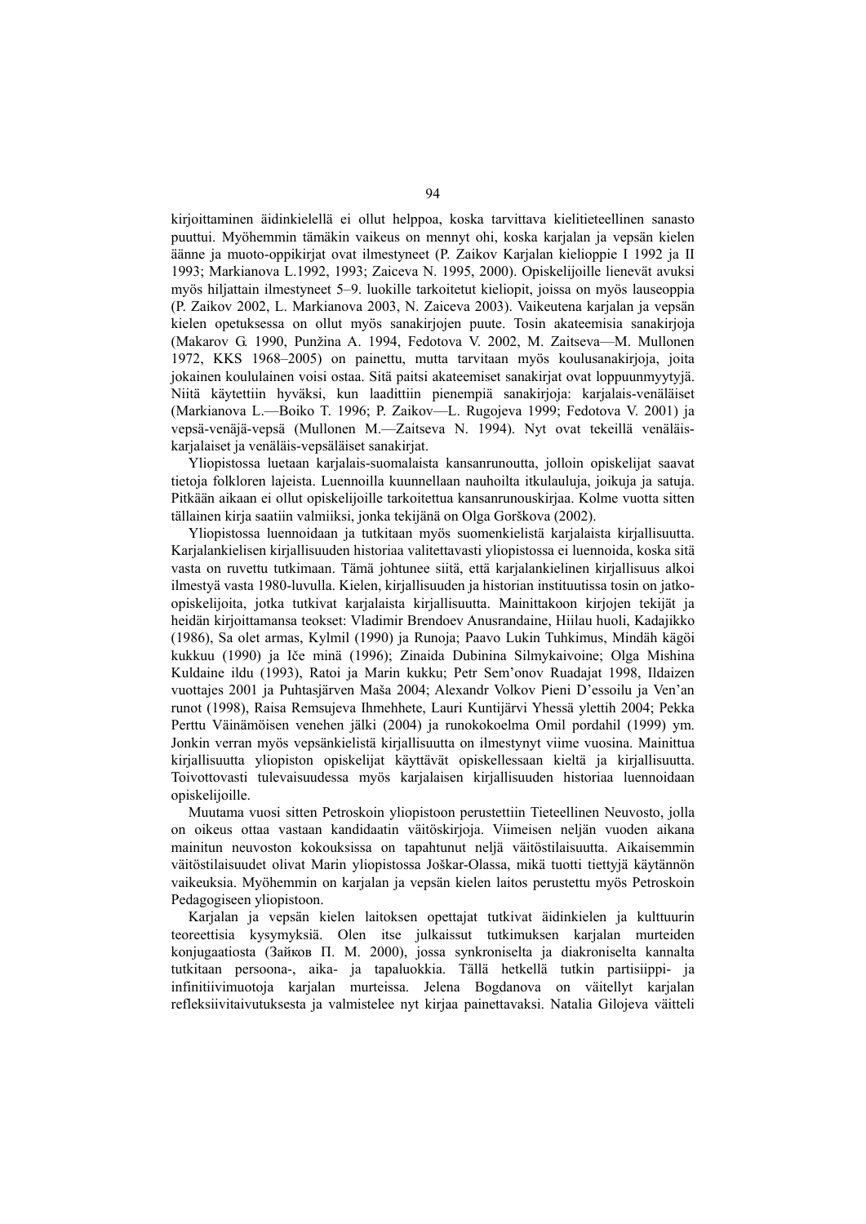kirjoittaminen äidinkielellä ei ollut helppoa, koska tarvittava kielitieteellinen sanasto puuttui. Myöhemmin tämäkin vaikeus on mennyt ohi, koska karjalan ja vepsän kielen äänne ja muoto-oppikirjat ovat ilmestyneet (P. Zaikov Karjalan kielioppie I 1992 ja II 1993; Markianova L.1992, 1993; Zaiceva N. 1995, 2000). Opiskelijoille lienevät avuksi myös hiljattain ilmestyneet 5–9. luokille tarkoitetut kieliopit, joissa on myös lauseoppia (P. Zaikov 2002, L. Markianova 2003, N. Zaiceva 2003). Vaikeutena karjalan ja vepsän kielen opetuksessa on ollut myös sanakirjojen puute. Tosin akateemisia sanakirjoja (Makarov G. 1990, Punžina A. 1994, Fedotova V. 2002, M. Zaitseva—M. Mullonen 1972, KKS 1968–2005) on painettu, mutta tarvitaan myös koulusanakirjoja, joita jokainen koululainen voisi ostaa. Sitä paitsi akateemiset sanakirjat ovat loppuunmyytyjä. Niitä käytettiin hyväksi, kun laadittiin pienempiä sanakirjoja: karjalais-venäläiset (Markianova L.—Boiko T. 1996; P. Zaikov—L. Rugojeva 1999; Fedotova V. 2001) ja vepsä-venäjä-vepsä (Мullonen M.—Zaitseva N. 1994). Nyt ovat tekeillä venäläiskarjalaiset ja venäläis-vepsäläiset sanakirjat.

Yliopistossa luetaan karjalais-suomalaista kansanrunoutta, jolloin opiskelijat saavat tietoja folkloren lajeista. Luennoilla kuunnellaan nauhoilta itkulauluja, joikuja ja satuja. Pitkään aikaan ei ollut opiskelijoille tarkoitettua kansanrunouskirjaa. Kolme vuotta sitten tällainen kirja saatiin valmiiksi, jonka tekijänä on Olga Gorškova (2002).

Yliopistossa luennoidaan ja tutkitaan myös suomenkielistä karjalaista kirjallisuutta. Karjalankielisen kirjallisuuden historiaa valitettavasti yliopistossa ei luennoida, koska sitä vasta on ruvettu tutkimaan. Tämä johtunee siitä, että karjalankielinen kirjallisuus alkoi ilmestyä vasta 1980-luvulla. Kielen, kirjallisuuden ja historian instituutissa tosin on jatkoopiskelijoita, jotka tutkivat karjalaista kirjallisuutta. Mainittakoon kirjojen tekijät ja heidän kirjoittamansa teokset: Vladimir Brendoev Anusrandaine, Hiilau huoli, Kadajikko (1986), Sa olet armas, Kylmil (1990) ja Runoja; Paavo Lukin Tuhkimus, Mindäh kägöi kukkuu (1990) ja Iče minä (1996); Zinaida Dubinina Silmykaivoine; Olga Mishina Kuldaine ildu (1993), Ratoi ja Marin kukku; Petr Sem'onov Ruadajat 1998, Ildaizen vuottajes 2001 ja Puhtasjärven Maša 2004; Alexandr Volkov Pieni D'essoilu ja Ven'an runot (1998), Raisa Remsujeva Ihmehhete, Lauri Kuntijärvi Yhessä ylettih 2004; Pekka Perttu Väinämöisen venehen jälki (2004) ja runokokoelma Omil pordahil (1999) ym. Jonkin verran myös vepsänkielistä kirjallisuutta on ilmestynyt viime vuosina. Mainittua kirjallisuutta yliopiston opiskelijat käyttävät opiskellessaan kieltä ja kirjallisuutta. Toivottovasti tulevaisuudessa myös karjalaisen kirjallisuuden historiaa luennoidaan opiskelijoille.

Muutama vuosi sitten Petroskoin yliopistoon perustettiin Tieteellinen Neuvosto, jolla on oikeus ottaa vastaan kandidaatin väitöskirjoja. Viimeisen neljän vuoden aikana mainitun neuvoston kokouksissa on tapahtunut neljä väitöstilaisuutta. Aikaisemmin väitöstilaisuudet olivat Marin yliopistossa Joškar-Olassa, mikä tuotti tiettyjä käytännön vaikeuksia. Myöhemmin on karjalan ja vepsän kielen laitos perustettu myös Petroskoin Pedagogiseen yliopistoon.

Karjalan ja vepsän kielen laitoksen opettajat tutkivat äidinkielen ja kulttuurin teoreettisia kysymyksiä. Olen itse julkaissut tutkimuksen karjalan murteiden konjugaatiosta (Зайков П. М. 2000), jossa synkroniselta ja diakroniselta kannalta tutkitaan persoona-, aika- ja tapaluokkia. Tällä hetkellä tutkin partisiippi- ja infinitiivimuotoja karjalan murteissa. Jelena Bogdanova on väitellyt karjalan refleksiivitaivutuksesta ja valmistelee nyt kirjaa painettavaksi. Natalia Gilojeva väitteli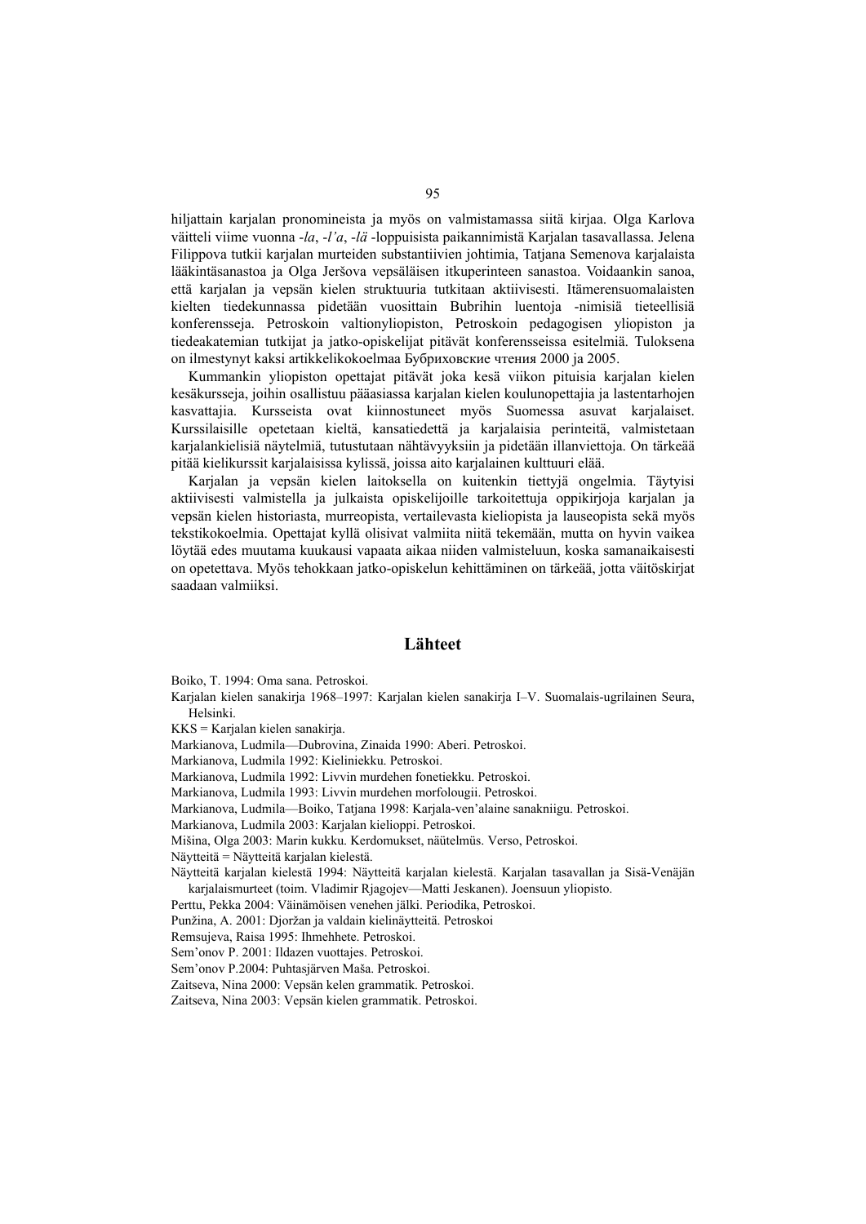hiljattain karjalan pronomineista ja myös on valmistamassa siitä kirjaa. Olga Karlova väitteli viime vuonna -*la*, -*l'a*, -*lä* -loppuisista paikannimistä Karjalan tasavallassa. Jelena Filippova tutkii karjalan murteiden substantiivien johtimia, Tatjana Semenova karjalaista lääkintäsanastoa ja Olga Jeršova vepsäläisen itkuperinteen sanastoa. Voidaankin sanoa, että karjalan ja vepsän kielen struktuuria tutkitaan aktiivisesti. Itämerensuomalaisten kielten tiedekunnassa pidetään vuosittain Bubrihin luentoja -nimisiä tieteellisiä konferensseja. Petroskoin valtionyliopiston, Petroskoin pedagogisen yliopiston ja tiedeakatemian tutkijat ja jatko-opiskelijat pitävät konferensseissa esitelmiä. Tuloksena on ilmestynyt kaksi artikkelikokoelmaa Бубриховские чтения 2000 ja 2005.

Kummankin yliopiston opettajat pitävät joka kesä viikon pituisia karjalan kielen kesäkursseja, joihin osallistuu pääasiassa karjalan kielen koulunopettajia ja lastentarhojen kasvattajia. Kursseista ovat kiinnostuneet myös Suomessa asuvat karjalaiset. Kurssilaisille opetetaan kieltä, kansatiedettä ja karjalaisia perinteitä, valmistetaan karjalankielisiä näytelmiä, tutustutaan nähtävyyksiin ja pidetään illanviettoja. On tärkeää pitää kielikurssit karjalaisissa kylissä, joissa aito karjalainen kulttuuri elää.

Karjalan ja vepsän kielen laitoksella on kuitenkin tiettyjä ongelmia. Täytyisi aktiivisesti valmistella ja julkaista opiskelijoille tarkoitettuja oppikirjoja karjalan ja vepsän kielen historiasta, murreopista, vertailevasta kieliopista ja lauseopista sekä myös tekstikokoelmia. Opettajat kyllä olisivat valmiita niitä tekemään, mutta on hyvin vaikea löytää edes muutama kuukausi vapaata aikaa niiden valmisteluun, koska samanaikaisesti on opetettava. Myös tehokkaan jatko-opiskelun kehittäminen on tärkeää, jotta väitöskirjat saadaan valmiiksi.

#### **Lähteet**

Boiko, T. 1994: Oma sana. Petroskoi.

Karjalan kielen sanakirja 1968–1997: Karjalan kielen sanakirja I–V. Suomalais-ugrilainen Seura, Helsinki.

KKS = Karjalan kielen sanakirja.

Markianova, Ludmila—Dubrovina, Zinaida 1990: Aberi. Petroskoi.

Markianova, Ludmila 1992: Kieliniekku. Petroskoi.

Markianova, Ludmila 1992: Livvin murdehen fonetiekku. Petroskoi.

Markianova, Ludmila 1993: Livvin murdehen morfolougii. Petroskoi.

Markianova, Ludmila—Boiko, Tatjana 1998: Karjala-ven'alaine sanakniigu. Petroskoi.

Markianova, Ludmila 2003: Karjalan kielioppi. Petroskoi.

Mišina, Olga 2003: Marin kukku. Kerdomukset, näütelmüs. Verso, Petroskoi. Näytteitä = Näytteitä karjalan kielestä.

Näytteitä karjalan kielestä 1994: Näytteitä karjalan kielestä. Karjalan tasavallan ja Sisä-Venäjän karjalaismurteet (toim. Vladimir Rjagojev—Matti Jeskanen). Joensuun yliopisto.

Perttu, Pekka 2004: Väinämöisen venehen jälki. Periodika, Petroskoi.

Punžina, A. 2001: Djoržan ja valdain kielinäytteitä. Petroskoi

Remsujeva, Raisa 1995: Ihmehhete. Petroskoi.

Sem'onov P. 2001: Ildazen vuottajes. Petroskoi.

Sem'onov P.2004: Puhtasjärven Maša. Petroskoi.

Zaitseva, Nina 2000: Vepsän kelen grammatik. Petroskoi.

Zaitseva, Nina 2003: Vepsän kielen grammatik. Petroskoi.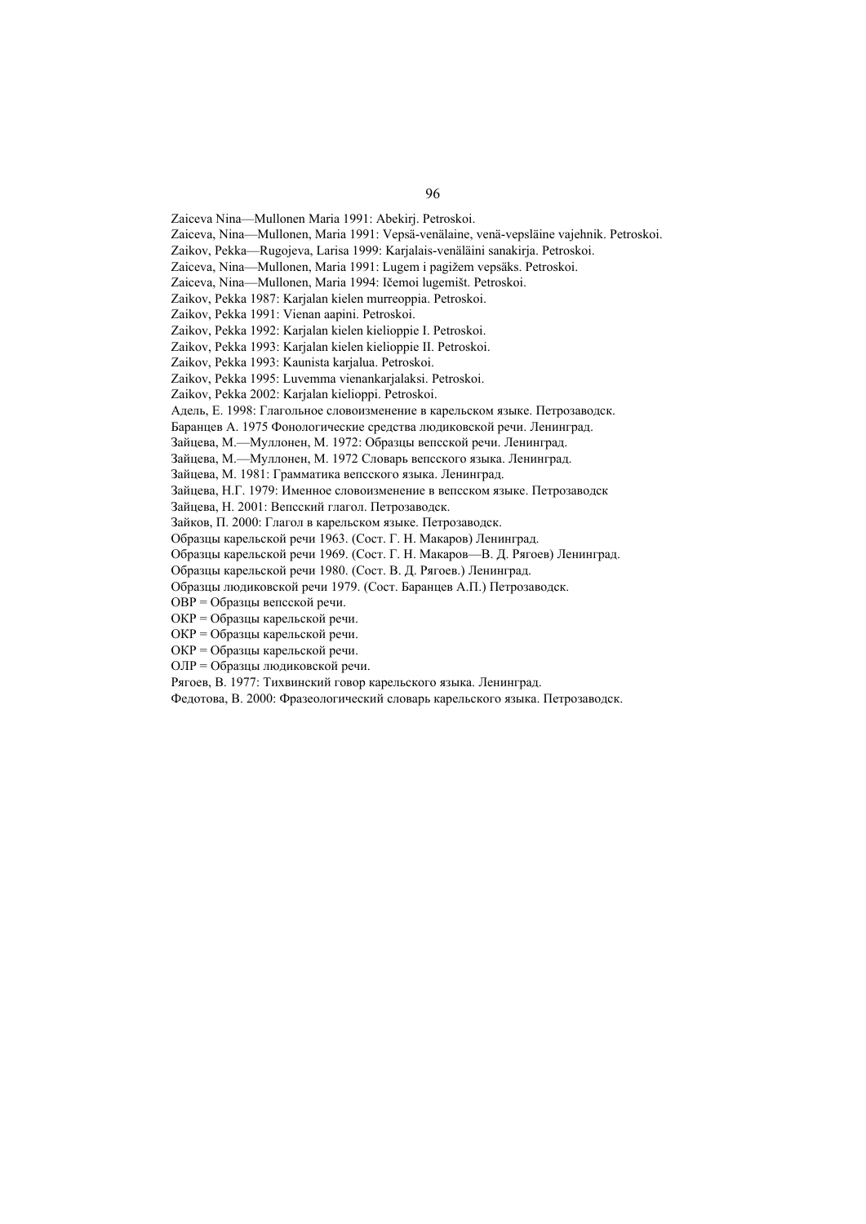Zaiceva Nina—Mullonen Maria 1991: Abekirj. Petroskoi.

Zaiceva, Nina—Mullonen, Maria 1991: Vepsä-venälaine, venä-vepsläine vajehnik. Petroskoi.

Zaikov, Pekka—Rugojeva, Larisa 1999: Karjalais-venäläini sanakirja. Petroskoi.

Zaiceva, Nina—Mullonen, Maria 1991: Lugem i pagižem vepsäks. Petroskoi.

Zaiceva, Nina—Mullonen, Maria 1994: Ičemoi lugemišt. Petroskoi.

Zaikov, Pekka 1987: Karjalan kielen murreoppia. Petroskoi.

Zaikov, Pekka 1991: Vienan aapini. Petroskoi.

Zaikov, Pekka 1992: Karjalan kielen kielioppie I. Petroskoi.

Zaikov, Pekka 1993: Karjalan kielen kielioppie II. Petroskoi.

Zaikov, Pekka 1993: Kaunista karjalua. Petroskoi.

Zaikov, Pekka 1995: Luvemma vienankarjalaksi. Petroskoi.

Zaikov, Pekka 2002: Karjalan kielioppi. Petroskoi.

Адель, Е. 1998: Глагольное словоизменение в карельском языке. Петрозаводск.

Баранцев А. 1975 Фонологические средства людиковской речи. Ленинград.

Зайцева, М.—Муллонен, М. 1972: Образцы вепсской речи. Ленинград.

Зайцева, М.—Муллонен, М. 1972 Словарь вепсского языка. Ленинград.

Зайцева, М. 1981: Грамматика вепсского языка. Ленинград.

Зайцева, Н.Г. 1979: Именное словоизменение в вепсском языке. Петрозаводск

Зайцева, Н. 2001: Вепсский глагол. Петрозаводск.

Зайков, П. 2000: Глагол в карельском языке. Петрозаводск.

Образцы карельской речи 1963. (Сост. Г. Н. Макаров) Ленинград.

Образцы карельской речи 1969. (Сост. Г. Н. Макаров—В. Д. Рягоев) Ленинград.

Образцы карельской речи 1980. (Сост. В. Д. Рягоев.) Ленинград.

Образцы людиковской речи 1979. (Сост. Баранцев А.П.) Петрозаводск.

ОВР = Образцы вепсской речи.

ОКР = Образцы карельской речи.

ОКР = Образцы карельской речи.

ОКР = Образцы карельской речи.

ОЛР = Образцы людиковской речи.

Рягоев, В. 1977: Тихвинский говор карельского языка. Ленинград.

Федотова, В. 2000: Фразеологический словарь карельского языка. Петрозаводск.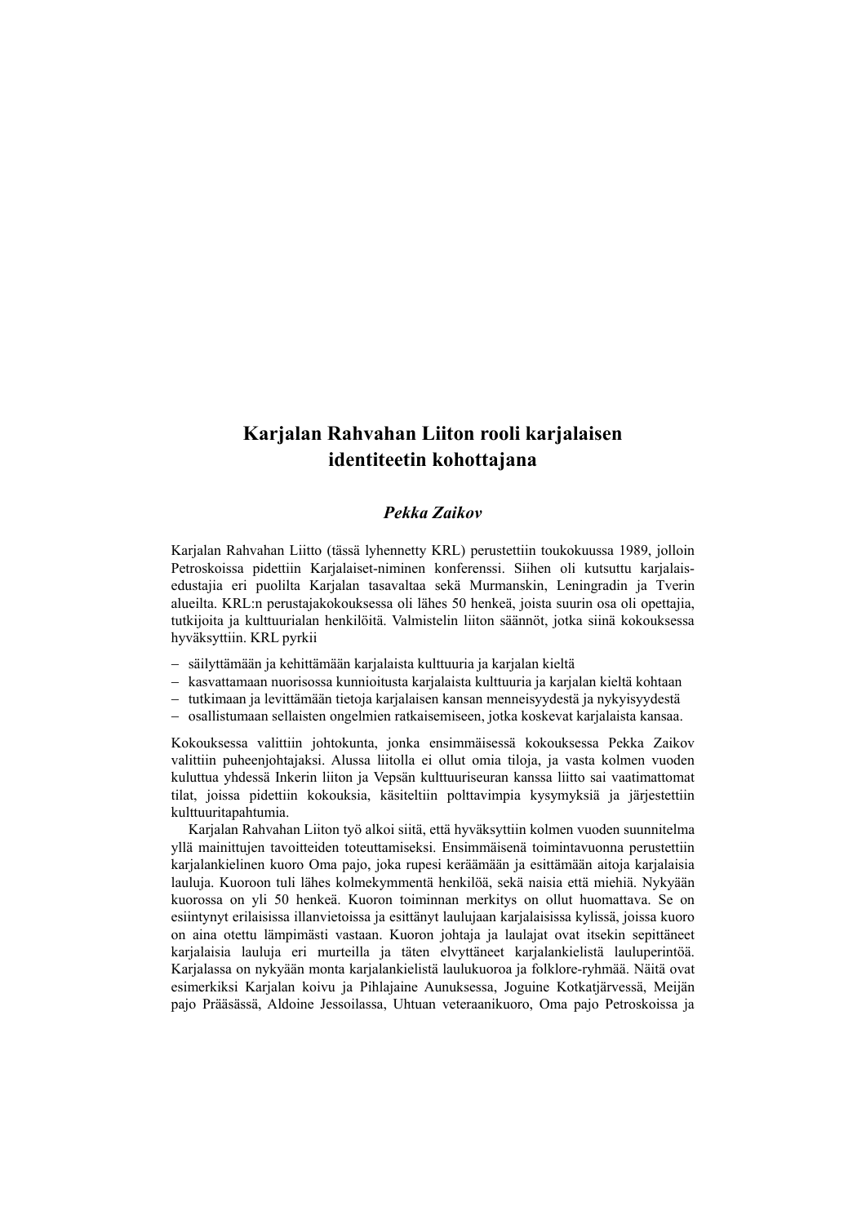# **Karjalan Rahvahan Liiton rooli karjalaisen identiteetin kohottajana**

# *Pekka Zaikov*

Karjalan Rahvahan Liitto (tässä lyhennetty KRL) perustettiin toukokuussa 1989, jolloin Petroskoissa pidettiin Karjalaiset-niminen konferenssi. Siihen oli kutsuttu karjalaisedustajia eri puolilta Karjalan tasavaltaa sekä Murmanskin, Leningradin ja Tverin alueilta. KRL:n perustajakokouksessa oli lähes 50 henkeä, joista suurin osa oli opettajia, tutkijoita ja kulttuurialan henkilöitä. Valmistelin liiton säännöt, jotka siinä kokouksessa hyväksyttiin. KRL pyrkii

- − säilyttämään ja kehittämään karjalaista kulttuuria ja karjalan kieltä
- − kasvattamaan nuorisossa kunnioitusta karjalaista kulttuuria ja karjalan kieltä kohtaan
- − tutkimaan ja levittämään tietoja karjalaisen kansan menneisyydestä ja nykyisyydestä
- − osallistumaan sellaisten ongelmien ratkaisemiseen, jotka koskevat karjalaista kansaa.

Kokouksessa valittiin johtokunta, jonka ensimmäisessä kokouksessa Pekka Zaikov valittiin puheenjohtajaksi. Alussa liitolla ei ollut omia tiloja, ja vasta kolmen vuoden kuluttua yhdessä Inkerin liiton ja Vepsän kulttuuriseuran kanssa liitto sai vaatimattomat tilat, joissa pidettiin kokouksia, käsiteltiin polttavimpia kysymyksiä ja järjestettiin kulttuuritapahtumia.

Karjalan Rahvahan Liiton työ alkoi siitä, että hyväksyttiin kolmen vuoden suunnitelma yllä mainittujen tavoitteiden toteuttamiseksi. Ensimmäisenä toimintavuonna perustettiin karjalankielinen kuoro Oma pajo, joka rupesi keräämään ja esittämään aitoja karjalaisia lauluja. Kuoroon tuli lähes kolmekymmentä henkilöä, sekä naisia että miehiä. Nykyään kuorossa on yli 50 henkeä. Kuoron toiminnan merkitys on ollut huomattava. Se on esiintynyt erilaisissa illanvietoissa ja esittänyt laulujaan karjalaisissa kylissä, joissa kuoro on aina otettu lämpimästi vastaan. Kuoron johtaja ja laulajat ovat itsekin sepittäneet karjalaisia lauluja eri murteilla ja täten elvyttäneet karjalankielistä lauluperintöä. Karjalassa on nykyään monta karjalankielistä laulukuoroa ja folklore-ryhmää. Näitä ovat esimerkiksi Karjalan koivu ja Pihlajaine Aunuksessa, Joguine Kotkatjärvessä, Meijän pajo Prääsässä, Aldoine Jessoilassa, Uhtuan veteraanikuoro, Oma pajo Petroskoissa ja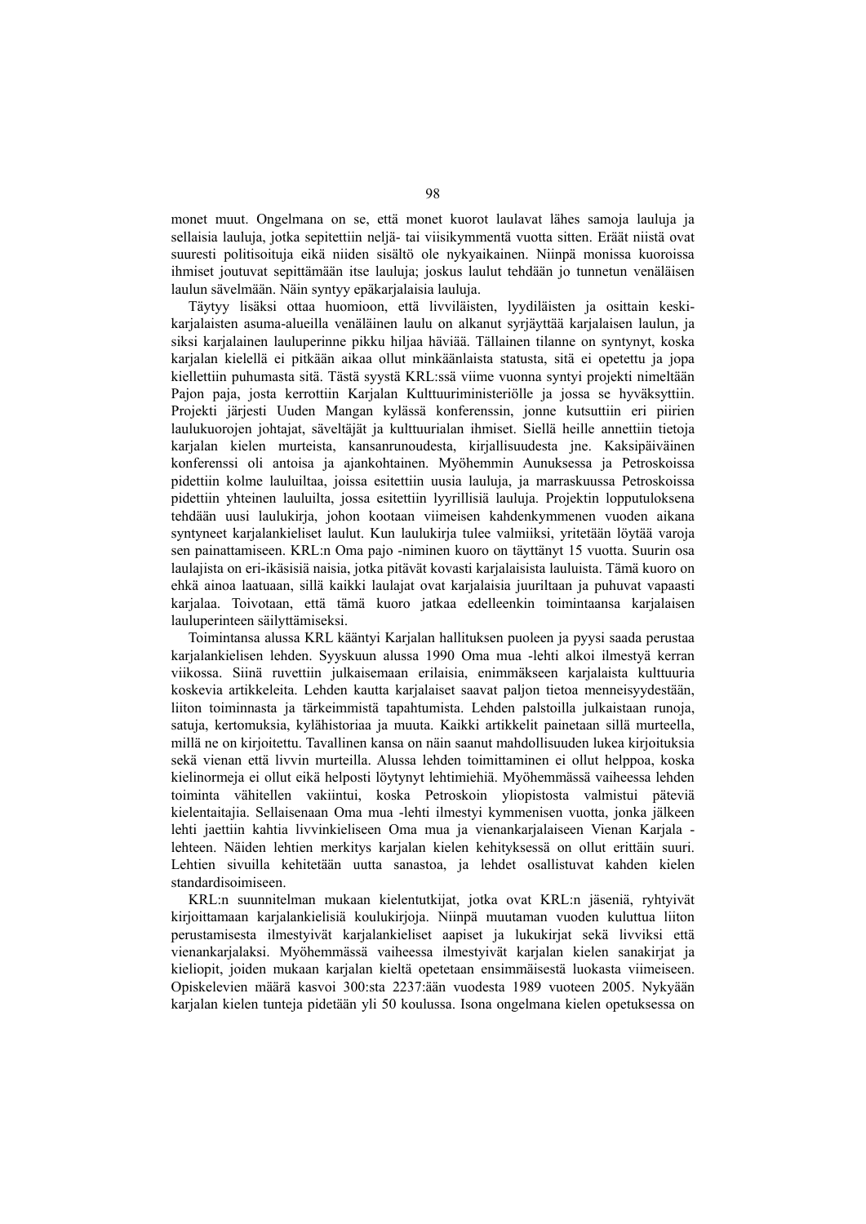monet muut. Ongelmana on se, että monet kuorot laulavat lähes samoja lauluja ja sellaisia lauluja, jotka sepitettiin neljä- tai viisikymmentä vuotta sitten. Eräät niistä ovat suuresti politisoituja eikä niiden sisältö ole nykyaikainen. Niinpä monissa kuoroissa ihmiset joutuvat sepittämään itse lauluja; joskus laulut tehdään jo tunnetun venäläisen laulun sävelmään. Näin syntyy epäkarjalaisia lauluja.

Täytyy lisäksi ottaa huomioon, että livviläisten, lyydiläisten ja osittain keskikarjalaisten asuma-alueilla venäläinen laulu on alkanut syrjäyttää karjalaisen laulun, ja siksi karjalainen lauluperinne pikku hiljaa häviää. Tällainen tilanne on syntynyt, koska karjalan kielellä ei pitkään aikaa ollut minkäänlaista statusta, sitä ei opetettu ja jopa kiellettiin puhumasta sitä. Tästä syystä KRL:ssä viime vuonna syntyi projekti nimeltään Pajon paja, josta kerrottiin Karjalan Kulttuuriministeriölle ja jossa se hyväksyttiin. Projekti järjesti Uuden Mangan kylässä konferenssin, jonne kutsuttiin eri piirien laulukuorojen johtajat, säveltäjät ja kulttuurialan ihmiset. Siellä heille annettiin tietoja karjalan kielen murteista, kansanrunoudesta, kirjallisuudesta jne. Kaksipäiväinen konferenssi oli antoisa ja ajankohtainen. Myöhemmin Aunuksessa ja Petroskoissa pidettiin kolme lauluiltaa, joissa esitettiin uusia lauluja, ja marraskuussa Petroskoissa pidettiin yhteinen lauluilta, jossa esitettiin lyyrillisiä lauluja. Projektin lopputuloksena tehdään uusi laulukirja, johon kootaan viimeisen kahdenkymmenen vuoden aikana syntyneet karjalankieliset laulut. Kun laulukirja tulee valmiiksi, yritetään löytää varoja sen painattamiseen. KRL:n Oma pajo -niminen kuoro on täyttänyt 15 vuotta. Suurin osa laulajista on eri-ikäsisiä naisia, jotka pitävät kovasti karjalaisista lauluista. Tämä kuoro on ehkä ainoa laatuaan, sillä kaikki laulajat ovat karjalaisia juuriltaan ja puhuvat vapaasti karjalaa. Toivotaan, että tämä kuoro jatkaa edelleenkin toimintaansa karjalaisen lauluperinteen säilyttämiseksi.

Toimintansa alussa KRL kääntyi Karjalan hallituksen puoleen ja pyysi saada perustaa karjalankielisen lehden. Syyskuun alussa 1990 Oma mua -lehti alkoi ilmestyä kerran viikossa. Siinä ruvettiin julkaisemaan erilaisia, enimmäkseen karjalaista kulttuuria koskevia artikkeleita. Lehden kautta karjalaiset saavat paljon tietoa menneisyydestään, liiton toiminnasta ja tärkeimmistä tapahtumista. Lehden palstoilla julkaistaan runoja, satuja, kertomuksia, kylähistoriaa ja muuta. Kaikki artikkelit painetaan sillä murteella, millä ne on kirjoitettu. Tavallinen kansa on näin saanut mahdollisuuden lukea kirjoituksia sekä vienan että livvin murteilla. Alussa lehden toimittaminen ei ollut helppoa, koska kielinormeja ei ollut eikä helposti löytynyt lehtimiehiä. Myöhemmässä vaiheessa lehden toiminta vähitellen vakiintui, koska Petroskoin yliopistosta valmistui päteviä kielentaitajia. Sellaisenaan Oma mua -lehti ilmestyi kymmenisen vuotta, jonka jälkeen lehti jaettiin kahtia livvinkieliseen Oma mua ja vienankarjalaiseen Vienan Karjala lehteen. Näiden lehtien merkitys karjalan kielen kehityksessä on ollut erittäin suuri. Lehtien sivuilla kehitetään uutta sanastoa, ja lehdet osallistuvat kahden kielen standardisoimiseen.

KRL:n suunnitelman mukaan kielentutkijat, jotka ovat KRL:n jäseniä, ryhtyivät kirjoittamaan karjalankielisiä koulukirjoja. Niinpä muutaman vuoden kuluttua liiton perustamisesta ilmestyivät karjalankieliset aapiset ja lukukirjat sekä livviksi että vienankarjalaksi. Myöhemmässä vaiheessa ilmestyivät karjalan kielen sanakirjat ja kieliopit, joiden mukaan karjalan kieltä opetetaan ensimmäisestä luokasta viimeiseen. Opiskelevien määrä kasvoi 300:sta 2237:ään vuodesta 1989 vuoteen 2005. Nykyään karjalan kielen tunteja pidetään yli 50 koulussa. Isona ongelmana kielen opetuksessa on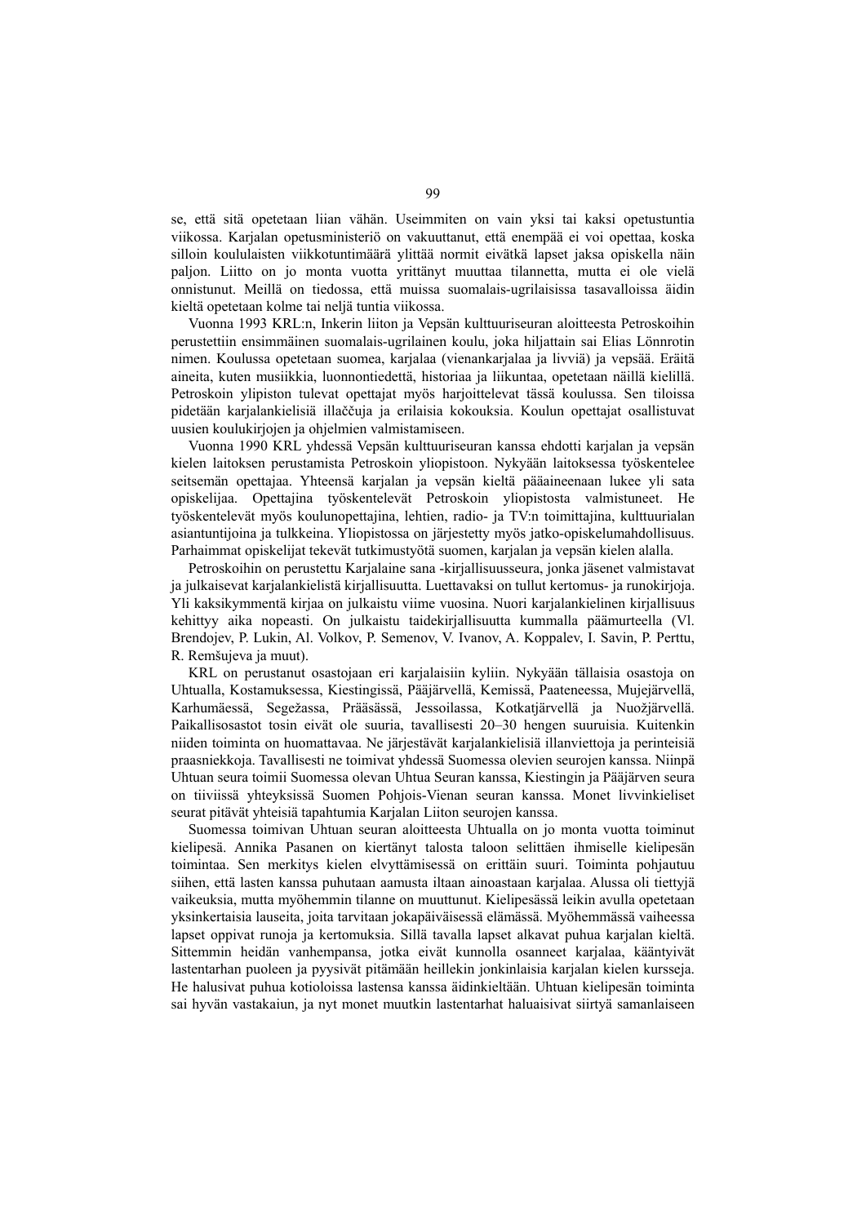se, että sitä opetetaan liian vähän. Useimmiten on vain yksi tai kaksi opetustuntia viikossa. Karjalan opetusministeriö on vakuuttanut, että enempää ei voi opettaa, koska silloin koululaisten viikkotuntimäärä ylittää normit eivätkä lapset jaksa opiskella näin paljon. Liitto on jo monta vuotta yrittänyt muuttaa tilannetta, mutta ei ole vielä onnistunut. Meillä on tiedossa, että muissa suomalais-ugrilaisissa tasavalloissa äidin kieltä opetetaan kolme tai neljä tuntia viikossa.

Vuonna 1993 KRL:n, Inkerin liiton ja Vepsän kulttuuriseuran aloitteesta Petroskoihin perustettiin ensimmäinen suomalais-ugrilainen koulu, joka hiljattain sai Elias Lönnrotin nimen. Koulussa opetetaan suomea, karjalaa (vienankarjalaa ja livviä) ja vepsää. Eräitä aineita, kuten musiikkia, luonnontiedettä, historiaa ja liikuntaa, opetetaan näillä kielillä. Petroskoin ylipiston tulevat opettajat myös harjoittelevat tässä koulussa. Sen tiloissa pidetään karjalankielisiä illaččuja ja erilaisia kokouksia. Koulun opettajat osallistuvat uusien koulukirjojen ja ohjelmien valmistamiseen.

Vuonna 1990 KRL yhdessä Vepsän kulttuuriseuran kanssa ehdotti karjalan ja vepsän kielen laitoksen perustamista Petroskoin yliopistoon. Nykyään laitoksessa työskentelee seitsemän opettajaa. Yhteensä karjalan ja vepsän kieltä pääaineenaan lukee yli sata opiskelijaa. Opettajina työskentelevät Petroskoin yliopistosta valmistuneet. He työskentelevät myös koulunopettajina, lehtien, radio- ja TV:n toimittajina, kulttuurialan asiantuntijoina ja tulkkeina. Yliopistossa on järjestetty myös jatko-opiskelumahdollisuus. Parhaimmat opiskelijat tekevät tutkimustyötä suomen, karjalan ja vepsän kielen alalla.

Petroskoihin on perustettu Karjalaine sana -kirjallisuusseura, jonka jäsenet valmistavat ja julkaisevat karjalankielistä kirjallisuutta. Luettavaksi on tullut kertomus- ja runokirjoja. Yli kaksikymmentä kirjaa on julkaistu viime vuosina. Nuori karjalankielinen kirjallisuus kehittyy aika nopeasti. On julkaistu taidekirjallisuutta kummalla päämurteella (Vl. Brendojev, P. Lukin, Al. Volkov, P. Semenov, V. Ivanov, A. Koppalev, I. Savin, P. Perttu, R. Remšujeva ja muut).

KRL on perustanut osastojaan eri karjalaisiin kyliin. Nykyään tällaisia osastoja on Uhtualla, Kostamuksessa, Kiestingissä, Pääjärvellä, Kemissä, Paateneessa, Mujejärvellä, Karhumäessä, Segežassa, Prääsässä, Jessoilassa, Kotkatjärvellä ja Nuožjärvellä. Paikallisosastot tosin eivät ole suuria, tavallisesti 20–30 hengen suuruisia. Kuitenkin niiden toiminta on huomattavaa. Ne järjestävät karjalankielisiä illanviettoja ja perinteisiä praasniekkoja. Tavallisesti ne toimivat yhdessä Suomessa olevien seurojen kanssa. Niinpä Uhtuan seura toimii Suomessa olevan Uhtua Seuran kanssa, Kiestingin ja Pääjärven seura on tiiviissä yhteyksissä Suomen Pohjois-Vienan seuran kanssa. Monet livvinkieliset seurat pitävät yhteisiä tapahtumia Karjalan Liiton seurojen kanssa.

Suomessa toimivan Uhtuan seuran aloitteesta Uhtualla on jo monta vuotta toiminut kielipesä. Annika Pasanen on kiertänyt talosta taloon selittäen ihmiselle kielipesän toimintaa. Sen merkitys kielen elvyttämisessä on erittäin suuri. Toiminta pohjautuu siihen, että lasten kanssa puhutaan aamusta iltaan ainoastaan karjalaa. Alussa oli tiettyjä vaikeuksia, mutta myöhemmin tilanne on muuttunut. Kielipesässä leikin avulla opetetaan yksinkertaisia lauseita, joita tarvitaan jokapäiväisessä elämässä. Myöhemmässä vaiheessa lapset oppivat runoja ja kertomuksia. Sillä tavalla lapset alkavat puhua karjalan kieltä. Sittemmin heidän vanhempansa, jotka eivät kunnolla osanneet karjalaa, kääntyivät lastentarhan puoleen ja pyysivät pitämään heillekin jonkinlaisia karjalan kielen kursseja. He halusivat puhua kotioloissa lastensa kanssa äidinkieltään. Uhtuan kielipesän toiminta sai hyvän vastakaiun, ja nyt monet muutkin lastentarhat haluaisivat siirtyä samanlaiseen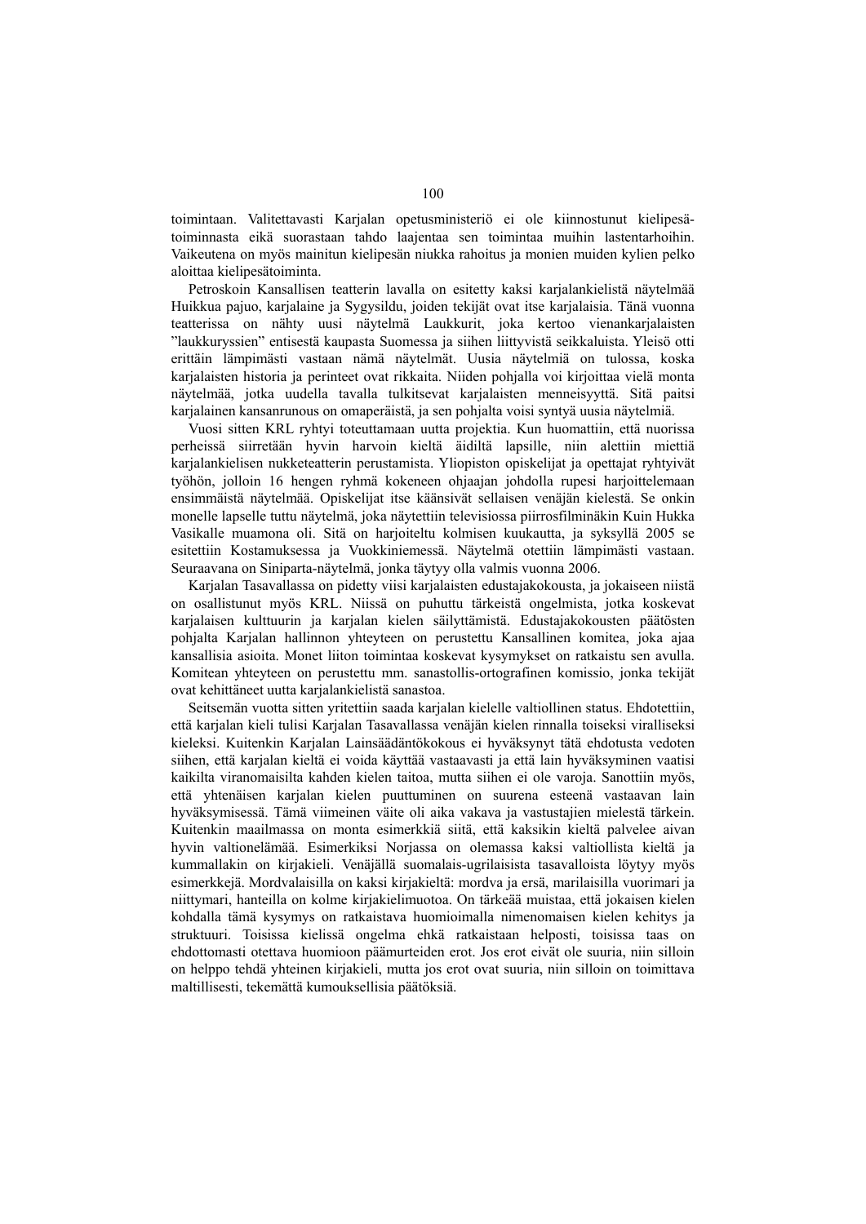toimintaan. Valitettavasti Karjalan opetusministeriö ei ole kiinnostunut kielipesätoiminnasta eikä suorastaan tahdo laajentaa sen toimintaa muihin lastentarhoihin. Vaikeutena on myös mainitun kielipesän niukka rahoitus ja monien muiden kylien pelko aloittaa kielipesätoiminta.

Petroskoin Kansallisen teatterin lavalla on esitetty kaksi karjalankielistä näytelmää Huikkua pajuo, karjalaine ja Sygysildu, joiden tekijät ovat itse karjalaisia. Tänä vuonna teatterissa on nähty uusi näytelmä Laukkurit, joka kertoo vienankarjalaisten "laukkuryssien" entisestä kaupasta Suomessa ja siihen liittyvistä seikkaluista. Yleisö otti erittäin lämpimästi vastaan nämä näytelmät. Uusia näytelmiä on tulossa, koska karjalaisten historia ja perinteet ovat rikkaita. Niiden pohjalla voi kirjoittaa vielä monta näytelmää, jotka uudella tavalla tulkitsevat karjalaisten menneisyyttä. Sitä paitsi karjalainen kansanrunous on omaperäistä, ja sen pohjalta voisi syntyä uusia näytelmiä.

Vuosi sitten KRL ryhtyi toteuttamaan uutta projektia. Kun huomattiin, että nuorissa perheissä siirretään hyvin harvoin kieltä äidiltä lapsille, niin alettiin miettiä karjalankielisen nukketeatterin perustamista. Yliopiston opiskelijat ja opettajat ryhtyivät työhön, jolloin 16 hengen ryhmä kokeneen ohjaajan johdolla rupesi harjoittelemaan ensimmäistä näytelmää. Opiskelijat itse käänsivät sellaisen venäjän kielestä. Se onkin monelle lapselle tuttu näytelmä, joka näytettiin televisiossa piirrosfilminäkin Kuin Hukka Vasikalle muamona oli. Sitä on harjoiteltu kolmisen kuukautta, ja syksyllä 2005 se esitettiin Kostamuksessa ja Vuokkiniemessä. Näytelmä otettiin lämpimästi vastaan. Seuraavana on Siniparta-näytelmä, jonka täytyy olla valmis vuonna 2006.

Karjalan Tasavallassa on pidetty viisi karjalaisten edustajakokousta, ja jokaiseen niistä on osallistunut myös KRL. Niissä on puhuttu tärkeistä ongelmista, jotka koskevat karjalaisen kulttuurin ja karjalan kielen säilyttämistä. Edustajakokousten päätösten pohjalta Karjalan hallinnon yhteyteen on perustettu Kansallinen komitea, joka ajaa kansallisia asioita. Monet liiton toimintaa koskevat kysymykset on ratkaistu sen avulla. Komitean yhteyteen on perustettu mm. sanastollis-ortografinen komissio, jonka tekijät ovat kehittäneet uutta karjalankielistä sanastoa.

Seitsemän vuotta sitten yritettiin saada karjalan kielelle valtiollinen status. Ehdotettiin, että karjalan kieli tulisi Karjalan Tasavallassa venäjän kielen rinnalla toiseksi viralliseksi kieleksi. Kuitenkin Karjalan Lainsäädäntökokous ei hyväksynyt tätä ehdotusta vedoten siihen, että karjalan kieltä ei voida käyttää vastaavasti ja että lain hyväksyminen vaatisi kaikilta viranomaisilta kahden kielen taitoa, mutta siihen ei ole varoja. Sanottiin myös, että yhtenäisen karjalan kielen puuttuminen on suurena esteenä vastaavan lain hyväksymisessä. Tämä viimeinen väite oli aika vakava ja vastustajien mielestä tärkein. Kuitenkin maailmassa on monta esimerkkiä siitä, että kaksikin kieltä palvelee aivan hyvin valtionelämää. Esimerkiksi Norjassa on olemassa kaksi valtiollista kieltä ja kummallakin on kirjakieli. Venäjällä suomalais-ugrilaisista tasavalloista löytyy myös esimerkkejä. Mordvalaisilla on kaksi kirjakieltä: mordva ja ersä, marilaisilla vuorimari ja niittymari, hanteilla on kolme kirjakielimuotoa. On tärkeää muistaa, että jokaisen kielen kohdalla tämä kysymys on ratkaistava huomioimalla nimenomaisen kielen kehitys ja struktuuri. Toisissa kielissä ongelma ehkä ratkaistaan helposti, toisissa taas on ehdottomasti otettava huomioon päämurteiden erot. Jos erot eivät ole suuria, niin silloin on helppo tehdä yhteinen kirjakieli, mutta jos erot ovat suuria, niin silloin on toimittava maltillisesti, tekemättä kumouksellisia päätöksiä.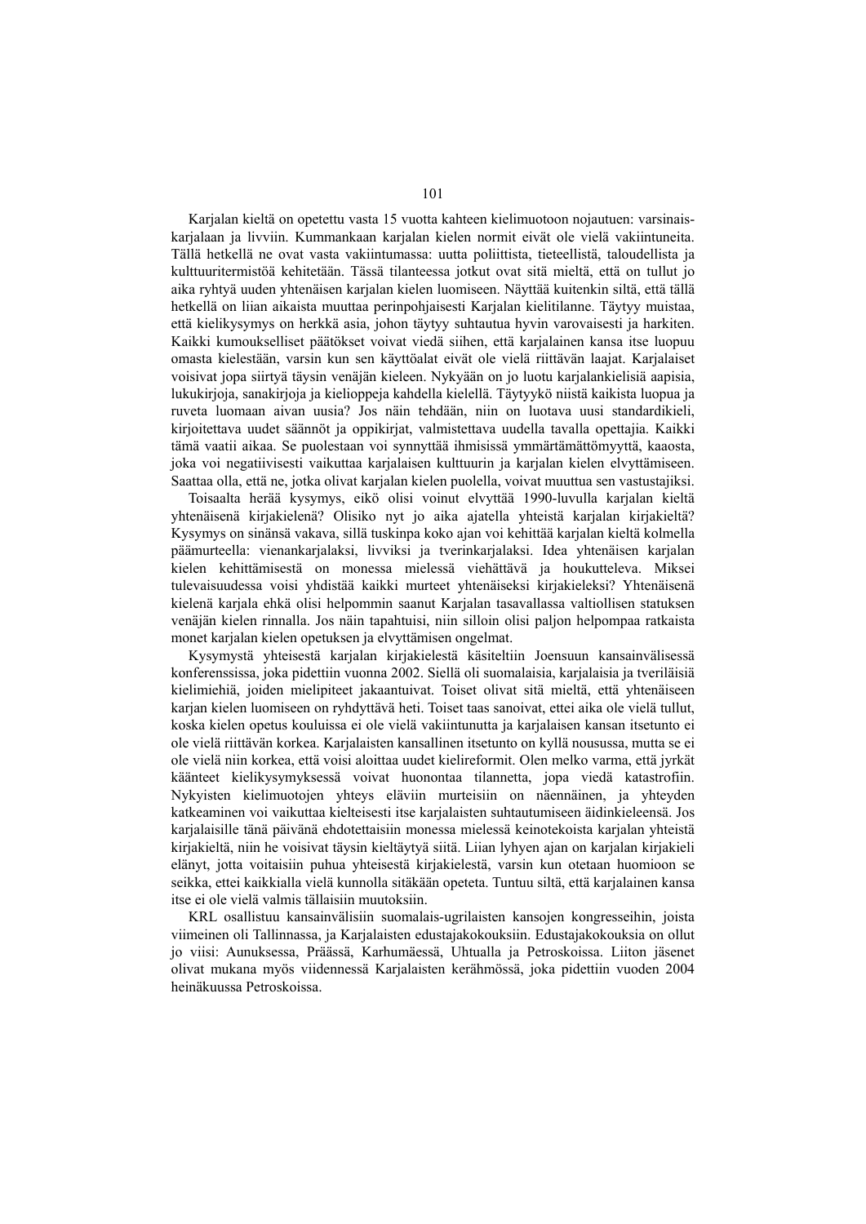Karjalan kieltä on opetettu vasta 15 vuotta kahteen kielimuotoon nojautuen: varsinaiskarjalaan ja livviin. Kummankaan karjalan kielen normit eivät ole vielä vakiintuneita. Tällä hetkellä ne ovat vasta vakiintumassa: uutta poliittista, tieteellistä, taloudellista ja kulttuuritermistöä kehitetään. Tässä tilanteessa jotkut ovat sitä mieltä, että on tullut jo aika ryhtyä uuden yhtenäisen karjalan kielen luomiseen. Näyttää kuitenkin siltä, että tällä hetkellä on liian aikaista muuttaa perinpohjaisesti Karjalan kielitilanne. Täytyy muistaa, että kielikysymys on herkkä asia, johon täytyy suhtautua hyvin varovaisesti ja harkiten. Kaikki kumoukselliset päätökset voivat viedä siihen, että karjalainen kansa itse luopuu omasta kielestään, varsin kun sen käyttöalat eivät ole vielä riittävän laajat. Karjalaiset voisivat jopa siirtyä täysin venäjän kieleen. Nykyään on jo luotu karjalankielisiä aapisia, lukukirjoja, sanakirjoja ja kielioppeja kahdella kielellä. Täytyykö niistä kaikista luopua ja ruveta luomaan aivan uusia? Jos näin tehdään, niin on luotava uusi standardikieli, kirjoitettava uudet säännöt ja oppikirjat, valmistettava uudella tavalla opettajia. Kaikki tämä vaatii aikaa. Se puolestaan voi synnyttää ihmisissä ymmärtämättömyyttä, kaaosta, joka voi negatiivisesti vaikuttaa karjalaisen kulttuurin ja karjalan kielen elvyttämiseen. Saattaa olla, että ne, jotka olivat karjalan kielen puolella, voivat muuttua sen vastustajiksi.

Toisaalta herää kysymys, eikö olisi voinut elvyttää 1990-luvulla karjalan kieltä yhtenäisenä kirjakielenä? Olisiko nyt jo aika ajatella yhteistä karjalan kirjakieltä? Kysymys on sinänsä vakava, sillä tuskinpa koko ajan voi kehittää karjalan kieltä kolmella päämurteella: vienankarjalaksi, livviksi ja tverinkarjalaksi. Idea yhtenäisen karjalan kielen kehittämisestä on monessa mielessä viehättävä ja houkutteleva. Miksei tulevaisuudessa voisi yhdistää kaikki murteet yhtenäiseksi kirjakieleksi? Yhtenäisenä kielenä karjala ehkä olisi helpommin saanut Karjalan tasavallassa valtiollisen statuksen venäjän kielen rinnalla. Jos näin tapahtuisi, niin silloin olisi paljon helpompaa ratkaista monet karjalan kielen opetuksen ja elvyttämisen ongelmat.

Kysymystä yhteisestä karjalan kirjakielestä käsiteltiin Joensuun kansainvälisessä konferenssissa, joka pidettiin vuonna 2002. Siellä oli suomalaisia, karjalaisia ja tveriläisiä kielimiehiä, joiden mielipiteet jakaantuivat. Toiset olivat sitä mieltä, että yhtenäiseen karjan kielen luomiseen on ryhdyttävä heti. Toiset taas sanoivat, ettei aika ole vielä tullut, koska kielen opetus kouluissa ei ole vielä vakiintunutta ja karjalaisen kansan itsetunto ei ole vielä riittävän korkea. Karjalaisten kansallinen itsetunto on kyllä nousussa, mutta se ei ole vielä niin korkea, että voisi aloittaa uudet kielireformit. Olen melko varma, että jyrkät käänteet kielikysymyksessä voivat huonontaa tilannetta, jopa viedä katastrofiin. Nykyisten kielimuotojen yhteys eläviin murteisiin on näennäinen, ja yhteyden katkeaminen voi vaikuttaa kielteisesti itse karjalaisten suhtautumiseen äidinkieleensä. Jos karjalaisille tänä päivänä ehdotettaisiin monessa mielessä keinotekoista karjalan yhteistä kirjakieltä, niin he voisivat täysin kieltäytyä siitä. Liian lyhyen ajan on karjalan kirjakieli elänyt, jotta voitaisiin puhua yhteisestä kirjakielestä, varsin kun otetaan huomioon se seikka, ettei kaikkialla vielä kunnolla sitäkään opeteta. Tuntuu siltä, että karjalainen kansa itse ei ole vielä valmis tällaisiin muutoksiin.

KRL osallistuu kansainvälisiin suomalais-ugrilaisten kansojen kongresseihin, joista viimeinen oli Tallinnassa, ja Karjalaisten edustajakokouksiin. Edustajakokouksia on ollut jo viisi: Aunuksessa, Präässä, Karhumäessä, Uhtualla ja Petroskoissa. Liiton jäsenet olivat mukana myös viidennessä Karjalaisten kerähmössä, joka pidettiin vuoden 2004 heinäkuussa Petroskoissa.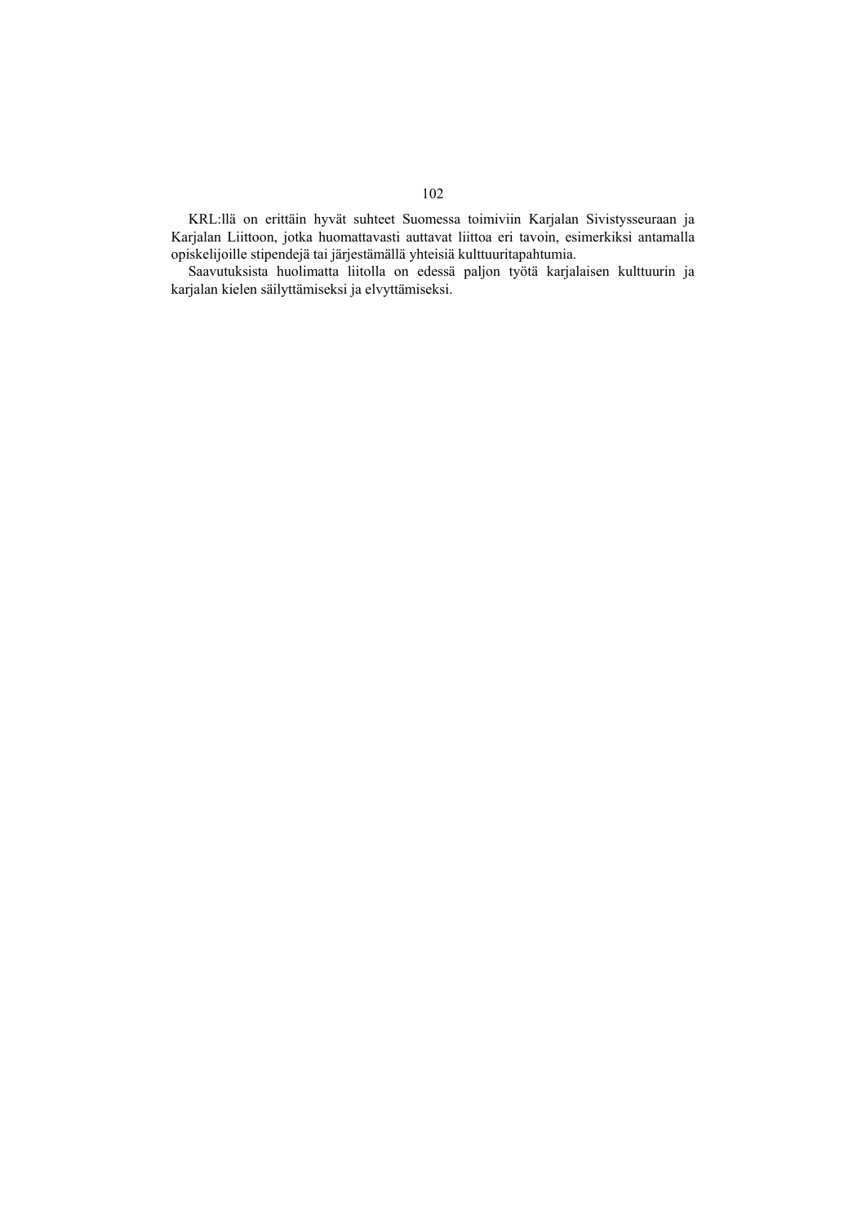KRL:llä on erittäin hyvät suhteet Suomessa toimiviin Karjalan Sivistysseuraan ja Karjalan Liittoon, jotka huomattavasti auttavat liittoa eri tavoin, esimerkiksi antamalla opiskelijoille stipendejä tai järjestämällä yhteisiä kulttuuritapahtumia.

Saavutuksista huolimatta liitolla on edessä paljon työtä karjalaisen kulttuurin ja karjalan kielen säilyttämiseksi ja elvyttämiseksi.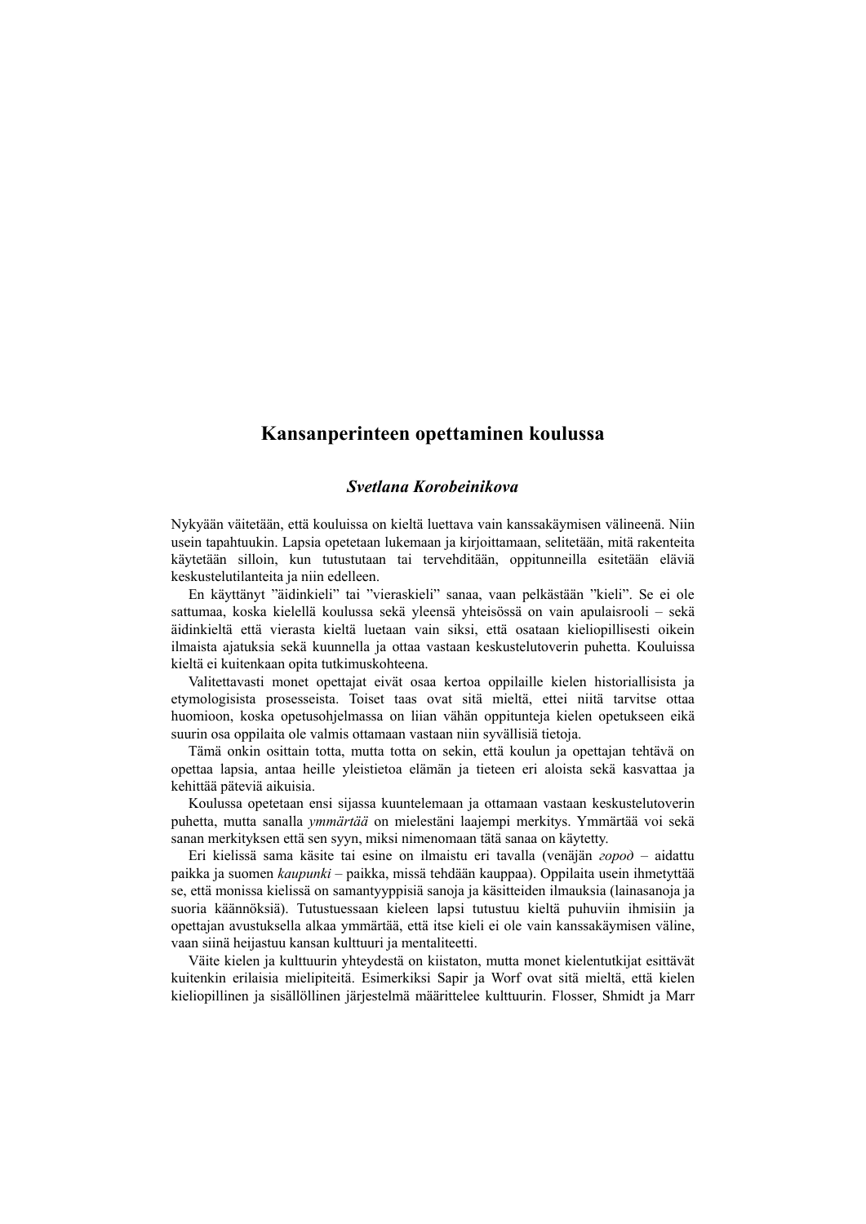# **Kansanperinteen opettaminen koulussa**

### *Svetlana Korobeinikova*

Nykyään väitetään, että kouluissa on kieltä luettava vain kanssakäymisen välineenä. Niin usein tapahtuukin. Lapsia opetetaan lukemaan ja kirjoittamaan, selitetään, mitä rakenteita käytetään silloin, kun tutustutaan tai tervehditään, oppitunneilla esitetään eläviä keskustelutilanteita ja niin edelleen.

En käyttänyt "äidinkieli" tai "vieraskieli" sanaa, vaan pelkästään "kieli". Se ei ole sattumaa, koska kielellä koulussa sekä yleensä yhteisössä on vain apulaisrooli – sekä äidinkieltä että vierasta kieltä luetaan vain siksi, että osataan kieliopillisesti oikein ilmaista ajatuksia sekä kuunnella ja ottaa vastaan keskustelutoverin puhetta. Kouluissa kieltä ei kuitenkaan opita tutkimuskohteena.

Valitettavasti monet opettajat eivät osaa kertoa oppilaille kielen historiallisista ja etymologisista prosesseista. Toiset taas ovat sitä mieltä, ettei niitä tarvitse ottaa huomioon, koska opetusohjelmassa on liian vähän oppitunteja kielen opetukseen eikä suurin osa oppilaita ole valmis ottamaan vastaan niin syvällisiä tietoja.

Tämä onkin osittain totta, mutta totta on sekin, että koulun ja opettajan tehtävä on opettaa lapsia, antaa heille yleistietoa elämän ja tieteen eri aloista sekä kasvattaa ja kehittää päteviä aikuisia.

Koulussa opetetaan ensi sijassa kuuntelemaan ja ottamaan vastaan keskustelutoverin puhetta, mutta sanalla *ymmärtää* on mielestäni laajempi merkitys. Ymmärtää voi sekä sanan merkityksen että sen syyn, miksi nimenomaan tätä sanaa on käytetty.

Eri kielissä sama käsite tai esine on ilmaistu eri tavalla (venäjän *город* – aidattu paikka ja suomen *kaupunki* – paikka, missä tehdään kauppaa). Oppilaita usein ihmetyttää se, että monissa kielissä on samantyyppisiä sanoja ja käsitteiden ilmauksia (lainasanoja ja suoria käännöksiä). Tutustuessaan kieleen lapsi tutustuu kieltä puhuviin ihmisiin ja opettajan avustuksella alkaa ymmärtää, että itse kieli ei ole vain kanssakäymisen väline, vaan siinä heijastuu kansan kulttuuri ja mentaliteetti.

Väite kielen ja kulttuurin yhteydestä on kiistaton, mutta monet kielentutkijat esittävät kuitenkin erilaisia mielipiteitä. Esimerkiksi Sapir ja Worf ovat sitä mieltä, että kielen kieliopillinen ja sisällöllinen järjestelmä määrittelee kulttuurin. Flosser, Shmidt ja Marr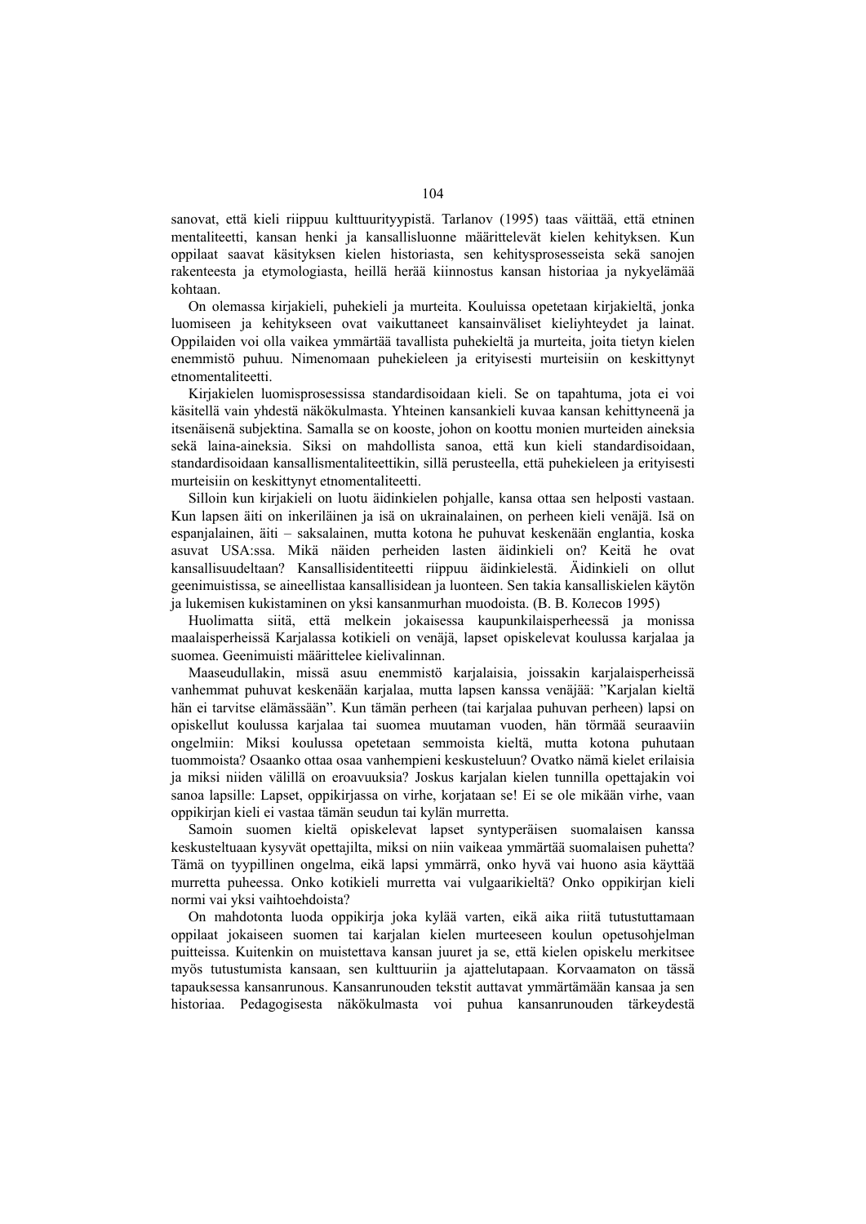sanovat, että kieli riippuu kulttuurityypistä. Tarlanov (1995) taas väittää, että etninen mentaliteetti, kansan henki ja kansallisluonne määrittelevät kielen kehityksen. Kun oppilaat saavat käsityksen kielen historiasta, sen kehitysprosesseista sekä sanojen rakenteesta ja etymologiasta, heillä herää kiinnostus kansan historiaa ja nykyelämää kohtaan.

On olemassa kirjakieli, puhekieli ja murteita. Kouluissa opetetaan kirjakieltä, jonka luomiseen ja kehitykseen ovat vaikuttaneet kansainväliset kieliyhteydet ja lainat. Oppilaiden voi olla vaikea ymmärtää tavallista puhekieltä ja murteita, joita tietyn kielen enemmistö puhuu. Nimenomaan puhekieleen ja erityisesti murteisiin on keskittynyt etnomentaliteetti.

Kirjakielen luomisprosessissa standardisoidaan kieli. Se on tapahtuma, jota ei voi käsitellä vain yhdestä näkökulmasta. Yhteinen kansankieli kuvaa kansan kehittyneenä ja itsenäisenä subjektina. Samalla se on kooste, johon on koottu monien murteiden aineksia sekä laina-aineksia. Siksi on mahdollista sanoa, että kun kieli standardisoidaan, standardisoidaan kansallismentaliteettikin, sillä perusteella, että puhekieleen ja erityisesti murteisiin on keskittynyt etnomentaliteetti.

Silloin kun kirjakieli on luotu äidinkielen pohjalle, kansa ottaa sen helposti vastaan. Kun lapsen äiti on inkeriläinen ja isä on ukrainalainen, on perheen kieli venäjä. Isä on espanjalainen, äiti – saksalainen, mutta kotona he puhuvat keskenään englantia, koska asuvat USA:ssa. Mikä näiden perheiden lasten äidinkieli on? Keitä he ovat kansallisuudeltaan? Kansallisidentiteetti riippuu äidinkielestä. Äidinkieli on ollut geenimuistissa, se aineellistaa kansallisidean ja luonteen. Sen takia kansalliskielen käytön ja lukemisen kukistaminen on yksi kansanmurhan muodoista. (В. В. Колесов 1995)

Huolimatta siitä, että melkein jokaisessa kaupunkilaisperheessä ja monissa maalaisperheissä Karjalassa kotikieli on venäjä, lapset opiskelevat koulussa karjalaa ja suomea. Geenimuisti määrittelee kielivalinnan.

Maaseudullakin, missä asuu enemmistö karjalaisia, joissakin karjalaisperheissä vanhemmat puhuvat keskenään karjalaa, mutta lapsen kanssa venäjää: "Karjalan kieltä hän ei tarvitse elämässään". Kun tämän perheen (tai karjalaa puhuvan perheen) lapsi on opiskellut koulussa karjalaa tai suomea muutaman vuoden, hän törmää seuraaviin ongelmiin: Miksi koulussa opetetaan semmoista kieltä, mutta kotona puhutaan tuommoista? Osaanko ottaa osaa vanhempieni keskusteluun? Ovatko nämä kielet erilaisia ja miksi niiden välillä on eroavuuksia? Joskus karjalan kielen tunnilla opettajakin voi sanoa lapsille: Lapset, oppikirjassa on virhe, korjataan se! Ei se ole mikään virhe, vaan oppikirjan kieli ei vastaa tämän seudun tai kylän murretta.

Samoin suomen kieltä opiskelevat lapset syntyperäisen suomalaisen kanssa keskusteltuaan kysyvät opettajilta, miksi on niin vaikeaa ymmärtää suomalaisen puhetta? Tämä on tyypillinen ongelma, eikä lapsi ymmärrä, onko hyvä vai huono asia käyttää murretta puheessa. Onko kotikieli murretta vai vulgaarikieltä? Onko oppikirjan kieli normi vai yksi vaihtoehdoista?

On mahdotonta luoda oppikirja joka kylää varten, eikä aika riitä tutustuttamaan oppilaat jokaiseen suomen tai karjalan kielen murteeseen koulun opetusohjelman puitteissa. Kuitenkin on muistettava kansan juuret ja se, että kielen opiskelu merkitsee myös tutustumista kansaan, sen kulttuuriin ja ajattelutapaan. Korvaamaton on tässä tapauksessa kansanrunous. Kansanrunouden tekstit auttavat ymmärtämään kansaa ja sen historiaa. Pedagogisesta näkökulmasta voi puhua kansanrunouden tärkeydestä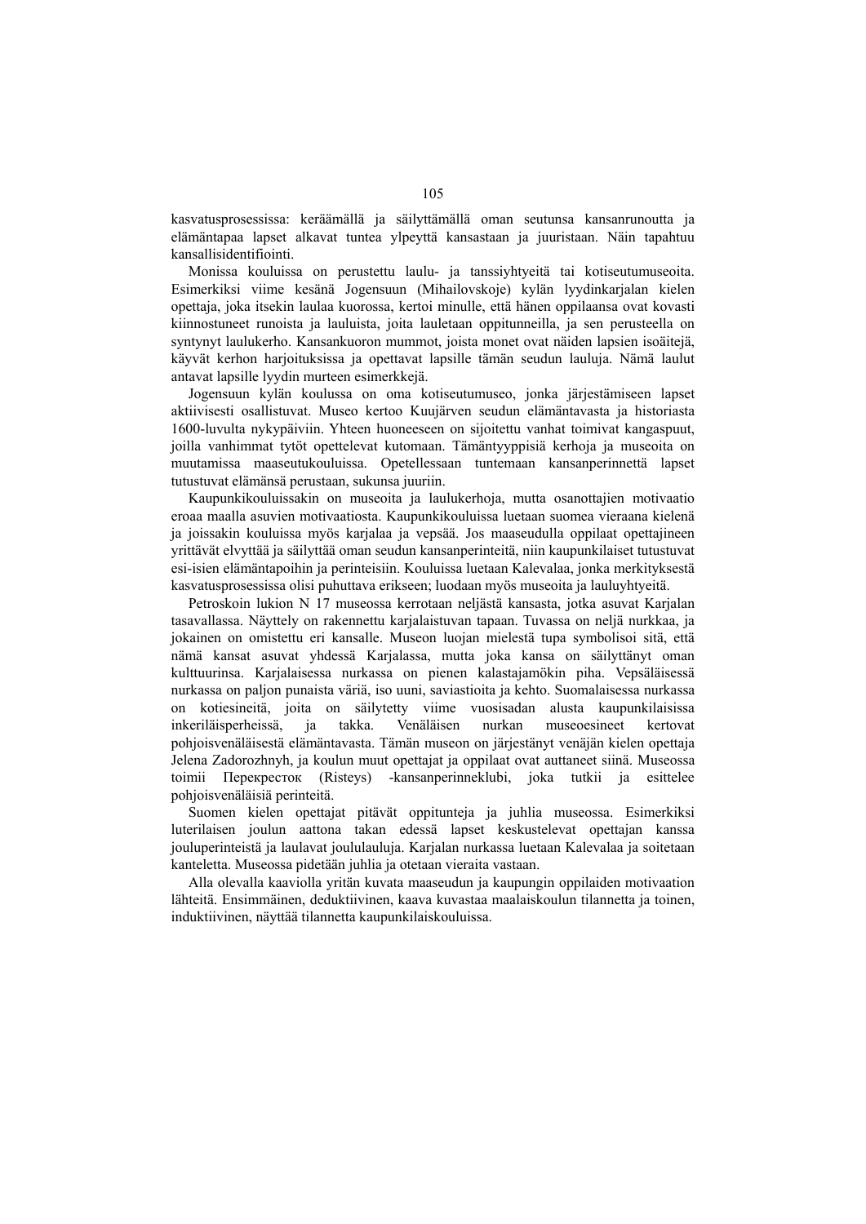kasvatusprosessissa: keräämällä ja säilyttämällä oman seutunsa kansanrunoutta ja elämäntapaa lapset alkavat tuntea ylpeyttä kansastaan ja juuristaan. Näin tapahtuu kansallisidentifiointi.

Monissa kouluissa on perustettu laulu- ja tanssiyhtyeitä tai kotiseutumuseoita. Esimerkiksi viime kesänä Jogensuun (Mihailovskoje) kylän lyydinkarjalan kielen opettaja, joka itsekin laulaa kuorossa, kertoi minulle, että hänen oppilaansa ovat kovasti kiinnostuneet runoista ja lauluista, joita lauletaan oppitunneilla, ja sen perusteella on syntynyt laulukerho. Kansankuoron mummot, joista monet ovat näiden lapsien isoäitejä, käyvät kerhon harjoituksissa ja opettavat lapsille tämän seudun lauluja. Nämä laulut antavat lapsille lyydin murteen esimerkkejä.

Jogensuun kylän koulussa on oma kotiseutumuseo, jonka järjestämiseen lapset aktiivisesti osallistuvat. Museo kertoo Kuujärven seudun elämäntavasta ja historiasta 1600-luvulta nykypäiviin. Yhteen huoneeseen on sijoitettu vanhat toimivat kangaspuut, joilla vanhimmat tytöt opettelevat kutomaan. Tämäntyyppisiä kerhoja ja museoita on muutamissa maaseutukouluissa. Opetellessaan tuntemaan kansanperinnettä lapset tutustuvat elämänsä perustaan, sukunsa juuriin.

Kaupunkikouluissakin on museoita ja laulukerhoja, mutta osanottajien motivaatio eroaa maalla asuvien motivaatiosta. Kaupunkikouluissa luetaan suomea vieraana kielenä ja joissakin kouluissa myös karjalaa ja vepsää. Jos maaseudulla oppilaat opettajineen yrittävät elvyttää ja säilyttää oman seudun kansanperinteitä, niin kaupunkilaiset tutustuvat esi-isien elämäntapoihin ja perinteisiin. Kouluissa luetaan Kalevalaa, jonka merkityksestä kasvatusprosessissa olisi puhuttava erikseen; luodaan myös museoita ja lauluyhtyeitä.

Petroskoin lukion N 17 museossa kerrotaan neljästä kansasta, jotka asuvat Karjalan tasavallassa. Näyttely on rakennettu karjalaistuvan tapaan. Tuvassa on neljä nurkkaa, ja jokainen on omistettu eri kansalle. Museon luojan mielestä tupa symbolisoi sitä, että nämä kansat asuvat yhdessä Karjalassa, mutta joka kansa on säilyttänyt oman kulttuurinsa. Karjalaisessa nurkassa on pienen kalastajamökin piha. Vepsäläisessä nurkassa on paljon punaista väriä, iso uuni, saviastioita ja kehto. Suomalaisessa nurkassa on kotiesineitä, joita on säilytetty viime vuosisadan alusta kaupunkilaisissa inkeriläisperheissä, ja takka. Venäläisen nurkan museoesineet kertovat pohjoisvenäläisestä elämäntavasta. Tämän museon on järjestänyt venäjän kielen opettaja Jelena Zadorozhnyh, ja koulun muut opettajat ja oppilaat ovat auttaneet siinä. Museossa toimii Перекресток (Risteys) -kansanperinneklubi, joka tutkii ja esittelee pohjoisvenäläisiä perinteitä.

Suomen kielen opettajat pitävät oppitunteja ja juhlia museossa. Esimerkiksi luterilaisen joulun aattona takan edessä lapset keskustelevat opettajan kanssa jouluperinteistä ja laulavat joululauluja. Karjalan nurkassa luetaan Kalevalaa ja soitetaan kanteletta. Museossa pidetään juhlia ja otetaan vieraita vastaan.

Alla olevalla kaaviolla yritän kuvata maaseudun ja kaupungin oppilaiden motivaation lähteitä. Ensimmäinen, deduktiivinen, kaava kuvastaa maalaiskoulun tilannetta ja toinen, induktiivinen, näyttää tilannetta kaupunkilaiskouluissa.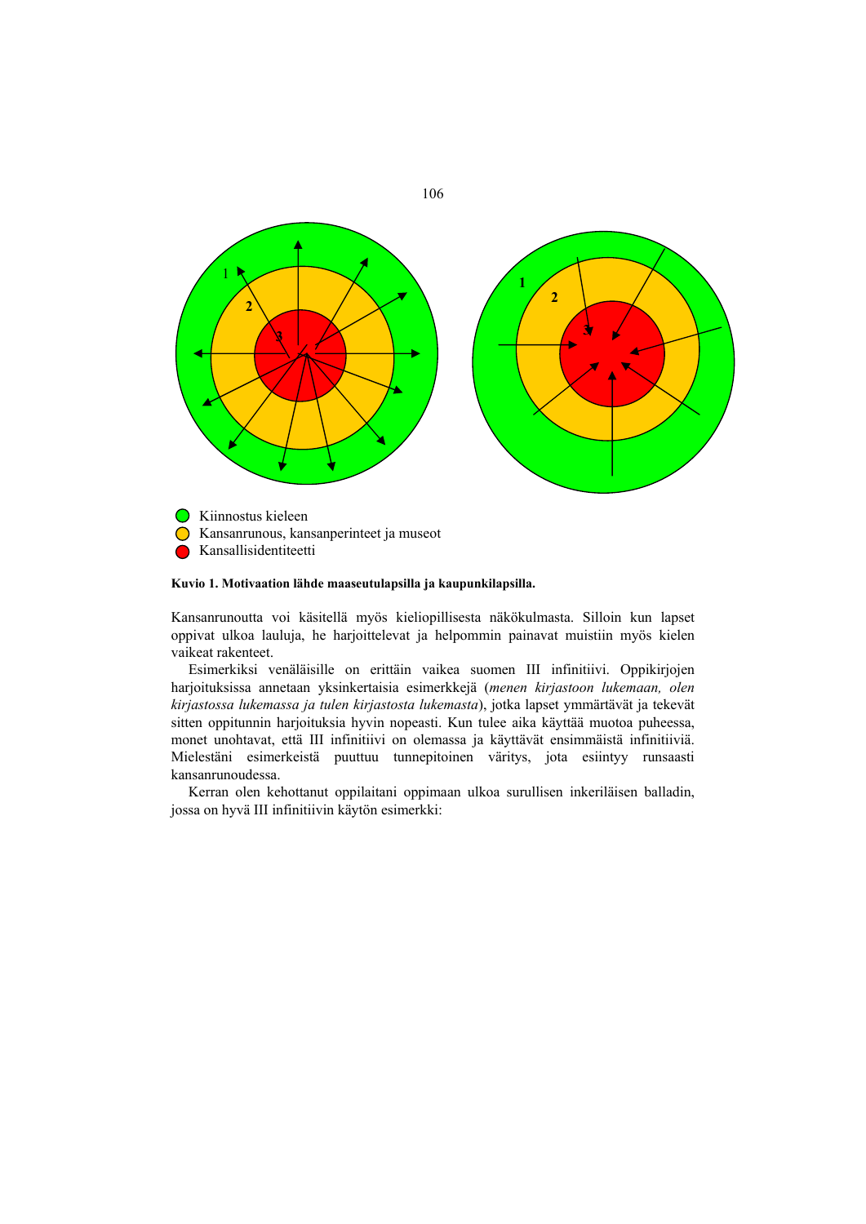

**Kansallisidentiteetti** 

#### **Kuvio 1. Motivaation lähde maaseutulapsilla ja kaupunkilapsilla.**

Kansanrunoutta voi käsitellä myös kieliopillisesta näkökulmasta. Silloin kun lapset oppivat ulkoa lauluja, he harjoittelevat ja helpommin painavat muistiin myös kielen vaikeat rakenteet.

Esimerkiksi venäläisille on erittäin vaikea suomen III infinitiivi. Oppikirjojen harjoituksissa annetaan yksinkertaisia esimerkkejä (*menen kirjastoon lukemaan, olen kirjastossa lukemassa ja tulen kirjastosta lukemasta*), jotka lapset ymmärtävät ja tekevät sitten oppitunnin harjoituksia hyvin nopeasti. Kun tulee aika käyttää muotoa puheessa, monet unohtavat, että III infinitiivi on olemassa ja käyttävät ensimmäistä infinitiiviä. Mielestäni esimerkeistä puuttuu tunnepitoinen väritys, jota esiintyy runsaasti kansanrunoudessa.

Kerran olen kehottanut oppilaitani oppimaan ulkoa surullisen inkeriläisen balladin, jossa on hyvä III infinitiivin käytön esimerkki:

106